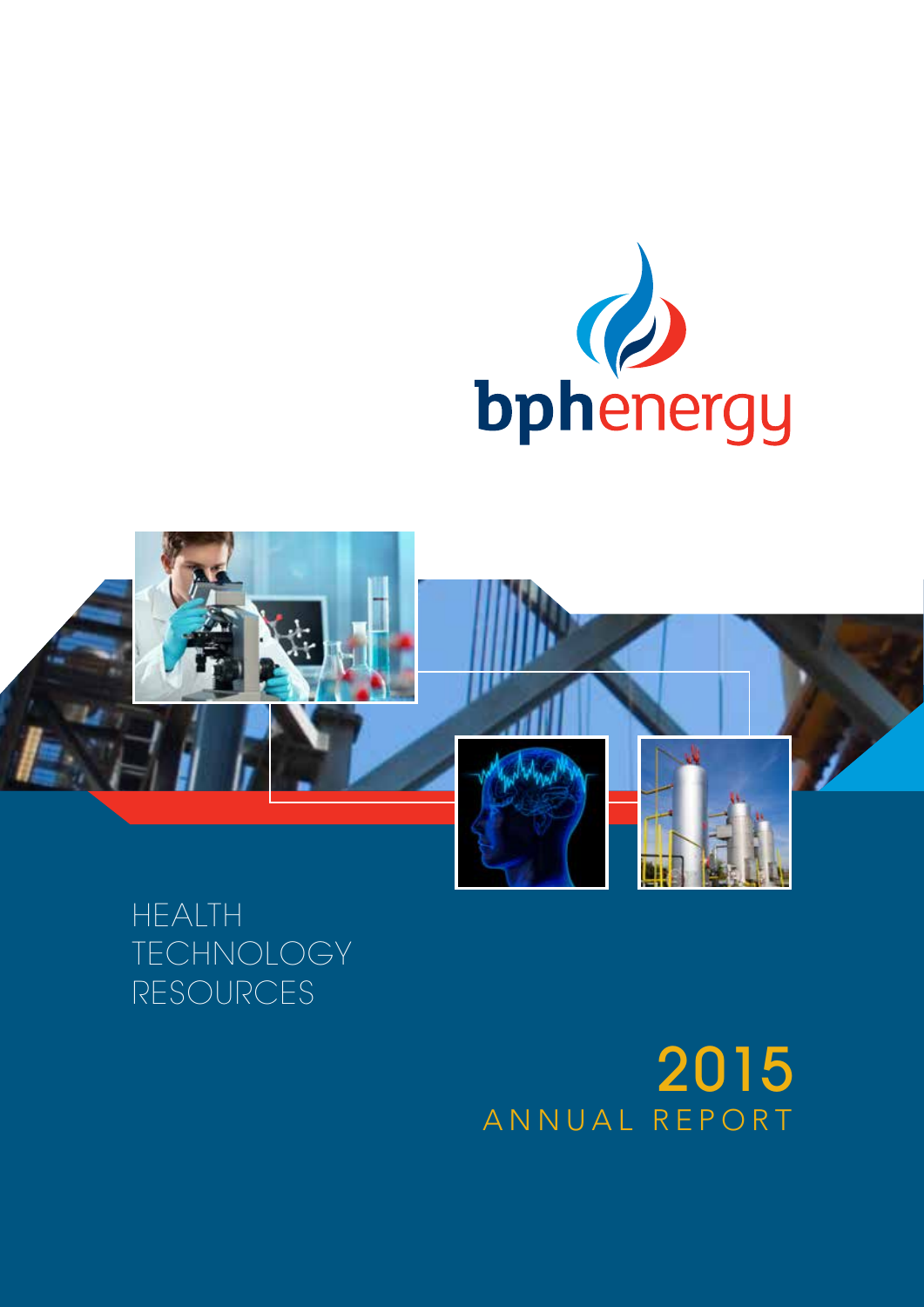



# HEALTH **TECHNOLOGY** RESOURCES

# 2015 ANNUAL REPORT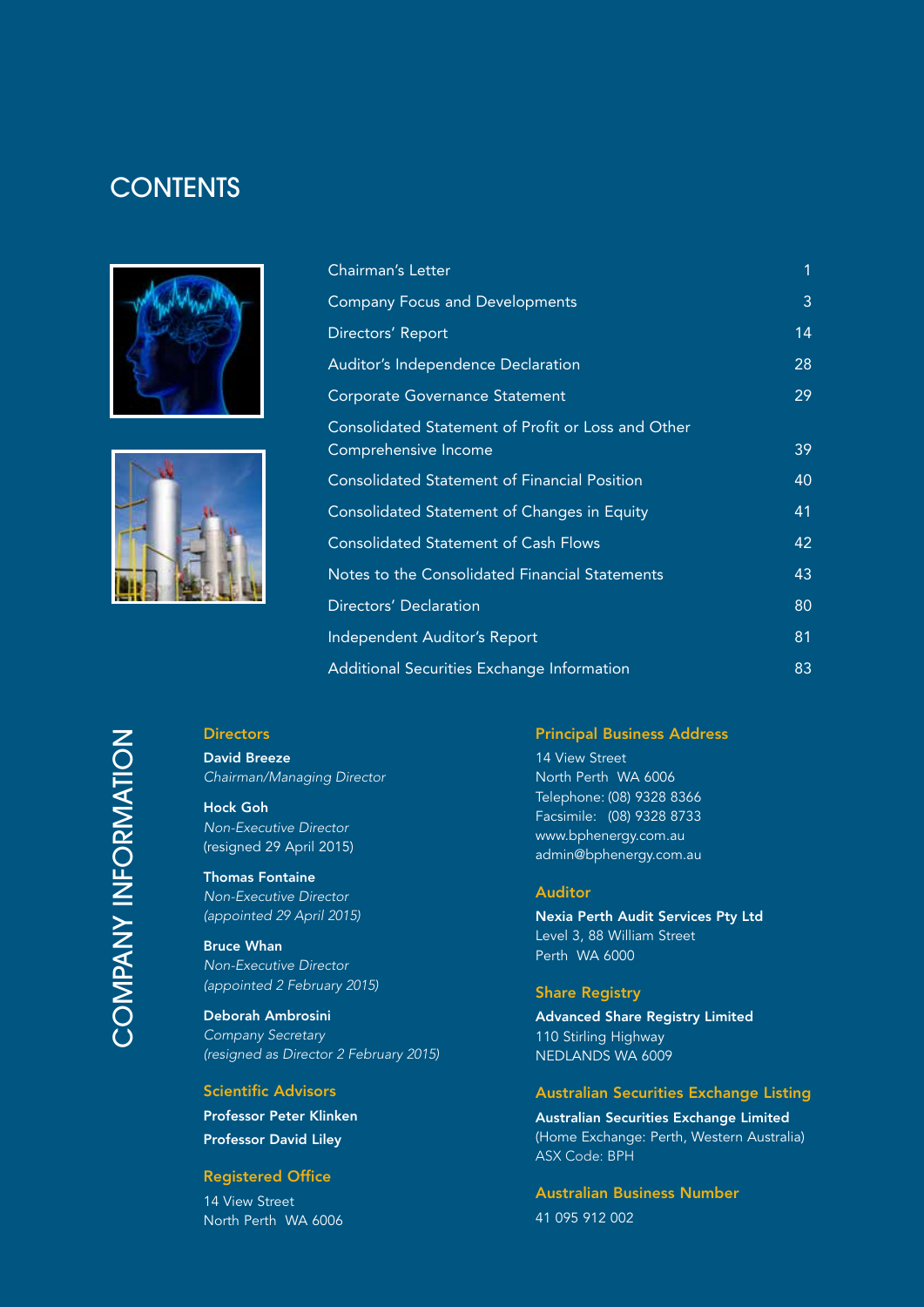# **CONTENTS**





| Chairman's Letter                                                          | 1  |
|----------------------------------------------------------------------------|----|
| <b>Company Focus and Developments</b>                                      | 3  |
| Directors' Report                                                          | 14 |
| Auditor's Independence Declaration                                         | 28 |
| <b>Corporate Governance Statement</b>                                      | 29 |
| Consolidated Statement of Profit or Loss and Other<br>Comprehensive Income | 39 |
| <b>Consolidated Statement of Financial Position</b>                        | 40 |
| Consolidated Statement of Changes in Equity                                | 41 |
| <b>Consolidated Statement of Cash Flows</b>                                | 42 |
| Notes to the Consolidated Financial Statements                             | 43 |
| Directors' Declaration                                                     | 80 |
| Independent Auditor's Report                                               | 81 |
| Additional Securities Exchange Information                                 | 83 |

#### **Directors**

David Breeze *Chairman/Managing Director*

Hock Goh *Non-Executive Director* (resigned 29 April 2015)

Thomas Fontaine *Non-Executive Director (appointed 29 April 2015)*

Bruce Whan *Non-Executive Director (appointed 2 February 2015)*

Deborah Ambrosini *Company Secretary (resigned as Director 2 February 2015)*

### Scientific Advisors

Professor Peter Klinken Professor David Liley

#### Registered Office

14 View Street North Perth WA 6006

#### Principal Business Address

14 View Street North Perth WA 6006 Telephone: (08) 9328 8366 Facsimile: (08) 9328 8733 www.bphenergy.com.au admin@bphenergy.com.au

#### Auditor

Nexia Perth Audit Services Pty Ltd Level 3, 88 William Street Perth WA 6000

#### Share Registry

Advanced Share Registry Limited 110 Stirling Highway NEDLANDS WA 6009

#### Australian Securities Exchange Listing

Australian Securities Exchange Limited (Home Exchange: Perth, Western Australia) ASX Code: BPH

Australian Business Number 41 095 912 002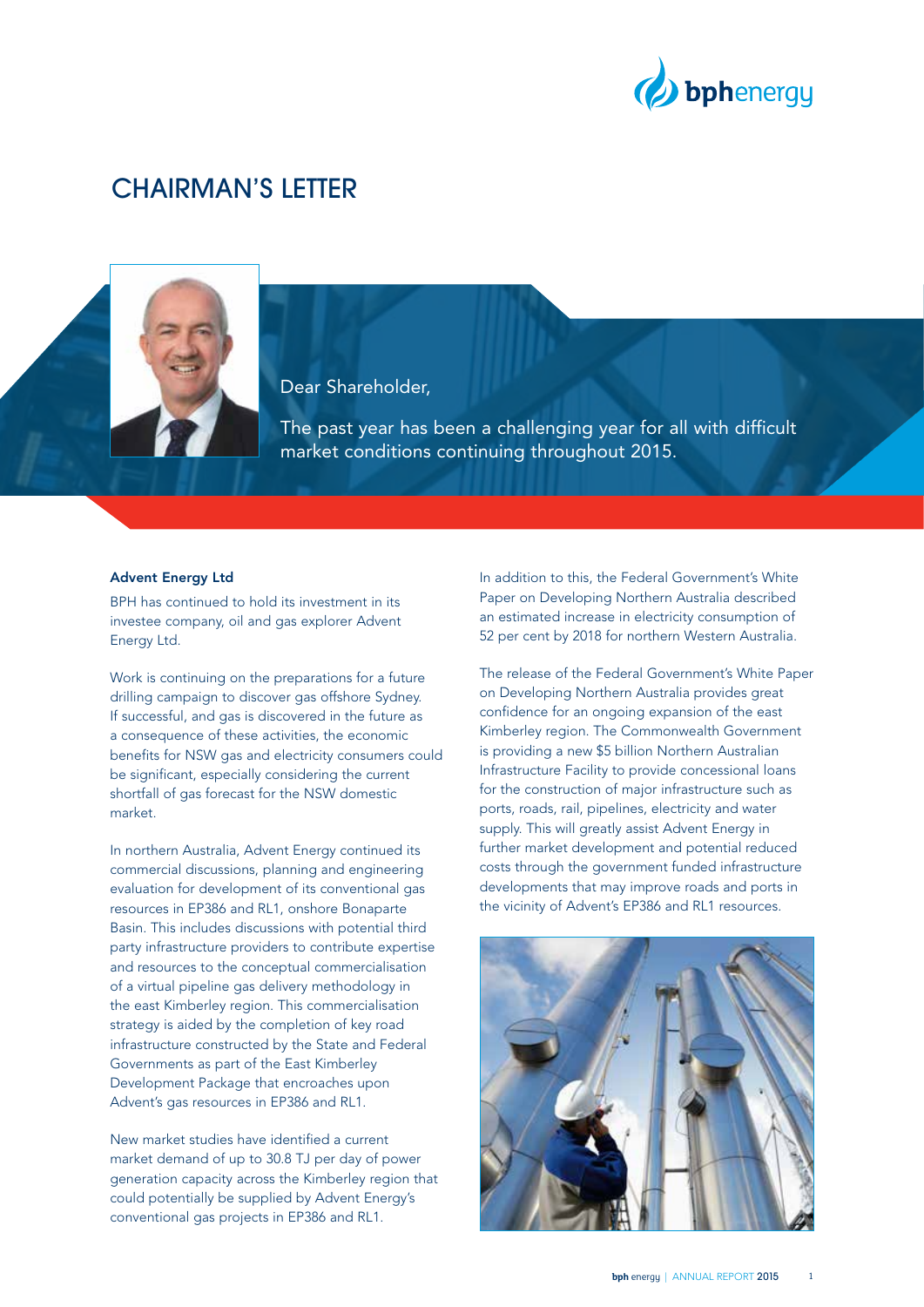

# CHAIRMAN'S LETTER



Dear Shareholder,

The past year has been a challenging year for all with difficult market conditions continuing throughout 2015.

#### Advent Energy Ltd

BPH has continued to hold its investment in its investee company, oil and gas explorer Advent Energy Ltd.

Work is continuing on the preparations for a future drilling campaign to discover gas offshore Sydney. If successful, and gas is discovered in the future as a consequence of these activities, the economic benefits for NSW gas and electricity consumers could be significant, especially considering the current shortfall of gas forecast for the NSW domestic market.

In northern Australia, Advent Energy continued its commercial discussions, planning and engineering evaluation for development of its conventional gas resources in EP386 and RL1, onshore Bonaparte Basin. This includes discussions with potential third party infrastructure providers to contribute expertise and resources to the conceptual commercialisation of a virtual pipeline gas delivery methodology in the east Kimberley region. This commercialisation strategy is aided by the completion of key road infrastructure constructed by the State and Federal Governments as part of the East Kimberley Development Package that encroaches upon Advent's gas resources in EP386 and RL1.

New market studies have identified a current market demand of up to 30.8 TJ per day of power generation capacity across the Kimberley region that could potentially be supplied by Advent Energy's conventional gas projects in EP386 and RL1.

In addition to this, the Federal Government's White Paper on Developing Northern Australia described an estimated increase in electricity consumption of 52 per cent by 2018 for northern Western Australia.

The release of the Federal Government's White Paper on Developing Northern Australia provides great confidence for an ongoing expansion of the east Kimberley region. The Commonwealth Government is providing a new \$5 billion Northern Australian Infrastructure Facility to provide concessional loans for the construction of major infrastructure such as ports, roads, rail, pipelines, electricity and water supply. This will greatly assist Advent Energy in further market development and potential reduced costs through the government funded infrastructure developments that may improve roads and ports in the vicinity of Advent's EP386 and RL1 resources.

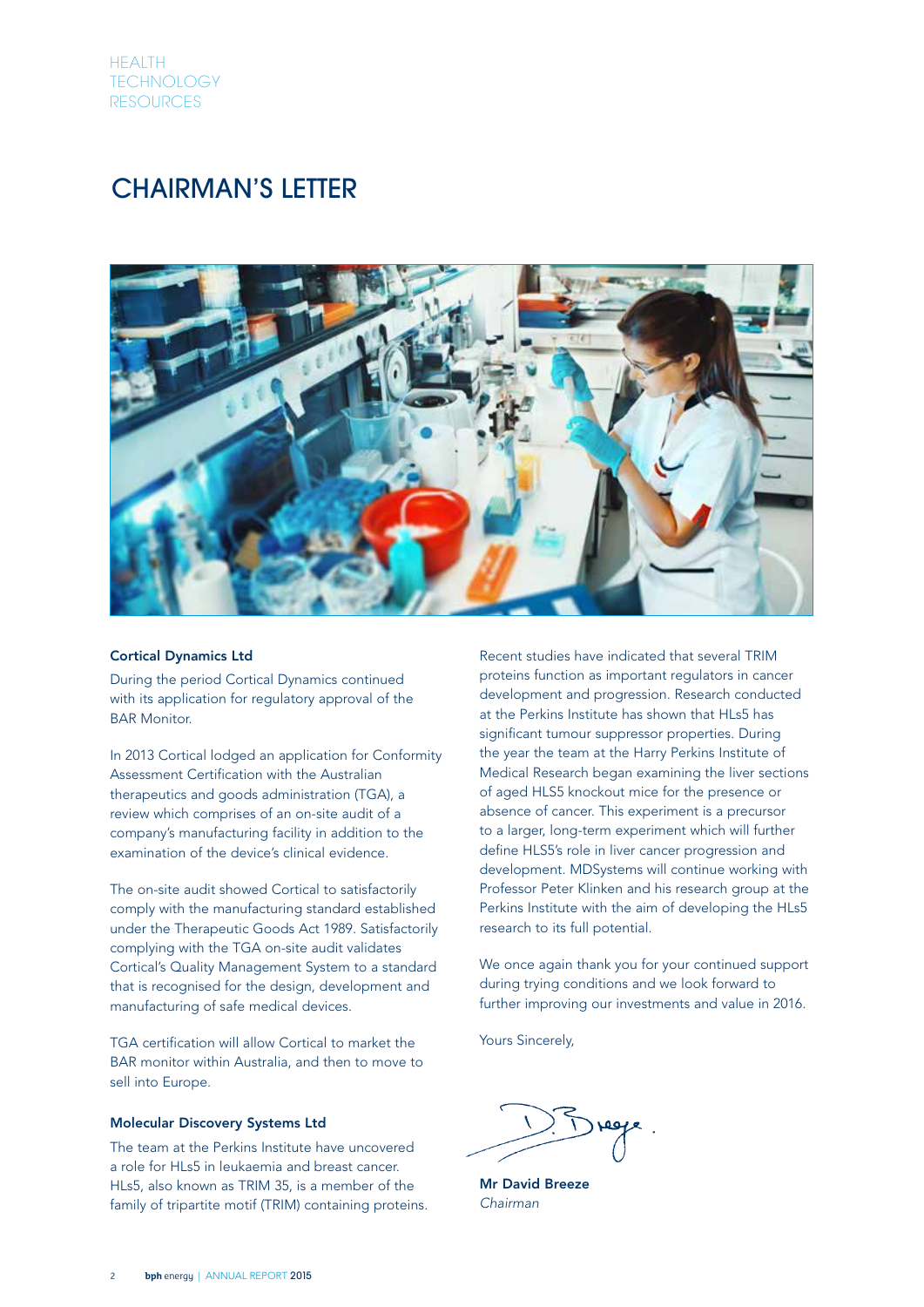

# CHAIRMAN'S LETTER



#### Cortical Dynamics Ltd

During the period Cortical Dynamics continued with its application for regulatory approval of the BAR Monitor.

In 2013 Cortical lodged an application for Conformity Assessment Certification with the Australian therapeutics and goods administration (TGA), a review which comprises of an on-site audit of a company's manufacturing facility in addition to the examination of the device's clinical evidence.

The on-site audit showed Cortical to satisfactorily comply with the manufacturing standard established under the Therapeutic Goods Act 1989. Satisfactorily complying with the TGA on-site audit validates Cortical's Quality Management System to a standard that is recognised for the design, development and manufacturing of safe medical devices.

TGA certification will allow Cortical to market the BAR monitor within Australia, and then to move to sell into Europe.

#### Molecular Discovery Systems Ltd

The team at the Perkins Institute have uncovered a role for HLs5 in leukaemia and breast cancer. HLs5, also known as TRIM 35, is a member of the family of tripartite motif (TRIM) containing proteins. Recent studies have indicated that several TRIM proteins function as important regulators in cancer development and progression. Research conducted at the Perkins Institute has shown that HLs5 has significant tumour suppressor properties. During the year the team at the Harry Perkins Institute of Medical Research began examining the liver sections of aged HLS5 knockout mice for the presence or absence of cancer. This experiment is a precursor to a larger, long-term experiment which will further define HLS5's role in liver cancer progression and development. MDSystems will continue working with Professor Peter Klinken and his research group at the Perkins Institute with the aim of developing the HLs5 research to its full potential.

We once again thank you for your continued support during trying conditions and we look forward to further improving our investments and value in 2016.

Yours Sincerely,

Mr David Breeze *Chairman*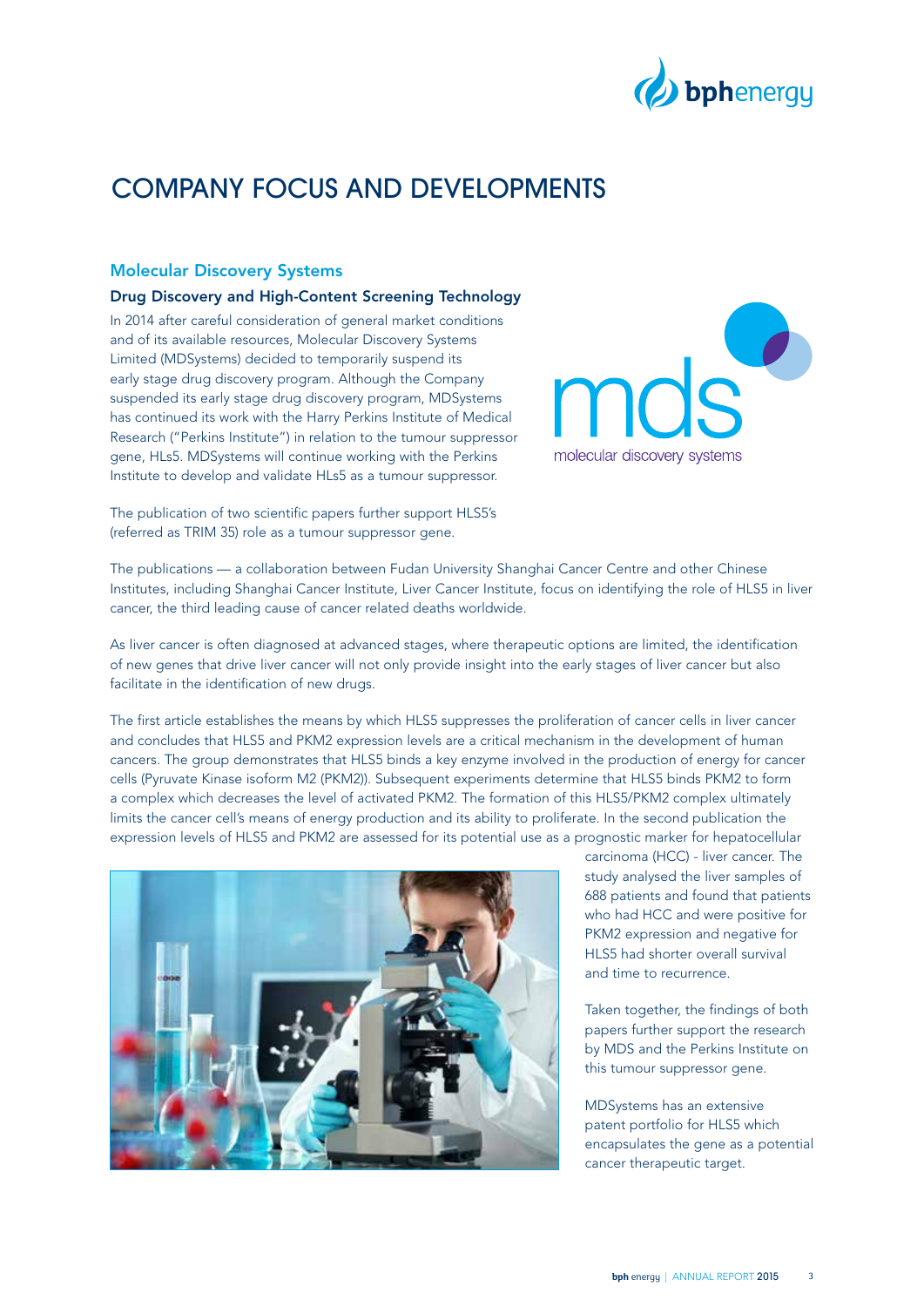

# COMPANY FOCUS AND DEVELOPMENTS

### Molecular Discovery Systems

#### Drug Discovery and High-Content Screening Technology

In 2014 after careful consideration of general market conditions and of its available resources, Molecular Discovery Systems Limited (MDSystems) decided to temporarily suspend its early stage drug discovery program. Although the Company suspended its early stage drug discovery program, MDSystems has continued its work with the Harry Perkins Institute of Medical Research ("Perkins Institute") in relation to the tumour suppressor gene, HLs5. MDSystems will continue working with the Perkins Institute to develop and validate HLs5 as a tumour suppressor.

molecular discovery systems

The publication of two scientific papers further support HLS5's (referred as TRIM 35) role as a tumour suppressor gene.

The publications — a collaboration between Fudan University Shanghai Cancer Centre and other Chinese Institutes, including Shanghai Cancer Institute, Liver Cancer Institute, focus on identifying the role of HLS5 in liver cancer, the third leading cause of cancer related deaths worldwide.

As liver cancer is often diagnosed at advanced stages, where therapeutic options are limited, the identification of new genes that drive liver cancer will not only provide insight into the early stages of liver cancer but also facilitate in the identification of new drugs.

The first article establishes the means by which HLS5 suppresses the proliferation of cancer cells in liver cancer and concludes that HLS5 and PKM2 expression levels are a critical mechanism in the development of human cancers. The group demonstrates that HLS5 binds a key enzyme involved in the production of energy for cancer cells (Pyruvate Kinase isoform M2 (PKM2)). Subsequent experiments determine that HLS5 binds PKM2 to form a complex which decreases the level of activated PKM2. The formation of this HLS5/PKM2 complex ultimately limits the cancer cell's means of energy production and its ability to proliferate. In the second publication the expression levels of HLS5 and PKM2 are assessed for its potential use as a prognostic marker for hepatocellular



carcinoma (HCC) - liver cancer. The study analysed the liver samples of 688 patients and found that patients who had HCC and were positive for PKM2 expression and negative for HLS5 had shorter overall survival and time to recurrence.

Taken together, the findings of both papers further support the research by MDS and the Perkins Institute on this tumour suppressor gene.

MDSystems has an extensive patent portfolio for HLS5 which encapsulates the gene as a potential cancer therapeutic target.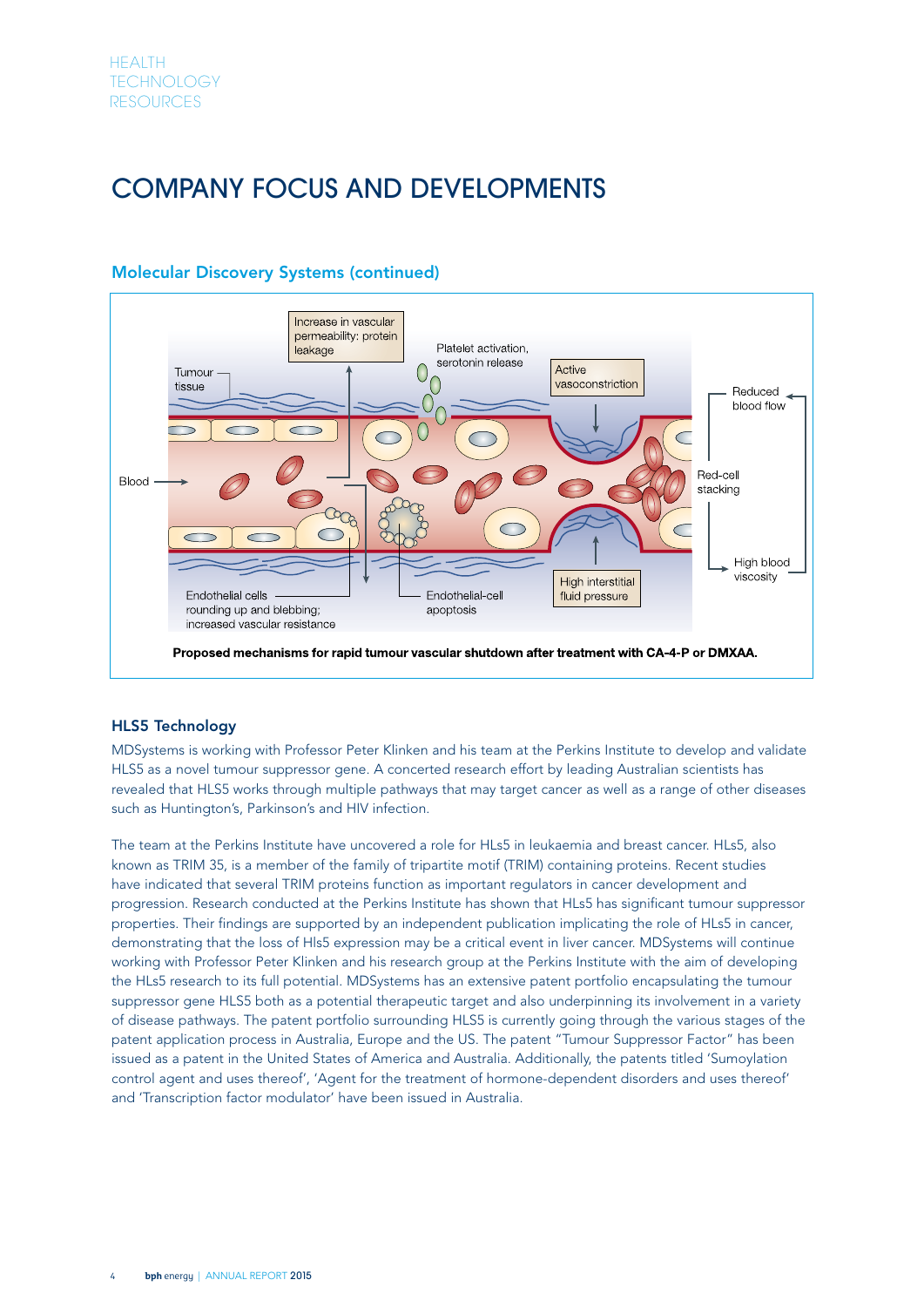# COMPANY FOCUS AND DEVELOPMENTS

# Molecular Discovery Systems (continued)



### HLS5 Technology

MDSystems is working with Professor Peter Klinken and his team at the Perkins Institute to develop and validate HLS5 as a novel tumour suppressor gene. A concerted research effort by leading Australian scientists has revealed that HLS5 works through multiple pathways that may target cancer as well as a range of other diseases such as Huntington's, Parkinson's and HIV infection.

The team at the Perkins Institute have uncovered a role for HLs5 in leukaemia and breast cancer. HLs5, also known as TRIM 35, is a member of the family of tripartite motif (TRIM) containing proteins. Recent studies have indicated that several TRIM proteins function as important regulators in cancer development and progression. Research conducted at the Perkins Institute has shown that HLs5 has significant tumour suppressor properties. Their findings are supported by an independent publication implicating the role of HLs5 in cancer, demonstrating that the loss of Hls5 expression may be a critical event in liver cancer. MDSystems will continue working with Professor Peter Klinken and his research group at the Perkins Institute with the aim of developing the HLs5 research to its full potential. MDSystems has an extensive patent portfolio encapsulating the tumour suppressor gene HLS5 both as a potential therapeutic target and also underpinning its involvement in a variety of disease pathways. The patent portfolio surrounding HLS5 is currently going through the various stages of the patent application process in Australia, Europe and the US. The patent "Tumour Suppressor Factor" has been issued as a patent in the United States of America and Australia. Additionally, the patents titled 'Sumoylation control agent and uses thereof', 'Agent for the treatment of hormone-dependent disorders and uses thereof' and 'Transcription factor modulator' have been issued in Australia.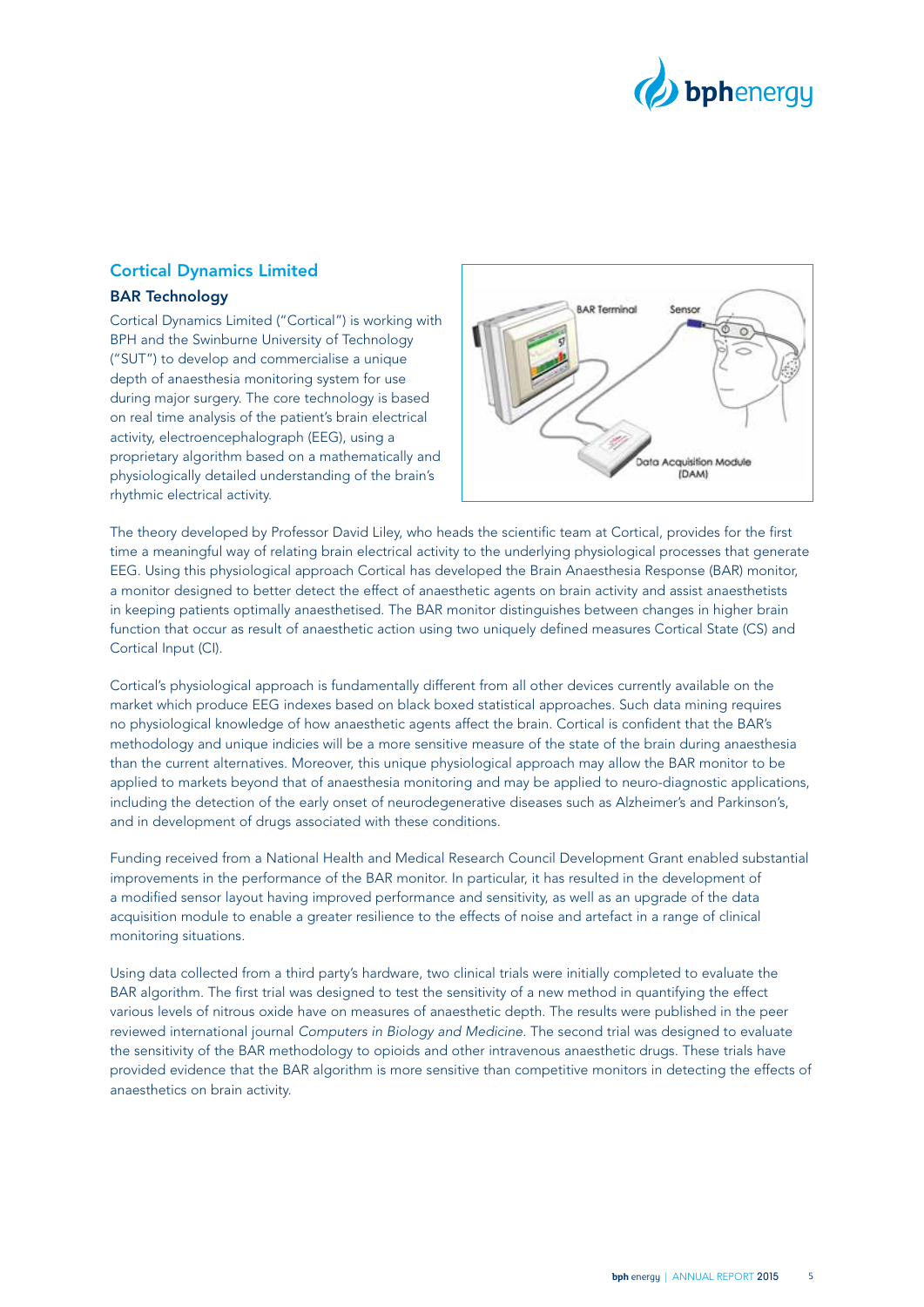

# Cortical Dynamics Limited BAR Technology

Cortical Dynamics Limited ("Cortical") is working with BPH and the Swinburne University of Technology ("SUT") to develop and commercialise a unique depth of anaesthesia monitoring system for use during major surgery. The core technology is based on real time analysis of the patient's brain electrical activity, electroencephalograph (EEG), using a proprietary algorithm based on a mathematically and physiologically detailed understanding of the brain's rhythmic electrical activity.



The theory developed by Professor David Liley, who heads the scientific team at Cortical, provides for the first time a meaningful way of relating brain electrical activity to the underlying physiological processes that generate EEG. Using this physiological approach Cortical has developed the Brain Anaesthesia Response (BAR) monitor, a monitor designed to better detect the effect of anaesthetic agents on brain activity and assist anaesthetists in keeping patients optimally anaesthetised. The BAR monitor distinguishes between changes in higher brain function that occur as result of anaesthetic action using two uniquely defined measures Cortical State (CS) and Cortical Input (CI).

Cortical's physiological approach is fundamentally different from all other devices currently available on the market which produce EEG indexes based on black boxed statistical approaches. Such data mining requires no physiological knowledge of how anaesthetic agents affect the brain. Cortical is confident that the BAR's methodology and unique indicies will be a more sensitive measure of the state of the brain during anaesthesia than the current alternatives. Moreover, this unique physiological approach may allow the BAR monitor to be applied to markets beyond that of anaesthesia monitoring and may be applied to neuro-diagnostic applications, including the detection of the early onset of neurodegenerative diseases such as Alzheimer's and Parkinson's, and in development of drugs associated with these conditions.

Funding received from a National Health and Medical Research Council Development Grant enabled substantial improvements in the performance of the BAR monitor. In particular, it has resulted in the development of a modified sensor layout having improved performance and sensitivity, as well as an upgrade of the data acquisition module to enable a greater resilience to the effects of noise and artefact in a range of clinical monitoring situations.

Using data collected from a third party's hardware, two clinical trials were initially completed to evaluate the BAR algorithm. The first trial was designed to test the sensitivity of a new method in quantifying the effect various levels of nitrous oxide have on measures of anaesthetic depth. The results were published in the peer reviewed international journal *Computers in Biology and Medicine*. The second trial was designed to evaluate the sensitivity of the BAR methodology to opioids and other intravenous anaesthetic drugs. These trials have provided evidence that the BAR algorithm is more sensitive than competitive monitors in detecting the effects of anaesthetics on brain activity.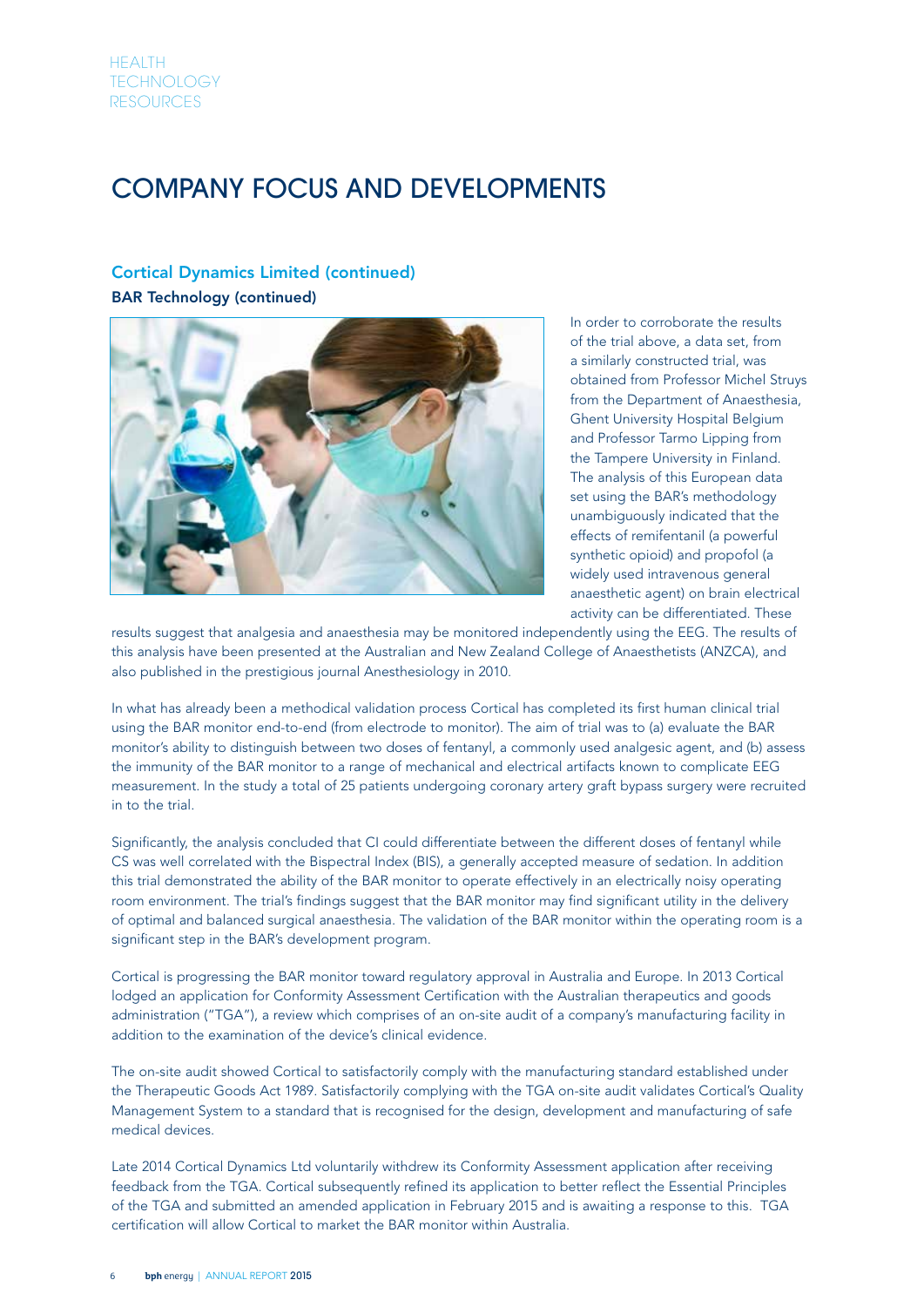# COMPANY FOCUS AND DEVELOPMENTS

# Cortical Dynamics Limited (continued)

BAR Technology (continued)



In order to corroborate the results of the trial above, a data set, from a similarly constructed trial, was obtained from Professor Michel Struys from the Department of Anaesthesia, Ghent University Hospital Belgium and Professor Tarmo Lipping from the Tampere University in Finland. The analysis of this European data set using the BAR's methodology unambiguously indicated that the effects of remifentanil (a powerful synthetic opioid) and propofol (a widely used intravenous general anaesthetic agent) on brain electrical activity can be differentiated. These

results suggest that analgesia and anaesthesia may be monitored independently using the EEG. The results of this analysis have been presented at the Australian and New Zealand College of Anaesthetists (ANZCA), and also published in the prestigious journal Anesthesiology in 2010.

In what has already been a methodical validation process Cortical has completed its first human clinical trial using the BAR monitor end-to-end (from electrode to monitor). The aim of trial was to (a) evaluate the BAR monitor's ability to distinguish between two doses of fentanyl, a commonly used analgesic agent, and (b) assess the immunity of the BAR monitor to a range of mechanical and electrical artifacts known to complicate EEG measurement. In the study a total of 25 patients undergoing coronary artery graft bypass surgery were recruited in to the trial.

Significantly, the analysis concluded that CI could differentiate between the different doses of fentanyl while CS was well correlated with the Bispectral Index (BIS), a generally accepted measure of sedation. In addition this trial demonstrated the ability of the BAR monitor to operate effectively in an electrically noisy operating room environment. The trial's findings suggest that the BAR monitor may find significant utility in the delivery of optimal and balanced surgical anaesthesia. The validation of the BAR monitor within the operating room is a significant step in the BAR's development program.

Cortical is progressing the BAR monitor toward regulatory approval in Australia and Europe. In 2013 Cortical lodged an application for Conformity Assessment Certification with the Australian therapeutics and goods administration ("TGA"), a review which comprises of an on-site audit of a company's manufacturing facility in addition to the examination of the device's clinical evidence.

The on-site audit showed Cortical to satisfactorily comply with the manufacturing standard established under the Therapeutic Goods Act 1989. Satisfactorily complying with the TGA on-site audit validates Cortical's Quality Management System to a standard that is recognised for the design, development and manufacturing of safe medical devices.

Late 2014 Cortical Dynamics Ltd voluntarily withdrew its Conformity Assessment application after receiving feedback from the TGA. Cortical subsequently refined its application to better reflect the Essential Principles of the TGA and submitted an amended application in February 2015 and is awaiting a response to this. TGA certification will allow Cortical to market the BAR monitor within Australia.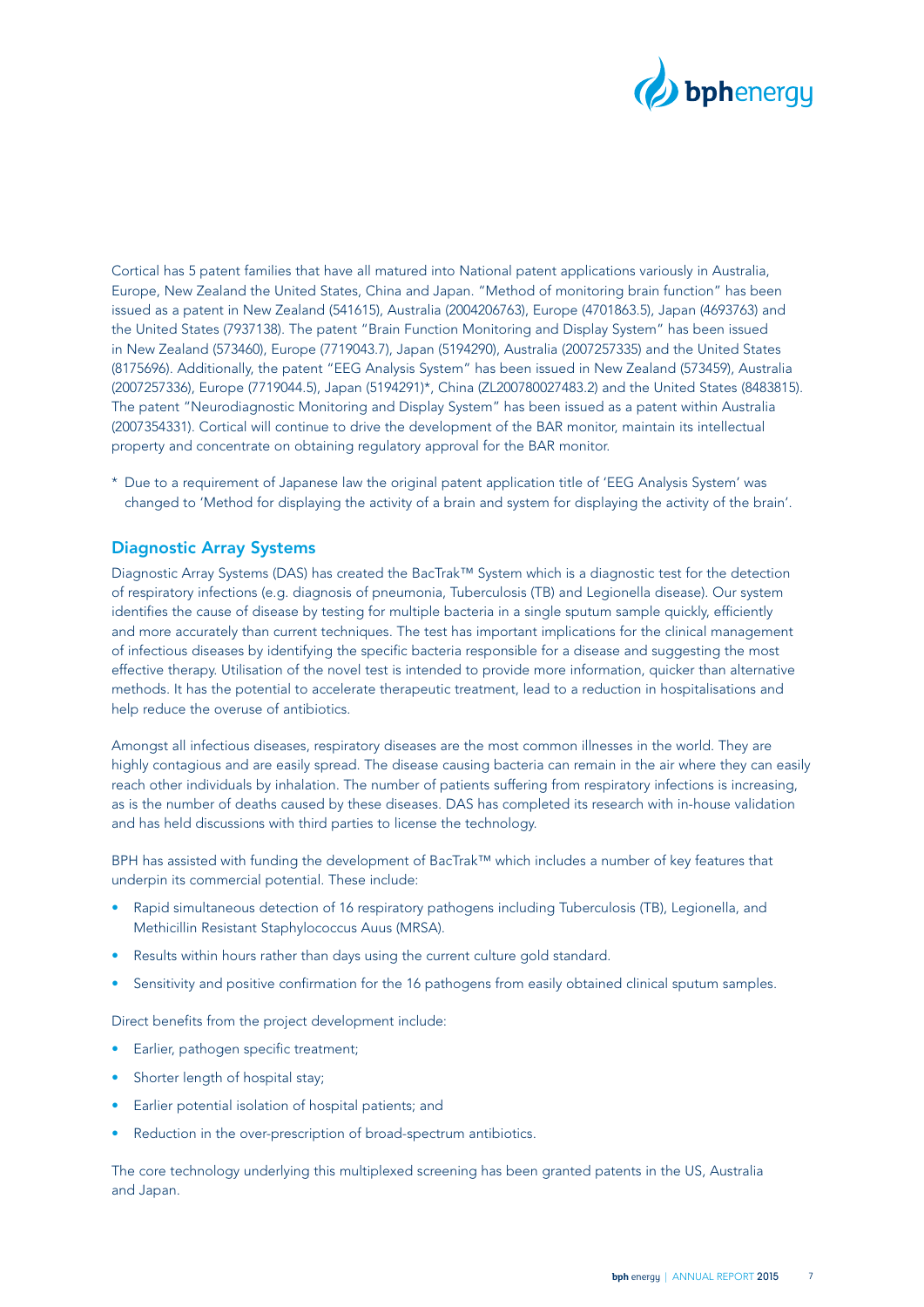

Cortical has 5 patent families that have all matured into National patent applications variously in Australia, Europe, New Zealand the United States, China and Japan. "Method of monitoring brain function" has been issued as a patent in New Zealand (541615), Australia (2004206763), Europe (4701863.5), Japan (4693763) and the United States (7937138). The patent "Brain Function Monitoring and Display System" has been issued in New Zealand (573460), Europe (7719043.7), Japan (5194290), Australia (2007257335) and the United States (8175696). Additionally, the patent "EEG Analysis System" has been issued in New Zealand (573459), Australia (2007257336), Europe (7719044.5), Japan (5194291)\*, China (ZL200780027483.2) and the United States (8483815). The patent "Neurodiagnostic Monitoring and Display System" has been issued as a patent within Australia (2007354331). Cortical will continue to drive the development of the BAR monitor, maintain its intellectual property and concentrate on obtaining regulatory approval for the BAR monitor.

\* Due to a requirement of Japanese law the original patent application title of 'EEG Analysis System' was changed to 'Method for displaying the activity of a brain and system for displaying the activity of the brain'.

### Diagnostic Array Systems

Diagnostic Array Systems (DAS) has created the BacTrak™ System which is a diagnostic test for the detection of respiratory infections (e.g. diagnosis of pneumonia, Tuberculosis (TB) and Legionella disease). Our system identifies the cause of disease by testing for multiple bacteria in a single sputum sample quickly, efficiently and more accurately than current techniques. The test has important implications for the clinical management of infectious diseases by identifying the specific bacteria responsible for a disease and suggesting the most effective therapy. Utilisation of the novel test is intended to provide more information, quicker than alternative methods. It has the potential to accelerate therapeutic treatment, lead to a reduction in hospitalisations and help reduce the overuse of antibiotics.

Amongst all infectious diseases, respiratory diseases are the most common illnesses in the world. They are highly contagious and are easily spread. The disease causing bacteria can remain in the air where they can easily reach other individuals by inhalation. The number of patients suffering from respiratory infections is increasing, as is the number of deaths caused by these diseases. DAS has completed its research with in-house validation and has held discussions with third parties to license the technology.

BPH has assisted with funding the development of BacTrak™ which includes a number of key features that underpin its commercial potential. These include:

- Rapid simultaneous detection of 16 respiratory pathogens including Tuberculosis (TB), Legionella, and Methicillin Resistant Staphylococcus Auus (MRSA).
- Results within hours rather than days using the current culture gold standard.
- Sensitivity and positive confirmation for the 16 pathogens from easily obtained clinical sputum samples.

Direct benefits from the project development include:

- Earlier, pathogen specific treatment;
- Shorter length of hospital stay;
- Earlier potential isolation of hospital patients; and
- Reduction in the over-prescription of broad-spectrum antibiotics.

The core technology underlying this multiplexed screening has been granted patents in the US, Australia and Japan.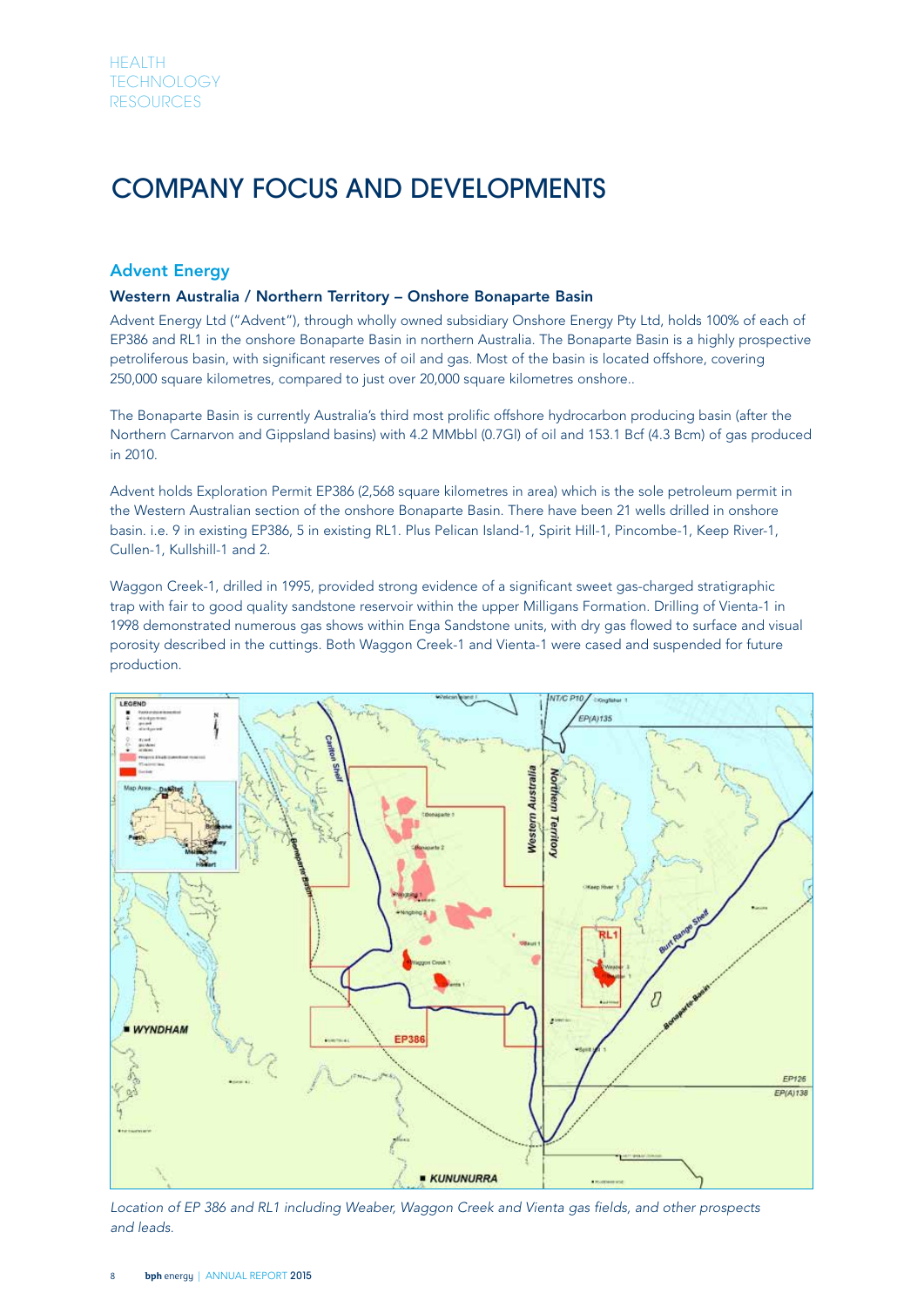# COMPANY FOCUS AND DEVELOPMENTS

### Advent Energy

#### Western Australia / Northern Territory – Onshore Bonaparte Basin

Advent Energy Ltd ("Advent"), through wholly owned subsidiary Onshore Energy Pty Ltd, holds 100% of each of EP386 and RL1 in the onshore Bonaparte Basin in northern Australia. The Bonaparte Basin is a highly prospective petroliferous basin, with significant reserves of oil and gas. Most of the basin is located offshore, covering 250,000 square kilometres, compared to just over 20,000 square kilometres onshore..

The Bonaparte Basin is currently Australia's third most prolific offshore hydrocarbon producing basin (after the Northern Carnarvon and Gippsland basins) with 4.2 MMbbl (0.7Gl) of oil and 153.1 Bcf (4.3 Bcm) of gas produced in 2010.

Advent holds Exploration Permit EP386 (2,568 square kilometres in area) which is the sole petroleum permit in the Western Australian section of the onshore Bonaparte Basin. There have been 21 wells drilled in onshore basin. i.e. 9 in existing EP386, 5 in existing RL1. Plus Pelican Island-1, Spirit Hill-1, Pincombe-1, Keep River-1, Cullen-1, Kullshill-1 and 2.

Waggon Creek-1, drilled in 1995, provided strong evidence of a significant sweet gas-charged stratigraphic trap with fair to good quality sandstone reservoir within the upper Milligans Formation. Drilling of Vienta-1 in 1998 demonstrated numerous gas shows within Enga Sandstone units, with dry gas flowed to surface and visual porosity described in the cuttings. Both Waggon Creek-1 and Vienta-1 were cased and suspended for future production.



*Location of EP 386 and RL1 including Weaber, Waggon Creek and Vienta gas fields, and other prospects and leads.*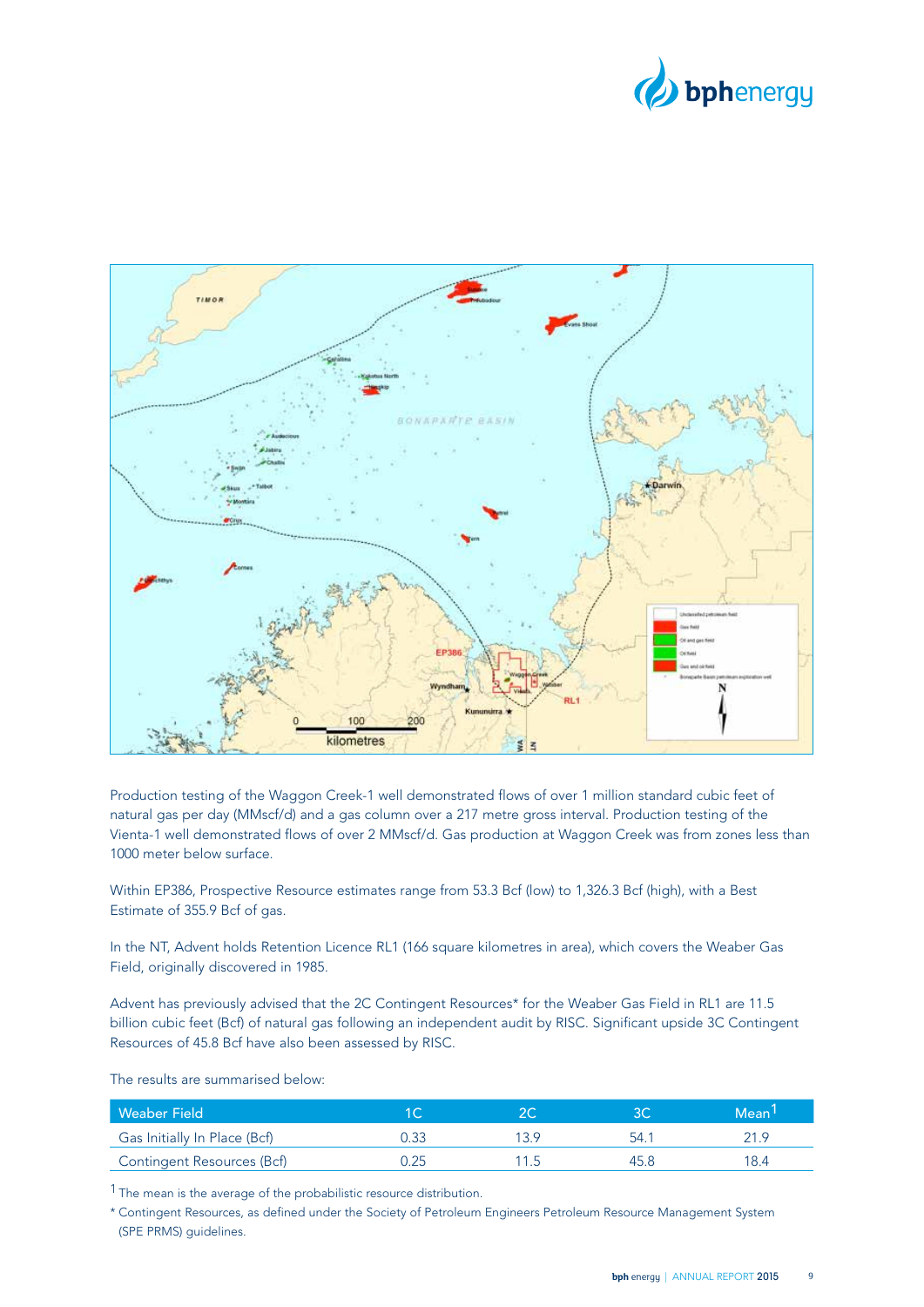



Production testing of the Waggon Creek-1 well demonstrated flows of over 1 million standard cubic feet of natural gas per day (MMscf/d) and a gas column over a 217 metre gross interval. Production testing of the Vienta-1 well demonstrated flows of over 2 MMscf/d. Gas production at Waggon Creek was from zones less than 1000 meter below surface.

Within EP386, Prospective Resource estimates range from 53.3 Bcf (low) to 1,326.3 Bcf (high), with a Best Estimate of 355.9 Bcf of gas.

In the NT, Advent holds Retention Licence RL1 (166 square kilometres in area), which covers the Weaber Gas Field, originally discovered in 1985.

Advent has previously advised that the 2C Contingent Resources\* for the Weaber Gas Field in RL1 are 11.5 billion cubic feet (Bcf) of natural gas following an independent audit by RISC. Significant upside 3C Contingent Resources of 45.8 Bcf have also been assessed by RISC.

The results are summarised below:

| Weaber Field                      |      |     |      | Mean <sup>1</sup> |
|-----------------------------------|------|-----|------|-------------------|
| Gas Initially In Place (Bcf)      | 0.33 | 130 | 54.1 |                   |
| <b>Contingent Resources (Bcf)</b> |      |     | 45.8 | 18.4              |

1 The mean is the average of the probabilistic resource distribution.

\* Contingent Resources, as defined under the Society of Petroleum Engineers Petroleum Resource Management System (SPE PRMS) guidelines.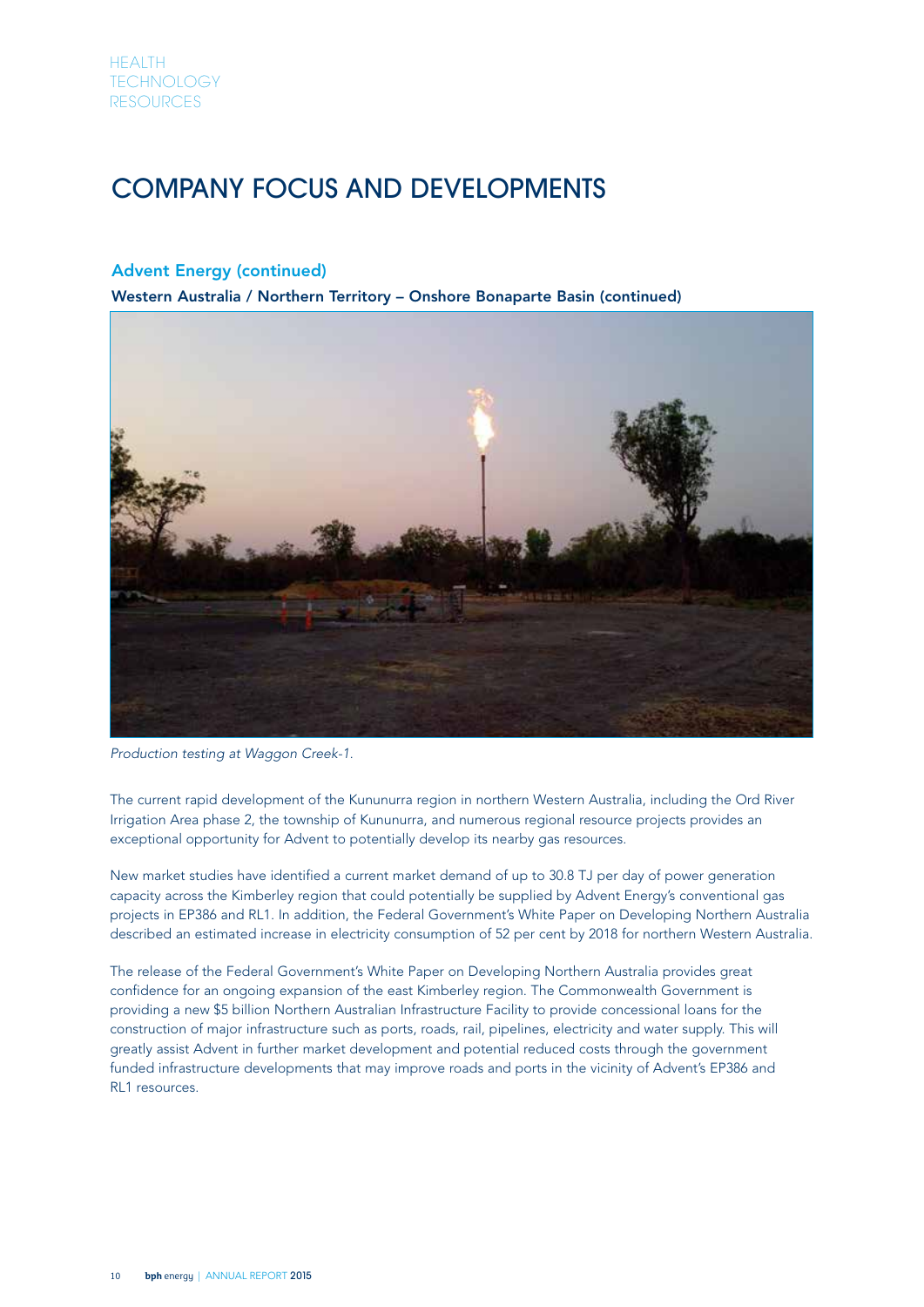# COMPANY FOCUS AND DEVELOPMENTS

### Advent Energy (continued)

Western Australia / Northern Territory – Onshore Bonaparte Basin (continued)



*Production testing at Waggon Creek-1.*

The current rapid development of the Kununurra region in northern Western Australia, including the Ord River Irrigation Area phase 2, the township of Kununurra, and numerous regional resource projects provides an exceptional opportunity for Advent to potentially develop its nearby gas resources.

New market studies have identified a current market demand of up to 30.8 TJ per day of power generation capacity across the Kimberley region that could potentially be supplied by Advent Energy's conventional gas projects in EP386 and RL1. In addition, the Federal Government's White Paper on Developing Northern Australia described an estimated increase in electricity consumption of 52 per cent by 2018 for northern Western Australia.

The release of the Federal Government's White Paper on Developing Northern Australia provides great confidence for an ongoing expansion of the east Kimberley region. The Commonwealth Government is providing a new \$5 billion Northern Australian Infrastructure Facility to provide concessional loans for the construction of major infrastructure such as ports, roads, rail, pipelines, electricity and water supply. This will greatly assist Advent in further market development and potential reduced costs through the government funded infrastructure developments that may improve roads and ports in the vicinity of Advent's EP386 and RL1 resources.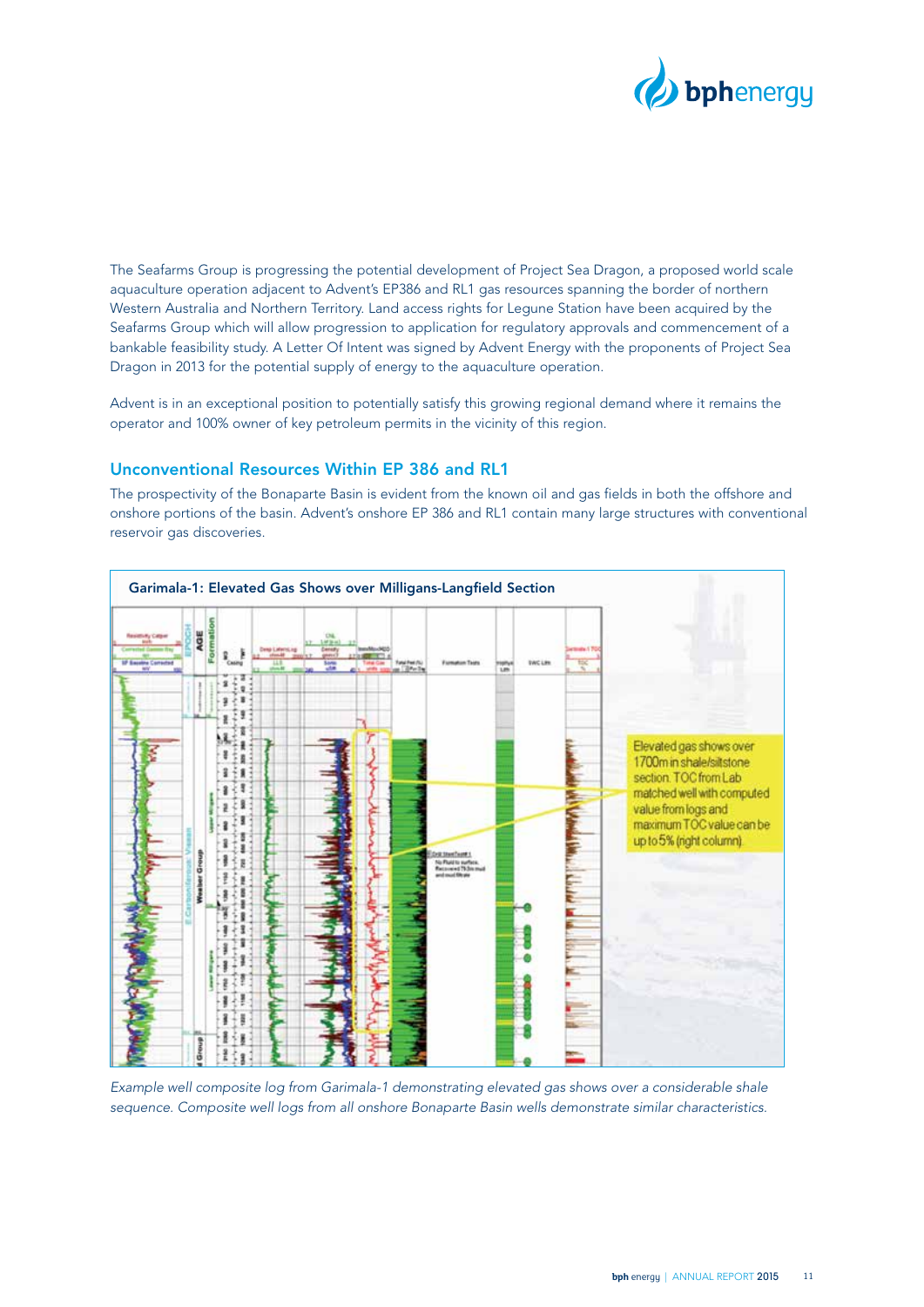

The Seafarms Group is progressing the potential development of Project Sea Dragon, a proposed world scale aquaculture operation adjacent to Advent's EP386 and RL1 gas resources spanning the border of northern Western Australia and Northern Territory. Land access rights for Legune Station have been acquired by the Seafarms Group which will allow progression to application for regulatory approvals and commencement of a bankable feasibility study. A Letter Of Intent was signed by Advent Energy with the proponents of Project Sea Dragon in 2013 for the potential supply of energy to the aquaculture operation.

Advent is in an exceptional position to potentially satisfy this growing regional demand where it remains the operator and 100% owner of key petroleum permits in the vicinity of this region.

### Unconventional Resources Within EP 386 and RL1

The prospectivity of the Bonaparte Basin is evident from the known oil and gas fields in both the offshore and onshore portions of the basin. Advent's onshore EP 386 and RL1 contain many large structures with conventional reservoir gas discoveries.



*Example well composite log from Garimala-1 demonstrating elevated gas shows over a considerable shale sequence. Composite well logs from all onshore Bonaparte Basin wells demonstrate similar characteristics.*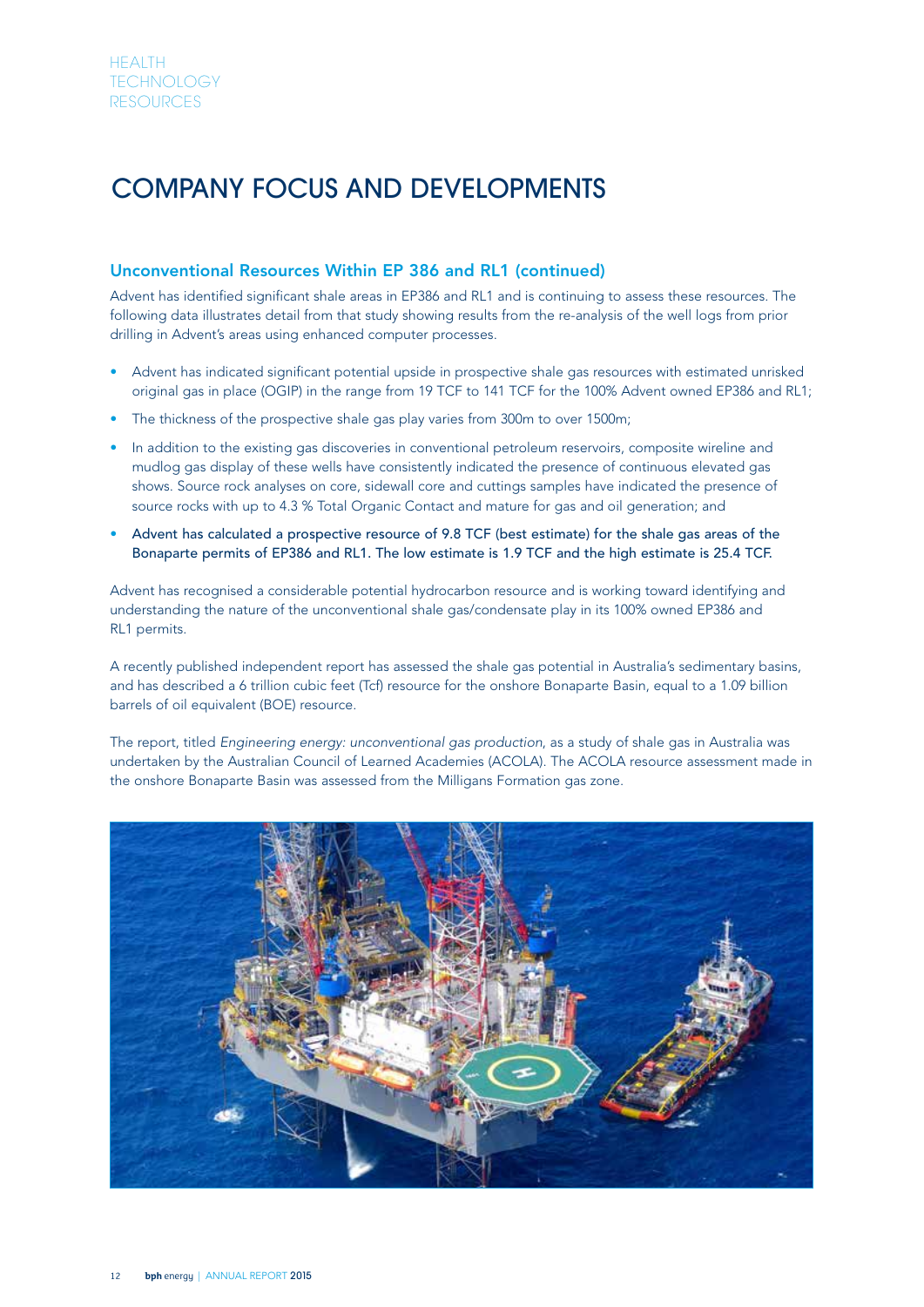# COMPANY FOCUS AND DEVELOPMENTS

### Unconventional Resources Within EP 386 and RL1 (continued)

Advent has identified significant shale areas in EP386 and RL1 and is continuing to assess these resources. The following data illustrates detail from that study showing results from the re-analysis of the well logs from prior drilling in Advent's areas using enhanced computer processes.

- Advent has indicated significant potential upside in prospective shale gas resources with estimated unrisked original gas in place (OGIP) in the range from 19 TCF to 141 TCF for the 100% Advent owned EP386 and RL1;
- The thickness of the prospective shale gas play varies from 300m to over 1500m;
- In addition to the existing gas discoveries in conventional petroleum reservoirs, composite wireline and mudlog gas display of these wells have consistently indicated the presence of continuous elevated gas shows. Source rock analyses on core, sidewall core and cuttings samples have indicated the presence of source rocks with up to 4.3 % Total Organic Contact and mature for gas and oil generation; and
- Advent has calculated a prospective resource of 9.8 TCF (best estimate) for the shale gas areas of the Bonaparte permits of EP386 and RL1. The low estimate is 1.9 TCF and the high estimate is 25.4 TCF.

Advent has recognised a considerable potential hydrocarbon resource and is working toward identifying and understanding the nature of the unconventional shale gas/condensate play in its 100% owned EP386 and RL1 permits.

A recently published independent report has assessed the shale gas potential in Australia's sedimentary basins, and has described a 6 trillion cubic feet (Tcf) resource for the onshore Bonaparte Basin, equal to a 1.09 billion barrels of oil equivalent (BOE) resource.

The report, titled *Engineering energy: unconventional gas production*, as a study of shale gas in Australia was undertaken by the Australian Council of Learned Academies (ACOLA). The ACOLA resource assessment made in the onshore Bonaparte Basin was assessed from the Milligans Formation gas zone.

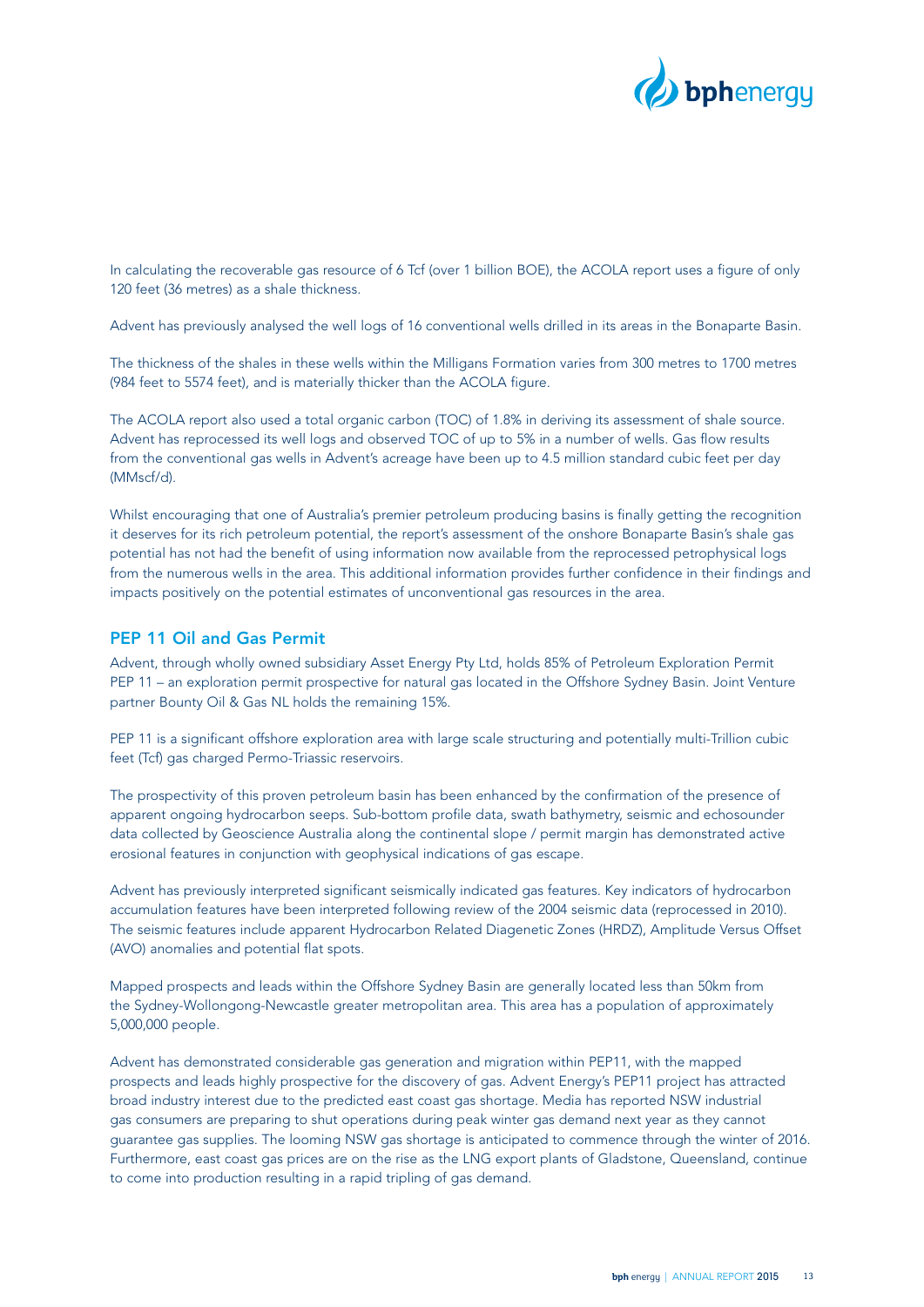

In calculating the recoverable gas resource of 6 Tcf (over 1 billion BOE), the ACOLA report uses a figure of only 120 feet (36 metres) as a shale thickness.

Advent has previously analysed the well logs of 16 conventional wells drilled in its areas in the Bonaparte Basin.

The thickness of the shales in these wells within the Milligans Formation varies from 300 metres to 1700 metres (984 feet to 5574 feet), and is materially thicker than the ACOLA figure.

The ACOLA report also used a total organic carbon (TOC) of 1.8% in deriving its assessment of shale source. Advent has reprocessed its well logs and observed TOC of up to 5% in a number of wells. Gas flow results from the conventional gas wells in Advent's acreage have been up to 4.5 million standard cubic feet per day (MMscf/d).

Whilst encouraging that one of Australia's premier petroleum producing basins is finally getting the recognition it deserves for its rich petroleum potential, the report's assessment of the onshore Bonaparte Basin's shale gas potential has not had the benefit of using information now available from the reprocessed petrophysical logs from the numerous wells in the area. This additional information provides further confidence in their findings and impacts positively on the potential estimates of unconventional gas resources in the area.

### PEP 11 Oil and Gas Permit

Advent, through wholly owned subsidiary Asset Energy Pty Ltd, holds 85% of Petroleum Exploration Permit PEP 11 – an exploration permit prospective for natural gas located in the Offshore Sydney Basin. Joint Venture partner Bounty Oil & Gas NL holds the remaining 15%.

PEP 11 is a significant offshore exploration area with large scale structuring and potentially multi-Trillion cubic feet (Tcf) gas charged Permo-Triassic reservoirs.

The prospectivity of this proven petroleum basin has been enhanced by the confirmation of the presence of apparent ongoing hydrocarbon seeps. Sub-bottom profile data, swath bathymetry, seismic and echosounder data collected by Geoscience Australia along the continental slope / permit margin has demonstrated active erosional features in conjunction with geophysical indications of gas escape.

Advent has previously interpreted significant seismically indicated gas features. Key indicators of hydrocarbon accumulation features have been interpreted following review of the 2004 seismic data (reprocessed in 2010). The seismic features include apparent Hydrocarbon Related Diagenetic Zones (HRDZ), Amplitude Versus Offset (AVO) anomalies and potential flat spots.

Mapped prospects and leads within the Offshore Sydney Basin are generally located less than 50km from the Sydney-Wollongong-Newcastle greater metropolitan area. This area has a population of approximately 5,000,000 people.

Advent has demonstrated considerable gas generation and migration within PEP11, with the mapped prospects and leads highly prospective for the discovery of gas. Advent Energy's PEP11 project has attracted broad industry interest due to the predicted east coast gas shortage. Media has reported NSW industrial gas consumers are preparing to shut operations during peak winter gas demand next year as they cannot guarantee gas supplies. The looming NSW gas shortage is anticipated to commence through the winter of 2016. Furthermore, east coast gas prices are on the rise as the LNG export plants of Gladstone, Queensland, continue to come into production resulting in a rapid tripling of gas demand.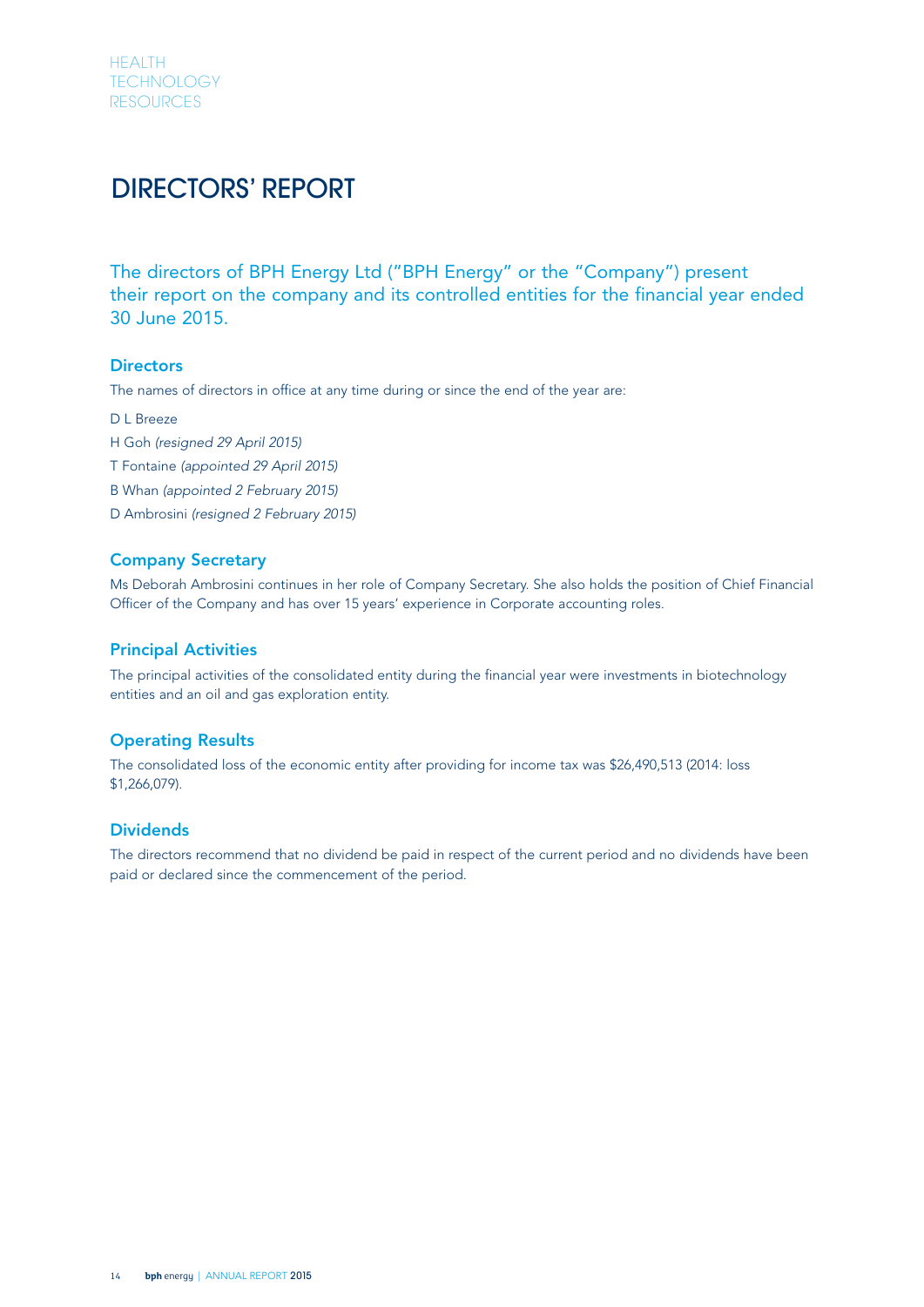# DIRECTORS' REPORT

The directors of BPH Energy Ltd ("BPH Energy" or the "Company") present their report on the company and its controlled entities for the financial year ended 30 June 2015.

### **Directors**

The names of directors in office at any time during or since the end of the year are:

D L Breeze

- H Goh *(resigned 29 April 2015)*
- T Fontaine *(appointed 29 April 2015)*
- B Whan *(appointed 2 February 2015)*
- D Ambrosini *(resigned 2 February 2015)*

### Company Secretary

Ms Deborah Ambrosini continues in her role of Company Secretary. She also holds the position of Chief Financial Officer of the Company and has over 15 years' experience in Corporate accounting roles.

#### Principal Activities

The principal activities of the consolidated entity during the financial year were investments in biotechnology entities and an oil and gas exploration entity.

### Operating Results

The consolidated loss of the economic entity after providing for income tax was \$26,490,513 (2014: loss \$1,266,079).

### **Dividends**

The directors recommend that no dividend be paid in respect of the current period and no dividends have been paid or declared since the commencement of the period.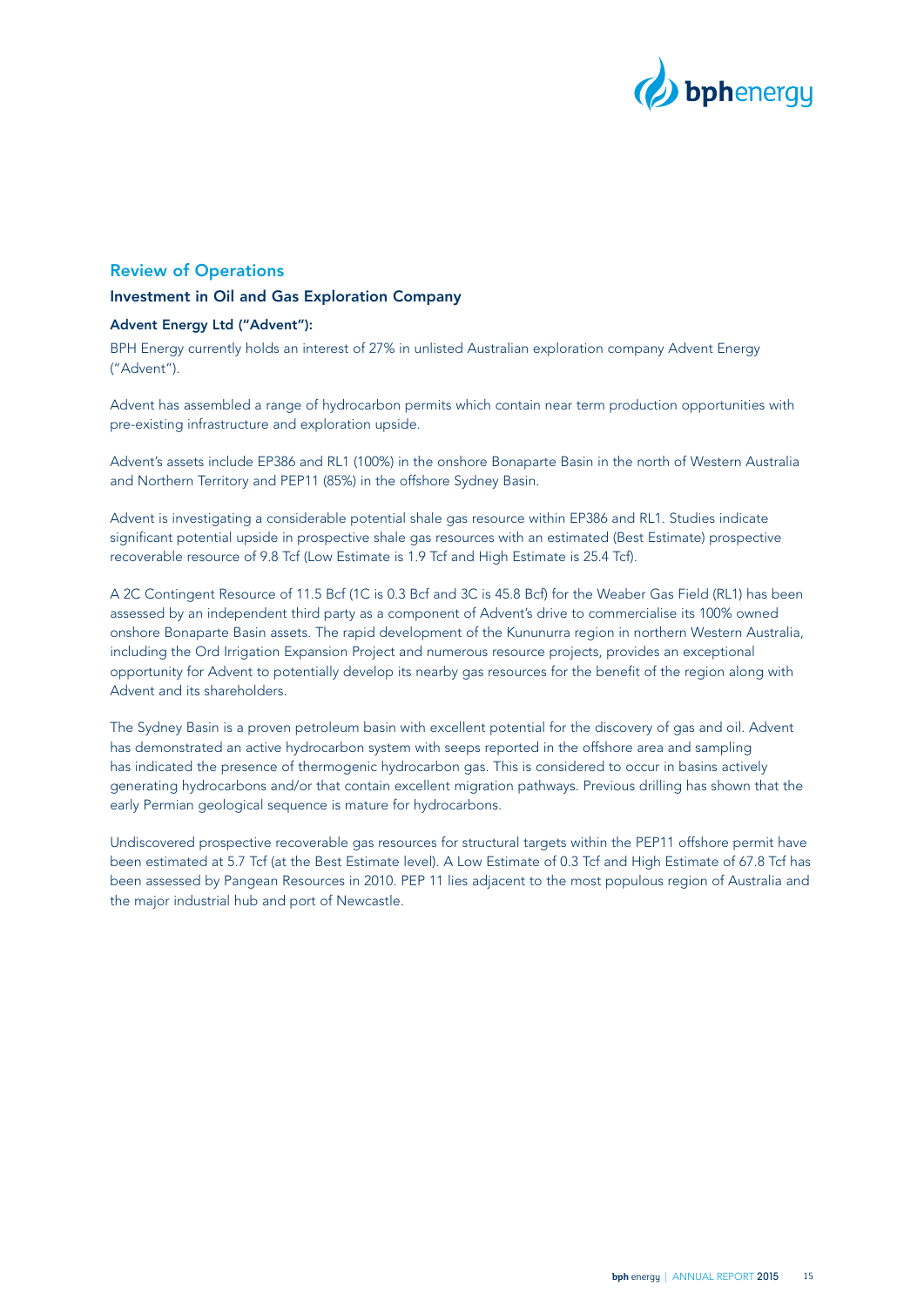

# Review of Operations Investment in Oil and Gas Exploration Company

#### Advent Energy Ltd ("Advent"):

BPH Energy currently holds an interest of 27% in unlisted Australian exploration company Advent Energy ("Advent").

Advent has assembled a range of hydrocarbon permits which contain near term production opportunities with pre-existing infrastructure and exploration upside.

Advent's assets include EP386 and RL1 (100%) in the onshore Bonaparte Basin in the north of Western Australia and Northern Territory and PEP11 (85%) in the offshore Sydney Basin.

Advent is investigating a considerable potential shale gas resource within EP386 and RL1. Studies indicate significant potential upside in prospective shale gas resources with an estimated (Best Estimate) prospective recoverable resource of 9.8 Tcf (Low Estimate is 1.9 Tcf and High Estimate is 25.4 Tcf).

A 2C Contingent Resource of 11.5 Bcf (1C is 0.3 Bcf and 3C is 45.8 Bcf) for the Weaber Gas Field (RL1) has been assessed by an independent third party as a component of Advent's drive to commercialise its 100% owned onshore Bonaparte Basin assets. The rapid development of the Kununurra region in northern Western Australia, including the Ord Irrigation Expansion Project and numerous resource projects, provides an exceptional opportunity for Advent to potentially develop its nearby gas resources for the benefit of the region along with Advent and its shareholders.

The Sydney Basin is a proven petroleum basin with excellent potential for the discovery of gas and oil. Advent has demonstrated an active hydrocarbon system with seeps reported in the offshore area and sampling has indicated the presence of thermogenic hydrocarbon gas. This is considered to occur in basins actively generating hydrocarbons and/or that contain excellent migration pathways. Previous drilling has shown that the early Permian geological sequence is mature for hydrocarbons.

Undiscovered prospective recoverable gas resources for structural targets within the PEP11 offshore permit have been estimated at 5.7 Tcf (at the Best Estimate level). A Low Estimate of 0.3 Tcf and High Estimate of 67.8 Tcf has been assessed by Pangean Resources in 2010. PEP 11 lies adjacent to the most populous region of Australia and the major industrial hub and port of Newcastle.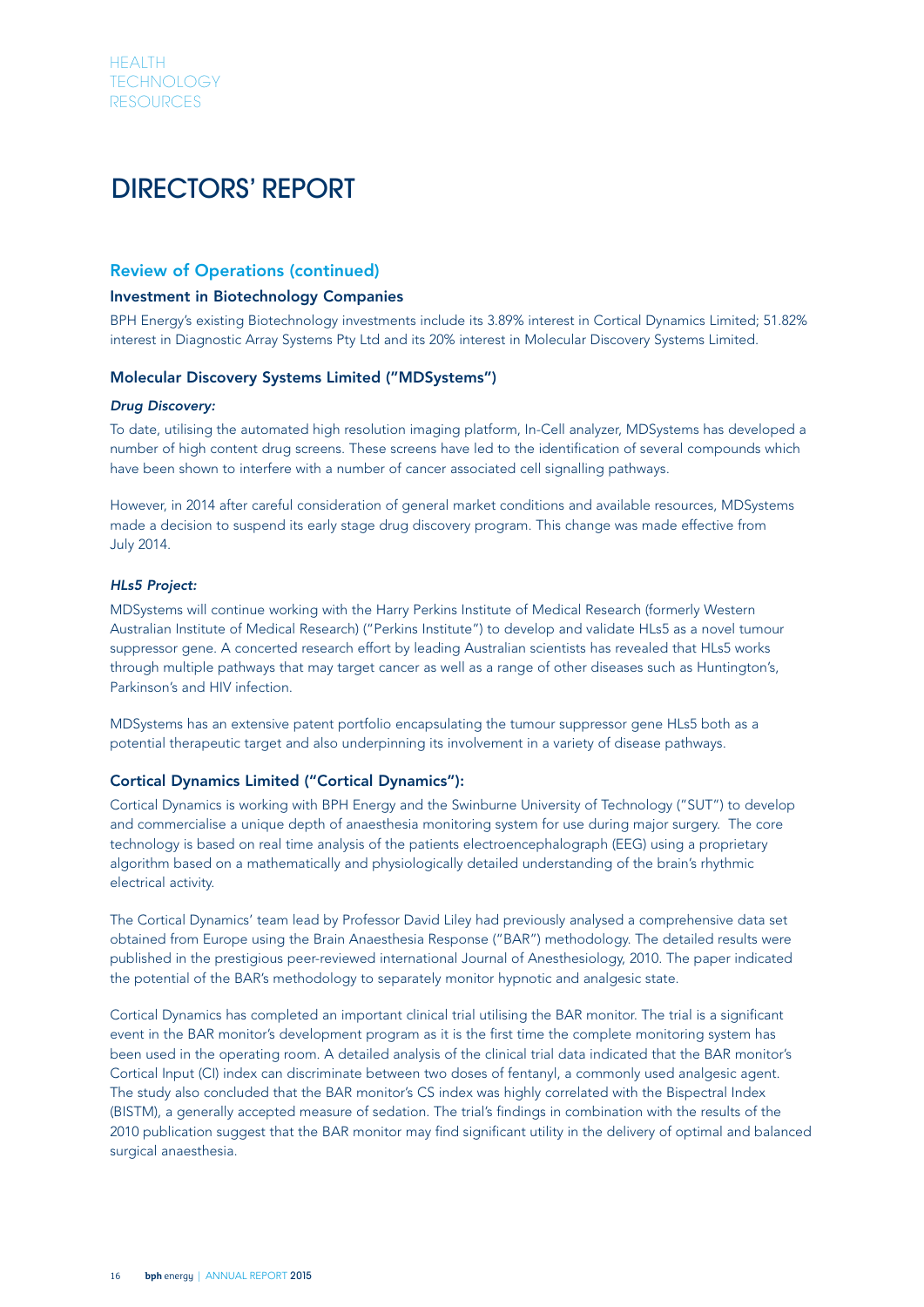# DIRECTORS' REPORT

### Review of Operations (continued)

#### Investment in Biotechnology Companies

BPH Energy's existing Biotechnology investments include its 3.89% interest in Cortical Dynamics Limited; 51.82% interest in Diagnostic Array Systems Pty Ltd and its 20% interest in Molecular Discovery Systems Limited.

#### Molecular Discovery Systems Limited ("MDSystems")

#### *Drug Discovery:*

To date, utilising the automated high resolution imaging platform, In-Cell analyzer, MDSystems has developed a number of high content drug screens. These screens have led to the identification of several compounds which have been shown to interfere with a number of cancer associated cell signalling pathways.

However, in 2014 after careful consideration of general market conditions and available resources, MDSystems made a decision to suspend its early stage drug discovery program. This change was made effective from July 2014.

#### *HLs5 Project:*

MDSystems will continue working with the Harry Perkins Institute of Medical Research (formerly Western Australian Institute of Medical Research) ("Perkins Institute") to develop and validate HLs5 as a novel tumour suppressor gene. A concerted research effort by leading Australian scientists has revealed that HLs5 works through multiple pathways that may target cancer as well as a range of other diseases such as Huntington's, Parkinson's and HIV infection.

MDSystems has an extensive patent portfolio encapsulating the tumour suppressor gene HLs5 both as a potential therapeutic target and also underpinning its involvement in a variety of disease pathways.

#### Cortical Dynamics Limited ("Cortical Dynamics"):

Cortical Dynamics is working with BPH Energy and the Swinburne University of Technology ("SUT") to develop and commercialise a unique depth of anaesthesia monitoring system for use during major surgery. The core technology is based on real time analysis of the patients electroencephalograph (EEG) using a proprietary algorithm based on a mathematically and physiologically detailed understanding of the brain's rhythmic electrical activity.

The Cortical Dynamics' team lead by Professor David Liley had previously analysed a comprehensive data set obtained from Europe using the Brain Anaesthesia Response ("BAR") methodology. The detailed results were published in the prestigious peer-reviewed international Journal of Anesthesiology, 2010. The paper indicated the potential of the BAR's methodology to separately monitor hypnotic and analgesic state.

Cortical Dynamics has completed an important clinical trial utilising the BAR monitor. The trial is a significant event in the BAR monitor's development program as it is the first time the complete monitoring system has been used in the operating room. A detailed analysis of the clinical trial data indicated that the BAR monitor's Cortical Input (CI) index can discriminate between two doses of fentanyl, a commonly used analgesic agent. The study also concluded that the BAR monitor's CS index was highly correlated with the Bispectral Index (BISTM), a generally accepted measure of sedation. The trial's findings in combination with the results of the 2010 publication suggest that the BAR monitor may find significant utility in the delivery of optimal and balanced surgical anaesthesia.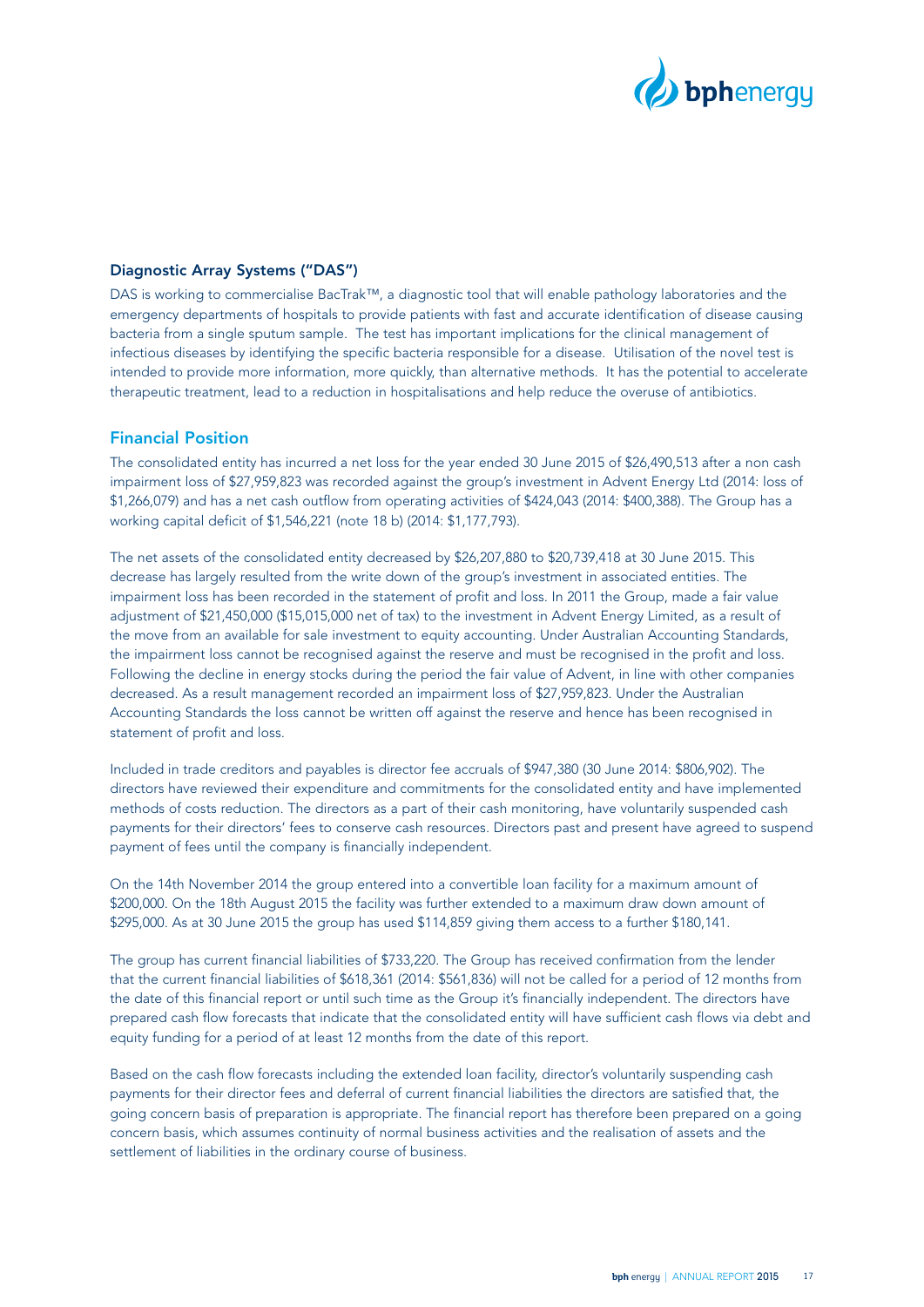

### Diagnostic Array Systems ("DAS")

DAS is working to commercialise BacTrak™, a diagnostic tool that will enable pathology laboratories and the emergency departments of hospitals to provide patients with fast and accurate identification of disease causing bacteria from a single sputum sample. The test has important implications for the clinical management of infectious diseases by identifying the specific bacteria responsible for a disease. Utilisation of the novel test is intended to provide more information, more quickly, than alternative methods. It has the potential to accelerate therapeutic treatment, lead to a reduction in hospitalisations and help reduce the overuse of antibiotics.

### Financial Position

The consolidated entity has incurred a net loss for the year ended 30 June 2015 of \$26,490,513 after a non cash impairment loss of \$27,959,823 was recorded against the group's investment in Advent Energy Ltd (2014: loss of \$1,266,079) and has a net cash outflow from operating activities of \$424,043 (2014: \$400,388). The Group has a working capital deficit of \$1,546,221 (note 18 b) (2014: \$1,177,793).

The net assets of the consolidated entity decreased by \$26,207,880 to \$20,739,418 at 30 June 2015. This decrease has largely resulted from the write down of the group's investment in associated entities. The impairment loss has been recorded in the statement of profit and loss. In 2011 the Group, made a fair value adjustment of \$21,450,000 (\$15,015,000 net of tax) to the investment in Advent Energy Limited, as a result of the move from an available for sale investment to equity accounting. Under Australian Accounting Standards, the impairment loss cannot be recognised against the reserve and must be recognised in the profit and loss. Following the decline in energy stocks during the period the fair value of Advent, in line with other companies decreased. As a result management recorded an impairment loss of \$27,959,823. Under the Australian Accounting Standards the loss cannot be written off against the reserve and hence has been recognised in statement of profit and loss.

Included in trade creditors and payables is director fee accruals of \$947,380 (30 June 2014: \$806,902). The directors have reviewed their expenditure and commitments for the consolidated entity and have implemented methods of costs reduction. The directors as a part of their cash monitoring, have voluntarily suspended cash payments for their directors' fees to conserve cash resources. Directors past and present have agreed to suspend payment of fees until the company is financially independent.

On the 14th November 2014 the group entered into a convertible loan facility for a maximum amount of \$200,000. On the 18th August 2015 the facility was further extended to a maximum draw down amount of \$295,000. As at 30 June 2015 the group has used \$114,859 giving them access to a further \$180,141.

The group has current financial liabilities of \$733,220. The Group has received confirmation from the lender that the current financial liabilities of \$618,361 (2014: \$561,836) will not be called for a period of 12 months from the date of this financial report or until such time as the Group it's financially independent. The directors have prepared cash flow forecasts that indicate that the consolidated entity will have sufficient cash flows via debt and equity funding for a period of at least 12 months from the date of this report.

Based on the cash flow forecasts including the extended loan facility, director's voluntarily suspending cash payments for their director fees and deferral of current financial liabilities the directors are satisfied that, the going concern basis of preparation is appropriate. The financial report has therefore been prepared on a going concern basis, which assumes continuity of normal business activities and the realisation of assets and the settlement of liabilities in the ordinary course of business.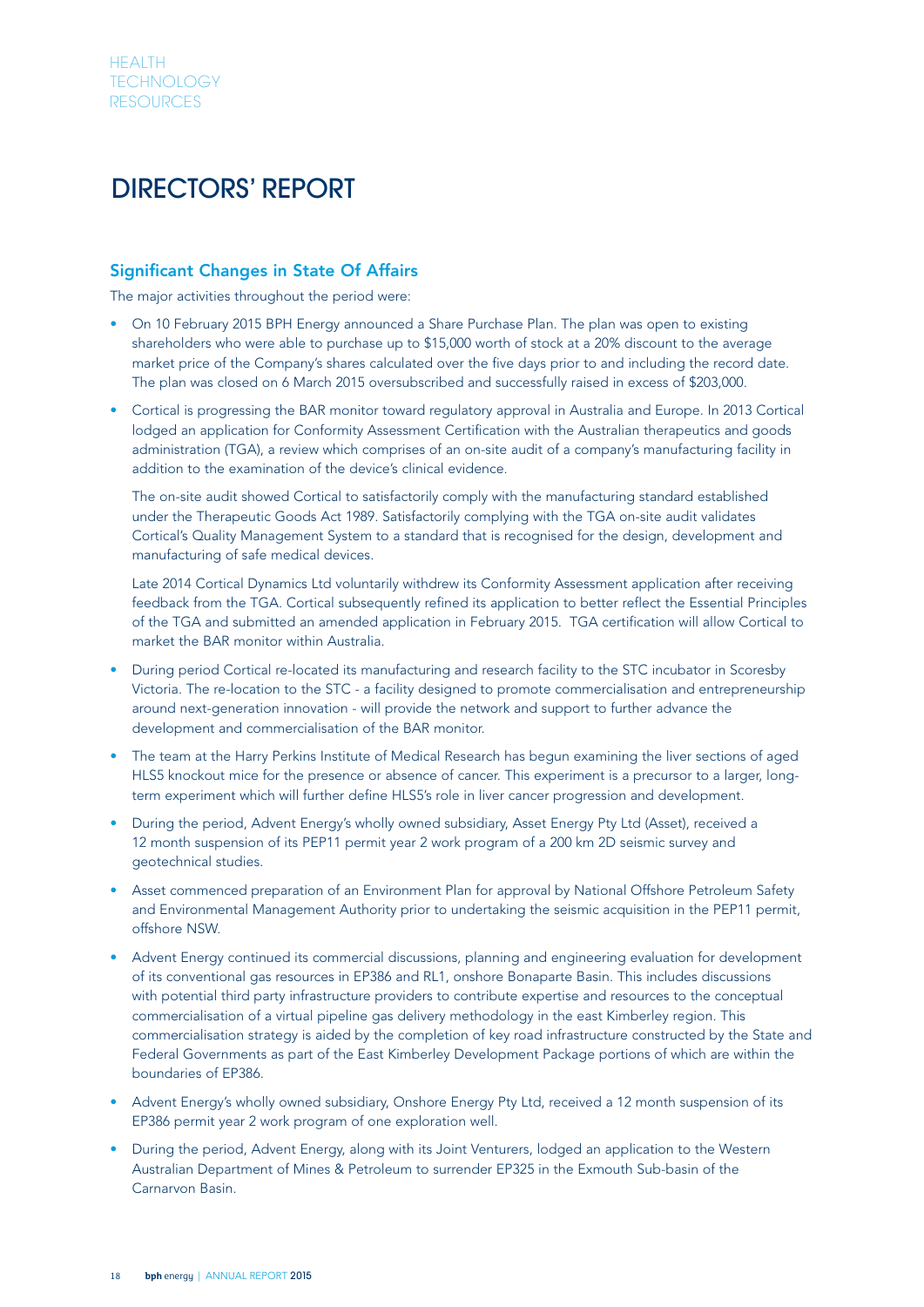# DIRECTORS' REPORT

### Significant Changes in State Of Affairs

The major activities throughout the period were:

- On 10 February 2015 BPH Energy announced a Share Purchase Plan. The plan was open to existing shareholders who were able to purchase up to \$15,000 worth of stock at a 20% discount to the average market price of the Company's shares calculated over the five days prior to and including the record date. The plan was closed on 6 March 2015 oversubscribed and successfully raised in excess of \$203,000.
- Cortical is progressing the BAR monitor toward regulatory approval in Australia and Europe. In 2013 Cortical lodged an application for Conformity Assessment Certification with the Australian therapeutics and goods administration (TGA), a review which comprises of an on-site audit of a company's manufacturing facility in addition to the examination of the device's clinical evidence.

The on-site audit showed Cortical to satisfactorily comply with the manufacturing standard established under the Therapeutic Goods Act 1989. Satisfactorily complying with the TGA on-site audit validates Cortical's Quality Management System to a standard that is recognised for the design, development and manufacturing of safe medical devices.

Late 2014 Cortical Dynamics Ltd voluntarily withdrew its Conformity Assessment application after receiving feedback from the TGA. Cortical subsequently refined its application to better reflect the Essential Principles of the TGA and submitted an amended application in February 2015. TGA certification will allow Cortical to market the BAR monitor within Australia.

- During period Cortical re-located its manufacturing and research facility to the STC incubator in Scoresby Victoria. The re-location to the STC - a facility designed to promote commercialisation and entrepreneurship around next-generation innovation - will provide the network and support to further advance the development and commercialisation of the BAR monitor.
- The team at the Harry Perkins Institute of Medical Research has begun examining the liver sections of aged HLS5 knockout mice for the presence or absence of cancer. This experiment is a precursor to a larger, longterm experiment which will further define HLS5's role in liver cancer progression and development.
- During the period, Advent Energy's wholly owned subsidiary, Asset Energy Pty Ltd (Asset), received a 12 month suspension of its PEP11 permit year 2 work program of a 200 km 2D seismic survey and geotechnical studies.
- Asset commenced preparation of an Environment Plan for approval by National Offshore Petroleum Safety and Environmental Management Authority prior to undertaking the seismic acquisition in the PEP11 permit, offshore NSW.
- Advent Energy continued its commercial discussions, planning and engineering evaluation for development of its conventional gas resources in EP386 and RL1, onshore Bonaparte Basin. This includes discussions with potential third party infrastructure providers to contribute expertise and resources to the conceptual commercialisation of a virtual pipeline gas delivery methodology in the east Kimberley region. This commercialisation strategy is aided by the completion of key road infrastructure constructed by the State and Federal Governments as part of the East Kimberley Development Package portions of which are within the boundaries of EP386.
- Advent Energy's wholly owned subsidiary, Onshore Energy Pty Ltd, received a 12 month suspension of its EP386 permit year 2 work program of one exploration well.
- During the period, Advent Energy, along with its Joint Venturers, lodged an application to the Western Australian Department of Mines & Petroleum to surrender EP325 in the Exmouth Sub-basin of the Carnarvon Basin.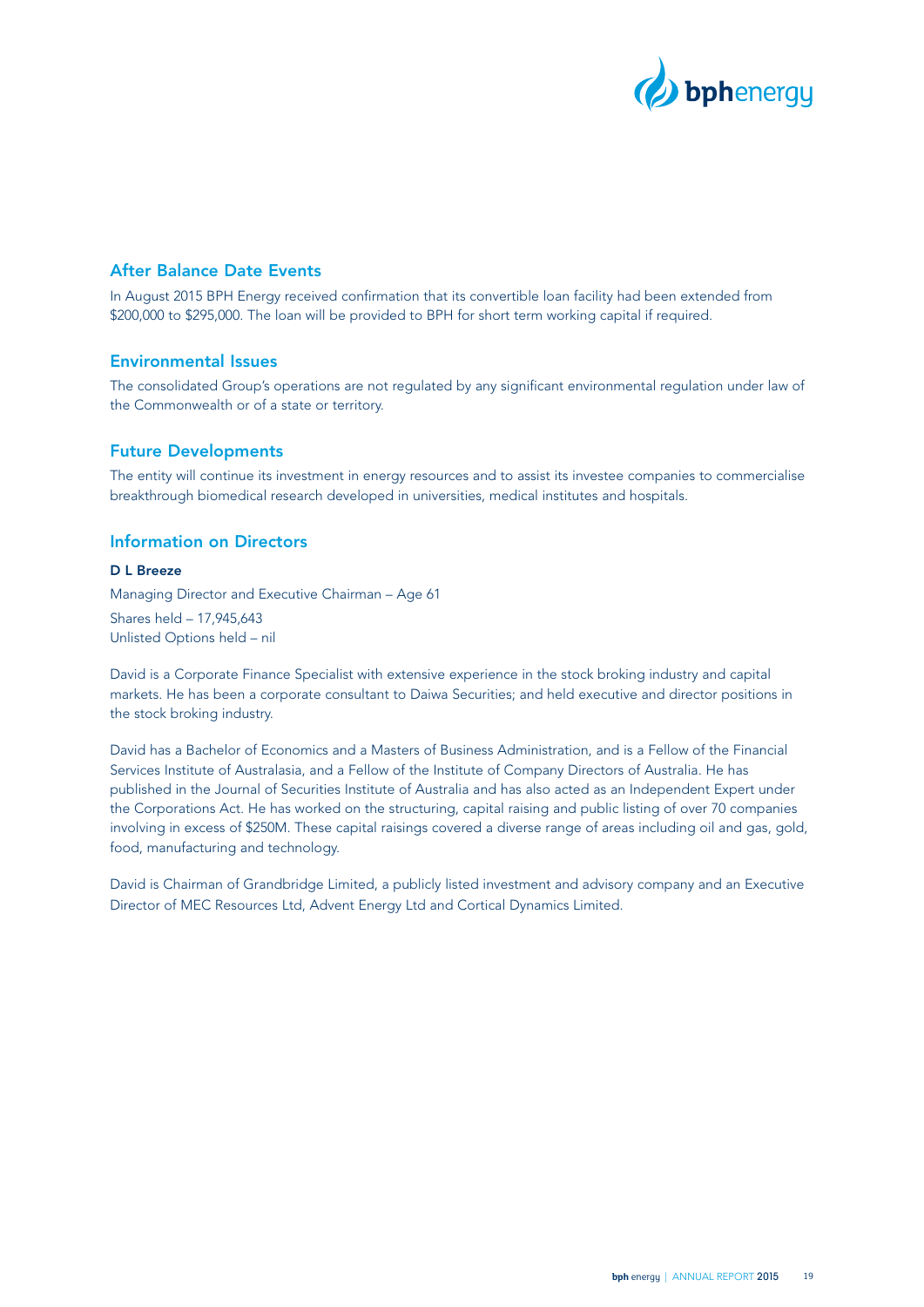

## After Balance Date Events

In August 2015 BPH Energy received confirmation that its convertible loan facility had been extended from \$200,000 to \$295,000. The loan will be provided to BPH for short term working capital if required.

#### Environmental Issues

The consolidated Group's operations are not regulated by any significant environmental regulation under law of the Commonwealth or of a state or territory.

### Future Developments

The entity will continue its investment in energy resources and to assist its investee companies to commercialise breakthrough biomedical research developed in universities, medical institutes and hospitals.

## Information on Directors

### D L Breeze

Managing Director and Executive Chairman – Age 61 Shares held – 17,945,643 Unlisted Options held – nil

David is a Corporate Finance Specialist with extensive experience in the stock broking industry and capital markets. He has been a corporate consultant to Daiwa Securities; and held executive and director positions in the stock broking industry.

David has a Bachelor of Economics and a Masters of Business Administration, and is a Fellow of the Financial Services Institute of Australasia, and a Fellow of the Institute of Company Directors of Australia. He has published in the Journal of Securities Institute of Australia and has also acted as an Independent Expert under the Corporations Act. He has worked on the structuring, capital raising and public listing of over 70 companies involving in excess of \$250M. These capital raisings covered a diverse range of areas including oil and gas, gold, food, manufacturing and technology.

David is Chairman of Grandbridge Limited, a publicly listed investment and advisory company and an Executive Director of MEC Resources Ltd, Advent Energy Ltd and Cortical Dynamics Limited.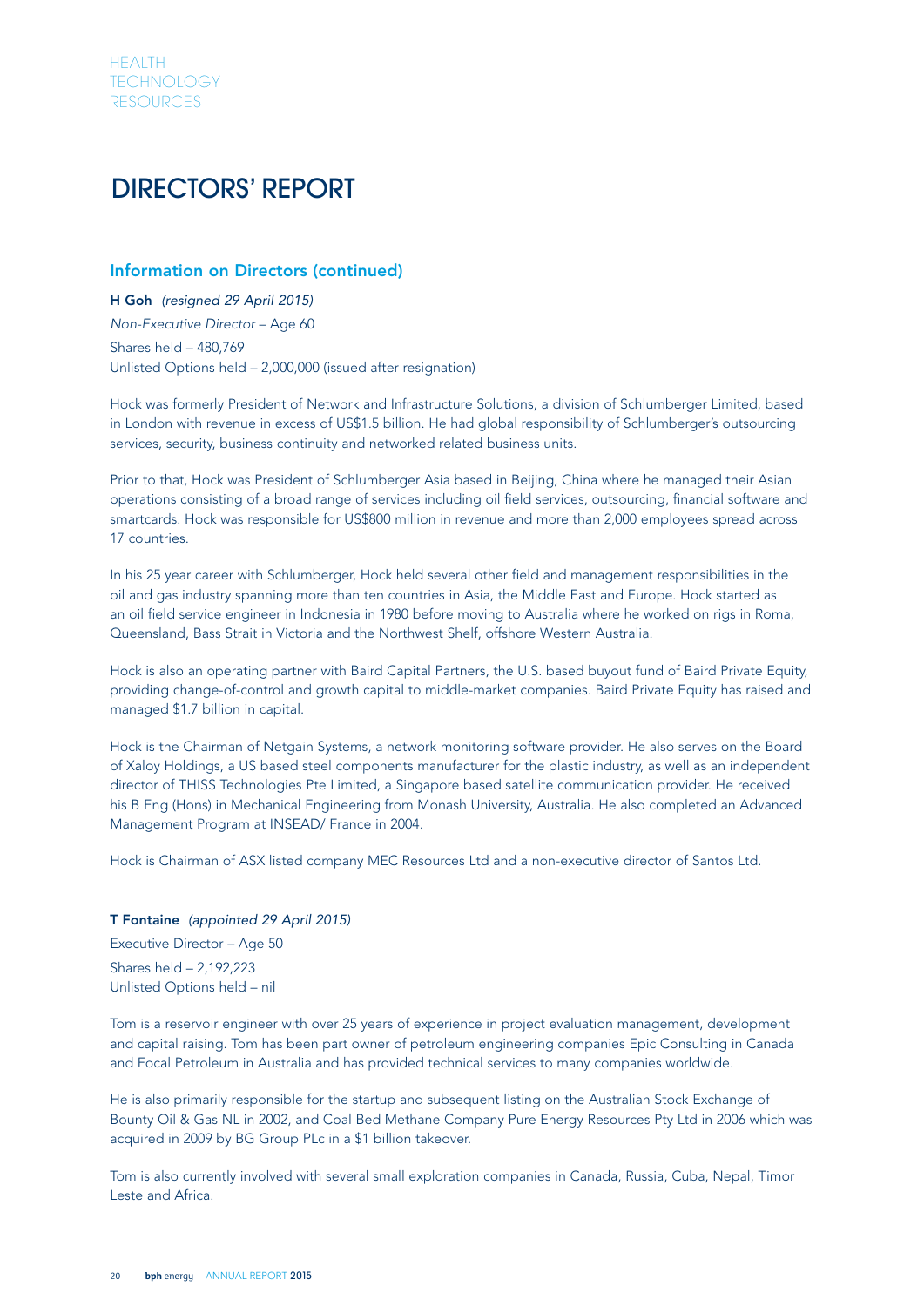# DIRECTORS' REPORT

### Information on Directors (continued)

H Goh *(resigned 29 April 2015)*

*Non-Executive Director* – Age 60 Shares held – 480,769 Unlisted Options held – 2,000,000 (issued after resignation)

Hock was formerly President of Network and Infrastructure Solutions, a division of Schlumberger Limited, based in London with revenue in excess of US\$1.5 billion. He had global responsibility of Schlumberger's outsourcing services, security, business continuity and networked related business units.

Prior to that, Hock was President of Schlumberger Asia based in Beijing, China where he managed their Asian operations consisting of a broad range of services including oil field services, outsourcing, financial software and smartcards. Hock was responsible for US\$800 million in revenue and more than 2,000 employees spread across 17 countries.

In his 25 year career with Schlumberger, Hock held several other field and management responsibilities in the oil and gas industry spanning more than ten countries in Asia, the Middle East and Europe. Hock started as an oil field service engineer in Indonesia in 1980 before moving to Australia where he worked on rigs in Roma, Queensland, Bass Strait in Victoria and the Northwest Shelf, offshore Western Australia.

Hock is also an operating partner with Baird Capital Partners, the U.S. based buyout fund of Baird Private Equity, providing change-of-control and growth capital to middle-market companies. Baird Private Equity has raised and managed \$1.7 billion in capital.

Hock is the Chairman of Netgain Systems, a network monitoring software provider. He also serves on the Board of Xaloy Holdings, a US based steel components manufacturer for the plastic industry, as well as an independent director of THISS Technologies Pte Limited, a Singapore based satellite communication provider. He received his B Eng (Hons) in Mechanical Engineering from Monash University, Australia. He also completed an Advanced Management Program at INSEAD/ France in 2004.

Hock is Chairman of ASX listed company MEC Resources Ltd and a non-executive director of Santos Ltd.

T Fontaine *(appointed 29 April 2015)* Executive Director – Age 50 Shares held – 2,192,223 Unlisted Options held – nil

Tom is a reservoir engineer with over 25 years of experience in project evaluation management, development and capital raising. Tom has been part owner of petroleum engineering companies Epic Consulting in Canada and Focal Petroleum in Australia and has provided technical services to many companies worldwide.

He is also primarily responsible for the startup and subsequent listing on the Australian Stock Exchange of Bounty Oil & Gas NL in 2002, and Coal Bed Methane Company Pure Energy Resources Pty Ltd in 2006 which was acquired in 2009 by BG Group PLc in a \$1 billion takeover.

Tom is also currently involved with several small exploration companies in Canada, Russia, Cuba, Nepal, Timor Leste and Africa.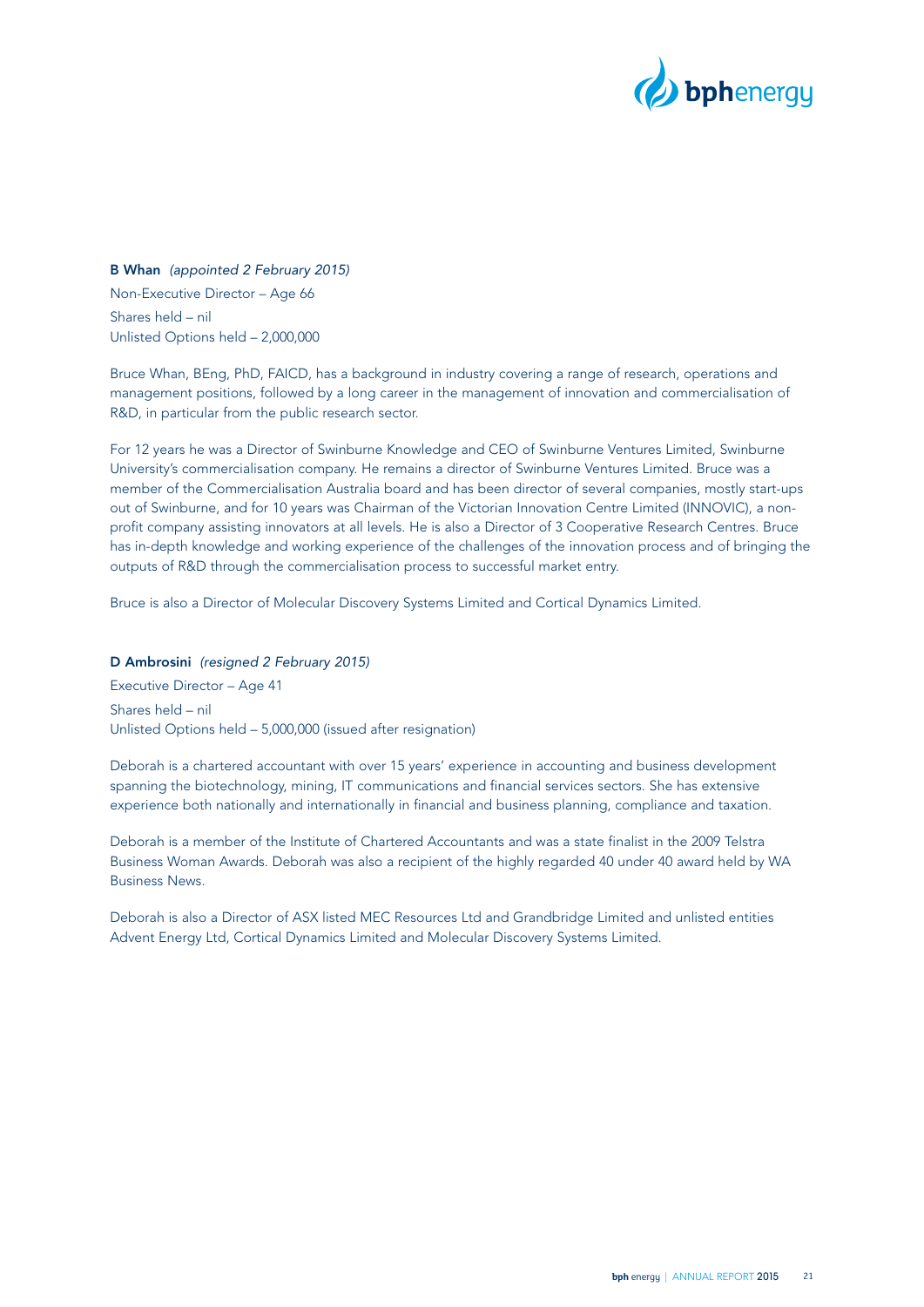

B Whan *(appointed 2 February 2015)* Non-Executive Director – Age 66 Shares held – nil Unlisted Options held – 2,000,000

Bruce Whan, BEng, PhD, FAICD, has a background in industry covering a range of research, operations and management positions, followed by a long career in the management of innovation and commercialisation of R&D, in particular from the public research sector.

For 12 years he was a Director of Swinburne Knowledge and CEO of Swinburne Ventures Limited, Swinburne University's commercialisation company. He remains a director of Swinburne Ventures Limited. Bruce was a member of the Commercialisation Australia board and has been director of several companies, mostly start-ups out of Swinburne, and for 10 years was Chairman of the Victorian Innovation Centre Limited (INNOVIC), a nonprofit company assisting innovators at all levels. He is also a Director of 3 Cooperative Research Centres. Bruce has in-depth knowledge and working experience of the challenges of the innovation process and of bringing the outputs of R&D through the commercialisation process to successful market entry.

Bruce is also a Director of Molecular Discovery Systems Limited and Cortical Dynamics Limited.

#### D Ambrosini *(resigned 2 February 2015)*

Executive Director – Age 41 Shares held – nil Unlisted Options held – 5,000,000 (issued after resignation)

Deborah is a chartered accountant with over 15 years' experience in accounting and business development spanning the biotechnology, mining, IT communications and financial services sectors. She has extensive experience both nationally and internationally in financial and business planning, compliance and taxation.

Deborah is a member of the Institute of Chartered Accountants and was a state finalist in the 2009 Telstra Business Woman Awards. Deborah was also a recipient of the highly regarded 40 under 40 award held by WA Business News.

Deborah is also a Director of ASX listed MEC Resources Ltd and Grandbridge Limited and unlisted entities Advent Energy Ltd, Cortical Dynamics Limited and Molecular Discovery Systems Limited.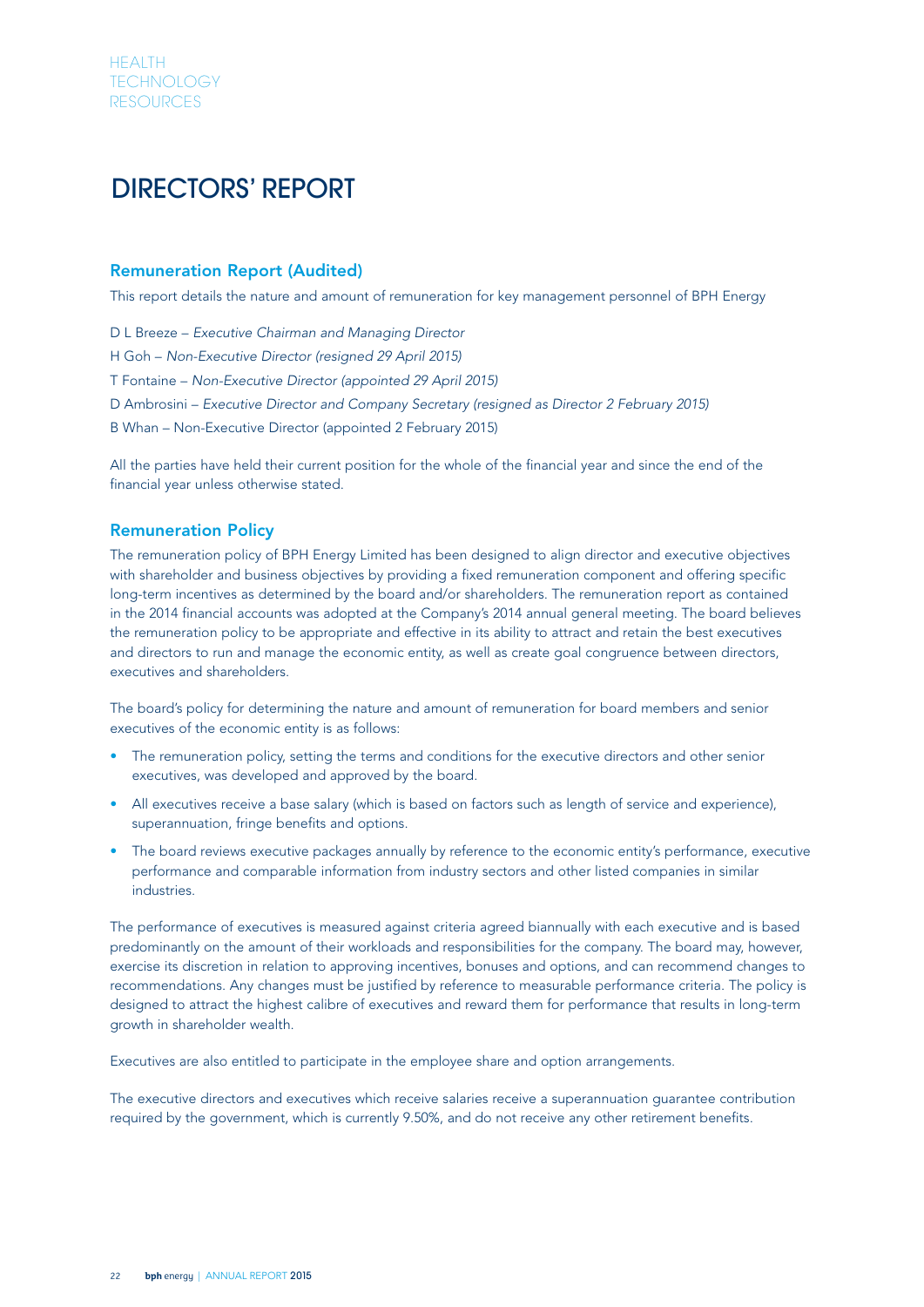# DIRECTORS' REPORT

### Remuneration Report (Audited)

This report details the nature and amount of remuneration for key management personnel of BPH Energy

D L Breeze – *Executive Chairman and Managing Director* H Goh – *Non-Executive Director (resigned 29 April 2015)* T Fontaine – *Non-Executive Director (appointed 29 April 2015)* D Ambrosini – *Executive Director and Company Secretary (resigned as Director 2 February 2015)* B Whan – Non-Executive Director (appointed 2 February 2015)

All the parties have held their current position for the whole of the financial year and since the end of the financial year unless otherwise stated.

### Remuneration Policy

The remuneration policy of BPH Energy Limited has been designed to align director and executive objectives with shareholder and business objectives by providing a fixed remuneration component and offering specific long-term incentives as determined by the board and/or shareholders. The remuneration report as contained in the 2014 financial accounts was adopted at the Company's 2014 annual general meeting. The board believes the remuneration policy to be appropriate and effective in its ability to attract and retain the best executives and directors to run and manage the economic entity, as well as create goal congruence between directors, executives and shareholders.

The board's policy for determining the nature and amount of remuneration for board members and senior executives of the economic entity is as follows:

- The remuneration policy, setting the terms and conditions for the executive directors and other senior executives, was developed and approved by the board.
- All executives receive a base salary (which is based on factors such as length of service and experience), superannuation, fringe benefits and options.
- The board reviews executive packages annually by reference to the economic entity's performance, executive performance and comparable information from industry sectors and other listed companies in similar industries.

The performance of executives is measured against criteria agreed biannually with each executive and is based predominantly on the amount of their workloads and responsibilities for the company. The board may, however, exercise its discretion in relation to approving incentives, bonuses and options, and can recommend changes to recommendations. Any changes must be justified by reference to measurable performance criteria. The policy is designed to attract the highest calibre of executives and reward them for performance that results in long-term growth in shareholder wealth.

Executives are also entitled to participate in the employee share and option arrangements.

The executive directors and executives which receive salaries receive a superannuation guarantee contribution required by the government, which is currently 9.50%, and do not receive any other retirement benefits.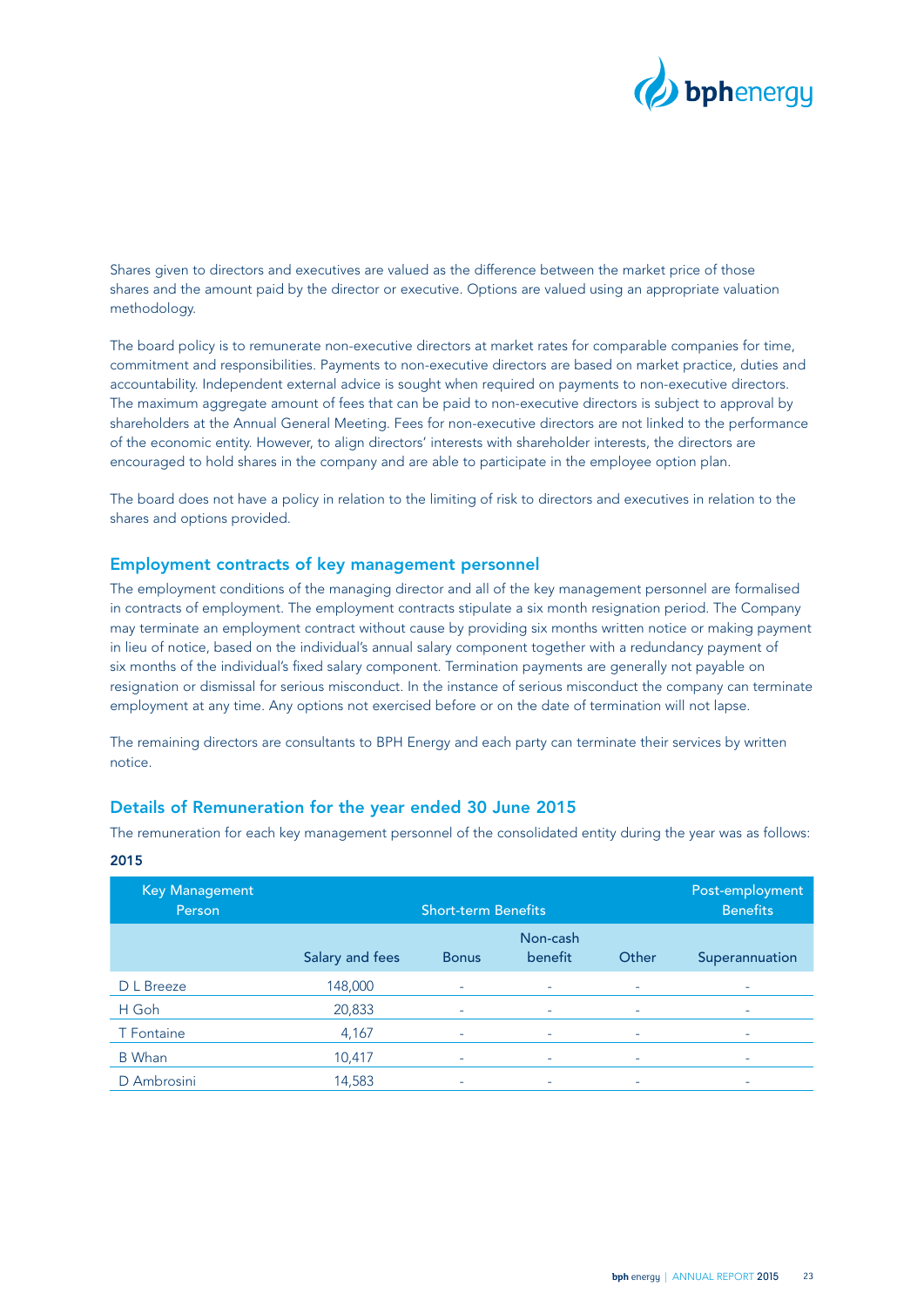

Shares given to directors and executives are valued as the difference between the market price of those shares and the amount paid by the director or executive. Options are valued using an appropriate valuation methodology.

The board policy is to remunerate non-executive directors at market rates for comparable companies for time, commitment and responsibilities. Payments to non-executive directors are based on market practice, duties and accountability. Independent external advice is sought when required on payments to non-executive directors. The maximum aggregate amount of fees that can be paid to non-executive directors is subject to approval by shareholders at the Annual General Meeting. Fees for non-executive directors are not linked to the performance of the economic entity. However, to align directors' interests with shareholder interests, the directors are encouraged to hold shares in the company and are able to participate in the employee option plan.

The board does not have a policy in relation to the limiting of risk to directors and executives in relation to the shares and options provided.

#### Employment contracts of key management personnel

The employment conditions of the managing director and all of the key management personnel are formalised in contracts of employment. The employment contracts stipulate a six month resignation period. The Company may terminate an employment contract without cause by providing six months written notice or making payment in lieu of notice, based on the individual's annual salary component together with a redundancy payment of six months of the individual's fixed salary component. Termination payments are generally not payable on resignation or dismissal for serious misconduct. In the instance of serious misconduct the company can terminate employment at any time. Any options not exercised before or on the date of termination will not lapse.

The remaining directors are consultants to BPH Energy and each party can terminate their services by written notice.

### Details of Remuneration for the year ended 30 June 2015

The remuneration for each key management personnel of the consolidated entity during the year was as follows:

| <b>Key Management</b><br>Person |                 | <b>Short-term Benefits</b> |                          |                          |                |  |  |
|---------------------------------|-----------------|----------------------------|--------------------------|--------------------------|----------------|--|--|
|                                 | Salary and fees | <b>Bonus</b>               | Non-cash<br>benefit      | Other                    | Superannuation |  |  |
| D L Breeze                      | 148,000         | ۰                          | $\overline{\phantom{0}}$ |                          |                |  |  |
| H Goh                           | 20,833          | ۰                          | $\overline{\phantom{0}}$ |                          |                |  |  |
| T Fontaine                      | 4,167           | $\overline{\phantom{a}}$   | $\sim$                   | $\overline{\phantom{a}}$ |                |  |  |
| B Whan                          | 10,417          | ٠                          | $\sim$                   | ۰.                       |                |  |  |
| D Ambrosini                     | 14,583          | ٠                          | $\sim$                   | ۰                        |                |  |  |

#### 2015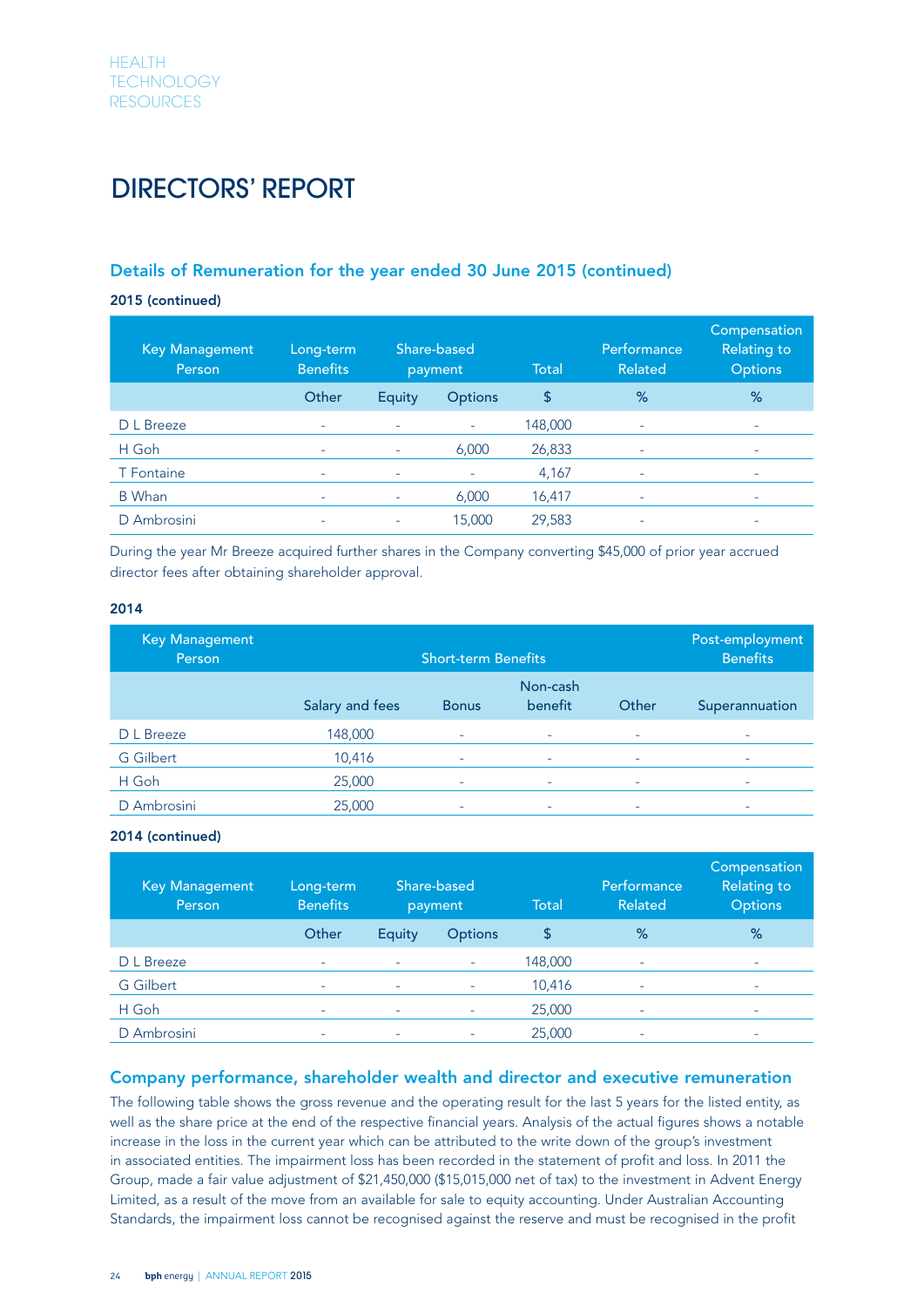# DIRECTORS' REPORT

## Details of Remuneration for the year ended 30 June 2015 (continued)

2015 (continued)

| <b>Key Management</b><br>Person | Long-term<br><b>Benefits</b> |                          | Share-based<br>payment | <b>Total</b> | Performance<br>Related   | <b>Compensation</b><br><b>Relating to</b><br>Options |
|---------------------------------|------------------------------|--------------------------|------------------------|--------------|--------------------------|------------------------------------------------------|
|                                 | Other                        | Equity                   | <b>Options</b>         | \$           | $\%$                     | %                                                    |
| D L Breeze                      | $\sim$                       | $\overline{\phantom{a}}$ | ٠                      | 148,000      | $\overline{a}$           | $\overline{\phantom{0}}$                             |
| H Goh                           | $\overline{\phantom{a}}$     | $\overline{\phantom{a}}$ | 6,000                  | 26,833       | ۰                        | ۰                                                    |
| T Fontaine                      | $\overline{\phantom{a}}$     | $\sim$                   | ۰                      | 4,167        | ۰                        | $\overline{\phantom{0}}$                             |
| B Whan                          | $\overline{\phantom{0}}$     | $\overline{\phantom{a}}$ | 6,000                  | 16,417       | $\overline{a}$           | $\overline{\phantom{a}}$                             |
| D Ambrosini                     |                              | $\overline{\phantom{a}}$ | 15,000                 | 29,583       | $\overline{\phantom{0}}$ |                                                      |

During the year Mr Breeze acquired further shares in the Company converting \$45,000 of prior year accrued director fees after obtaining shareholder approval.

#### 2014

| <b>Key Management</b><br>Person |                 | Post-employment<br><b>Benefits</b> |                          |                          |                          |
|---------------------------------|-----------------|------------------------------------|--------------------------|--------------------------|--------------------------|
|                                 | Salary and fees | <b>Bonus</b>                       | Non-cash<br>benefit      | Other                    | Superannuation           |
| D L Breeze                      | 148,000         | $\overline{\phantom{0}}$           | $\overline{\phantom{a}}$ | $\overline{\phantom{a}}$ | $\overline{\phantom{0}}$ |
| <b>G</b> Gilbert                | 10,416          | $\overline{\phantom{a}}$           | $\overline{\phantom{a}}$ |                          |                          |
| H Goh                           | 25,000          | $\overline{\phantom{0}}$           | $\overline{\phantom{a}}$ | -                        | ۰                        |
| D Ambrosini                     | 25,000          | $\sim$                             | $\overline{\phantom{a}}$ |                          |                          |

#### 2014 (continued)

| <b>Key Management</b><br><b>Person</b> | Long-term<br><b>Benefits</b> |        | Share-based<br>payment   | <b>Total</b> | Performance<br>Related   | Compensation<br><b>Relating to</b><br><b>Options</b> |
|----------------------------------------|------------------------------|--------|--------------------------|--------------|--------------------------|------------------------------------------------------|
|                                        | Other                        | Equity | <b>Options</b>           | \$           | %                        | %                                                    |
| D L Breeze                             |                              |        | $\overline{\phantom{a}}$ | 148,000      | ۰                        |                                                      |
| <b>G</b> Gilbert                       | $\overline{\phantom{a}}$     | ۰      | ۰                        | 10,416       | $\overline{\phantom{a}}$ | ۰                                                    |
| H Goh                                  | $\overline{\phantom{a}}$     | ۰      | $\overline{a}$           | 25,000       | ٠                        | ۰                                                    |
| D Ambrosini                            |                              | ٠      | ۰                        | 25,000       | ۰                        | ۰                                                    |

### Company performance, shareholder wealth and director and executive remuneration

The following table shows the gross revenue and the operating result for the last 5 years for the listed entity, as well as the share price at the end of the respective financial years. Analysis of the actual figures shows a notable increase in the loss in the current year which can be attributed to the write down of the group's investment in associated entities. The impairment loss has been recorded in the statement of profit and loss. In 2011 the Group, made a fair value adjustment of \$21,450,000 (\$15,015,000 net of tax) to the investment in Advent Energy Limited, as a result of the move from an available for sale to equity accounting. Under Australian Accounting Standards, the impairment loss cannot be recognised against the reserve and must be recognised in the profit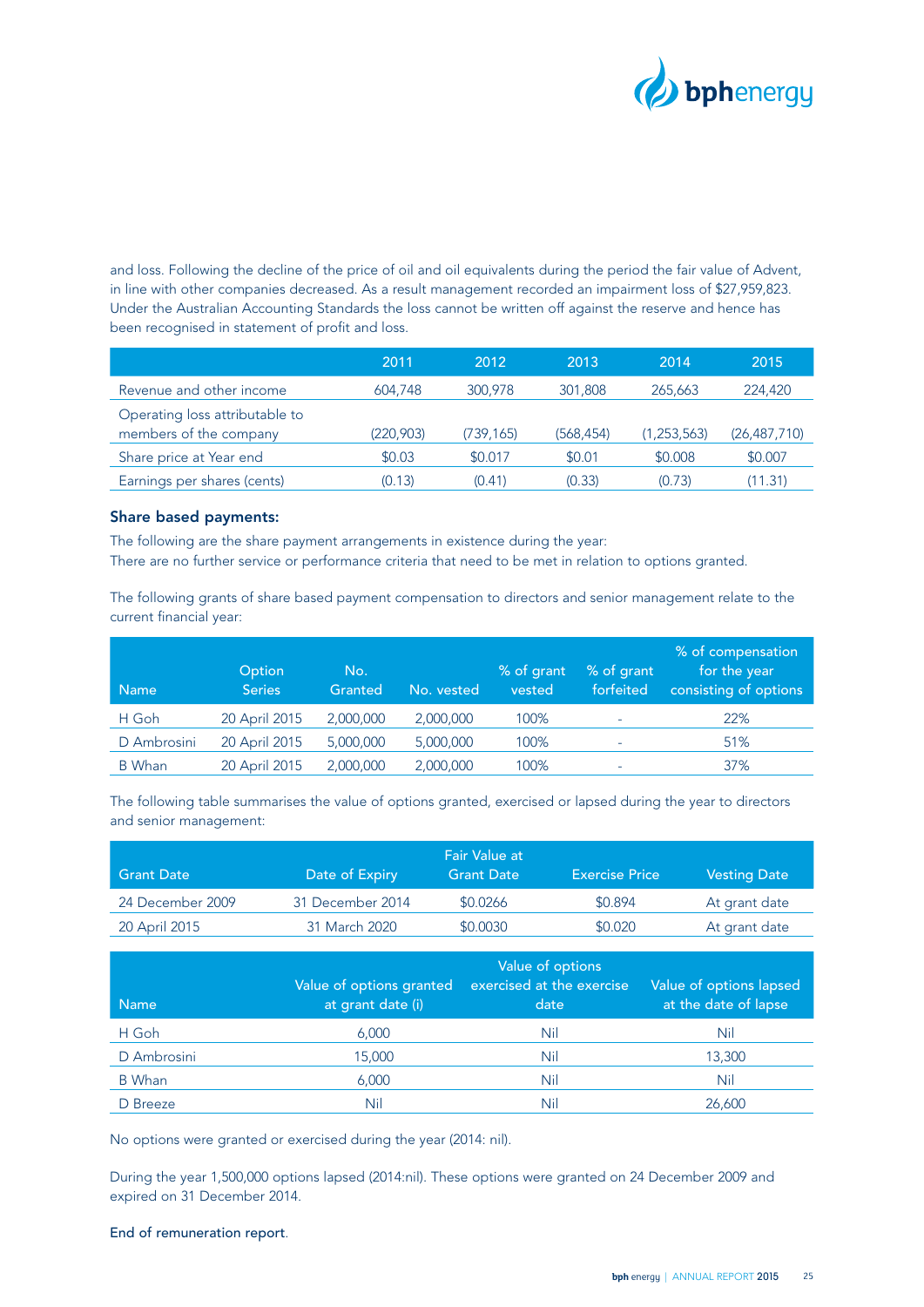

and loss. Following the decline of the price of oil and oil equivalents during the period the fair value of Advent, in line with other companies decreased. As a result management recorded an impairment loss of \$27,959,823. Under the Australian Accounting Standards the loss cannot be written off against the reserve and hence has been recognised in statement of profit and loss.

|                                | 2011      | 2012      | 2013      | 2014          | 2015           |
|--------------------------------|-----------|-----------|-----------|---------------|----------------|
| Revenue and other income       | 604.748   | 300,978   | 301,808   | 265,663       | 224,420        |
| Operating loss attributable to |           |           |           |               |                |
| members of the company         | (220,903) | (739,165) | (568,454) | (1, 253, 563) | (26, 487, 710) |
| Share price at Year end        | \$0.03    | \$0.017   | \$0.01    | \$0,008       | \$0,007        |
| Earnings per shares (cents)    | (0.13)    | (0.41)    | (0.33)    | (0.73)        | (11.31)        |

#### Share based payments:

The following are the share payment arrangements in existence during the year: There are no further service or performance criteria that need to be met in relation to options granted.

The following grants of share based payment compensation to directors and senior management relate to the current financial year:

| <b>Name</b>   | Option<br><b>Series</b> | No.<br>Granted | No. vested | % of grant<br>vested | % of grant<br>forfeited  | % of compensation<br>for the year<br>consisting of options |
|---------------|-------------------------|----------------|------------|----------------------|--------------------------|------------------------------------------------------------|
| H Goh         | 20 April 2015           | 2,000,000      | 2,000,000  | 100%                 | $\equiv$                 | 22%                                                        |
| D Ambrosini   | 20 April 2015           | 5,000,000      | 5,000,000  | 100%                 |                          | 51%                                                        |
| <b>B</b> Whan | 20 April 2015           | 2,000,000      | 2,000,000  | 100%                 | $\overline{\phantom{0}}$ | 37%                                                        |

The following table summarises the value of options granted, exercised or lapsed during the year to directors and senior management:

| <b>Fair Value at</b> |                  |                   |                       |                     |  |  |
|----------------------|------------------|-------------------|-----------------------|---------------------|--|--|
| <b>Grant Date</b>    | Date of Expiry   | <b>Grant Date</b> | <b>Exercise Price</b> | <b>Vesting Date</b> |  |  |
| 24 December 2009     | 31 December 2014 | \$0.0266          | \$0.894               | At grant date       |  |  |
| 20 April 2015        | 31 March 2020    | \$0,0030          | \$0,020               | At grant date       |  |  |

| <b>Name</b>   | Value of options granted<br>at grant date (i) | Value of options<br>exercised at the exercise<br>date | Value of options lapsed<br>at the date of lapse |
|---------------|-----------------------------------------------|-------------------------------------------------------|-------------------------------------------------|
| H Goh         | 6,000                                         | Nil                                                   | Nil                                             |
| D Ambrosini   | 15,000                                        | Nil                                                   | 13,300                                          |
| <b>B</b> Whan | 6,000                                         | Nil                                                   | Nil                                             |
| D Breeze      | Nil                                           | Nil                                                   | 26,600                                          |

No options were granted or exercised during the year (2014: nil).

During the year 1,500,000 options lapsed (2014:nil). These options were granted on 24 December 2009 and expired on 31 December 2014.

#### End of remuneration report.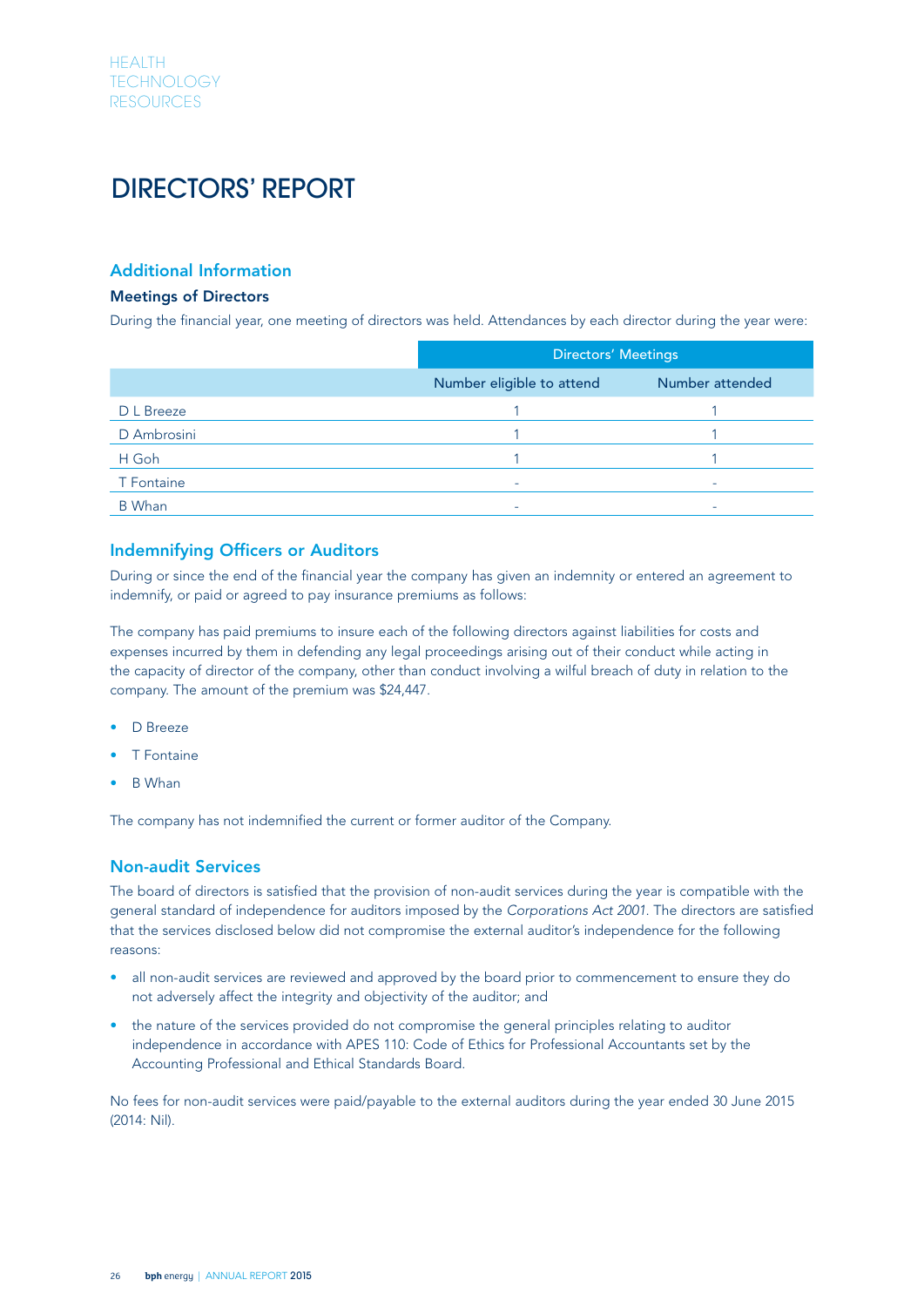# DIRECTORS' REPORT

# Additional Information

### Meetings of Directors

During the financial year, one meeting of directors was held. Attendances by each director during the year were:

|               | <b>Directors' Meetings</b> |                 |  |  |  |
|---------------|----------------------------|-----------------|--|--|--|
|               | Number eligible to attend  | Number attended |  |  |  |
| D L Breeze    |                            |                 |  |  |  |
| D Ambrosini   |                            |                 |  |  |  |
| H Goh         |                            |                 |  |  |  |
| T Fontaine    | $\overline{\phantom{a}}$   |                 |  |  |  |
| <b>B</b> Whan |                            |                 |  |  |  |

### Indemnifying Officers or Auditors

During or since the end of the financial year the company has given an indemnity or entered an agreement to indemnify, or paid or agreed to pay insurance premiums as follows:

The company has paid premiums to insure each of the following directors against liabilities for costs and expenses incurred by them in defending any legal proceedings arising out of their conduct while acting in the capacity of director of the company, other than conduct involving a wilful breach of duty in relation to the company. The amount of the premium was \$24,447.

- D Breeze
- T Fontaine
- B Whan

The company has not indemnified the current or former auditor of the Company.

### Non-audit Services

The board of directors is satisfied that the provision of non-audit services during the year is compatible with the general standard of independence for auditors imposed by the *Corporations Act 2001*. The directors are satisfied that the services disclosed below did not compromise the external auditor's independence for the following reasons:

- all non-audit services are reviewed and approved by the board prior to commencement to ensure they do not adversely affect the integrity and objectivity of the auditor; and
- the nature of the services provided do not compromise the general principles relating to auditor independence in accordance with APES 110: Code of Ethics for Professional Accountants set by the Accounting Professional and Ethical Standards Board.

No fees for non-audit services were paid/payable to the external auditors during the year ended 30 June 2015 (2014: Nil).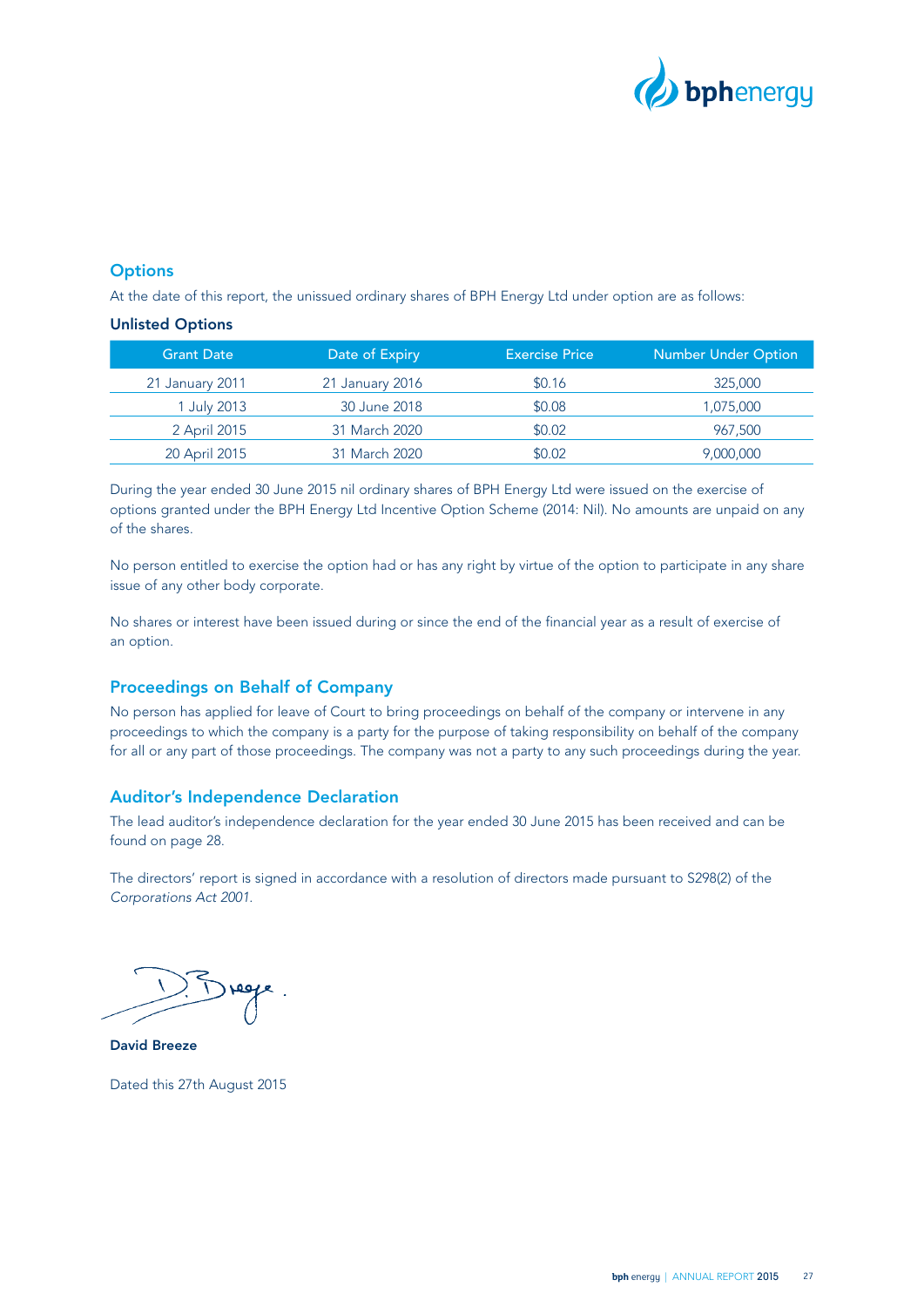

### **Options**

At the date of this report, the unissued ordinary shares of BPH Energy Ltd under option are as follows:

Unlisted Options

| <b>Grant Date</b> | Date of Expiry  | <b>Exercise Price</b> | <b>Number Under Option</b> |
|-------------------|-----------------|-----------------------|----------------------------|
| 21 January 2011   | 21 January 2016 | \$0.16                | 325,000                    |
| 1 July 2013       | 30 June 2018    | \$0.08                | 1,075,000                  |
| 2 April 2015      | 31 March 2020   | \$0.02                | 967.500                    |
| 20 April 2015     | 31 March 2020   | \$0.02                | 9,000,000                  |

During the year ended 30 June 2015 nil ordinary shares of BPH Energy Ltd were issued on the exercise of options granted under the BPH Energy Ltd Incentive Option Scheme (2014: Nil). No amounts are unpaid on any of the shares.

No person entitled to exercise the option had or has any right by virtue of the option to participate in any share issue of any other body corporate.

No shares or interest have been issued during or since the end of the financial year as a result of exercise of an option.

### Proceedings on Behalf of Company

No person has applied for leave of Court to bring proceedings on behalf of the company or intervene in any proceedings to which the company is a party for the purpose of taking responsibility on behalf of the company for all or any part of those proceedings. The company was not a party to any such proceedings during the year.

#### Auditor's Independence Declaration

The lead auditor's independence declaration for the year ended 30 June 2015 has been received and can be found on page 28.

The directors' report is signed in accordance with a resolution of directors made pursuant to S298(2) of the *Corporations Act 2001*.

David Breeze

Dated this 27th August 2015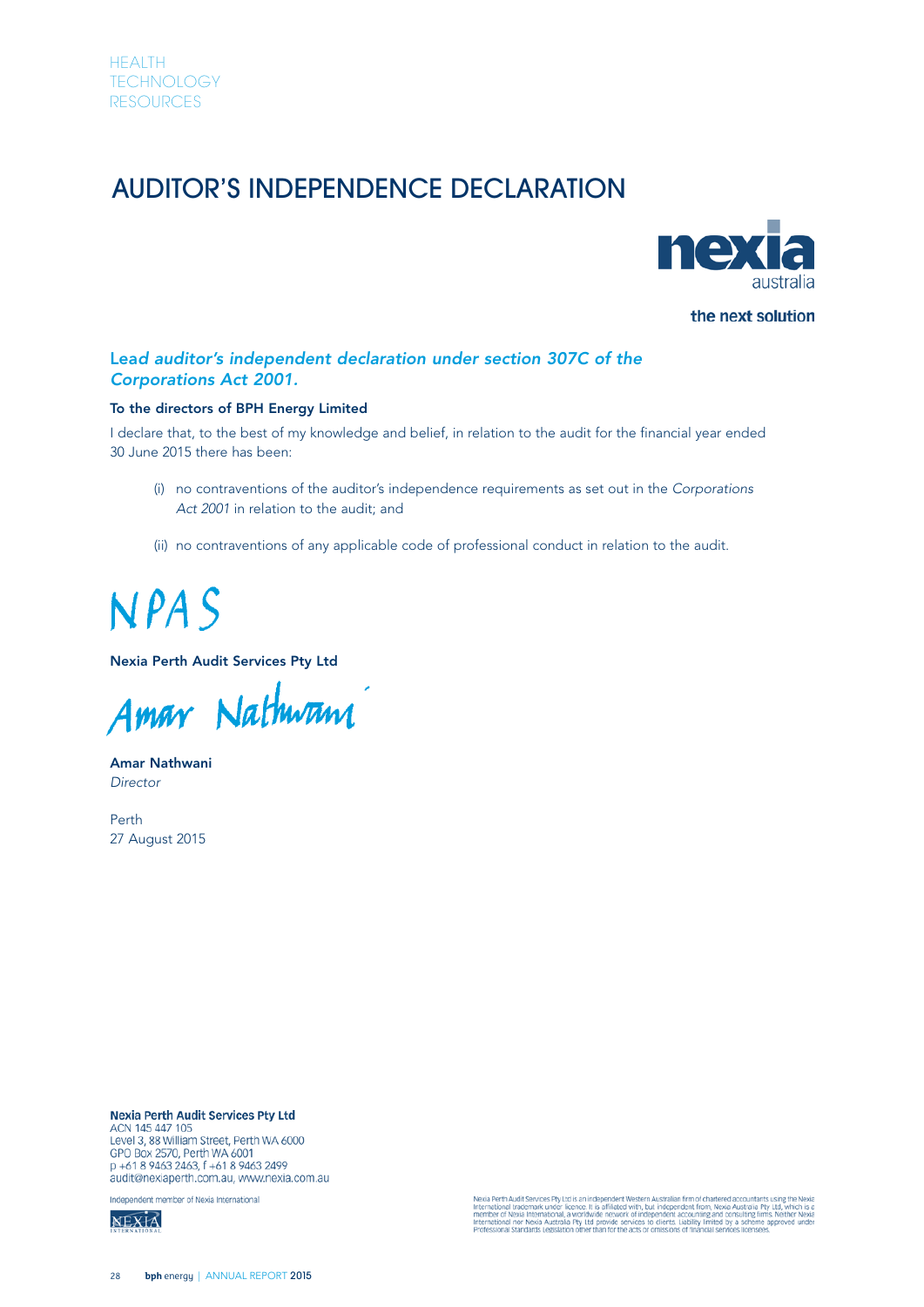# AUDITOR'S INDEPENDENCE DECLARATION



the next solution

## Lea*d auditor's independent declaration under section 307C of the Corporations Act 2001.*

#### To the directors of BPH Energy Limited

I declare that, to the best of my knowledge and belief, in relation to the audit for the financial year ended 30 June 2015 there has been:

- (i) no contraventions of the auditor's independence requirements as set out in the *Corporations Act 2001* in relation to the audit; and
- (ii) no contraventions of any applicable code of professional conduct in relation to the audit.

# NPAS

Nexia Perth Audit Services Pty Ltd

Amar Nathwann

Amar Nathwani *Director*

Perth 27 August 2015

**Nexia Perth Audit Services Pty Ltd** ACN 145 447 105<br>Level 3, 88 William Street, Perth WA 6000<br>GPO Box 2570, Perth WA 6001 D +61 8 9463 2463, f +61 8 9463 2499 audit@nexiaperth.com.au, www.nexia.com.au

Independent member of Nexia International



Nexia Perth Audit Services Pty Ltd is an independent Western Australian firm of chartered accountants using the Nexis<br>International trademark under licence. It is affiliated with, but independent from, Nexia Australia Pty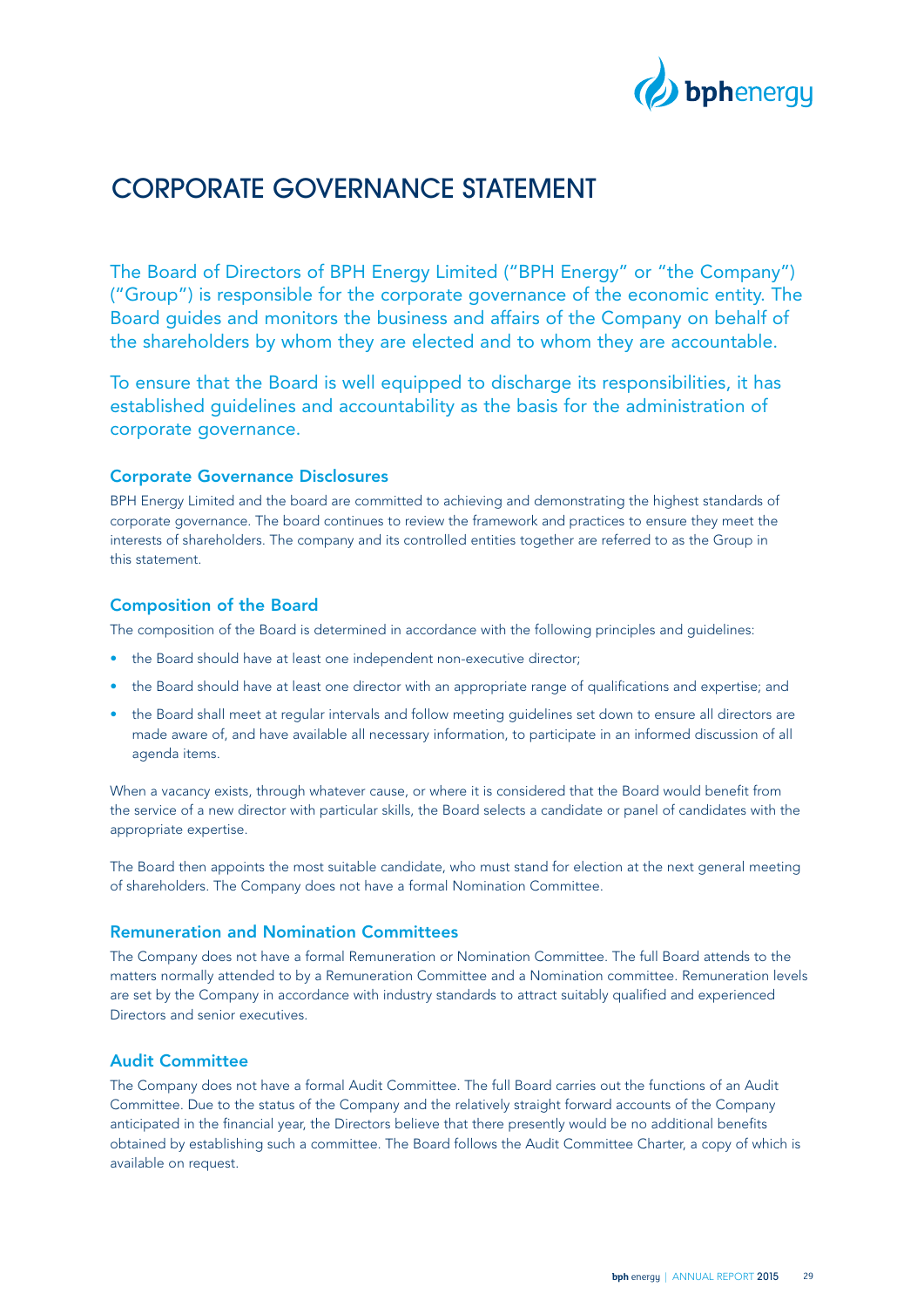

# CORPORATE GOVERNANCE STATEMENT

The Board of Directors of BPH Energy Limited ("BPH Energy" or "the Company") ("Group") is responsible for the corporate governance of the economic entity. The Board guides and monitors the business and affairs of the Company on behalf of the shareholders by whom they are elected and to whom they are accountable.

To ensure that the Board is well equipped to discharge its responsibilities, it has established guidelines and accountability as the basis for the administration of corporate governance.

### Corporate Governance Disclosures

BPH Energy Limited and the board are committed to achieving and demonstrating the highest standards of corporate governance. The board continues to review the framework and practices to ensure they meet the interests of shareholders. The company and its controlled entities together are referred to as the Group in this statement.

### Composition of the Board

The composition of the Board is determined in accordance with the following principles and guidelines:

- the Board should have at least one independent non-executive director;
- the Board should have at least one director with an appropriate range of qualifications and expertise; and
- the Board shall meet at regular intervals and follow meeting guidelines set down to ensure all directors are made aware of, and have available all necessary information, to participate in an informed discussion of all agenda items.

When a vacancy exists, through whatever cause, or where it is considered that the Board would benefit from the service of a new director with particular skills, the Board selects a candidate or panel of candidates with the appropriate expertise.

The Board then appoints the most suitable candidate, who must stand for election at the next general meeting of shareholders. The Company does not have a formal Nomination Committee.

### Remuneration and Nomination Committees

The Company does not have a formal Remuneration or Nomination Committee. The full Board attends to the matters normally attended to by a Remuneration Committee and a Nomination committee. Remuneration levels are set by the Company in accordance with industry standards to attract suitably qualified and experienced Directors and senior executives.

## Audit Committee

The Company does not have a formal Audit Committee. The full Board carries out the functions of an Audit Committee. Due to the status of the Company and the relatively straight forward accounts of the Company anticipated in the financial year, the Directors believe that there presently would be no additional benefits obtained by establishing such a committee. The Board follows the Audit Committee Charter, a copy of which is available on request.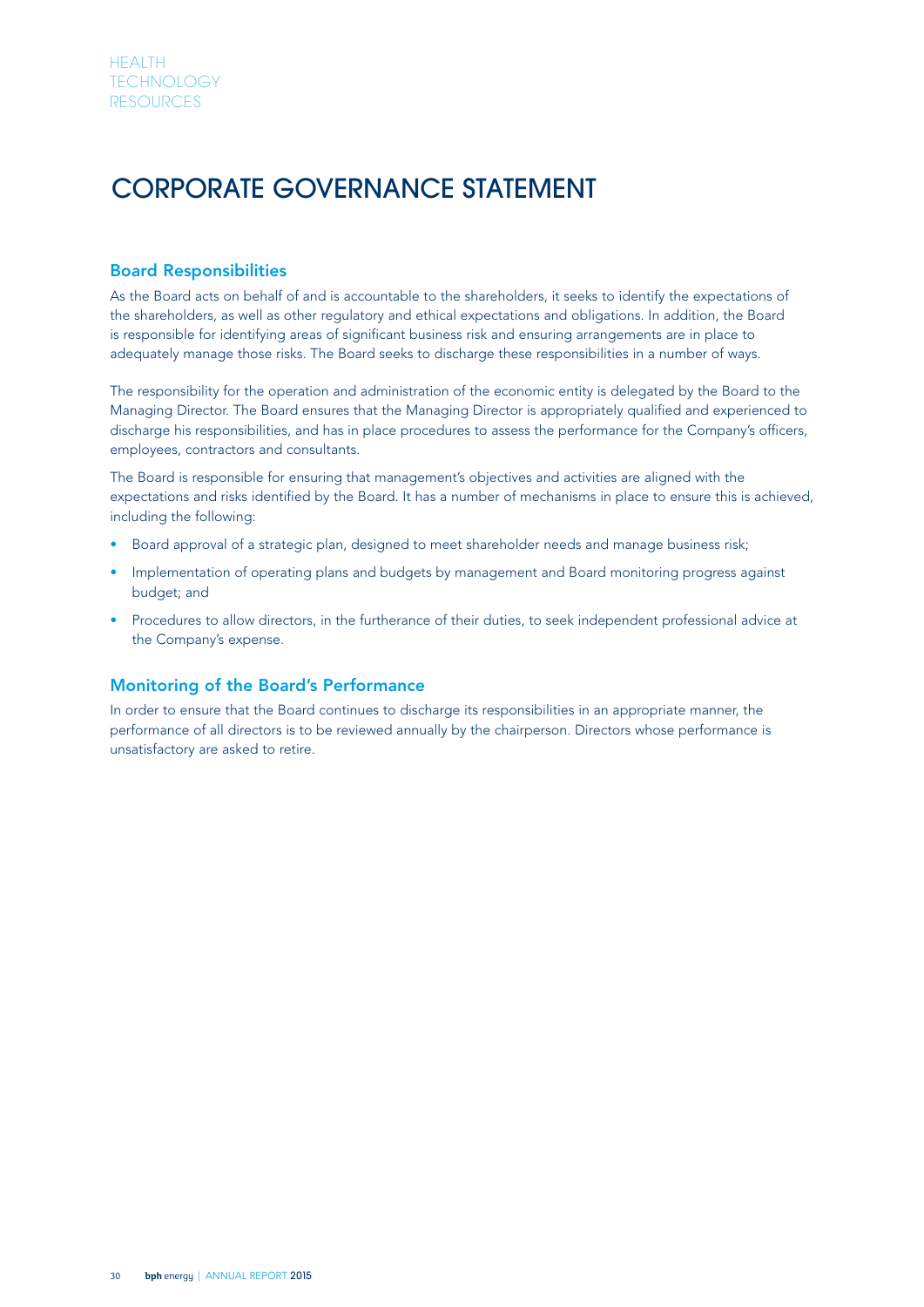# CORPORATE GOVERNANCE STATEMENT

### Board Responsibilities

As the Board acts on behalf of and is accountable to the shareholders, it seeks to identify the expectations of the shareholders, as well as other regulatory and ethical expectations and obligations. In addition, the Board is responsible for identifying areas of significant business risk and ensuring arrangements are in place to adequately manage those risks. The Board seeks to discharge these responsibilities in a number of ways.

The responsibility for the operation and administration of the economic entity is delegated by the Board to the Managing Director. The Board ensures that the Managing Director is appropriately qualified and experienced to discharge his responsibilities, and has in place procedures to assess the performance for the Company's officers, employees, contractors and consultants.

The Board is responsible for ensuring that management's objectives and activities are aligned with the expectations and risks identified by the Board. It has a number of mechanisms in place to ensure this is achieved, including the following:

- Board approval of a strategic plan, designed to meet shareholder needs and manage business risk;
- Implementation of operating plans and budgets by management and Board monitoring progress against budget; and
- Procedures to allow directors, in the furtherance of their duties, to seek independent professional advice at the Company's expense.

### Monitoring of the Board's Performance

In order to ensure that the Board continues to discharge its responsibilities in an appropriate manner, the performance of all directors is to be reviewed annually by the chairperson. Directors whose performance is unsatisfactory are asked to retire.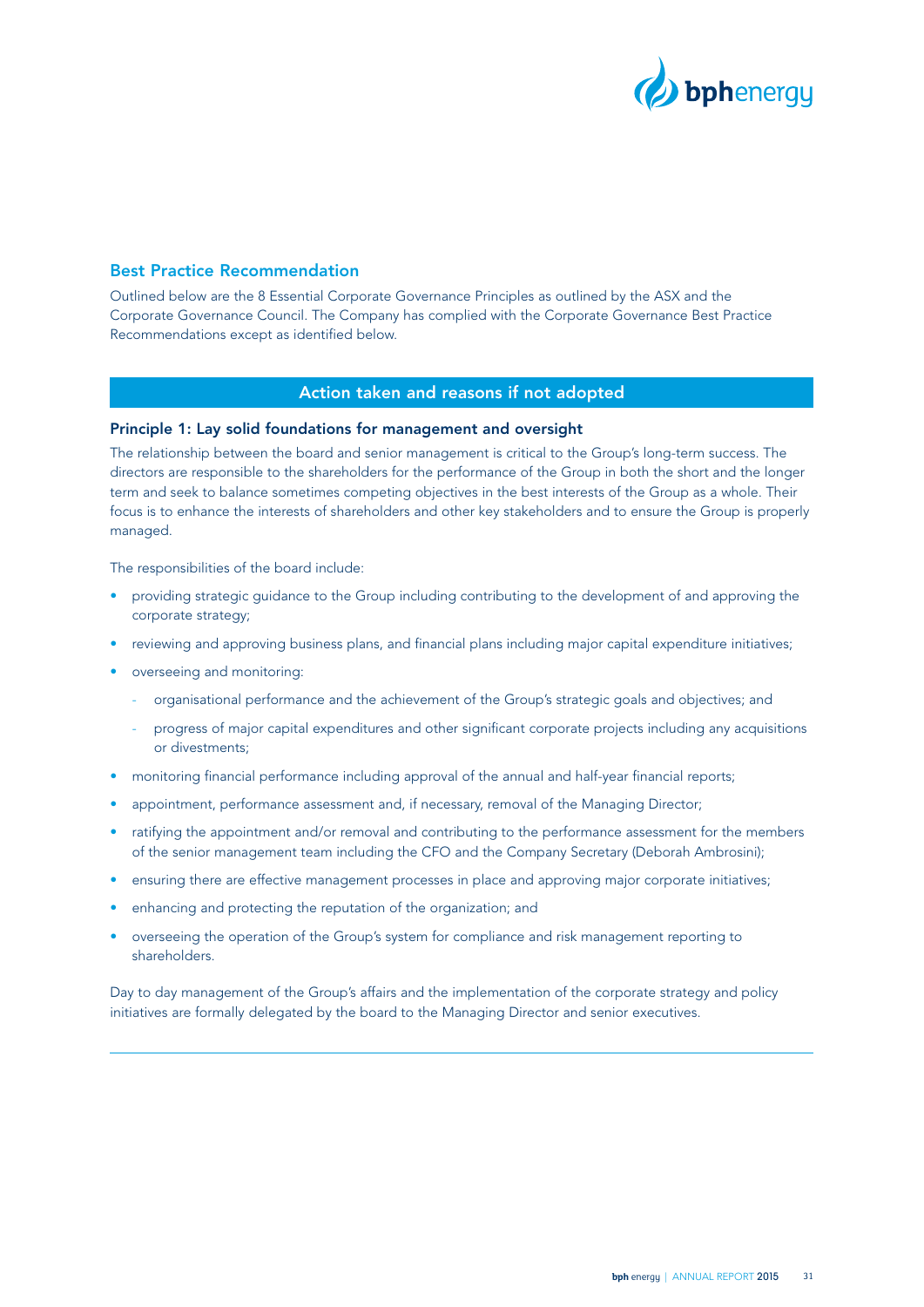

### Best Practice Recommendation

Outlined below are the 8 Essential Corporate Governance Principles as outlined by the ASX and the Corporate Governance Council. The Company has complied with the Corporate Governance Best Practice Recommendations except as identified below.

#### Action taken and reasons if not adopted

#### Principle 1: Lay solid foundations for management and oversight

The relationship between the board and senior management is critical to the Group's long-term success. The directors are responsible to the shareholders for the performance of the Group in both the short and the longer term and seek to balance sometimes competing objectives in the best interests of the Group as a whole. Their focus is to enhance the interests of shareholders and other key stakeholders and to ensure the Group is properly managed.

The responsibilities of the board include:

- providing strategic guidance to the Group including contributing to the development of and approving the corporate strategy;
- reviewing and approving business plans, and financial plans including major capital expenditure initiatives;
- overseeing and monitoring:
	- organisational performance and the achievement of the Group's strategic goals and objectives; and
	- progress of major capital expenditures and other significant corporate projects including any acquisitions or divestments;
- monitoring financial performance including approval of the annual and half-year financial reports;
- appointment, performance assessment and, if necessary, removal of the Managing Director;
- ratifying the appointment and/or removal and contributing to the performance assessment for the members of the senior management team including the CFO and the Company Secretary (Deborah Ambrosini);
- ensuring there are effective management processes in place and approving major corporate initiatives;
- enhancing and protecting the reputation of the organization; and
- overseeing the operation of the Group's system for compliance and risk management reporting to shareholders.

Day to day management of the Group's affairs and the implementation of the corporate strategy and policy initiatives are formally delegated by the board to the Managing Director and senior executives.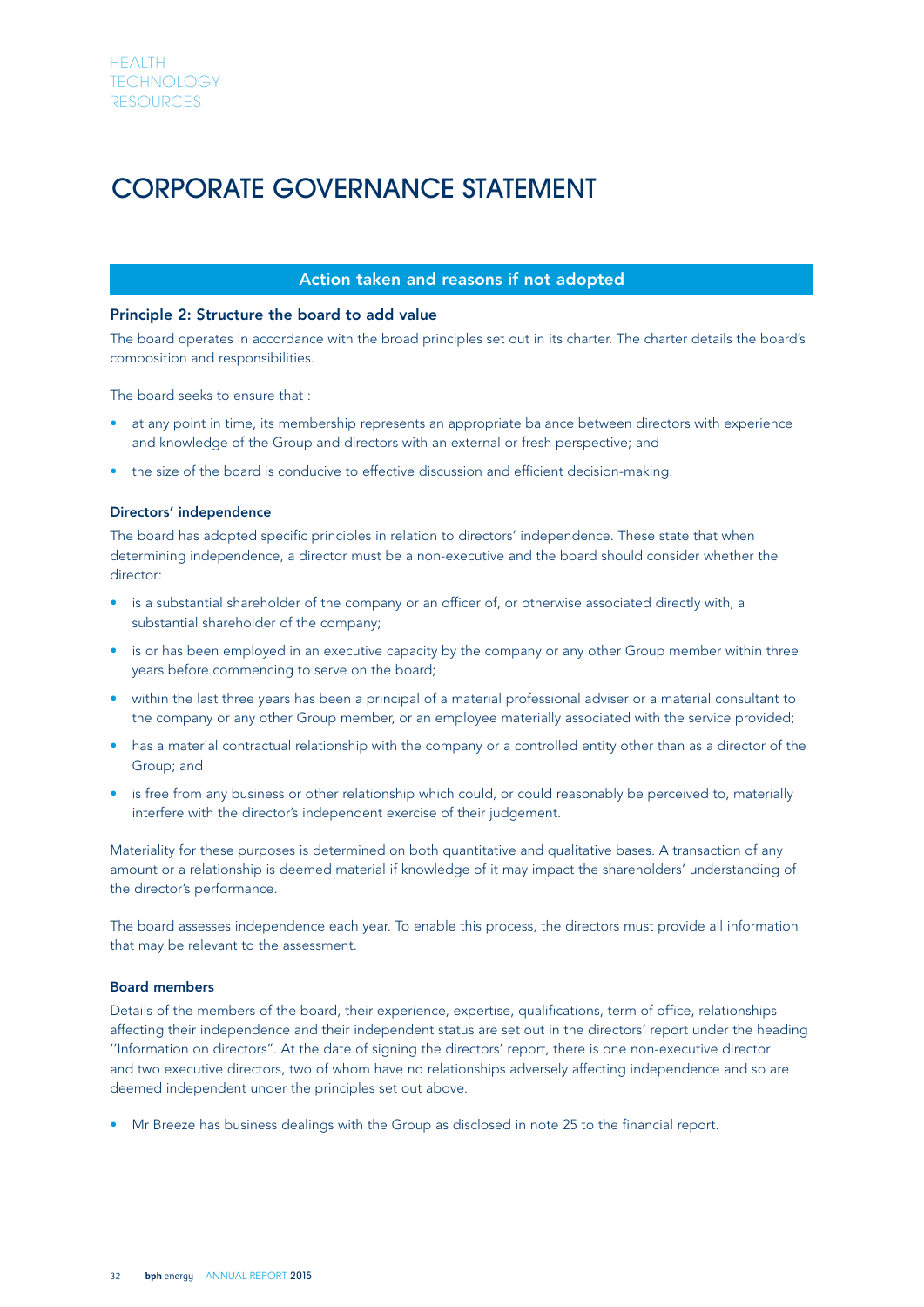# CORPORATE GOVERNANCE STATEMENT

#### Action taken and reasons if not adopted

#### Principle 2: Structure the board to add value

The board operates in accordance with the broad principles set out in its charter. The charter details the board's composition and responsibilities.

The board seeks to ensure that :

- at any point in time, its membership represents an appropriate balance between directors with experience and knowledge of the Group and directors with an external or fresh perspective; and
- the size of the board is conducive to effective discussion and efficient decision-making.

#### Directors' independence

The board has adopted specific principles in relation to directors' independence. These state that when determining independence, a director must be a non-executive and the board should consider whether the director:

- is a substantial shareholder of the company or an officer of, or otherwise associated directly with, a substantial shareholder of the company;
- is or has been employed in an executive capacity by the company or any other Group member within three years before commencing to serve on the board;
- within the last three years has been a principal of a material professional adviser or a material consultant to the company or any other Group member, or an employee materially associated with the service provided;
- has a material contractual relationship with the company or a controlled entity other than as a director of the Group; and
- is free from any business or other relationship which could, or could reasonably be perceived to, materially interfere with the director's independent exercise of their judgement.

Materiality for these purposes is determined on both quantitative and qualitative bases. A transaction of any amount or a relationship is deemed material if knowledge of it may impact the shareholders' understanding of the director's performance.

The board assesses independence each year. To enable this process, the directors must provide all information that may be relevant to the assessment.

#### Board members

Details of the members of the board, their experience, expertise, qualifications, term of office, relationships affecting their independence and their independent status are set out in the directors' report under the heading ''Information on directors''. At the date of signing the directors' report, there is one non-executive director and two executive directors, two of whom have no relationships adversely affecting independence and so are deemed independent under the principles set out above.

• Mr Breeze has business dealings with the Group as disclosed in note 25 to the financial report.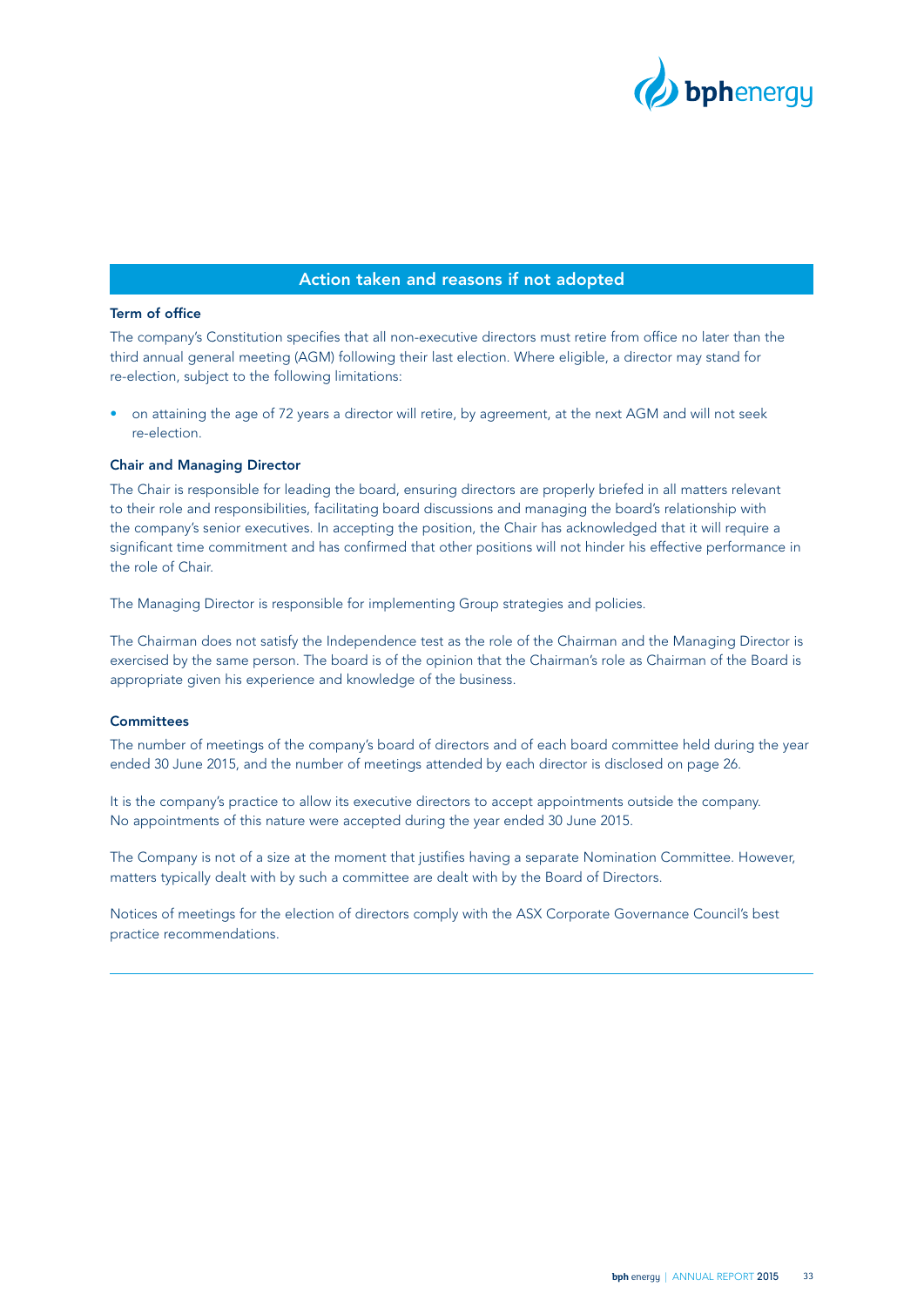

# Action taken and reasons if not adopted

#### Term of office

The company's Constitution specifies that all non-executive directors must retire from office no later than the third annual general meeting (AGM) following their last election. Where eligible, a director may stand for re-election, subject to the following limitations:

• on attaining the age of 72 years a director will retire, by agreement, at the next AGM and will not seek re-election.

#### Chair and Managing Director

The Chair is responsible for leading the board, ensuring directors are properly briefed in all matters relevant to their role and responsibilities, facilitating board discussions and managing the board's relationship with the company's senior executives. In accepting the position, the Chair has acknowledged that it will require a significant time commitment and has confirmed that other positions will not hinder his effective performance in the role of Chair.

The Managing Director is responsible for implementing Group strategies and policies.

The Chairman does not satisfy the Independence test as the role of the Chairman and the Managing Director is exercised by the same person. The board is of the opinion that the Chairman's role as Chairman of the Board is appropriate given his experience and knowledge of the business.

#### **Committees**

The number of meetings of the company's board of directors and of each board committee held during the year ended 30 June 2015, and the number of meetings attended by each director is disclosed on page 26.

It is the company's practice to allow its executive directors to accept appointments outside the company. No appointments of this nature were accepted during the year ended 30 June 2015.

The Company is not of a size at the moment that justifies having a separate Nomination Committee. However, matters typically dealt with by such a committee are dealt with by the Board of Directors.

Notices of meetings for the election of directors comply with the ASX Corporate Governance Council's best practice recommendations.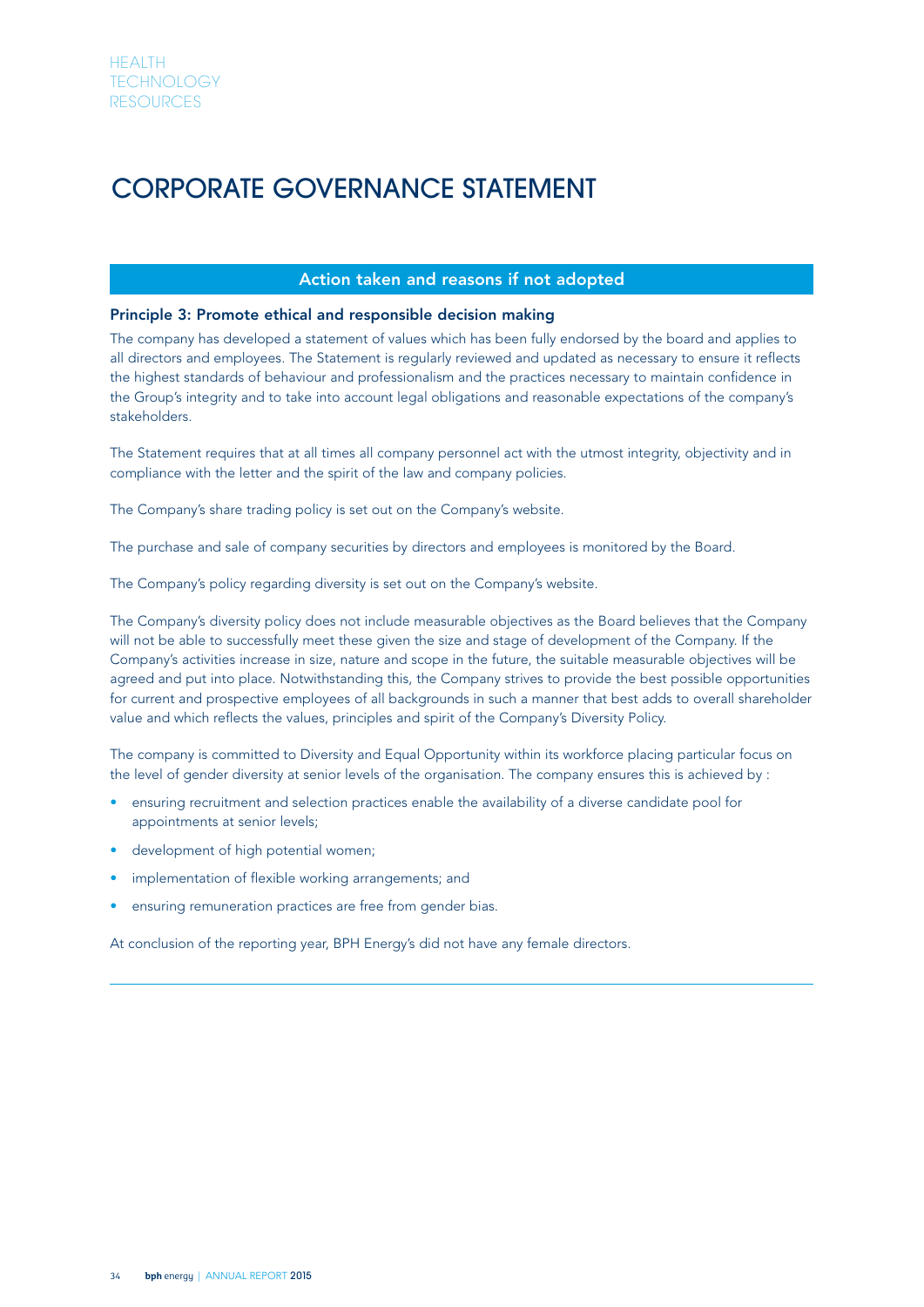# CORPORATE GOVERNANCE STATEMENT

### Action taken and reasons if not adopted

#### Principle 3: Promote ethical and responsible decision making

The company has developed a statement of values which has been fully endorsed by the board and applies to all directors and employees. The Statement is regularly reviewed and updated as necessary to ensure it reflects the highest standards of behaviour and professionalism and the practices necessary to maintain confidence in the Group's integrity and to take into account legal obligations and reasonable expectations of the company's stakeholders.

The Statement requires that at all times all company personnel act with the utmost integrity, objectivity and in compliance with the letter and the spirit of the law and company policies.

The Company's share trading policy is set out on the Company's website.

The purchase and sale of company securities by directors and employees is monitored by the Board.

The Company's policy regarding diversity is set out on the Company's website.

The Company's diversity policy does not include measurable objectives as the Board believes that the Company will not be able to successfully meet these given the size and stage of development of the Company. If the Company's activities increase in size, nature and scope in the future, the suitable measurable objectives will be agreed and put into place. Notwithstanding this, the Company strives to provide the best possible opportunities for current and prospective employees of all backgrounds in such a manner that best adds to overall shareholder value and which reflects the values, principles and spirit of the Company's Diversity Policy.

The company is committed to Diversity and Equal Opportunity within its workforce placing particular focus on the level of gender diversity at senior levels of the organisation. The company ensures this is achieved by :

- ensuring recruitment and selection practices enable the availability of a diverse candidate pool for appointments at senior levels;
- development of high potential women;
- implementation of flexible working arrangements; and
- ensuring remuneration practices are free from gender bias.

At conclusion of the reporting year, BPH Energy's did not have any female directors.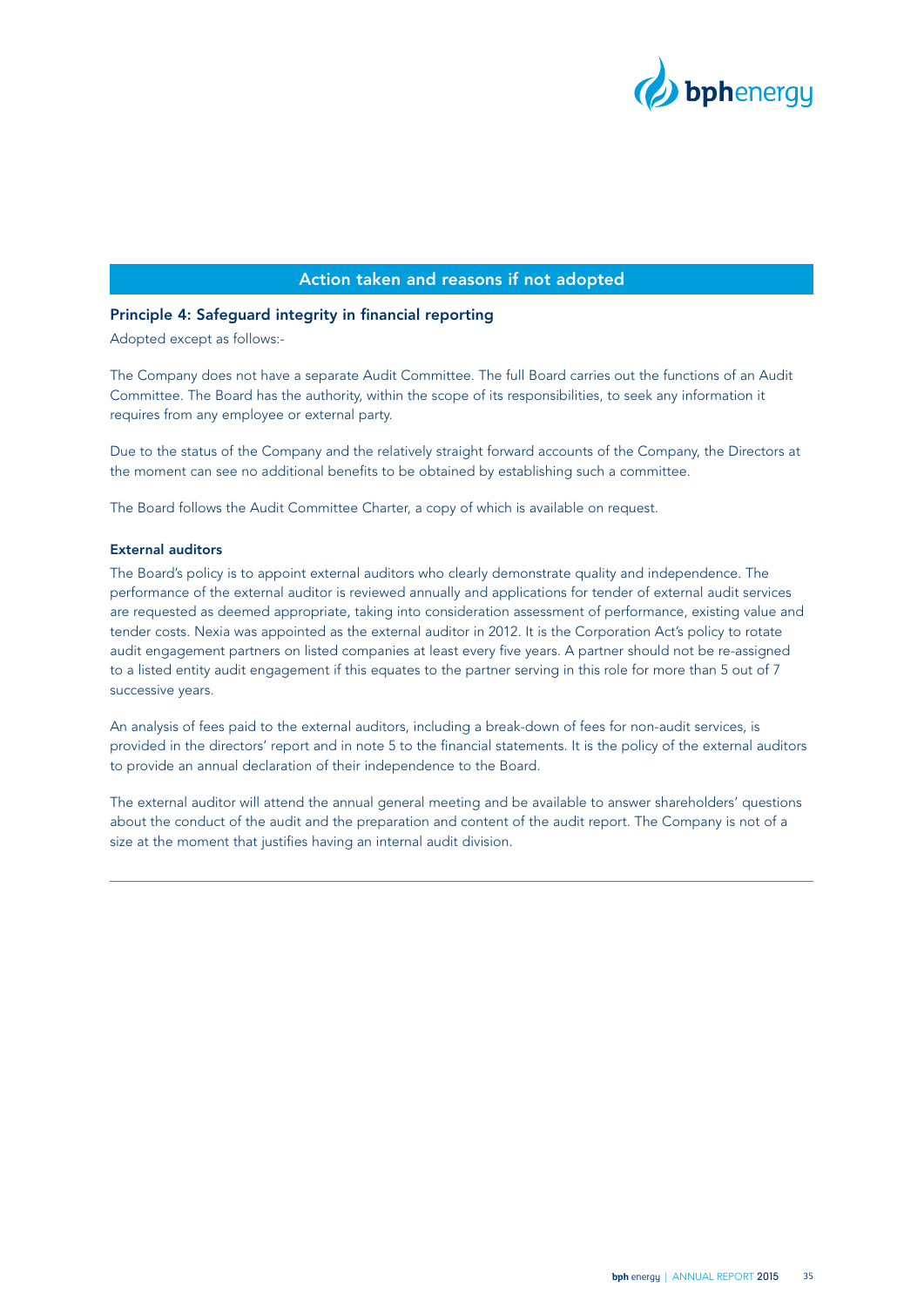

# Action taken and reasons if not adopted

### Principle 4: Safeguard integrity in financial reporting

Adopted except as follows:-

The Company does not have a separate Audit Committee. The full Board carries out the functions of an Audit Committee. The Board has the authority, within the scope of its responsibilities, to seek any information it requires from any employee or external party.

Due to the status of the Company and the relatively straight forward accounts of the Company, the Directors at the moment can see no additional benefits to be obtained by establishing such a committee.

The Board follows the Audit Committee Charter, a copy of which is available on request.

#### External auditors

The Board's policy is to appoint external auditors who clearly demonstrate quality and independence. The performance of the external auditor is reviewed annually and applications for tender of external audit services are requested as deemed appropriate, taking into consideration assessment of performance, existing value and tender costs. Nexia was appointed as the external auditor in 2012. It is the Corporation Act's policy to rotate audit engagement partners on listed companies at least every five years. A partner should not be re-assigned to a listed entity audit engagement if this equates to the partner serving in this role for more than 5 out of 7 successive years.

An analysis of fees paid to the external auditors, including a break-down of fees for non-audit services, is provided in the directors' report and in note 5 to the financial statements. It is the policy of the external auditors to provide an annual declaration of their independence to the Board.

The external auditor will attend the annual general meeting and be available to answer shareholders' questions about the conduct of the audit and the preparation and content of the audit report. The Company is not of a size at the moment that justifies having an internal audit division.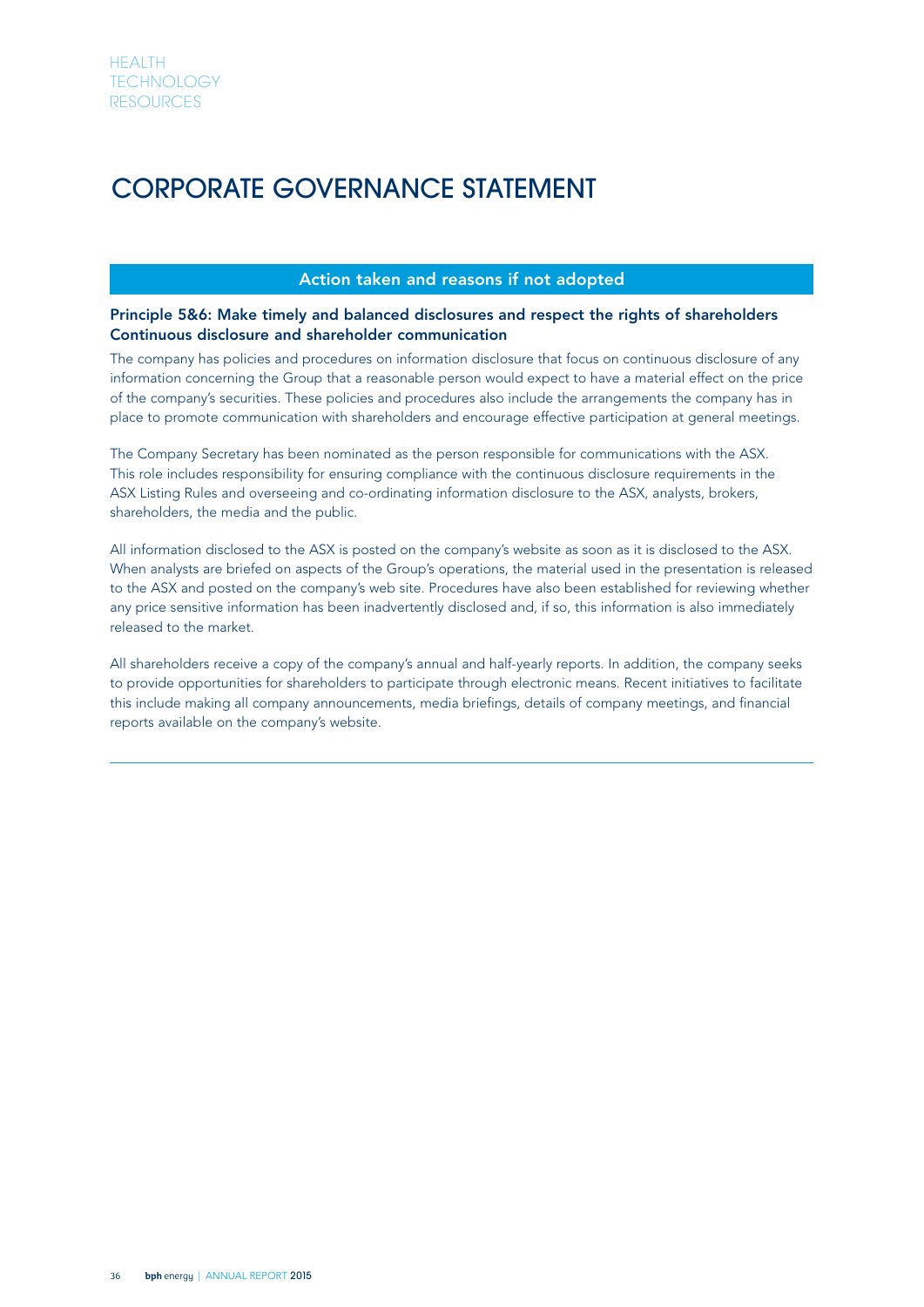# CORPORATE GOVERNANCE STATEMENT

### Action taken and reasons if not adopted

### Principle 5&6: Make timely and balanced disclosures and respect the rights of shareholders Continuous disclosure and shareholder communication

The company has policies and procedures on information disclosure that focus on continuous disclosure of any information concerning the Group that a reasonable person would expect to have a material effect on the price of the company's securities. These policies and procedures also include the arrangements the company has in place to promote communication with shareholders and encourage effective participation at general meetings.

The Company Secretary has been nominated as the person responsible for communications with the ASX. This role includes responsibility for ensuring compliance with the continuous disclosure requirements in the ASX Listing Rules and overseeing and co-ordinating information disclosure to the ASX, analysts, brokers, shareholders, the media and the public.

All information disclosed to the ASX is posted on the company's website as soon as it is disclosed to the ASX. When analysts are briefed on aspects of the Group's operations, the material used in the presentation is released to the ASX and posted on the company's web site. Procedures have also been established for reviewing whether any price sensitive information has been inadvertently disclosed and, if so, this information is also immediately released to the market.

All shareholders receive a copy of the company's annual and half-yearly reports. In addition, the company seeks to provide opportunities for shareholders to participate through electronic means. Recent initiatives to facilitate this include making all company announcements, media briefings, details of company meetings, and financial reports available on the company's website.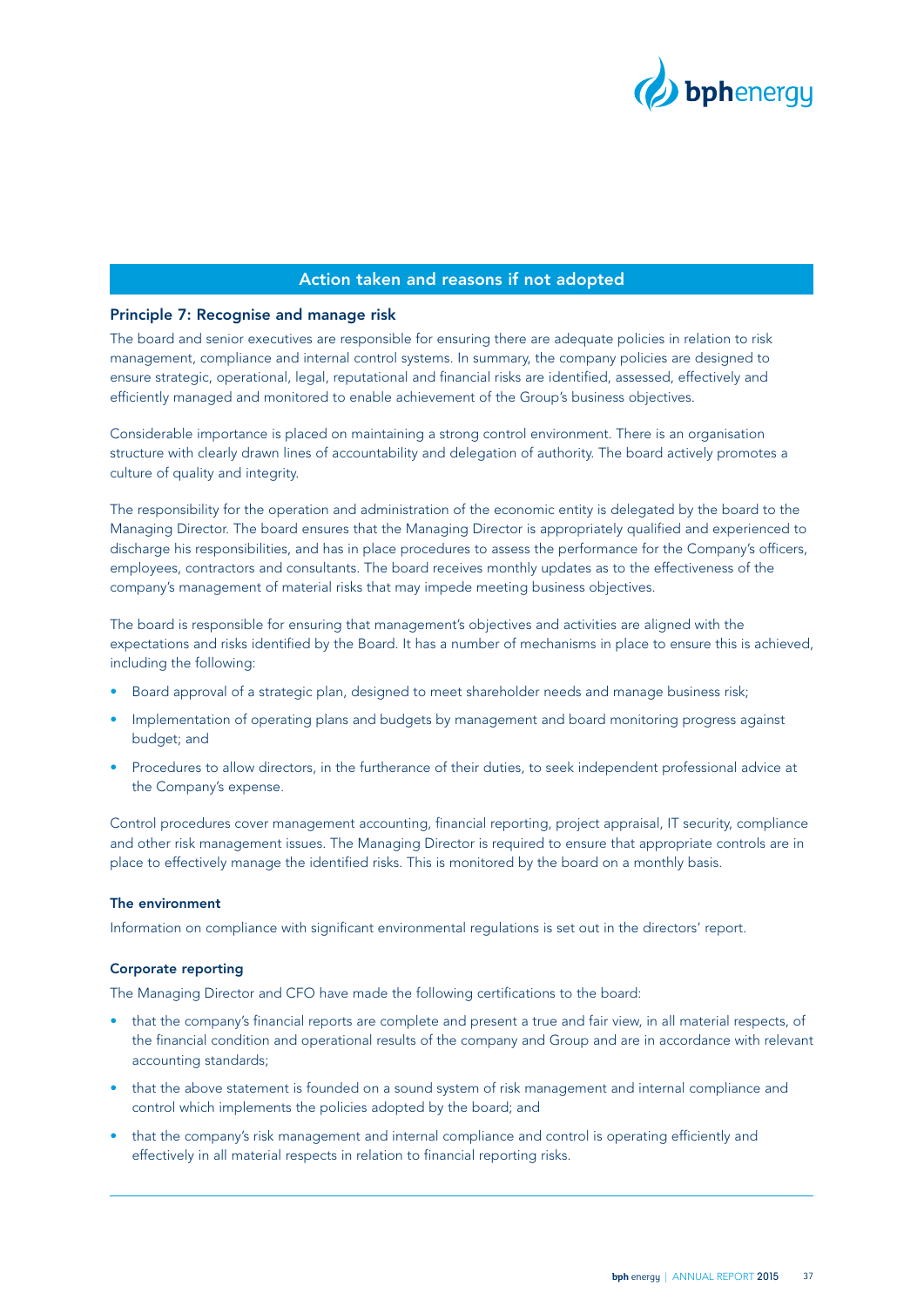

# Action taken and reasons if not adopted

#### Principle 7: Recognise and manage risk

The board and senior executives are responsible for ensuring there are adequate policies in relation to risk management, compliance and internal control systems. In summary, the company policies are designed to ensure strategic, operational, legal, reputational and financial risks are identified, assessed, effectively and efficiently managed and monitored to enable achievement of the Group's business objectives.

Considerable importance is placed on maintaining a strong control environment. There is an organisation structure with clearly drawn lines of accountability and delegation of authority. The board actively promotes a culture of quality and integrity.

The responsibility for the operation and administration of the economic entity is delegated by the board to the Managing Director. The board ensures that the Managing Director is appropriately qualified and experienced to discharge his responsibilities, and has in place procedures to assess the performance for the Company's officers, employees, contractors and consultants. The board receives monthly updates as to the effectiveness of the company's management of material risks that may impede meeting business objectives.

The board is responsible for ensuring that management's objectives and activities are aligned with the expectations and risks identified by the Board. It has a number of mechanisms in place to ensure this is achieved, including the following:

- Board approval of a strategic plan, designed to meet shareholder needs and manage business risk;
- Implementation of operating plans and budgets by management and board monitoring progress against budget; and
- Procedures to allow directors, in the furtherance of their duties, to seek independent professional advice at the Company's expense.

Control procedures cover management accounting, financial reporting, project appraisal, IT security, compliance and other risk management issues. The Managing Director is required to ensure that appropriate controls are in place to effectively manage the identified risks. This is monitored by the board on a monthly basis.

#### The environment

Information on compliance with significant environmental regulations is set out in the directors' report.

#### Corporate reporting

The Managing Director and CFO have made the following certifications to the board:

- that the company's financial reports are complete and present a true and fair view, in all material respects, of the financial condition and operational results of the company and Group and are in accordance with relevant accounting standards;
- that the above statement is founded on a sound system of risk management and internal compliance and control which implements the policies adopted by the board; and
- that the company's risk management and internal compliance and control is operating efficiently and effectively in all material respects in relation to financial reporting risks.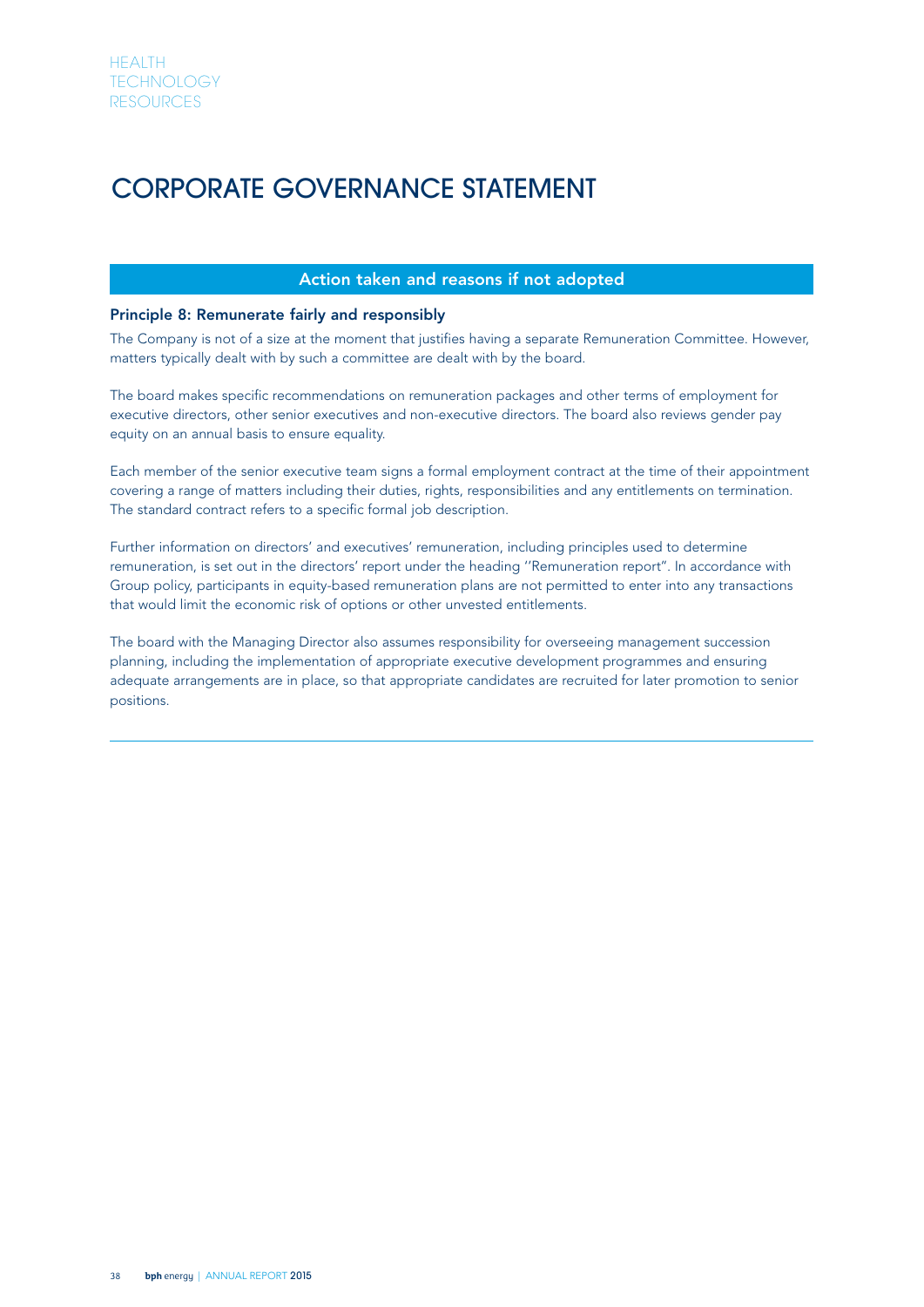# CORPORATE GOVERNANCE STATEMENT

### Action taken and reasons if not adopted

#### Principle 8: Remunerate fairly and responsibly

The Company is not of a size at the moment that justifies having a separate Remuneration Committee. However, matters typically dealt with by such a committee are dealt with by the board.

The board makes specific recommendations on remuneration packages and other terms of employment for executive directors, other senior executives and non-executive directors. The board also reviews gender pay equity on an annual basis to ensure equality.

Each member of the senior executive team signs a formal employment contract at the time of their appointment covering a range of matters including their duties, rights, responsibilities and any entitlements on termination. The standard contract refers to a specific formal job description.

Further information on directors' and executives' remuneration, including principles used to determine remuneration, is set out in the directors' report under the heading ''Remuneration report''. In accordance with Group policy, participants in equity-based remuneration plans are not permitted to enter into any transactions that would limit the economic risk of options or other unvested entitlements.

The board with the Managing Director also assumes responsibility for overseeing management succession planning, including the implementation of appropriate executive development programmes and ensuring adequate arrangements are in place, so that appropriate candidates are recruited for later promotion to senior positions.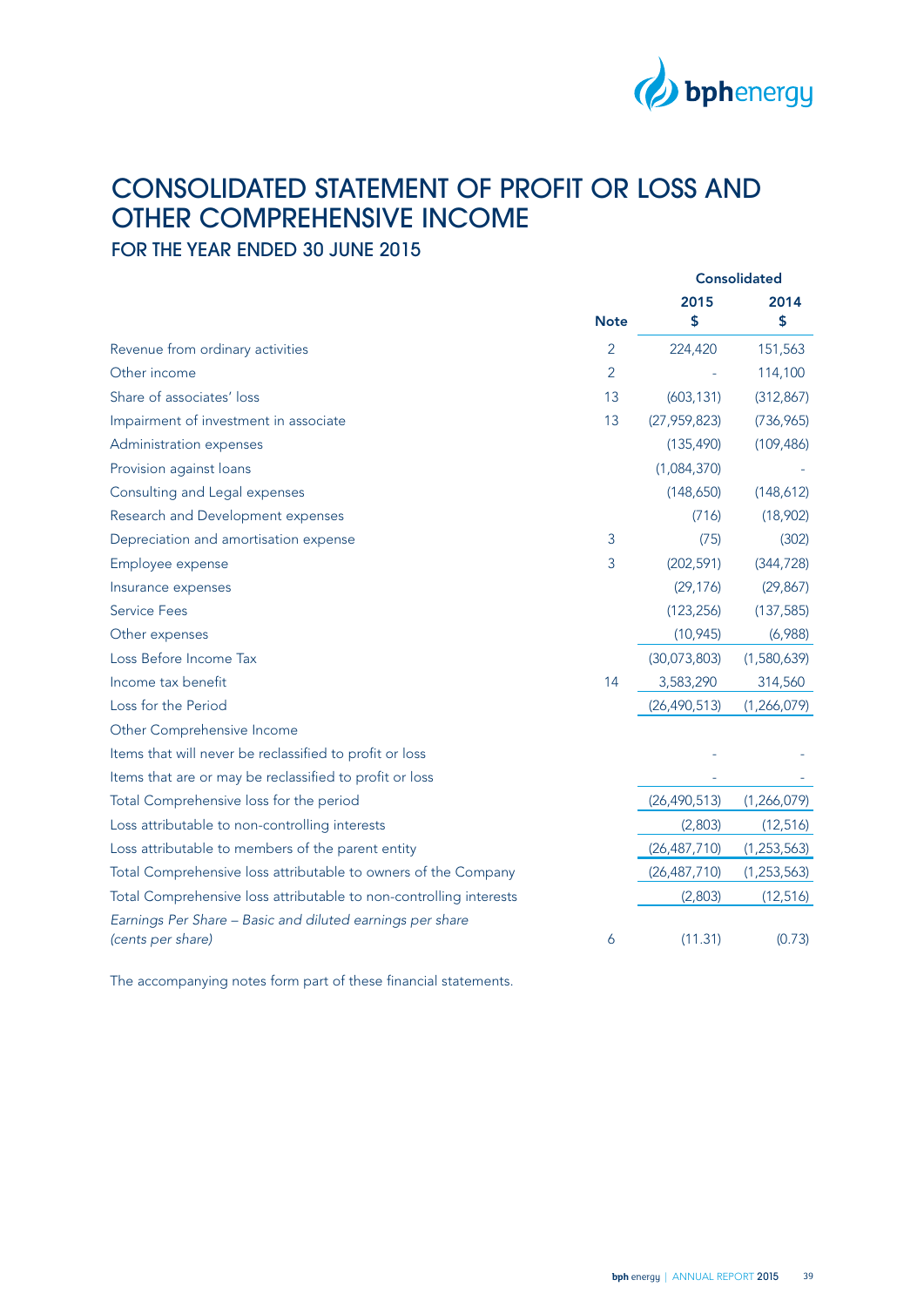

# CONSOLIDATED STATEMENT OF PROFIT OR LOSS AND OTHER COMPREHENSIVE INCOME

FOR THE YEAR ENDED 30 JUNE 2015

|                                                                                |                |                | <b>Consolidated</b> |
|--------------------------------------------------------------------------------|----------------|----------------|---------------------|
|                                                                                |                | 2015           | 2014                |
|                                                                                | <b>Note</b>    | \$             | \$                  |
| Revenue from ordinary activities                                               | $\overline{2}$ | 224,420        | 151,563             |
| Other income                                                                   | $\overline{2}$ |                | 114,100             |
| Share of associates' loss                                                      | 13             | (603, 131)     | (312, 867)          |
| Impairment of investment in associate                                          | 13             | (27, 959, 823) | (736, 965)          |
| Administration expenses                                                        |                | (135, 490)     | (109, 486)          |
| Provision against loans                                                        |                | (1,084,370)    |                     |
| Consulting and Legal expenses                                                  |                | (148, 650)     | (148, 612)          |
| Research and Development expenses                                              |                | (716)          | (18,902)            |
| Depreciation and amortisation expense                                          | 3              | (75)           | (302)               |
| Employee expense                                                               | 3              | (202, 591)     | (344, 728)          |
| Insurance expenses                                                             |                | (29, 176)      | (29, 867)           |
| <b>Service Fees</b>                                                            |                | (123, 256)     | (137, 585)          |
| Other expenses                                                                 |                | (10, 945)      | (6,988)             |
| Loss Before Income Tax                                                         |                | (30,073,803)   | (1,580,639)         |
| Income tax benefit                                                             | 14             | 3,583,290      | 314,560             |
| Loss for the Period                                                            |                | (26, 490, 513) | (1,266,079)         |
| Other Comprehensive Income                                                     |                |                |                     |
| Items that will never be reclassified to profit or loss                        |                |                |                     |
| Items that are or may be reclassified to profit or loss                        |                |                |                     |
| Total Comprehensive loss for the period                                        |                | (26, 490, 513) | (1,266,079)         |
| Loss attributable to non-controlling interests                                 |                | (2,803)        | (12, 516)           |
| Loss attributable to members of the parent entity                              |                | (26, 487, 710) | (1, 253, 563)       |
| Total Comprehensive loss attributable to owners of the Company                 |                | (26, 487, 710) | (1, 253, 563)       |
| Total Comprehensive loss attributable to non-controlling interests             |                | (2,803)        | (12, 516)           |
| Earnings Per Share - Basic and diluted earnings per share<br>(cents per share) | 6              | (11.31)        | (0.73)              |
|                                                                                |                |                |                     |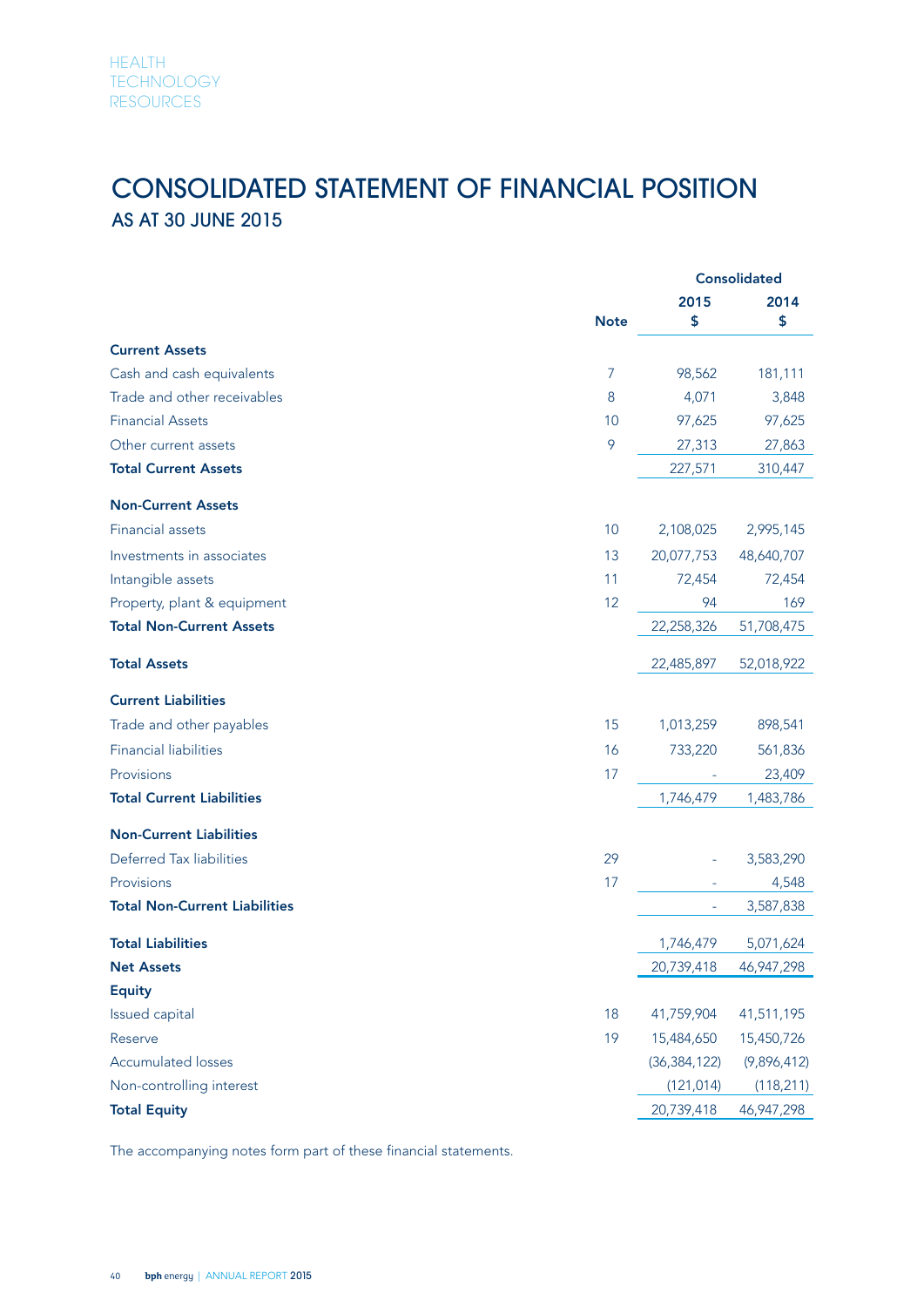# CONSOLIDATED STATEMENT OF FINANCIAL POSITION AS AT 30 JUNE 2015

|                                      |             |                | <b>Consolidated</b> |  |  |
|--------------------------------------|-------------|----------------|---------------------|--|--|
|                                      |             | 2015           | 2014                |  |  |
|                                      | <b>Note</b> | \$             | \$                  |  |  |
| <b>Current Assets</b>                |             |                |                     |  |  |
| Cash and cash equivalents            | 7           | 98,562         | 181,111             |  |  |
| Trade and other receivables          | 8           | 4,071          | 3,848               |  |  |
| <b>Financial Assets</b>              | 10          | 97,625         | 97,625              |  |  |
| Other current assets                 | 9           | 27,313         | 27,863              |  |  |
| <b>Total Current Assets</b>          |             | 227,571        | 310,447             |  |  |
| <b>Non-Current Assets</b>            |             |                |                     |  |  |
| Financial assets                     | 10          | 2,108,025      | 2,995,145           |  |  |
| Investments in associates            | 13          | 20,077,753     | 48,640,707          |  |  |
| Intangible assets                    | 11          | 72,454         | 72,454              |  |  |
| Property, plant & equipment          | 12          | 94             | 169                 |  |  |
| <b>Total Non-Current Assets</b>      |             | 22,258,326     | 51,708,475          |  |  |
| <b>Total Assets</b>                  |             | 22,485,897     | 52,018,922          |  |  |
| <b>Current Liabilities</b>           |             |                |                     |  |  |
| Trade and other payables             | 15          | 1,013,259      | 898,541             |  |  |
| <b>Financial liabilities</b>         | 16          | 733,220        | 561,836             |  |  |
| Provisions                           | 17          |                | 23,409              |  |  |
| <b>Total Current Liabilities</b>     |             | 1,746,479      | 1,483,786           |  |  |
| <b>Non-Current Liabilities</b>       |             |                |                     |  |  |
| Deferred Tax liabilities             | 29          |                | 3,583,290           |  |  |
| Provisions                           | 17          |                | 4,548               |  |  |
| <b>Total Non-Current Liabilities</b> |             |                | 3,587,838           |  |  |
| <b>Total Liabilities</b>             |             | 1,746,479      | 5,071,624           |  |  |
| <b>Net Assets</b>                    |             | 20,739,418     | 46,947,298          |  |  |
| <b>Equity</b>                        |             |                |                     |  |  |
| Issued capital                       | 18          | 41,759,904     | 41,511,195          |  |  |
| Reserve                              | 19          | 15,484,650     | 15,450,726          |  |  |
| <b>Accumulated losses</b>            |             | (36, 384, 122) | (9,896,412)         |  |  |
| Non-controlling interest             |             | (121, 014)     | (118, 211)          |  |  |
| <b>Total Equity</b>                  |             | 20,739,418     | 46,947,298          |  |  |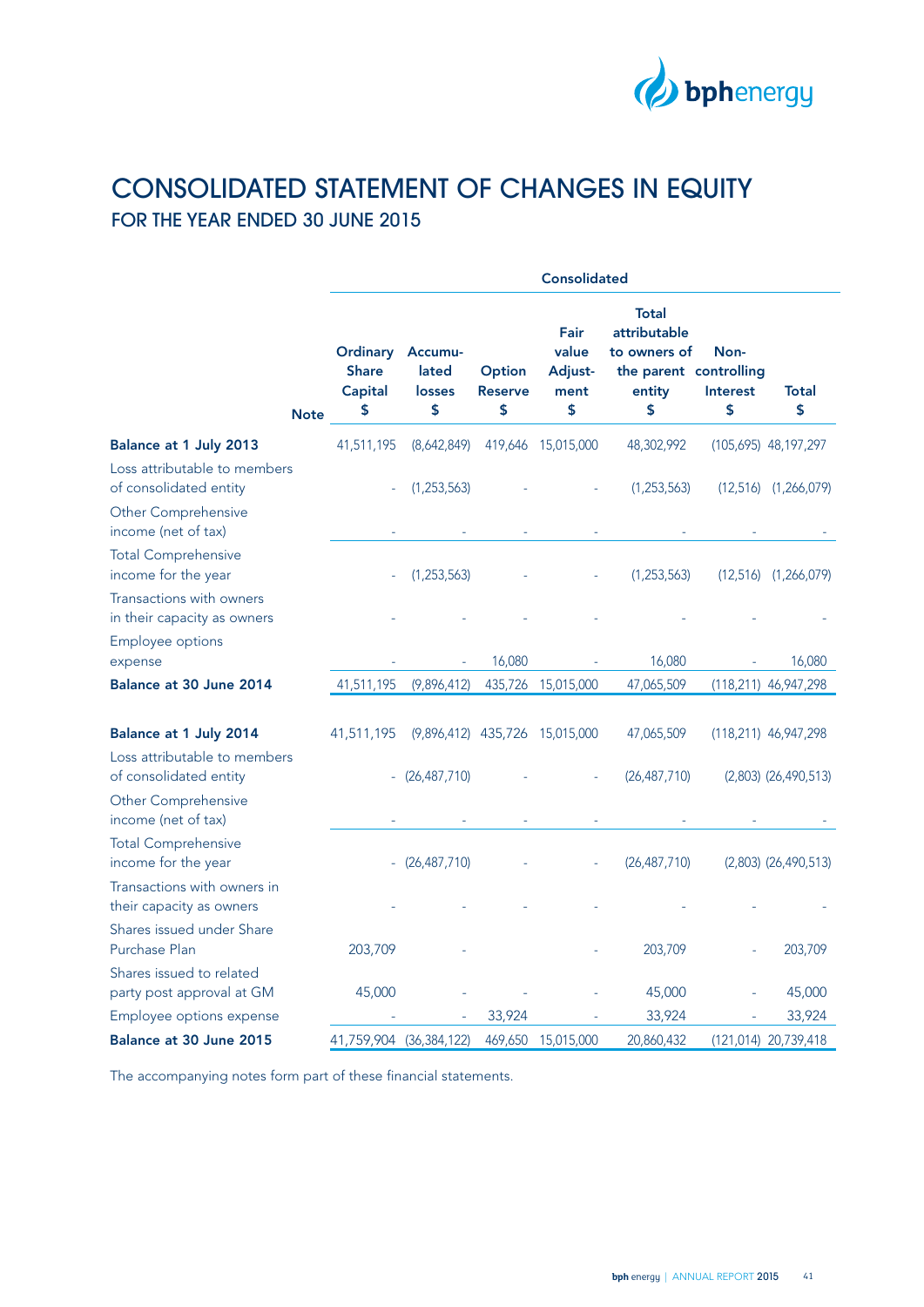

# CONSOLIDATED STATEMENT OF CHANGES IN EQUITY FOR THE YEAR ENDED 30 JUNE 2015

|                                                         |             | <b>Consolidated</b>                              |                                  |                                |                                        |                                                                                        |                        |                          |  |
|---------------------------------------------------------|-------------|--------------------------------------------------|----------------------------------|--------------------------------|----------------------------------------|----------------------------------------------------------------------------------------|------------------------|--------------------------|--|
|                                                         | <b>Note</b> | Ordinary<br><b>Share</b><br><b>Capital</b><br>\$ | Accumu-<br>lated<br>losses<br>\$ | Option<br><b>Reserve</b><br>\$ | Fair<br>value<br>Adjust-<br>ment<br>\$ | <b>Total</b><br>attributable<br>to owners of<br>the parent controlling<br>entity<br>\$ | Non-<br>Interest<br>\$ | Total<br>\$              |  |
| Balance at 1 July 2013                                  |             | 41,511,195                                       | (8,642,849)                      | 419,646                        | 15,015,000                             | 48,302,992                                                                             |                        | $(105,695)$ 48,197,297   |  |
| Loss attributable to members<br>of consolidated entity  |             |                                                  | (1, 253, 563)                    |                                |                                        | (1, 253, 563)                                                                          |                        | $(12,516)$ $(1,266,079)$ |  |
| Other Comprehensive<br>income (net of tax)              |             |                                                  |                                  |                                |                                        |                                                                                        |                        |                          |  |
| <b>Total Comprehensive</b><br>income for the year       |             |                                                  | (1, 253, 563)                    |                                |                                        | (1, 253, 563)                                                                          |                        | $(12,516)$ $(1,266,079)$ |  |
| Transactions with owners<br>in their capacity as owners |             |                                                  |                                  |                                |                                        |                                                                                        |                        |                          |  |
| Employee options<br>expense                             |             |                                                  |                                  | 16,080                         |                                        | 16,080                                                                                 |                        | 16,080                   |  |
| Balance at 30 June 2014                                 |             | 41,511,195                                       | (9,896,412)                      | 435,726                        | 15,015,000                             | 47,065,509                                                                             |                        | (118,211) 46,947,298     |  |
| Balance at 1 July 2014                                  |             | 41,511,195                                       |                                  |                                | (9,896,412) 435,726 15,015,000         | 47,065,509                                                                             |                        | (118,211) 46,947,298     |  |
| Loss attributable to members<br>of consolidated entity  |             |                                                  | (26, 487, 710)                   |                                |                                        | (26, 487, 710)                                                                         |                        | $(2,803)$ $(26,490,513)$ |  |
| <b>Other Comprehensive</b><br>income (net of tax)       |             |                                                  |                                  |                                |                                        |                                                                                        |                        |                          |  |
| <b>Total Comprehensive</b><br>income for the year       |             |                                                  | (26, 487, 710)                   |                                |                                        | (26, 487, 710)                                                                         |                        | $(2,803)$ $(26,490,513)$ |  |
| Transactions with owners in<br>their capacity as owners |             |                                                  |                                  |                                |                                        |                                                                                        |                        |                          |  |
| Shares issued under Share<br>Purchase Plan              |             | 203,709                                          |                                  |                                |                                        | 203,709                                                                                |                        | 203,709                  |  |
| Shares issued to related<br>party post approval at GM   |             | 45,000                                           |                                  |                                |                                        | 45,000                                                                                 |                        | 45,000                   |  |
| Employee options expense                                |             |                                                  |                                  | 33,924                         |                                        | 33,924                                                                                 |                        | 33,924                   |  |
| Balance at 30 June 2015                                 |             | 41,759,904 (36,384,122)                          |                                  | 469,650                        | 15,015,000                             | 20,860,432                                                                             |                        | (121,014) 20,739,418     |  |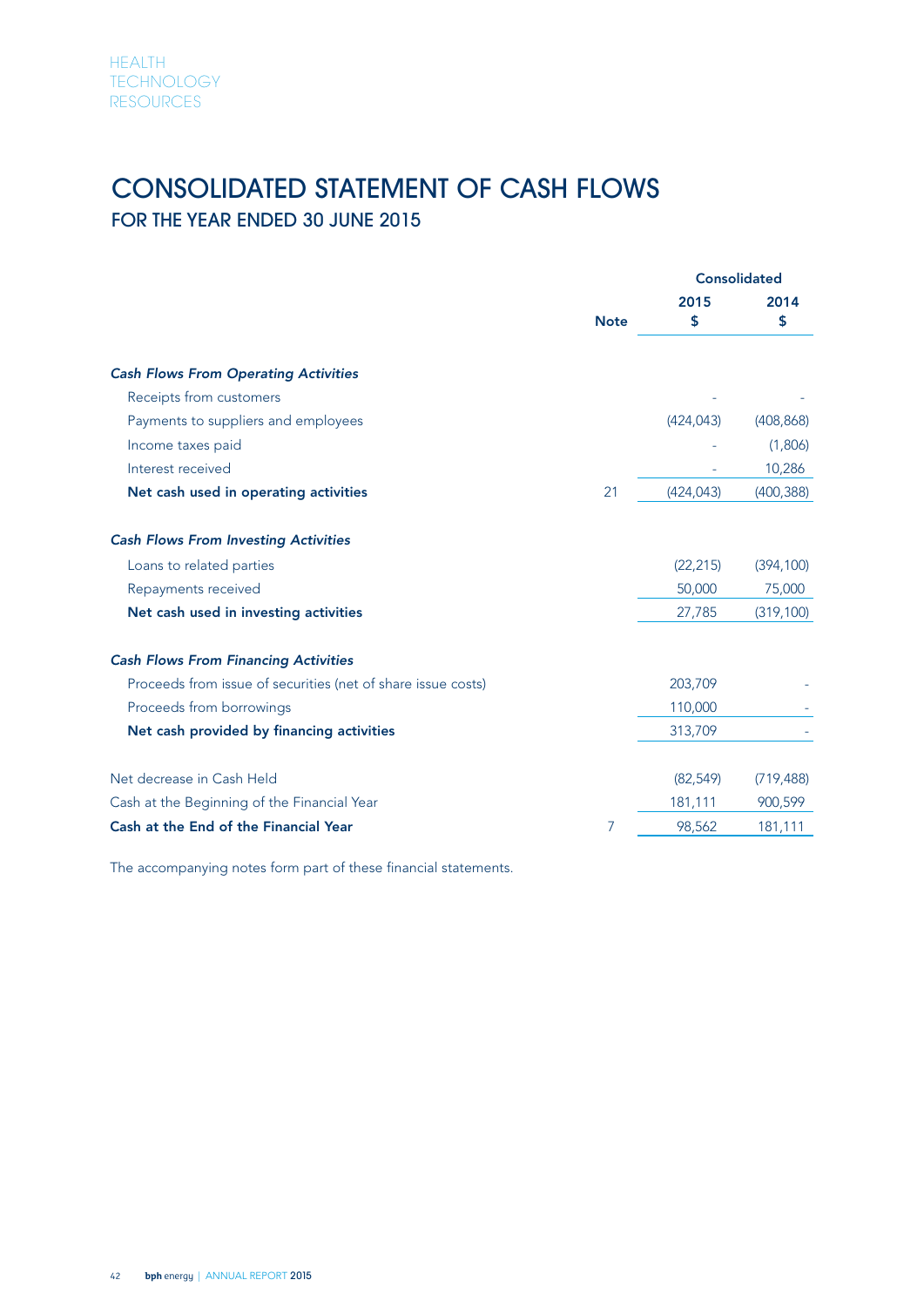# CONSOLIDATED STATEMENT OF CASH FLOWS FOR THE YEAR ENDED 30 JUNE 2015

| 2015<br>2014<br>\$<br>\$<br><b>Note</b><br><b>Cash Flows From Operating Activities</b><br>Receipts from customers<br>(424, 043)<br>(408, 868)<br>Payments to suppliers and employees<br>Income taxes paid<br>(1,806)<br>Interest received<br>10,286<br>Net cash used in operating activities<br>21<br>(424, 043)<br>(400, 388)<br><b>Cash Flows From Investing Activities</b><br>Loans to related parties<br>(22, 215)<br>(394, 100)<br>Repayments received<br>50,000<br>75,000<br>Net cash used in investing activities<br>27,785<br>(319, 100)<br><b>Cash Flows From Financing Activities</b><br>Proceeds from issue of securities (net of share issue costs)<br>203,709<br>Proceeds from borrowings<br>110,000<br>Net cash provided by financing activities<br>313,709<br>Net decrease in Cash Held<br>(82, 549)<br>(719, 488)<br>Cash at the Beginning of the Financial Year<br>181,111<br>900,599<br>Cash at the End of the Financial Year<br>7<br>98,562<br>181,111 |  | <b>Consolidated</b> |  |  |
|---------------------------------------------------------------------------------------------------------------------------------------------------------------------------------------------------------------------------------------------------------------------------------------------------------------------------------------------------------------------------------------------------------------------------------------------------------------------------------------------------------------------------------------------------------------------------------------------------------------------------------------------------------------------------------------------------------------------------------------------------------------------------------------------------------------------------------------------------------------------------------------------------------------------------------------------------------------------------|--|---------------------|--|--|
|                                                                                                                                                                                                                                                                                                                                                                                                                                                                                                                                                                                                                                                                                                                                                                                                                                                                                                                                                                           |  |                     |  |  |
|                                                                                                                                                                                                                                                                                                                                                                                                                                                                                                                                                                                                                                                                                                                                                                                                                                                                                                                                                                           |  |                     |  |  |
|                                                                                                                                                                                                                                                                                                                                                                                                                                                                                                                                                                                                                                                                                                                                                                                                                                                                                                                                                                           |  |                     |  |  |
|                                                                                                                                                                                                                                                                                                                                                                                                                                                                                                                                                                                                                                                                                                                                                                                                                                                                                                                                                                           |  |                     |  |  |
|                                                                                                                                                                                                                                                                                                                                                                                                                                                                                                                                                                                                                                                                                                                                                                                                                                                                                                                                                                           |  |                     |  |  |
|                                                                                                                                                                                                                                                                                                                                                                                                                                                                                                                                                                                                                                                                                                                                                                                                                                                                                                                                                                           |  |                     |  |  |
|                                                                                                                                                                                                                                                                                                                                                                                                                                                                                                                                                                                                                                                                                                                                                                                                                                                                                                                                                                           |  |                     |  |  |
|                                                                                                                                                                                                                                                                                                                                                                                                                                                                                                                                                                                                                                                                                                                                                                                                                                                                                                                                                                           |  |                     |  |  |
|                                                                                                                                                                                                                                                                                                                                                                                                                                                                                                                                                                                                                                                                                                                                                                                                                                                                                                                                                                           |  |                     |  |  |
|                                                                                                                                                                                                                                                                                                                                                                                                                                                                                                                                                                                                                                                                                                                                                                                                                                                                                                                                                                           |  |                     |  |  |
|                                                                                                                                                                                                                                                                                                                                                                                                                                                                                                                                                                                                                                                                                                                                                                                                                                                                                                                                                                           |  |                     |  |  |
|                                                                                                                                                                                                                                                                                                                                                                                                                                                                                                                                                                                                                                                                                                                                                                                                                                                                                                                                                                           |  |                     |  |  |
|                                                                                                                                                                                                                                                                                                                                                                                                                                                                                                                                                                                                                                                                                                                                                                                                                                                                                                                                                                           |  |                     |  |  |
|                                                                                                                                                                                                                                                                                                                                                                                                                                                                                                                                                                                                                                                                                                                                                                                                                                                                                                                                                                           |  |                     |  |  |
|                                                                                                                                                                                                                                                                                                                                                                                                                                                                                                                                                                                                                                                                                                                                                                                                                                                                                                                                                                           |  |                     |  |  |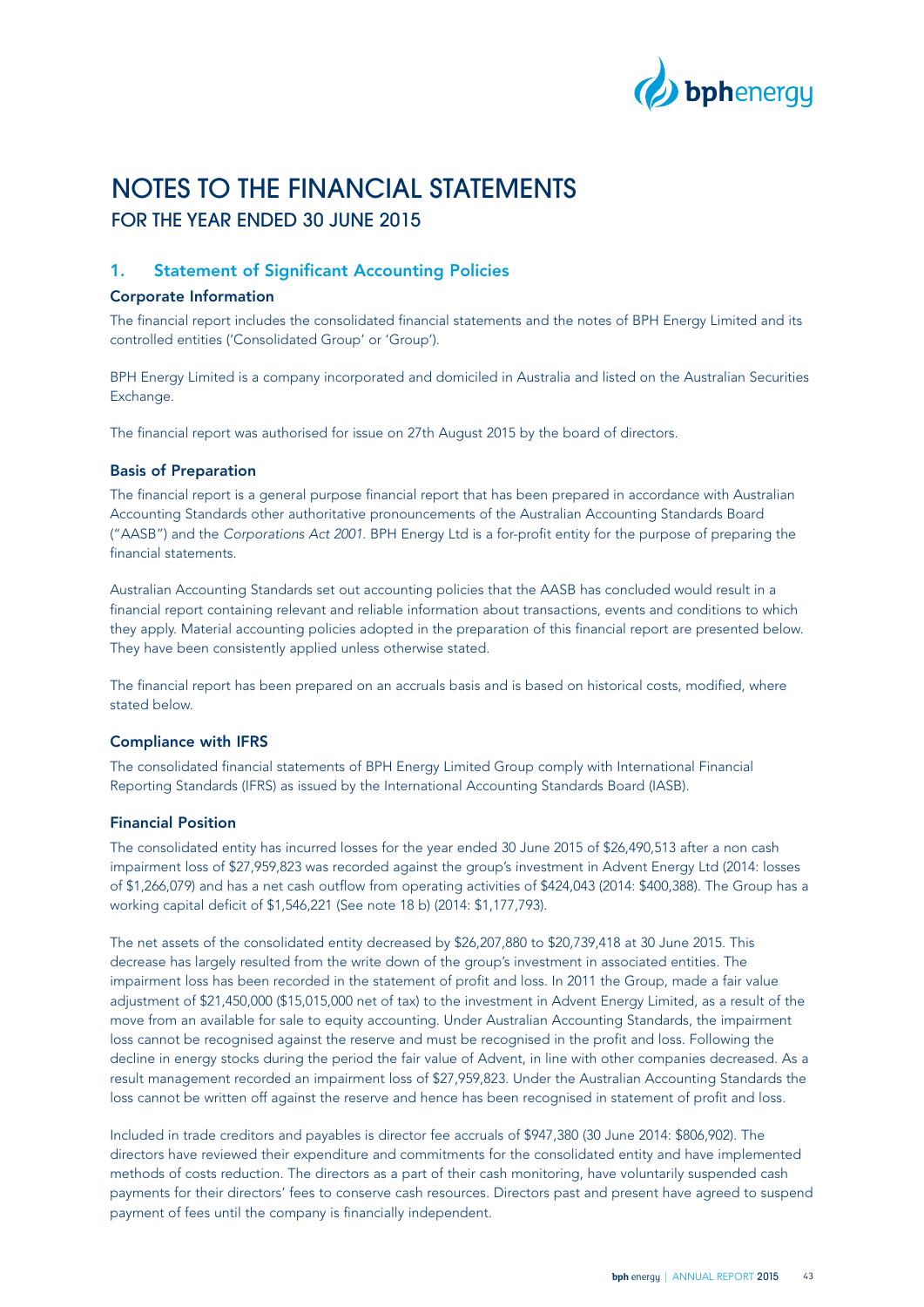

## 1. Statement of Significant Accounting Policies

### Corporate Information

The financial report includes the consolidated financial statements and the notes of BPH Energy Limited and its controlled entities ('Consolidated Group' or 'Group').

BPH Energy Limited is a company incorporated and domiciled in Australia and listed on the Australian Securities Exchange.

The financial report was authorised for issue on 27th August 2015 by the board of directors.

### Basis of Preparation

The financial report is a general purpose financial report that has been prepared in accordance with Australian Accounting Standards other authoritative pronouncements of the Australian Accounting Standards Board ("AASB") and the *Corporations Act 2001*. BPH Energy Ltd is a for-profit entity for the purpose of preparing the financial statements.

Australian Accounting Standards set out accounting policies that the AASB has concluded would result in a financial report containing relevant and reliable information about transactions, events and conditions to which they apply. Material accounting policies adopted in the preparation of this financial report are presented below. They have been consistently applied unless otherwise stated.

The financial report has been prepared on an accruals basis and is based on historical costs, modified, where stated below.

#### Compliance with IFRS

The consolidated financial statements of BPH Energy Limited Group comply with International Financial Reporting Standards (IFRS) as issued by the International Accounting Standards Board (IASB).

#### Financial Position

The consolidated entity has incurred losses for the year ended 30 June 2015 of \$26,490,513 after a non cash impairment loss of \$27,959,823 was recorded against the group's investment in Advent Energy Ltd (2014: losses of \$1,266,079) and has a net cash outflow from operating activities of \$424,043 (2014: \$400,388). The Group has a working capital deficit of \$1,546,221 (See note 18 b) (2014: \$1,177,793).

The net assets of the consolidated entity decreased by \$26,207,880 to \$20,739,418 at 30 June 2015. This decrease has largely resulted from the write down of the group's investment in associated entities. The impairment loss has been recorded in the statement of profit and loss. In 2011 the Group, made a fair value adjustment of \$21,450,000 (\$15,015,000 net of tax) to the investment in Advent Energy Limited, as a result of the move from an available for sale to equity accounting. Under Australian Accounting Standards, the impairment loss cannot be recognised against the reserve and must be recognised in the profit and loss. Following the decline in energy stocks during the period the fair value of Advent, in line with other companies decreased. As a result management recorded an impairment loss of \$27,959,823. Under the Australian Accounting Standards the loss cannot be written off against the reserve and hence has been recognised in statement of profit and loss.

Included in trade creditors and payables is director fee accruals of \$947,380 (30 June 2014: \$806,902). The directors have reviewed their expenditure and commitments for the consolidated entity and have implemented methods of costs reduction. The directors as a part of their cash monitoring, have voluntarily suspended cash payments for their directors' fees to conserve cash resources. Directors past and present have agreed to suspend payment of fees until the company is financially independent.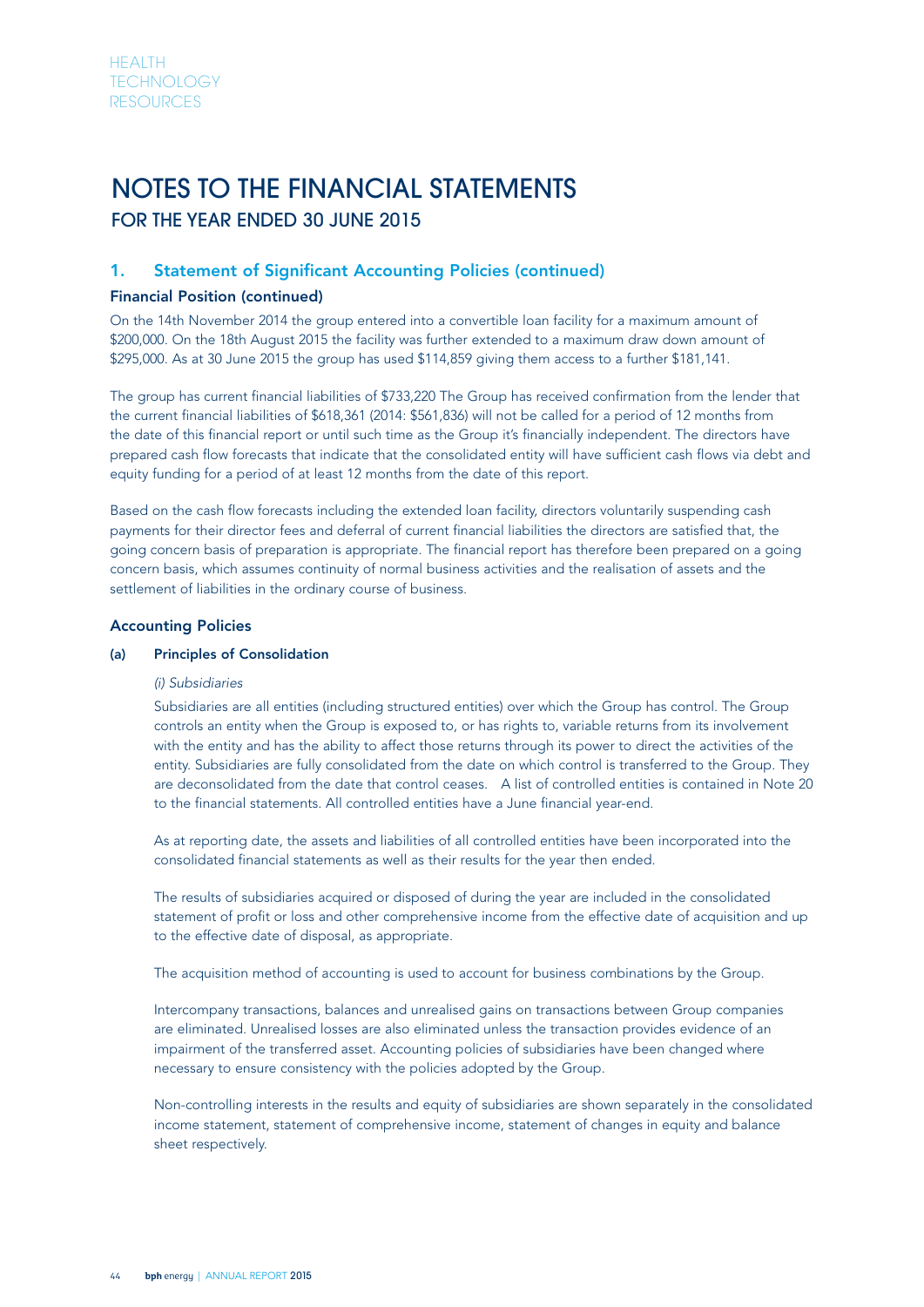# 1. Statement of Significant Accounting Policies (continued)

### Financial Position (continued)

On the 14th November 2014 the group entered into a convertible loan facility for a maximum amount of \$200,000. On the 18th August 2015 the facility was further extended to a maximum draw down amount of \$295,000. As at 30 June 2015 the group has used \$114,859 giving them access to a further \$181,141.

The group has current financial liabilities of \$733,220 The Group has received confirmation from the lender that the current financial liabilities of \$618,361 (2014: \$561,836) will not be called for a period of 12 months from the date of this financial report or until such time as the Group it's financially independent. The directors have prepared cash flow forecasts that indicate that the consolidated entity will have sufficient cash flows via debt and equity funding for a period of at least 12 months from the date of this report.

Based on the cash flow forecasts including the extended loan facility, directors voluntarily suspending cash payments for their director fees and deferral of current financial liabilities the directors are satisfied that, the going concern basis of preparation is appropriate. The financial report has therefore been prepared on a going concern basis, which assumes continuity of normal business activities and the realisation of assets and the settlement of liabilities in the ordinary course of business.

#### Accounting Policies

### (a) Principles of Consolidation

#### *(i) Subsidiaries*

Subsidiaries are all entities (including structured entities) over which the Group has control. The Group controls an entity when the Group is exposed to, or has rights to, variable returns from its involvement with the entity and has the ability to affect those returns through its power to direct the activities of the entity. Subsidiaries are fully consolidated from the date on which control is transferred to the Group. They are deconsolidated from the date that control ceases. A list of controlled entities is contained in Note 20 to the financial statements. All controlled entities have a June financial year-end.

As at reporting date, the assets and liabilities of all controlled entities have been incorporated into the consolidated financial statements as well as their results for the year then ended.

The results of subsidiaries acquired or disposed of during the year are included in the consolidated statement of profit or loss and other comprehensive income from the effective date of acquisition and up to the effective date of disposal, as appropriate.

The acquisition method of accounting is used to account for business combinations by the Group.

Intercompany transactions, balances and unrealised gains on transactions between Group companies are eliminated. Unrealised losses are also eliminated unless the transaction provides evidence of an impairment of the transferred asset. Accounting policies of subsidiaries have been changed where necessary to ensure consistency with the policies adopted by the Group.

Non-controlling interests in the results and equity of subsidiaries are shown separately in the consolidated income statement, statement of comprehensive income, statement of changes in equity and balance sheet respectively.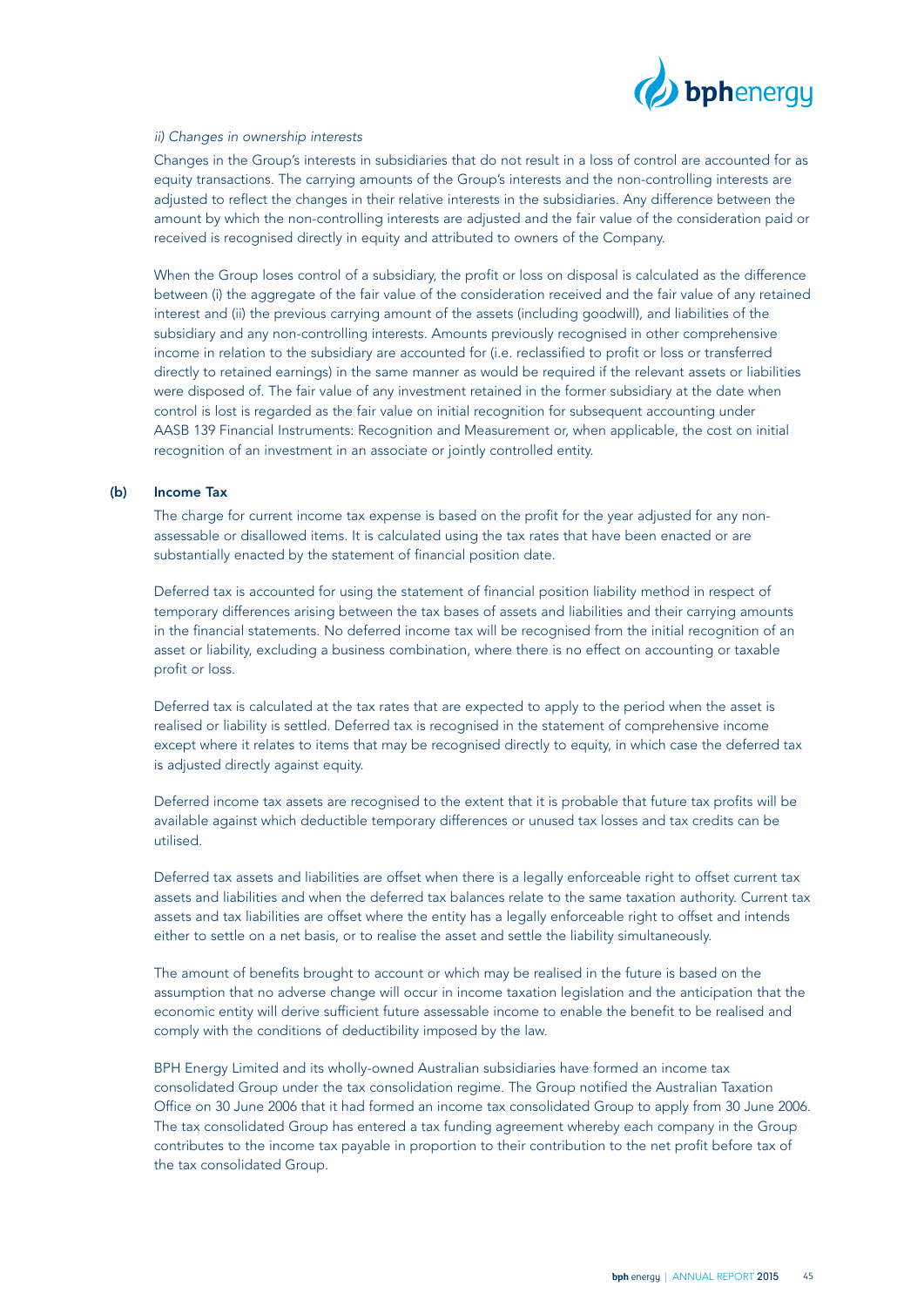

#### *ii) Changes in ownership interests*

Changes in the Group's interests in subsidiaries that do not result in a loss of control are accounted for as equity transactions. The carrying amounts of the Group's interests and the non-controlling interests are adjusted to reflect the changes in their relative interests in the subsidiaries. Any difference between the amount by which the non-controlling interests are adjusted and the fair value of the consideration paid or received is recognised directly in equity and attributed to owners of the Company.

When the Group loses control of a subsidiary, the profit or loss on disposal is calculated as the difference between (i) the aggregate of the fair value of the consideration received and the fair value of any retained interest and (ii) the previous carrying amount of the assets (including goodwill), and liabilities of the subsidiary and any non-controlling interests. Amounts previously recognised in other comprehensive income in relation to the subsidiary are accounted for (i.e. reclassified to profit or loss or transferred directly to retained earnings) in the same manner as would be required if the relevant assets or liabilities were disposed of. The fair value of any investment retained in the former subsidiary at the date when control is lost is regarded as the fair value on initial recognition for subsequent accounting under AASB 139 Financial Instruments: Recognition and Measurement or, when applicable, the cost on initial recognition of an investment in an associate or jointly controlled entity.

#### (b) Income Tax

The charge for current income tax expense is based on the profit for the year adjusted for any nonassessable or disallowed items. It is calculated using the tax rates that have been enacted or are substantially enacted by the statement of financial position date.

Deferred tax is accounted for using the statement of financial position liability method in respect of temporary differences arising between the tax bases of assets and liabilities and their carrying amounts in the financial statements. No deferred income tax will be recognised from the initial recognition of an asset or liability, excluding a business combination, where there is no effect on accounting or taxable profit or loss.

Deferred tax is calculated at the tax rates that are expected to apply to the period when the asset is realised or liability is settled. Deferred tax is recognised in the statement of comprehensive income except where it relates to items that may be recognised directly to equity, in which case the deferred tax is adjusted directly against equity.

Deferred income tax assets are recognised to the extent that it is probable that future tax profits will be available against which deductible temporary differences or unused tax losses and tax credits can be utilised.

Deferred tax assets and liabilities are offset when there is a legally enforceable right to offset current tax assets and liabilities and when the deferred tax balances relate to the same taxation authority. Current tax assets and tax liabilities are offset where the entity has a legally enforceable right to offset and intends either to settle on a net basis, or to realise the asset and settle the liability simultaneously.

The amount of benefits brought to account or which may be realised in the future is based on the assumption that no adverse change will occur in income taxation legislation and the anticipation that the economic entity will derive sufficient future assessable income to enable the benefit to be realised and comply with the conditions of deductibility imposed by the law.

BPH Energy Limited and its wholly-owned Australian subsidiaries have formed an income tax consolidated Group under the tax consolidation regime. The Group notified the Australian Taxation Office on 30 June 2006 that it had formed an income tax consolidated Group to apply from 30 June 2006. The tax consolidated Group has entered a tax funding agreement whereby each company in the Group contributes to the income tax payable in proportion to their contribution to the net profit before tax of the tax consolidated Group.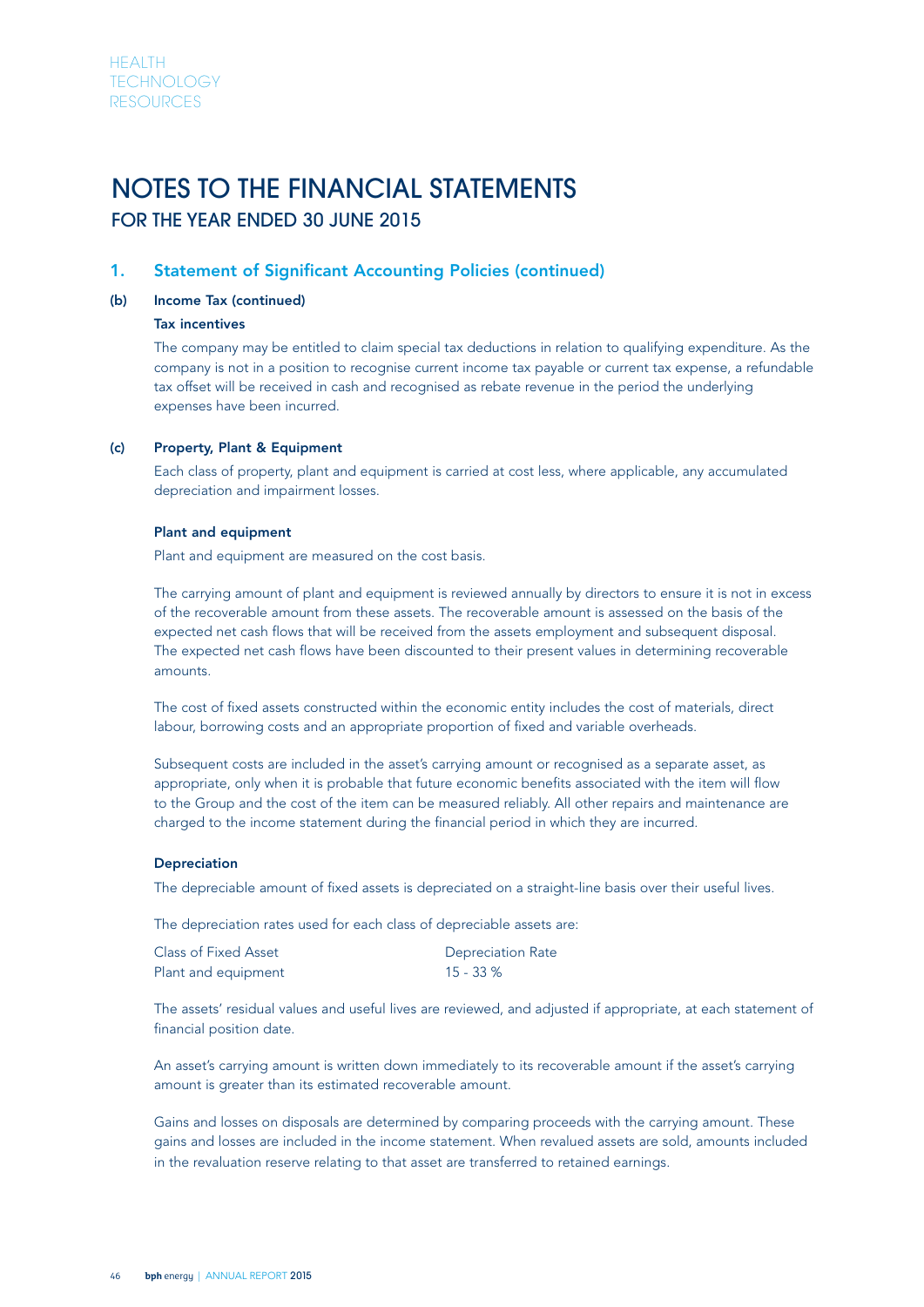## 1. Statement of Significant Accounting Policies (continued)

#### (b) Income Tax (continued)

#### Tax incentives

The company may be entitled to claim special tax deductions in relation to qualifying expenditure. As the company is not in a position to recognise current income tax payable or current tax expense, a refundable tax offset will be received in cash and recognised as rebate revenue in the period the underlying expenses have been incurred.

#### (c) Property, Plant & Equipment

Each class of property, plant and equipment is carried at cost less, where applicable, any accumulated depreciation and impairment losses.

#### Plant and equipment

Plant and equipment are measured on the cost basis.

The carrying amount of plant and equipment is reviewed annually by directors to ensure it is not in excess of the recoverable amount from these assets. The recoverable amount is assessed on the basis of the expected net cash flows that will be received from the assets employment and subsequent disposal. The expected net cash flows have been discounted to their present values in determining recoverable amounts.

The cost of fixed assets constructed within the economic entity includes the cost of materials, direct labour, borrowing costs and an appropriate proportion of fixed and variable overheads.

Subsequent costs are included in the asset's carrying amount or recognised as a separate asset, as appropriate, only when it is probable that future economic benefits associated with the item will flow to the Group and the cost of the item can be measured reliably. All other repairs and maintenance are charged to the income statement during the financial period in which they are incurred.

#### **Depreciation**

The depreciable amount of fixed assets is depreciated on a straight-line basis over their useful lives.

The depreciation rates used for each class of depreciable assets are:

| Class of Fixed Asset | <b>Depreciation Rate</b> |
|----------------------|--------------------------|
| Plant and equipment  | $15 - 33%$               |

The assets' residual values and useful lives are reviewed, and adjusted if appropriate, at each statement of financial position date.

An asset's carrying amount is written down immediately to its recoverable amount if the asset's carrying amount is greater than its estimated recoverable amount.

Gains and losses on disposals are determined by comparing proceeds with the carrying amount. These gains and losses are included in the income statement. When revalued assets are sold, amounts included in the revaluation reserve relating to that asset are transferred to retained earnings.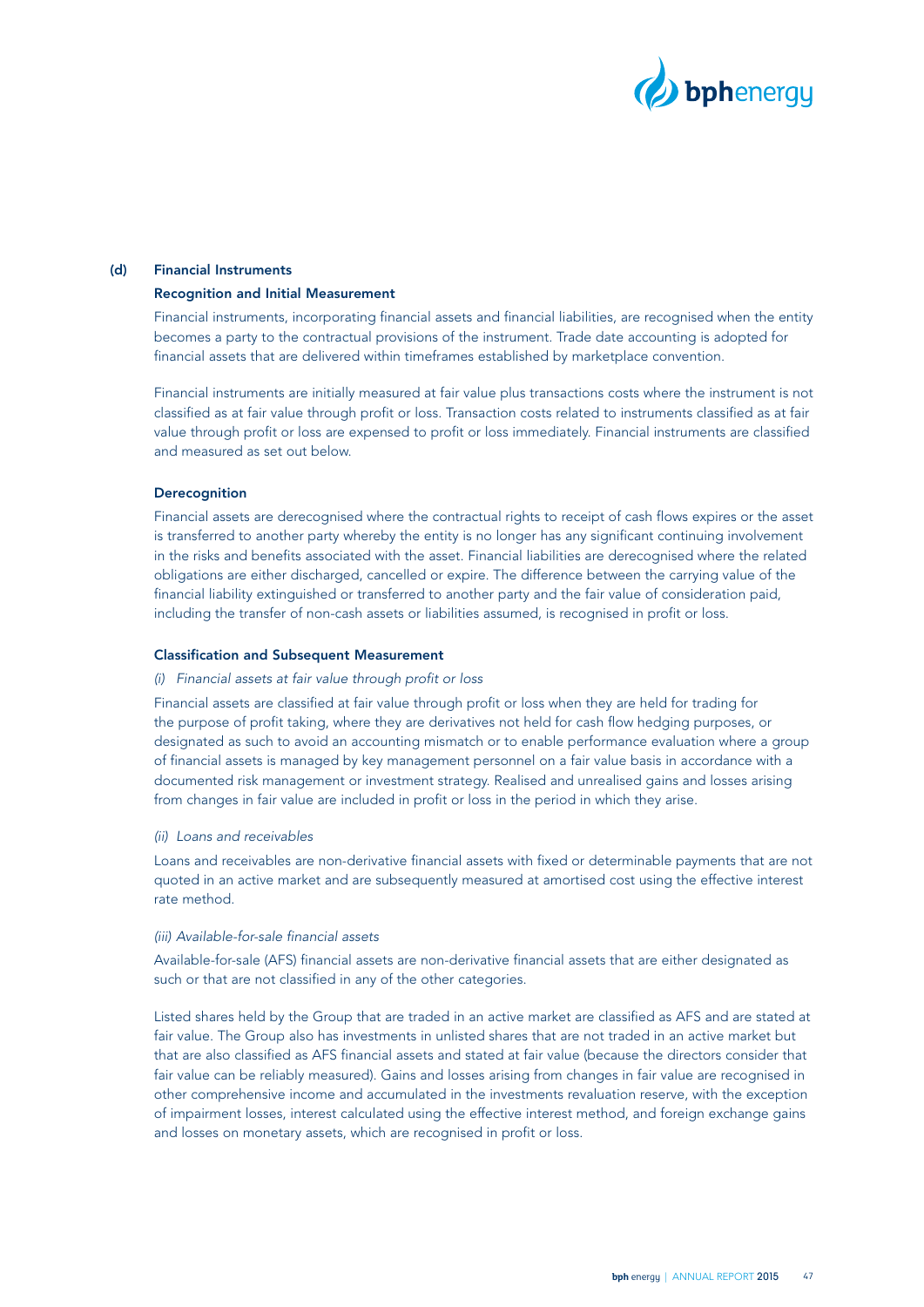

#### (d) Financial Instruments

#### Recognition and Initial Measurement

Financial instruments, incorporating financial assets and financial liabilities, are recognised when the entity becomes a party to the contractual provisions of the instrument. Trade date accounting is adopted for financial assets that are delivered within timeframes established by marketplace convention.

Financial instruments are initially measured at fair value plus transactions costs where the instrument is not classified as at fair value through profit or loss. Transaction costs related to instruments classified as at fair value through profit or loss are expensed to profit or loss immediately. Financial instruments are classified and measured as set out below.

#### **Derecognition**

Financial assets are derecognised where the contractual rights to receipt of cash flows expires or the asset is transferred to another party whereby the entity is no longer has any significant continuing involvement in the risks and benefits associated with the asset. Financial liabilities are derecognised where the related obligations are either discharged, cancelled or expire. The difference between the carrying value of the financial liability extinguished or transferred to another party and the fair value of consideration paid, including the transfer of non-cash assets or liabilities assumed, is recognised in profit or loss.

#### Classification and Subsequent Measurement

#### *(i) Financial assets at fair value through profit or loss*

Financial assets are classified at fair value through profit or loss when they are held for trading for the purpose of profit taking, where they are derivatives not held for cash flow hedging purposes, or designated as such to avoid an accounting mismatch or to enable performance evaluation where a group of financial assets is managed by key management personnel on a fair value basis in accordance with a documented risk management or investment strategy. Realised and unrealised gains and losses arising from changes in fair value are included in profit or loss in the period in which they arise.

#### *(ii) Loans and receivables*

Loans and receivables are non-derivative financial assets with fixed or determinable payments that are not quoted in an active market and are subsequently measured at amortised cost using the effective interest rate method.

#### *(iii) Available-for-sale financial assets*

Available-for-sale (AFS) financial assets are non-derivative financial assets that are either designated as such or that are not classified in any of the other categories.

Listed shares held by the Group that are traded in an active market are classified as AFS and are stated at fair value. The Group also has investments in unlisted shares that are not traded in an active market but that are also classified as AFS financial assets and stated at fair value (because the directors consider that fair value can be reliably measured). Gains and losses arising from changes in fair value are recognised in other comprehensive income and accumulated in the investments revaluation reserve, with the exception of impairment losses, interest calculated using the effective interest method, and foreign exchange gains and losses on monetary assets, which are recognised in profit or loss.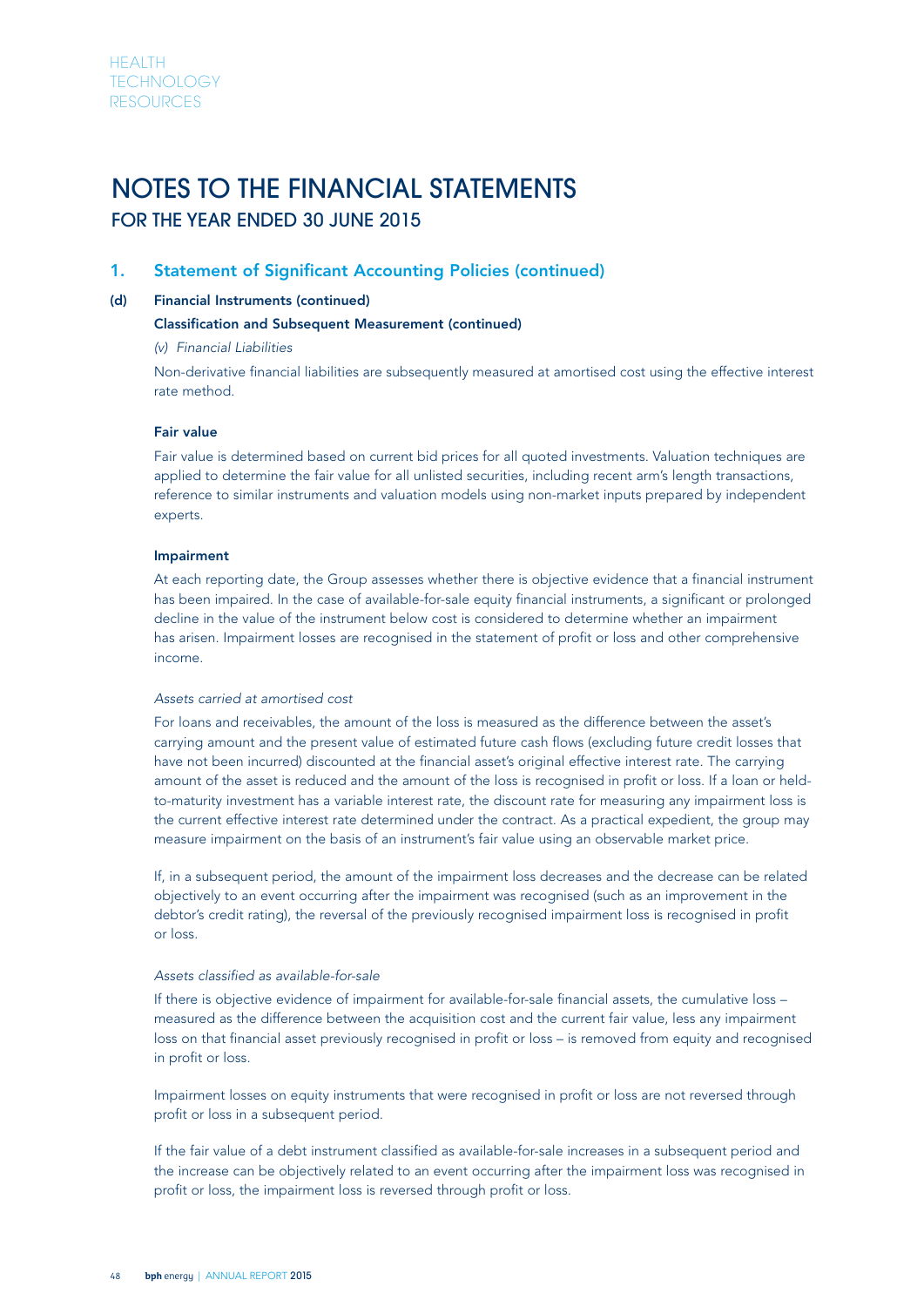### 1. Statement of Significant Accounting Policies (continued)

#### (d) Financial Instruments (continued)

### Classification and Subsequent Measurement (continued)

#### *(v) Financial Liabilities*

Non-derivative financial liabilities are subsequently measured at amortised cost using the effective interest rate method.

#### Fair value

Fair value is determined based on current bid prices for all quoted investments. Valuation techniques are applied to determine the fair value for all unlisted securities, including recent arm's length transactions, reference to similar instruments and valuation models using non-market inputs prepared by independent experts.

#### Impairment

At each reporting date, the Group assesses whether there is objective evidence that a financial instrument has been impaired. In the case of available-for-sale equity financial instruments, a significant or prolonged decline in the value of the instrument below cost is considered to determine whether an impairment has arisen. Impairment losses are recognised in the statement of profit or loss and other comprehensive income.

#### *Assets carried at amortised cost*

For loans and receivables, the amount of the loss is measured as the difference between the asset's carrying amount and the present value of estimated future cash flows (excluding future credit losses that have not been incurred) discounted at the financial asset's original effective interest rate. The carrying amount of the asset is reduced and the amount of the loss is recognised in profit or loss. If a loan or heldto-maturity investment has a variable interest rate, the discount rate for measuring any impairment loss is the current effective interest rate determined under the contract. As a practical expedient, the group may measure impairment on the basis of an instrument's fair value using an observable market price.

If, in a subsequent period, the amount of the impairment loss decreases and the decrease can be related objectively to an event occurring after the impairment was recognised (such as an improvement in the debtor's credit rating), the reversal of the previously recognised impairment loss is recognised in profit or loss.

#### *Assets classified as available-for-sale*

If there is objective evidence of impairment for available-for-sale financial assets, the cumulative loss – measured as the difference between the acquisition cost and the current fair value, less any impairment loss on that financial asset previously recognised in profit or loss – is removed from equity and recognised in profit or loss.

Impairment losses on equity instruments that were recognised in profit or loss are not reversed through profit or loss in a subsequent period.

If the fair value of a debt instrument classified as available-for-sale increases in a subsequent period and the increase can be objectively related to an event occurring after the impairment loss was recognised in profit or loss, the impairment loss is reversed through profit or loss.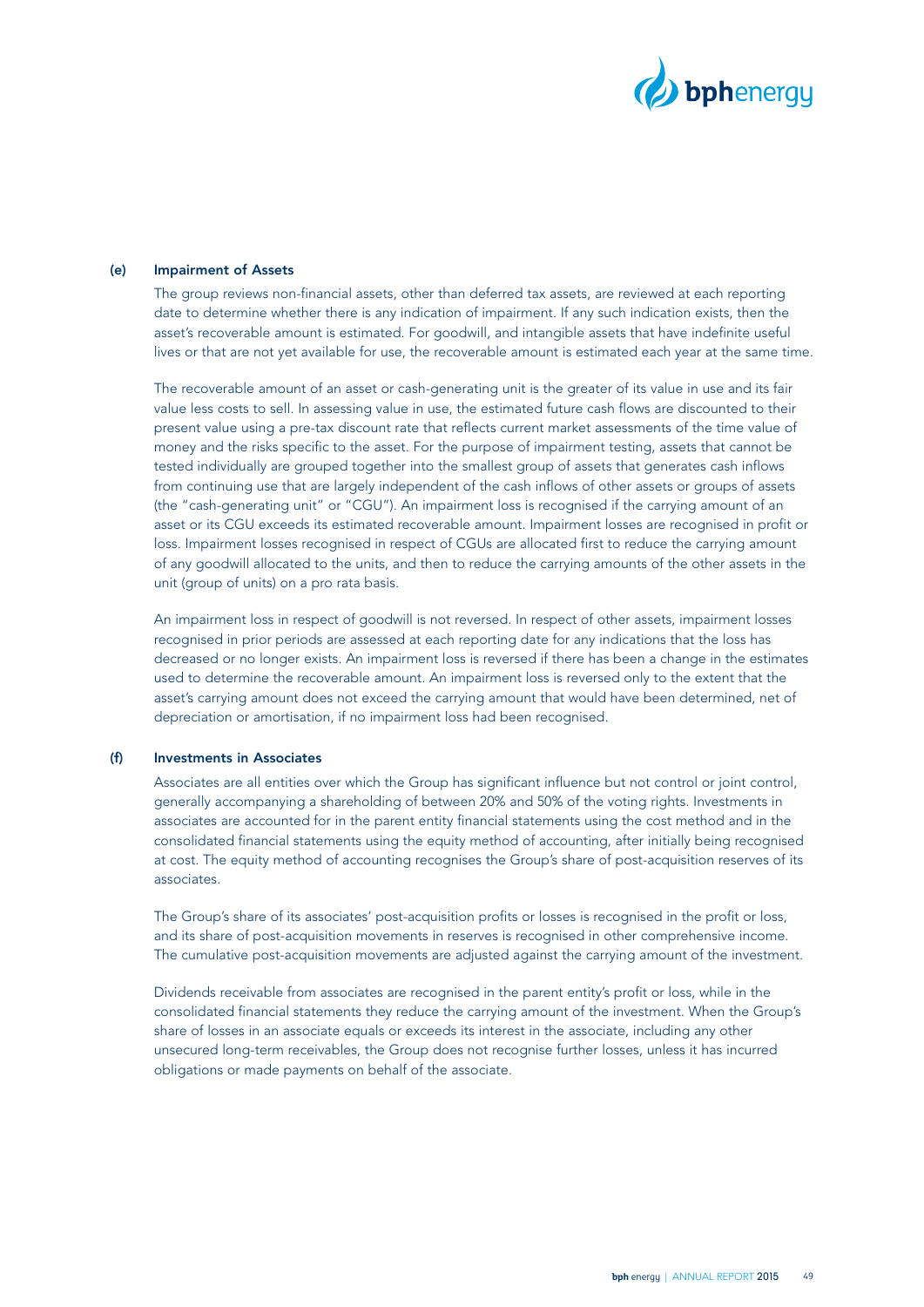

#### (e) Impairment of Assets

The group reviews non-financial assets, other than deferred tax assets, are reviewed at each reporting date to determine whether there is any indication of impairment. If any such indication exists, then the asset's recoverable amount is estimated. For goodwill, and intangible assets that have indefinite useful lives or that are not yet available for use, the recoverable amount is estimated each year at the same time.

The recoverable amount of an asset or cash-generating unit is the greater of its value in use and its fair value less costs to sell. In assessing value in use, the estimated future cash flows are discounted to their present value using a pre-tax discount rate that reflects current market assessments of the time value of money and the risks specific to the asset. For the purpose of impairment testing, assets that cannot be tested individually are grouped together into the smallest group of assets that generates cash inflows from continuing use that are largely independent of the cash inflows of other assets or groups of assets (the "cash-generating unit" or "CGU"). An impairment loss is recognised if the carrying amount of an asset or its CGU exceeds its estimated recoverable amount. Impairment losses are recognised in profit or loss. Impairment losses recognised in respect of CGUs are allocated first to reduce the carrying amount of any goodwill allocated to the units, and then to reduce the carrying amounts of the other assets in the unit (group of units) on a pro rata basis.

An impairment loss in respect of goodwill is not reversed. In respect of other assets, impairment losses recognised in prior periods are assessed at each reporting date for any indications that the loss has decreased or no longer exists. An impairment loss is reversed if there has been a change in the estimates used to determine the recoverable amount. An impairment loss is reversed only to the extent that the asset's carrying amount does not exceed the carrying amount that would have been determined, net of depreciation or amortisation, if no impairment loss had been recognised.

#### (f) Investments in Associates

Associates are all entities over which the Group has significant influence but not control or joint control, generally accompanying a shareholding of between 20% and 50% of the voting rights. Investments in associates are accounted for in the parent entity financial statements using the cost method and in the consolidated financial statements using the equity method of accounting, after initially being recognised at cost. The equity method of accounting recognises the Group's share of post-acquisition reserves of its associates.

The Group's share of its associates' post-acquisition profits or losses is recognised in the profit or loss, and its share of post-acquisition movements in reserves is recognised in other comprehensive income. The cumulative post-acquisition movements are adjusted against the carrying amount of the investment.

Dividends receivable from associates are recognised in the parent entity's profit or loss, while in the consolidated financial statements they reduce the carrying amount of the investment. When the Group's share of losses in an associate equals or exceeds its interest in the associate, including any other unsecured long-term receivables, the Group does not recognise further losses, unless it has incurred obligations or made payments on behalf of the associate.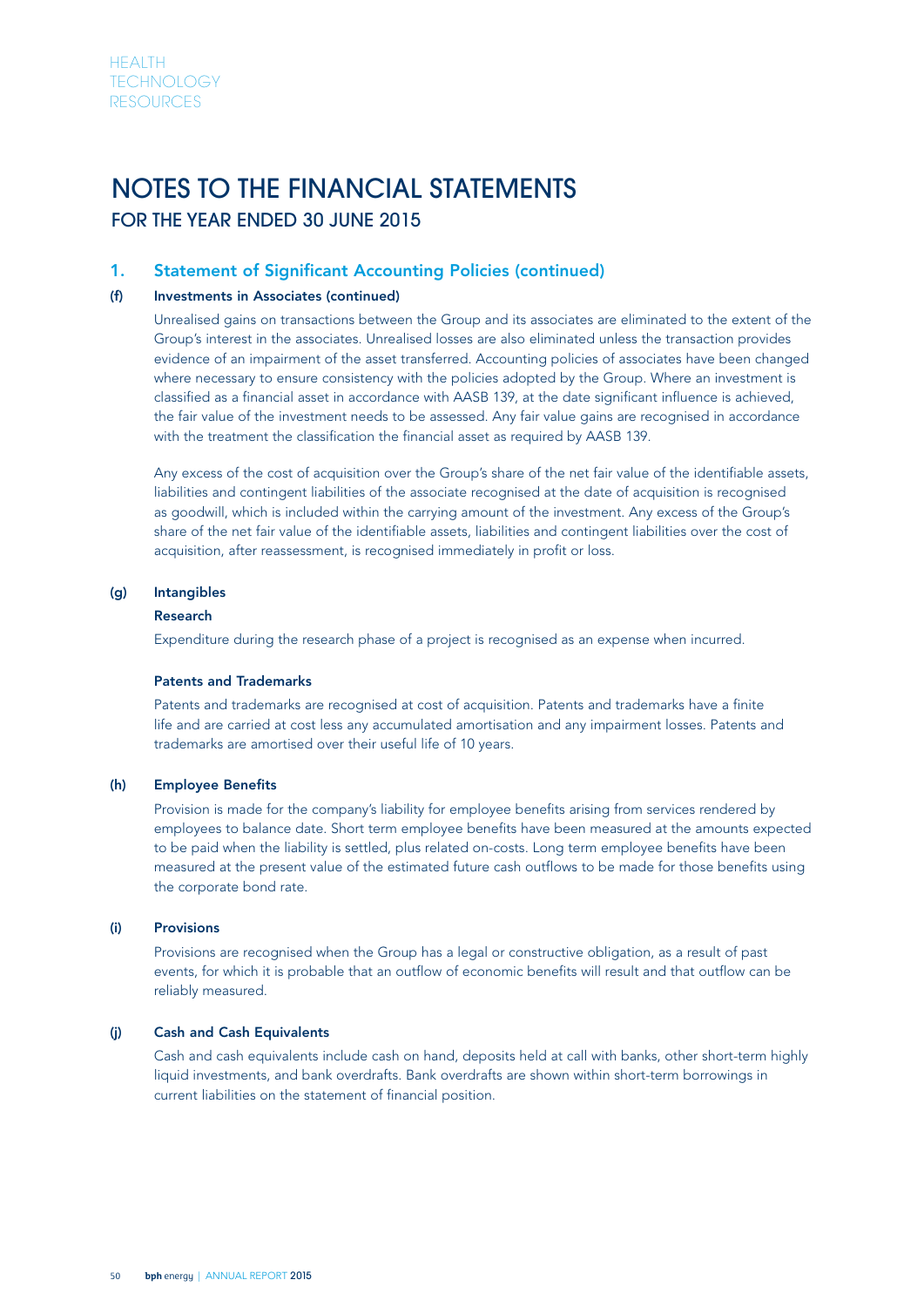## 1. Statement of Significant Accounting Policies (continued)

#### (f) Investments in Associates (continued)

Unrealised gains on transactions between the Group and its associates are eliminated to the extent of the Group's interest in the associates. Unrealised losses are also eliminated unless the transaction provides evidence of an impairment of the asset transferred. Accounting policies of associates have been changed where necessary to ensure consistency with the policies adopted by the Group. Where an investment is classified as a financial asset in accordance with AASB 139, at the date significant influence is achieved, the fair value of the investment needs to be assessed. Any fair value gains are recognised in accordance with the treatment the classification the financial asset as required by AASB 139.

Any excess of the cost of acquisition over the Group's share of the net fair value of the identifiable assets, liabilities and contingent liabilities of the associate recognised at the date of acquisition is recognised as goodwill, which is included within the carrying amount of the investment. Any excess of the Group's share of the net fair value of the identifiable assets, liabilities and contingent liabilities over the cost of acquisition, after reassessment, is recognised immediately in profit or loss.

#### (g) Intangibles

#### Research

Expenditure during the research phase of a project is recognised as an expense when incurred.

### Patents and Trademarks

Patents and trademarks are recognised at cost of acquisition. Patents and trademarks have a finite life and are carried at cost less any accumulated amortisation and any impairment losses. Patents and trademarks are amortised over their useful life of 10 years.

#### (h) Employee Benefits

Provision is made for the company's liability for employee benefits arising from services rendered by employees to balance date. Short term employee benefits have been measured at the amounts expected to be paid when the liability is settled, plus related on-costs. Long term employee benefits have been measured at the present value of the estimated future cash outflows to be made for those benefits using the corporate bond rate.

#### (i) Provisions

Provisions are recognised when the Group has a legal or constructive obligation, as a result of past events, for which it is probable that an outflow of economic benefits will result and that outflow can be reliably measured.

#### (j) Cash and Cash Equivalents

Cash and cash equivalents include cash on hand, deposits held at call with banks, other short-term highly liquid investments, and bank overdrafts. Bank overdrafts are shown within short-term borrowings in current liabilities on the statement of financial position.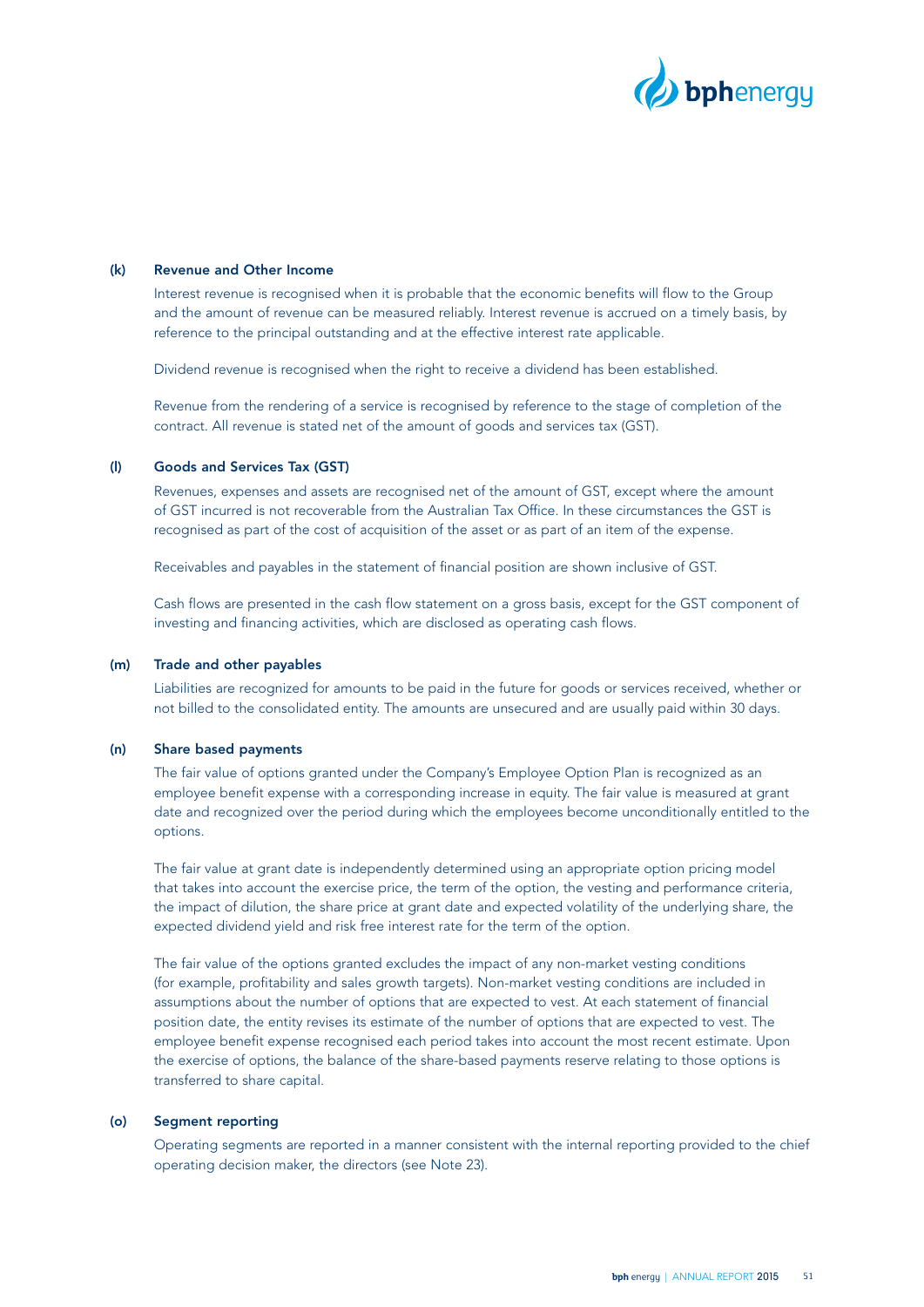

#### (k) Revenue and Other Income

Interest revenue is recognised when it is probable that the economic benefits will flow to the Group and the amount of revenue can be measured reliably. Interest revenue is accrued on a timely basis, by reference to the principal outstanding and at the effective interest rate applicable.

Dividend revenue is recognised when the right to receive a dividend has been established.

Revenue from the rendering of a service is recognised by reference to the stage of completion of the contract. All revenue is stated net of the amount of goods and services tax (GST).

#### (l) Goods and Services Tax (GST)

Revenues, expenses and assets are recognised net of the amount of GST, except where the amount of GST incurred is not recoverable from the Australian Tax Office. In these circumstances the GST is recognised as part of the cost of acquisition of the asset or as part of an item of the expense.

Receivables and payables in the statement of financial position are shown inclusive of GST.

Cash flows are presented in the cash flow statement on a gross basis, except for the GST component of investing and financing activities, which are disclosed as operating cash flows.

#### (m) Trade and other payables

Liabilities are recognized for amounts to be paid in the future for goods or services received, whether or not billed to the consolidated entity. The amounts are unsecured and are usually paid within 30 days.

#### (n) Share based payments

The fair value of options granted under the Company's Employee Option Plan is recognized as an employee benefit expense with a corresponding increase in equity. The fair value is measured at grant date and recognized over the period during which the employees become unconditionally entitled to the options.

The fair value at grant date is independently determined using an appropriate option pricing model that takes into account the exercise price, the term of the option, the vesting and performance criteria, the impact of dilution, the share price at grant date and expected volatility of the underlying share, the expected dividend yield and risk free interest rate for the term of the option.

The fair value of the options granted excludes the impact of any non-market vesting conditions (for example, profitability and sales growth targets). Non-market vesting conditions are included in assumptions about the number of options that are expected to vest. At each statement of financial position date, the entity revises its estimate of the number of options that are expected to vest. The employee benefit expense recognised each period takes into account the most recent estimate. Upon the exercise of options, the balance of the share-based payments reserve relating to those options is transferred to share capital.

#### (o) Segment reporting

Operating segments are reported in a manner consistent with the internal reporting provided to the chief operating decision maker, the directors (see Note 23).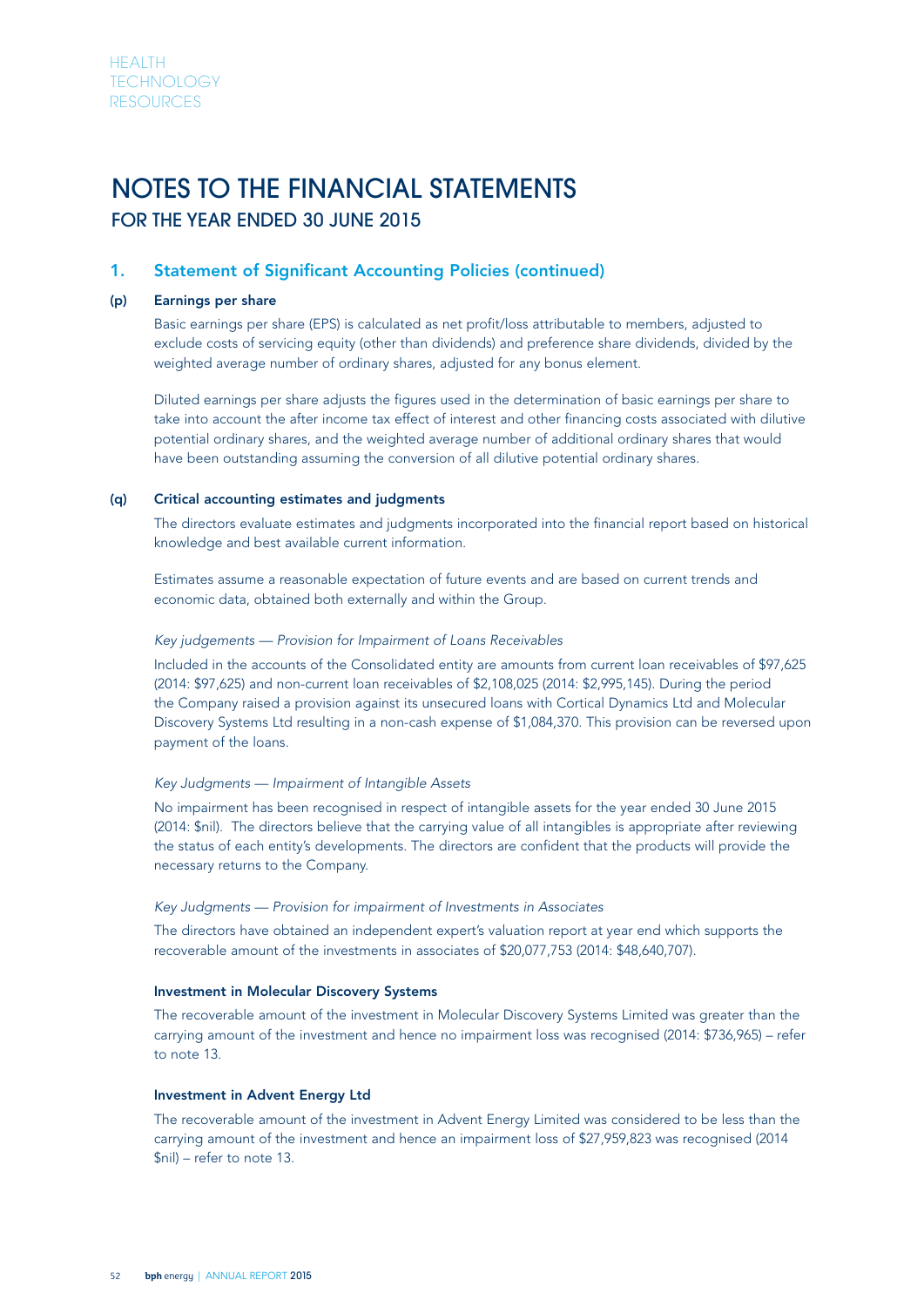### 1. Statement of Significant Accounting Policies (continued)

#### (p) Earnings per share

Basic earnings per share (EPS) is calculated as net profit/loss attributable to members, adjusted to exclude costs of servicing equity (other than dividends) and preference share dividends, divided by the weighted average number of ordinary shares, adjusted for any bonus element.

Diluted earnings per share adjusts the figures used in the determination of basic earnings per share to take into account the after income tax effect of interest and other financing costs associated with dilutive potential ordinary shares, and the weighted average number of additional ordinary shares that would have been outstanding assuming the conversion of all dilutive potential ordinary shares.

#### (q) Critical accounting estimates and judgments

The directors evaluate estimates and judgments incorporated into the financial report based on historical knowledge and best available current information.

Estimates assume a reasonable expectation of future events and are based on current trends and economic data, obtained both externally and within the Group.

#### *Key judgements — Provision for Impairment of Loans Receivables*

Included in the accounts of the Consolidated entity are amounts from current loan receivables of \$97,625 (2014: \$97,625) and non-current loan receivables of \$2,108,025 (2014: \$2,995,145). During the period the Company raised a provision against its unsecured loans with Cortical Dynamics Ltd and Molecular Discovery Systems Ltd resulting in a non-cash expense of \$1,084,370. This provision can be reversed upon payment of the loans.

#### *Key Judgments — Impairment of Intangible Assets*

No impairment has been recognised in respect of intangible assets for the year ended 30 June 2015 (2014: \$nil). The directors believe that the carrying value of all intangibles is appropriate after reviewing the status of each entity's developments. The directors are confident that the products will provide the necessary returns to the Company.

#### *Key Judgments — Provision for impairment of Investments in Associates*

The directors have obtained an independent expert's valuation report at year end which supports the recoverable amount of the investments in associates of \$20,077,753 (2014: \$48,640,707).

#### Investment in Molecular Discovery Systems

The recoverable amount of the investment in Molecular Discovery Systems Limited was greater than the carrying amount of the investment and hence no impairment loss was recognised (2014: \$736,965) – refer to note 13.

#### Investment in Advent Energy Ltd

The recoverable amount of the investment in Advent Energy Limited was considered to be less than the carrying amount of the investment and hence an impairment loss of \$27,959,823 was recognised (2014 \$nil) – refer to note 13.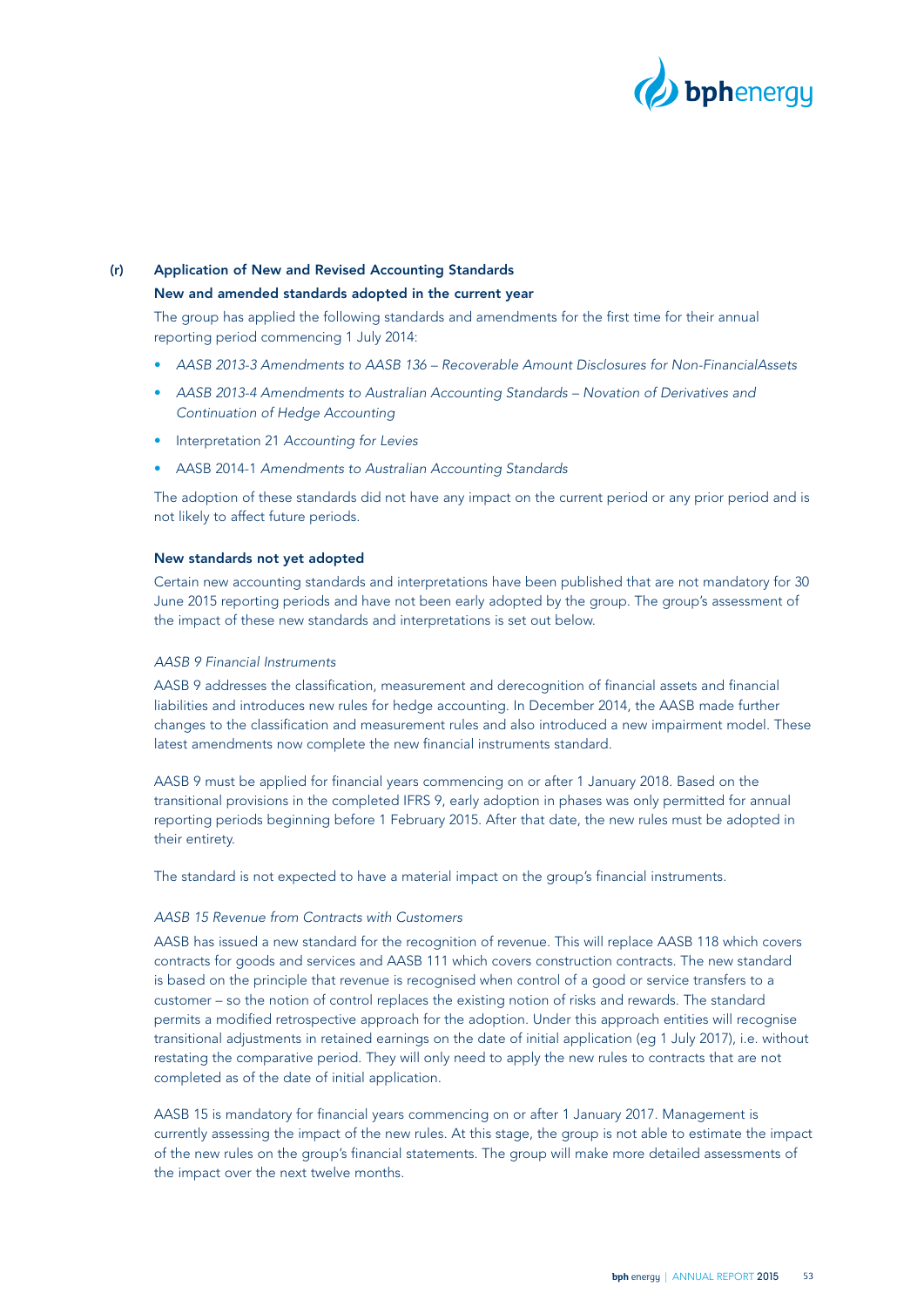

# (r) Application of New and Revised Accounting Standards

#### New and amended standards adopted in the current year

The group has applied the following standards and amendments for the first time for their annual reporting period commencing 1 July 2014:

- *AASB 2013-3 Amendments to AASB 136 Recoverable Amount Disclosures for Non-FinancialAssets*
- *AASB 2013-4 Amendments to Australian Accounting Standards Novation of Derivatives and Continuation of Hedge Accounting*
- Interpretation 21 *Accounting for Levies*
- AASB 2014-1 *Amendments to Australian Accounting Standards*

The adoption of these standards did not have any impact on the current period or any prior period and is not likely to affect future periods.

#### New standards not yet adopted

Certain new accounting standards and interpretations have been published that are not mandatory for 30 June 2015 reporting periods and have not been early adopted by the group. The group's assessment of the impact of these new standards and interpretations is set out below.

#### *AASB 9 Financial Instruments*

AASB 9 addresses the classification, measurement and derecognition of financial assets and financial liabilities and introduces new rules for hedge accounting. In December 2014, the AASB made further changes to the classification and measurement rules and also introduced a new impairment model. These latest amendments now complete the new financial instruments standard.

AASB 9 must be applied for financial years commencing on or after 1 January 2018. Based on the transitional provisions in the completed IFRS 9, early adoption in phases was only permitted for annual reporting periods beginning before 1 February 2015. After that date, the new rules must be adopted in their entirety.

The standard is not expected to have a material impact on the group's financial instruments.

#### *AASB 15 Revenue from Contracts with Customers*

AASB has issued a new standard for the recognition of revenue. This will replace AASB 118 which covers contracts for goods and services and AASB 111 which covers construction contracts. The new standard is based on the principle that revenue is recognised when control of a good or service transfers to a customer – so the notion of control replaces the existing notion of risks and rewards. The standard permits a modified retrospective approach for the adoption. Under this approach entities will recognise transitional adjustments in retained earnings on the date of initial application (eg 1 July 2017), i.e. without restating the comparative period. They will only need to apply the new rules to contracts that are not completed as of the date of initial application.

AASB 15 is mandatory for financial years commencing on or after 1 January 2017. Management is currently assessing the impact of the new rules. At this stage, the group is not able to estimate the impact of the new rules on the group's financial statements. The group will make more detailed assessments of the impact over the next twelve months.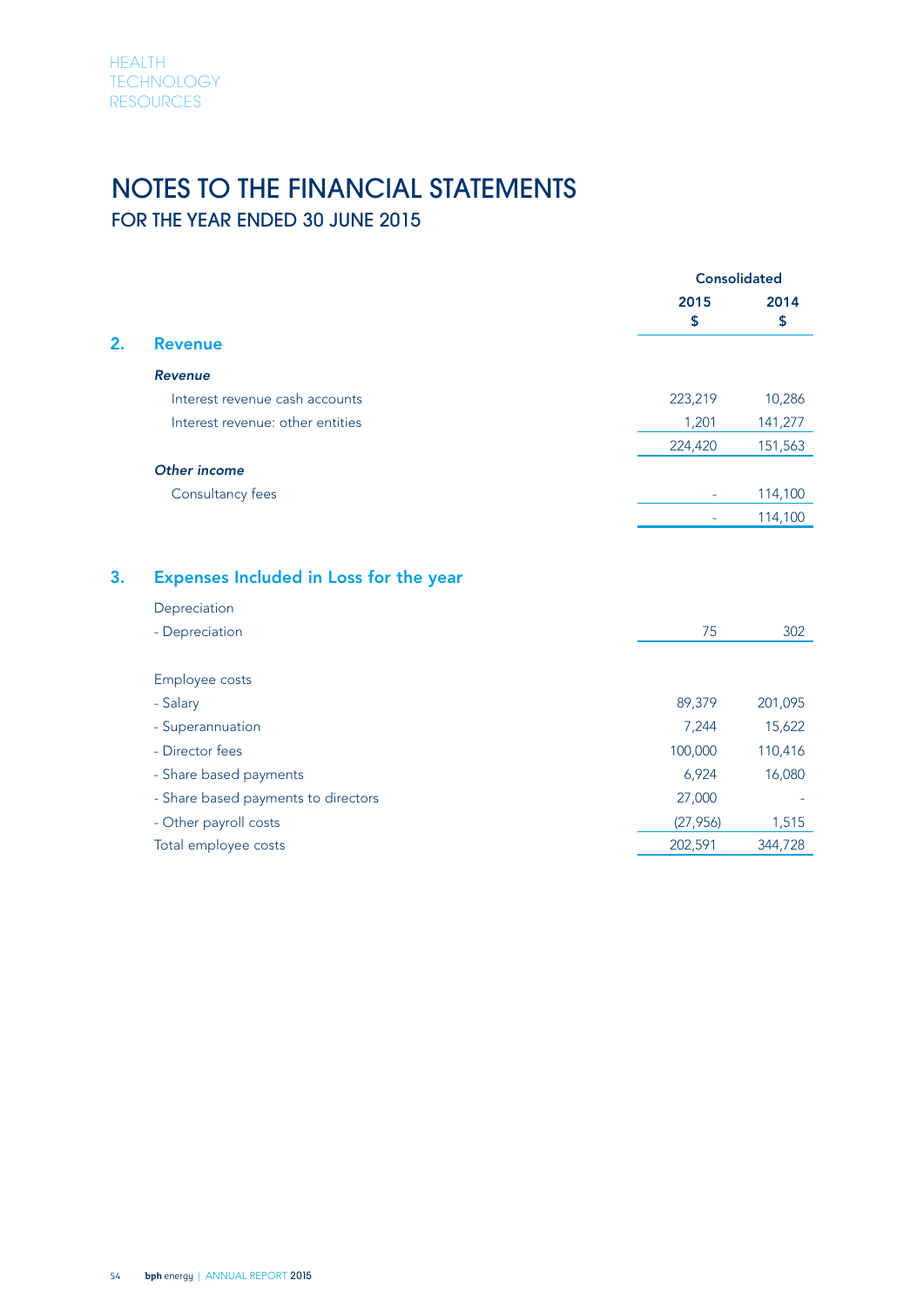# NOTES TO THE FINANCIAL STATEMENTS

FOR THE YEAR ENDED 30 JUNE 2015

|    |                                  |            | <b>Consolidated</b> |
|----|----------------------------------|------------|---------------------|
|    |                                  | 2015<br>\$ | 2014<br>\$          |
| 2. | <b>Revenue</b>                   |            |                     |
|    | <b>Revenue</b>                   |            |                     |
|    | Interest revenue cash accounts   | 223,219    | 10,286              |
|    | Interest revenue: other entities | 1,201      | 141,277             |
|    |                                  | 224,420    | 151,563             |
|    | Other income                     |            |                     |
|    | Consultancy fees                 |            | 114,100             |
|    |                                  |            | 114,100             |

# 3. Expenses Included in Loss for the year

| Depreciation                        |           |         |
|-------------------------------------|-----------|---------|
| - Depreciation                      | 75        | 302     |
|                                     |           |         |
| Employee costs                      |           |         |
| - Salary                            | 89,379    | 201,095 |
| - Superannuation                    | 7,244     | 15,622  |
| - Director fees                     | 100,000   | 110,416 |
| - Share based payments              | 6,924     | 16,080  |
| - Share based payments to directors | 27,000    |         |
| - Other payroll costs               | (27, 956) | 1,515   |
| Total employee costs                | 202,591   | 344,728 |
|                                     |           |         |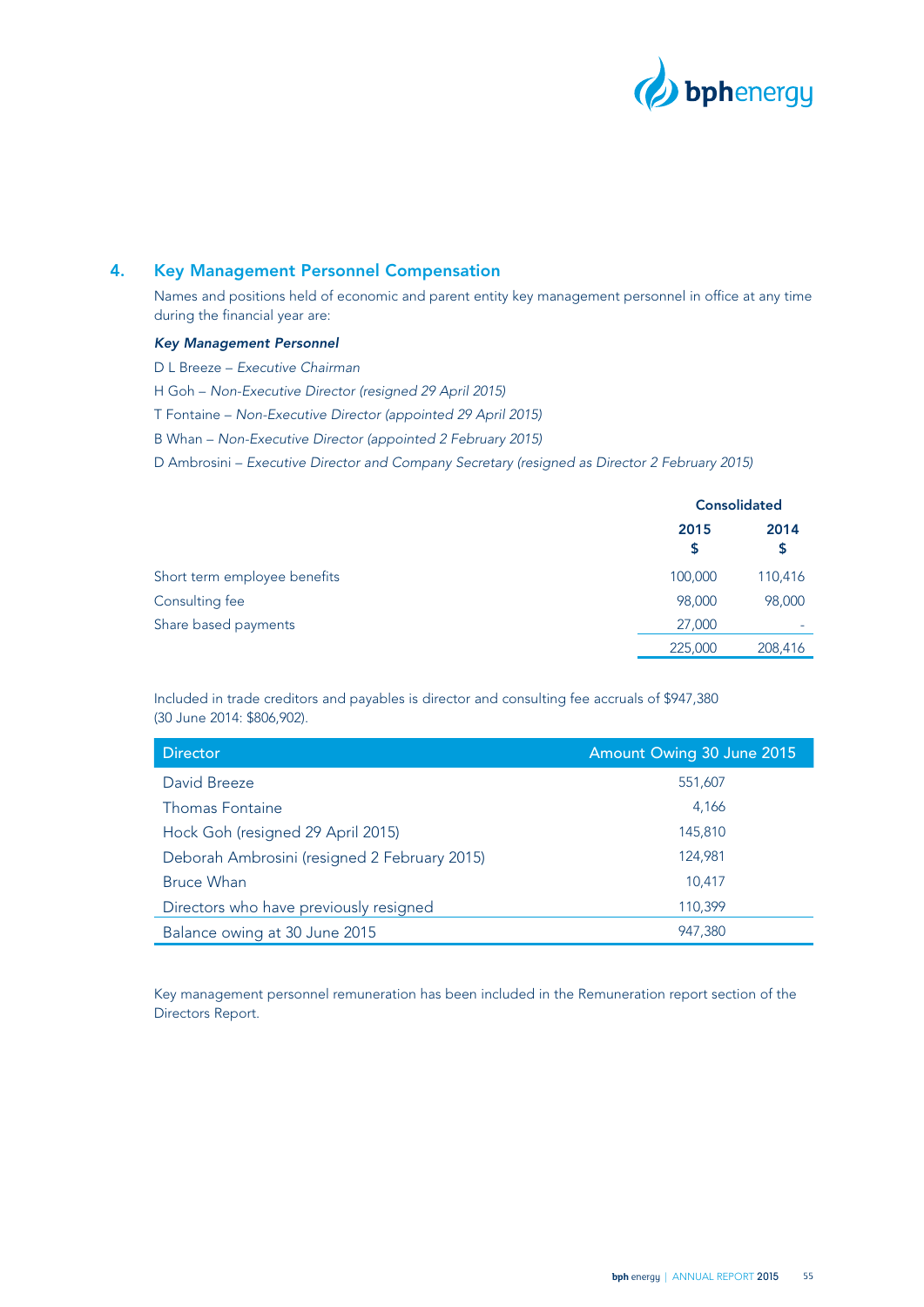

# 4. Key Management Personnel Compensation

Names and positions held of economic and parent entity key management personnel in office at any time during the financial year are:

#### *Key Management Personnel*

D L Breeze – *Executive Chairman*

H Goh – *Non-Executive Director (resigned 29 April 2015)*

T Fontaine – *Non-Executive Director (appointed 29 April 2015)*

B Whan – *Non-Executive Director (appointed 2 February 2015)*

D Ambrosini – *Executive Director and Company Secretary (resigned as Director 2 February 2015)*

|                              |           | <b>Consolidated</b>      |
|------------------------------|-----------|--------------------------|
|                              | 2015<br>S | 2014<br>S                |
| Short term employee benefits | 100,000   | 110,416                  |
| Consulting fee               | 98,000    | 98,000                   |
| Share based payments         | 27,000    | $\overline{\phantom{a}}$ |
|                              | 225,000   | 208,416                  |

Included in trade creditors and payables is director and consulting fee accruals of \$947,380 (30 June 2014: \$806,902).

| <b>Director</b>                              | Amount Owing 30 June 2015 |
|----------------------------------------------|---------------------------|
| David Breeze                                 | 551,607                   |
| <b>Thomas Fontaine</b>                       | 4,166                     |
| Hock Goh (resigned 29 April 2015)            | 145,810                   |
| Deborah Ambrosini (resigned 2 February 2015) | 124,981                   |
| <b>Bruce Whan</b>                            | 10,417                    |
| Directors who have previously resigned       | 110,399                   |
| Balance owing at 30 June 2015                | 947,380                   |

Key management personnel remuneration has been included in the Remuneration report section of the Directors Report.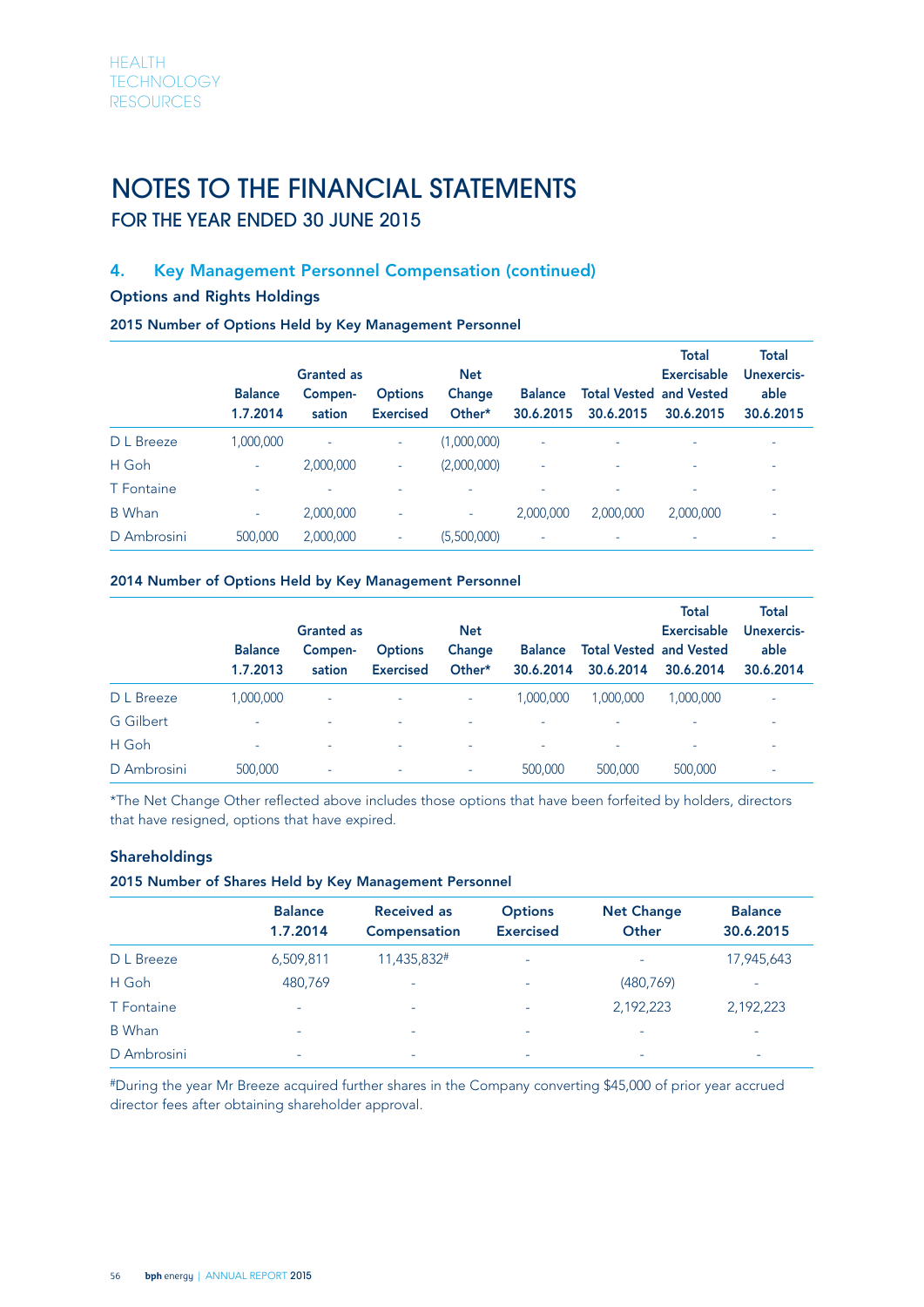# 4. Key Management Personnel Compensation (continued)

## Options and Rights Holdings

2015 Number of Options Held by Key Management Personnel

|                   | <b>Balance</b><br>1.7.2014 | <b>Granted as</b><br>Compen-<br>sation | <b>Options</b><br><b>Exercised</b> | <b>Net</b><br>Change<br>Other* | <b>Balance</b><br>30.6.2015 | <b>Total Vested and Vested</b><br>30.6.2015 | Total<br><b>Exercisable</b><br>30.6.2015 | Total<br>Unexercis-<br>able<br>30.6.2015 |
|-------------------|----------------------------|----------------------------------------|------------------------------------|--------------------------------|-----------------------------|---------------------------------------------|------------------------------------------|------------------------------------------|
| D L Breeze        | 1,000,000                  | $\overline{\phantom{a}}$               | ٠                                  | (1,000,000)                    | ٠                           |                                             | ٠                                        | $\overline{\phantom{a}}$                 |
| H Goh             | ٠                          | 2,000,000                              | ÷                                  | (2,000,000)                    | ٠                           |                                             | $\overline{\phantom{a}}$                 | ٠                                        |
| <b>T</b> Fontaine |                            | ÷.                                     |                                    |                                |                             |                                             | $\overline{\phantom{0}}$                 | $\overline{\phantom{a}}$                 |
| <b>B</b> Whan     | ٠                          | 2,000,000                              | $\overline{\phantom{0}}$           | ٠                              | 2,000,000                   | 2,000,000                                   | 2,000,000                                | $\overline{\phantom{a}}$                 |
| D Ambrosini       | 500,000                    | 2,000,000                              | -                                  | (5,500,000)                    | ۰                           |                                             |                                          |                                          |

#### 2014 Number of Options Held by Key Management Personnel

|                  | <b>Balance</b><br>1.7.2013 | <b>Granted as</b><br>Compen-<br>sation | <b>Options</b><br><b>Exercised</b> | <b>Net</b><br>Change<br>Other* | <b>Balance</b><br>30.6.2014 | <b>Total Vested and Vested</b><br>30.6.2014 | <b>Total</b><br><b>Exercisable</b><br>30.6.2014 | Total<br>Unexercis-<br>able<br>30.6.2014 |
|------------------|----------------------------|----------------------------------------|------------------------------------|--------------------------------|-----------------------------|---------------------------------------------|-------------------------------------------------|------------------------------------------|
| D L Breeze       | 1,000,000                  | ۰                                      | ۰                                  | ٠                              | 1,000,000                   | 1,000,000                                   | 1,000,000                                       | $\overline{\phantom{a}}$                 |
| <b>G</b> Gilbert |                            |                                        |                                    | ۰                              | $\overline{\phantom{a}}$    |                                             |                                                 | $\overline{\phantom{0}}$                 |
| H Goh            | $\overline{\phantom{a}}$   | ۰                                      | ۰                                  | ٠                              | $\overline{\phantom{a}}$    | ۰                                           | $\overline{\phantom{a}}$                        | ٠                                        |
| D Ambrosini      | 500,000                    | $\overline{\phantom{a}}$               | ۰                                  | ٠                              | 500,000                     | 500,000                                     | 500,000                                         | $\overline{\phantom{a}}$                 |

\*The Net Change Other reflected above includes those options that have been forfeited by holders, directors that have resigned, options that have expired.

### Shareholdings

#### 2015 Number of Shares Held by Key Management Personnel

|                   | <b>Balance</b><br>1.7.2014 | <b>Received as</b><br><b>Compensation</b> | <b>Options</b><br><b>Exercised</b> | <b>Net Change</b><br>Other | <b>Balance</b><br>30.6.2015 |
|-------------------|----------------------------|-------------------------------------------|------------------------------------|----------------------------|-----------------------------|
| D L Breeze        | 6,509,811                  | 11,435,832#                               | ۰                                  | ۰                          | 17,945,643                  |
| H Goh             | 480,769                    | $\overline{\phantom{a}}$                  | ٠                                  | (480, 769)                 | ٠                           |
| <b>T</b> Fontaine | ÷                          | $\overline{\phantom{a}}$                  | $\overline{a}$                     | 2,192,223                  | 2,192,223                   |
| <b>B</b> Whan     | ۰                          | ۰                                         | $\overline{\phantom{a}}$           | ۰                          | -                           |
| D Ambrosini       |                            | ۰                                         | $\overline{\phantom{a}}$           | ۰                          | ۰                           |

#During the year Mr Breeze acquired further shares in the Company converting \$45,000 of prior year accrued director fees after obtaining shareholder approval.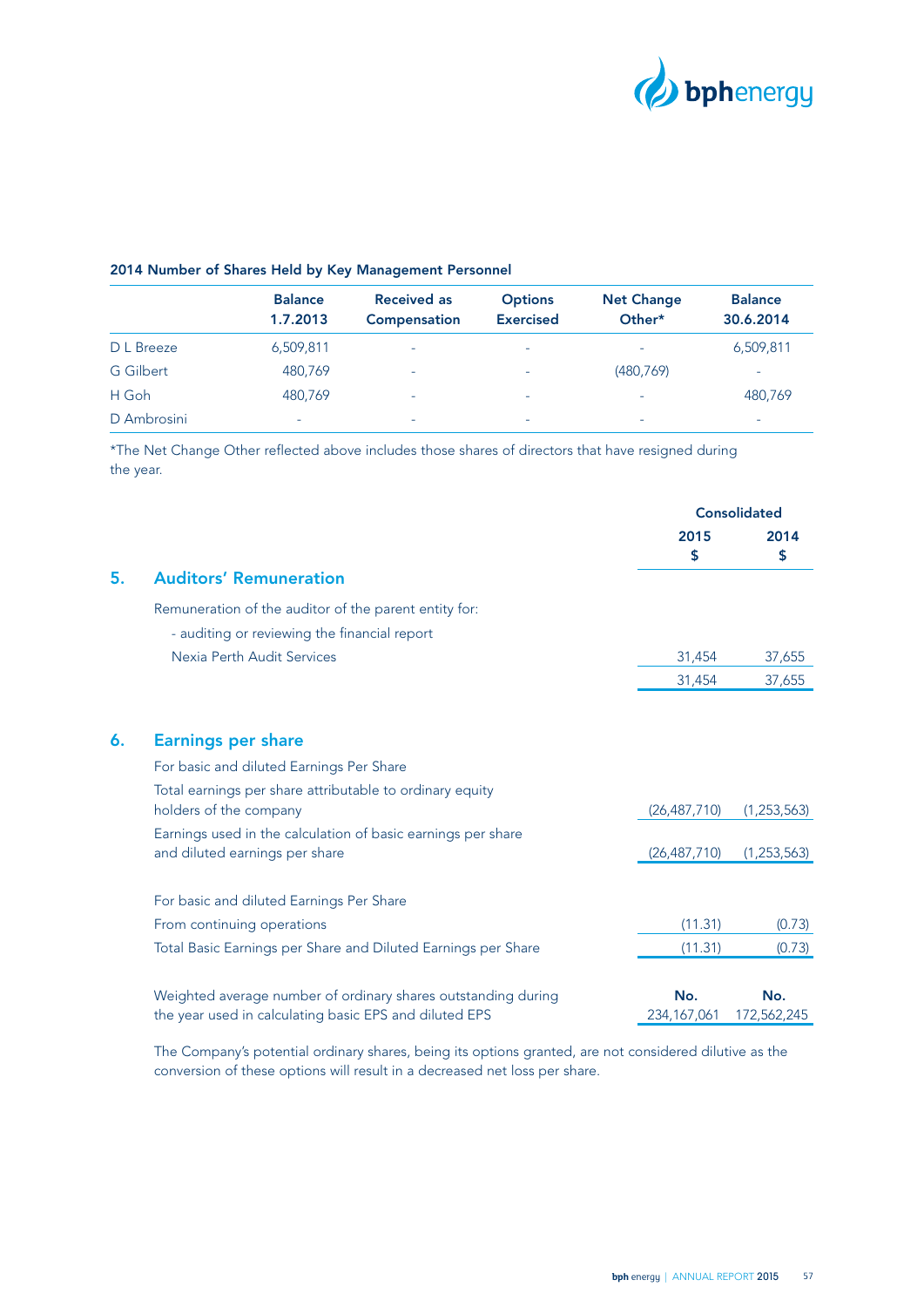

#### 2014 Number of Shares Held by Key Management Personnel

|                  | <b>Balance</b><br>1.7.2013 | <b>Received as</b><br><b>Compensation</b> | <b>Options</b><br><b>Exercised</b> | <b>Net Change</b><br>Other* | <b>Balance</b><br>30.6.2014 |
|------------------|----------------------------|-------------------------------------------|------------------------------------|-----------------------------|-----------------------------|
| D L Breeze       | 6,509,811                  | $\sim$                                    | $\overline{\phantom{a}}$           | $\overline{\phantom{a}}$    | 6,509,811                   |
| <b>G</b> Gilbert | 480,769                    | ۰                                         | $\sim$                             | (480, 769)                  |                             |
| H Goh            | 480.769                    | $\overline{\phantom{a}}$                  | $\overline{\phantom{a}}$           | $\overline{\phantom{a}}$    | 480,769                     |
| D Ambrosini      | ۰                          | ۰                                         | $\overline{\phantom{0}}$           | $\overline{\phantom{0}}$    | ۰                           |

\*The Net Change Other reflected above includes those shares of directors that have resigned during the year.

|                                                                                                                         |                      | <b>Consolidated</b> |
|-------------------------------------------------------------------------------------------------------------------------|----------------------|---------------------|
|                                                                                                                         | 2015                 | 2014                |
|                                                                                                                         | \$                   | \$                  |
| <b>Auditors' Remuneration</b>                                                                                           |                      |                     |
| Remuneration of the auditor of the parent entity for:                                                                   |                      |                     |
| - auditing or reviewing the financial report                                                                            |                      |                     |
| Nexia Perth Audit Services                                                                                              | 31,454               | 37,655              |
|                                                                                                                         | 31,454               | 37,655              |
| <b>Earnings per share</b>                                                                                               |                      |                     |
| For basic and diluted Earnings Per Share                                                                                |                      |                     |
| Total earnings per share attributable to ordinary equity<br>holders of the company                                      | (26, 487, 710)       | (1, 253, 563)       |
| Earnings used in the calculation of basic earnings per share<br>and diluted earnings per share                          | (26, 487, 710)       | (1, 253, 563)       |
| For basic and diluted Earnings Per Share                                                                                |                      |                     |
| From continuing operations                                                                                              | (11.31)              | (0.73)              |
| Total Basic Earnings per Share and Diluted Earnings per Share                                                           | (11.31)              | (0.73)              |
| Weighted average number of ordinary shares outstanding during<br>the year used in calculating basic EPS and diluted EPS | No.<br>234, 167, 061 | No.<br>172,562,245  |
|                                                                                                                         |                      |                     |

The Company's potential ordinary shares, being its options granted, are not considered dilutive as the conversion of these options will result in a decreased net loss per share.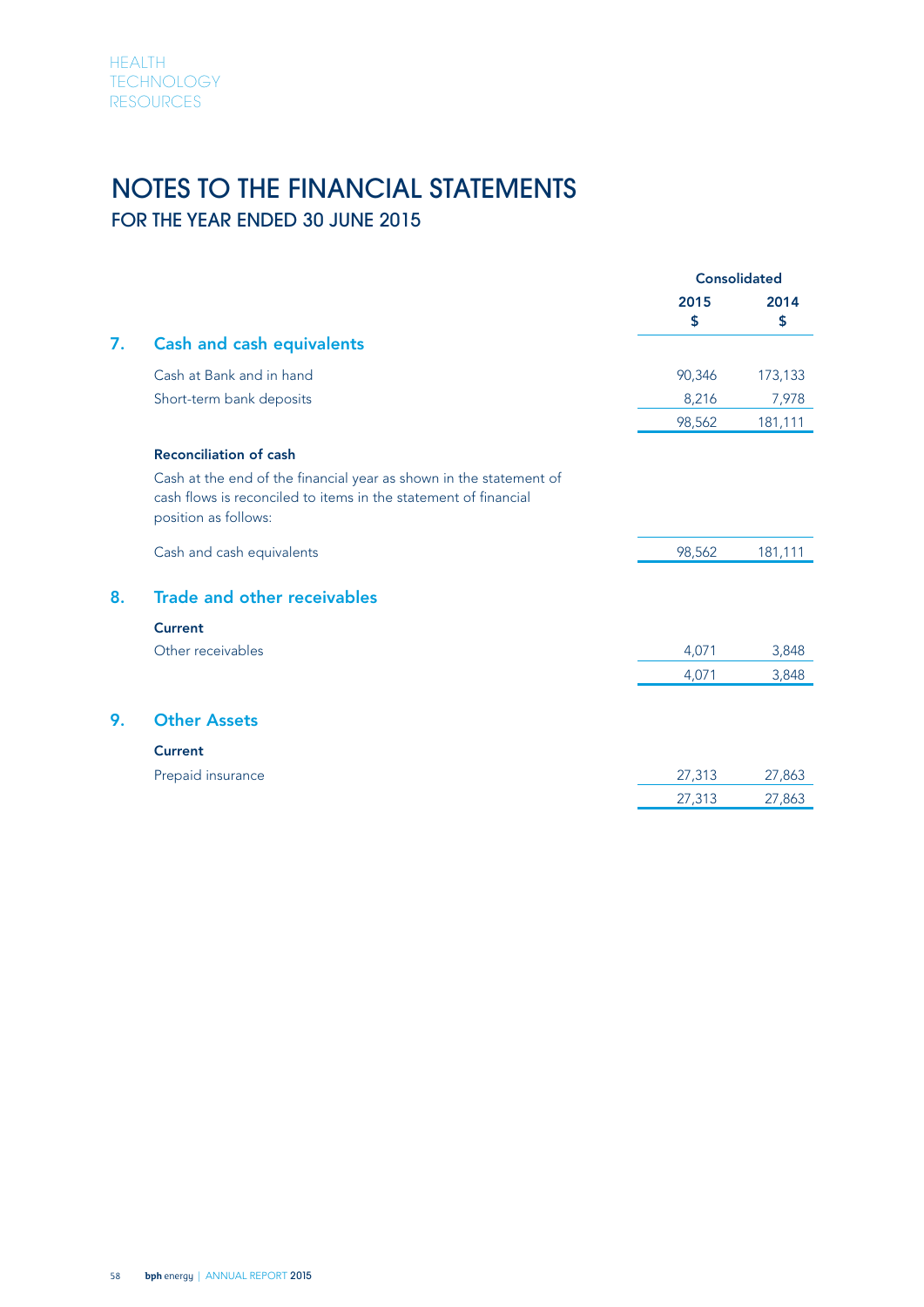# NOTES TO THE FINANCIAL STATEMENTS

FOR THE YEAR ENDED 30 JUNE 2015

|    |                                                                                                                                                               | <b>Consolidated</b> |            |  |
|----|---------------------------------------------------------------------------------------------------------------------------------------------------------------|---------------------|------------|--|
|    |                                                                                                                                                               | 2015<br>\$          | 2014<br>\$ |  |
| 7. | <b>Cash and cash equivalents</b>                                                                                                                              |                     |            |  |
|    | Cash at Bank and in hand                                                                                                                                      | 90,346              | 173,133    |  |
|    | Short-term bank deposits                                                                                                                                      | 8,216               | 7,978      |  |
|    |                                                                                                                                                               | 98,562              | 181,111    |  |
|    | <b>Reconciliation of cash</b>                                                                                                                                 |                     |            |  |
|    | Cash at the end of the financial year as shown in the statement of<br>cash flows is reconciled to items in the statement of financial<br>position as follows: |                     |            |  |
|    | Cash and cash equivalents                                                                                                                                     | 98,562              | 181,111    |  |
| 8. | <b>Trade and other receivables</b>                                                                                                                            |                     |            |  |
|    | <b>Current</b>                                                                                                                                                |                     |            |  |
|    | Other receivables                                                                                                                                             | 4,071               | 3,848      |  |
|    |                                                                                                                                                               | 4,071               | 3,848      |  |
| 9. | <b>Other Assets</b>                                                                                                                                           |                     |            |  |
|    | <b>Current</b>                                                                                                                                                |                     |            |  |
|    | Prepaid insurance                                                                                                                                             | 27,313              | 27,863     |  |
|    |                                                                                                                                                               | 27,313              | 27,863     |  |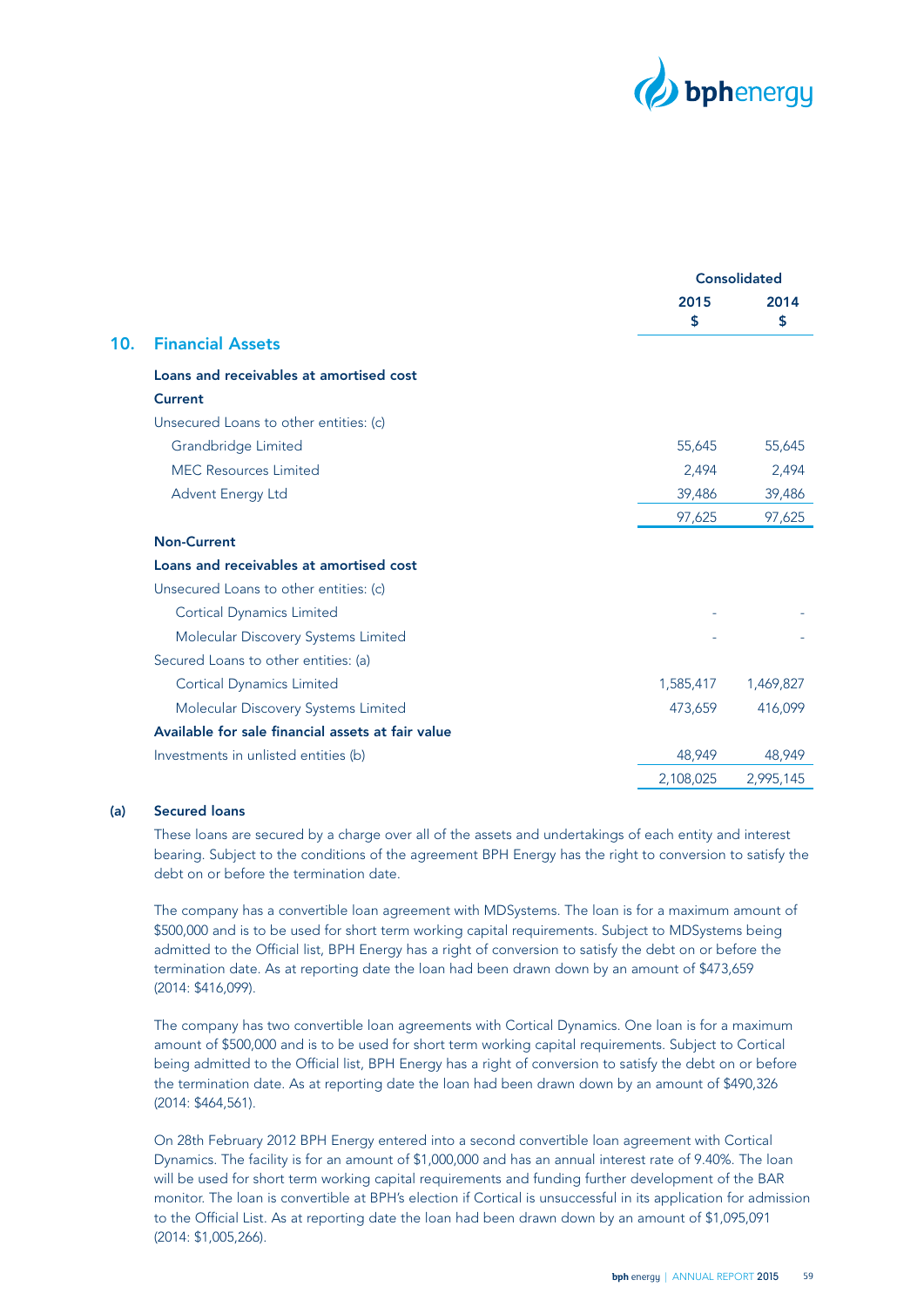

|                                                   |           | <b>Consolidated</b> |
|---------------------------------------------------|-----------|---------------------|
|                                                   | 2015      | 2014                |
|                                                   | \$        | \$                  |
| <b>Financial Assets</b>                           |           |                     |
| Loans and receivables at amortised cost           |           |                     |
| <b>Current</b>                                    |           |                     |
| Unsecured Loans to other entities: (c)            |           |                     |
| Grandbridge Limited                               | 55,645    | 55,645              |
| <b>MEC Resources Limited</b>                      | 2,494     | 2,494               |
| Advent Energy Ltd                                 | 39,486    | 39,486              |
|                                                   | 97,625    | 97,625              |
| <b>Non-Current</b>                                |           |                     |
| Loans and receivables at amortised cost           |           |                     |
| Unsecured Loans to other entities: (c)            |           |                     |
| <b>Cortical Dynamics Limited</b>                  |           |                     |
| Molecular Discovery Systems Limited               |           |                     |
| Secured Loans to other entities: (a)              |           |                     |
| <b>Cortical Dynamics Limited</b>                  | 1,585,417 | 1,469,827           |
| Molecular Discovery Systems Limited               | 473,659   | 416,099             |
| Available for sale financial assets at fair value |           |                     |
| Investments in unlisted entities (b)              | 48,949    | 48,949              |
|                                                   | 2,108,025 | 2,995,145           |

#### (a) Secured loans

These loans are secured by a charge over all of the assets and undertakings of each entity and interest bearing. Subject to the conditions of the agreement BPH Energy has the right to conversion to satisfy the debt on or before the termination date.

The company has a convertible loan agreement with MDSystems. The loan is for a maximum amount of \$500,000 and is to be used for short term working capital requirements. Subject to MDSystems being admitted to the Official list, BPH Energy has a right of conversion to satisfy the debt on or before the termination date. As at reporting date the loan had been drawn down by an amount of \$473,659 (2014: \$416,099).

The company has two convertible loan agreements with Cortical Dynamics. One loan is for a maximum amount of \$500,000 and is to be used for short term working capital requirements. Subject to Cortical being admitted to the Official list, BPH Energy has a right of conversion to satisfy the debt on or before the termination date. As at reporting date the loan had been drawn down by an amount of \$490,326 (2014: \$464,561).

On 28th February 2012 BPH Energy entered into a second convertible loan agreement with Cortical Dynamics. The facility is for an amount of \$1,000,000 and has an annual interest rate of 9.40%. The loan will be used for short term working capital requirements and funding further development of the BAR monitor. The loan is convertible at BPH's election if Cortical is unsuccessful in its application for admission to the Official List. As at reporting date the loan had been drawn down by an amount of \$1,095,091 (2014: \$1,005,266).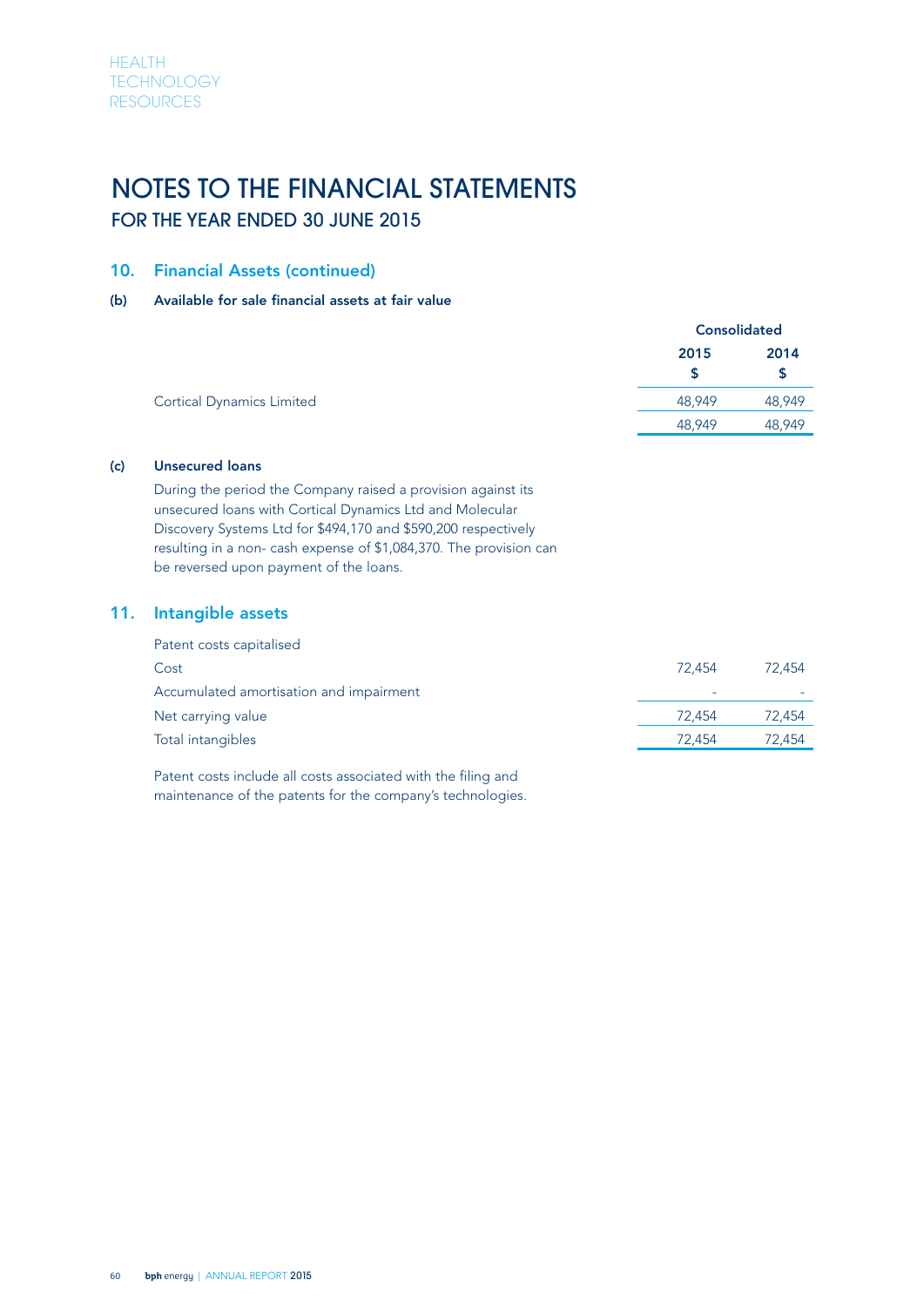### 10. Financial Assets (continued)

(b) Available for sale financial assets at fair value

|                           |        | <b>Consolidated</b> |
|---------------------------|--------|---------------------|
|                           | 2015   | 2014<br>S           |
| Cortical Dynamics Limited | 48.949 | 48.949              |
|                           | 48.949 | 48,949              |

### (c) Unsecured loans

During the period the Company raised a provision against its unsecured loans with Cortical Dynamics Ltd and Molecular Discovery Systems Ltd for \$494,170 and \$590,200 respectively resulting in a non- cash expense of \$1,084,370. The provision can be reversed upon payment of the loans.

### 11. Intangible assets

| Patent costs capitalised                |        |        |
|-----------------------------------------|--------|--------|
| Cost                                    | 72.454 | 72.454 |
| Accumulated amortisation and impairment | -      |        |
| Net carrying value                      | 72.454 | 72.454 |
| Total intangibles                       | 72.454 | 72.454 |
|                                         |        |        |

Patent costs include all costs associated with the filing and maintenance of the patents for the company's technologies.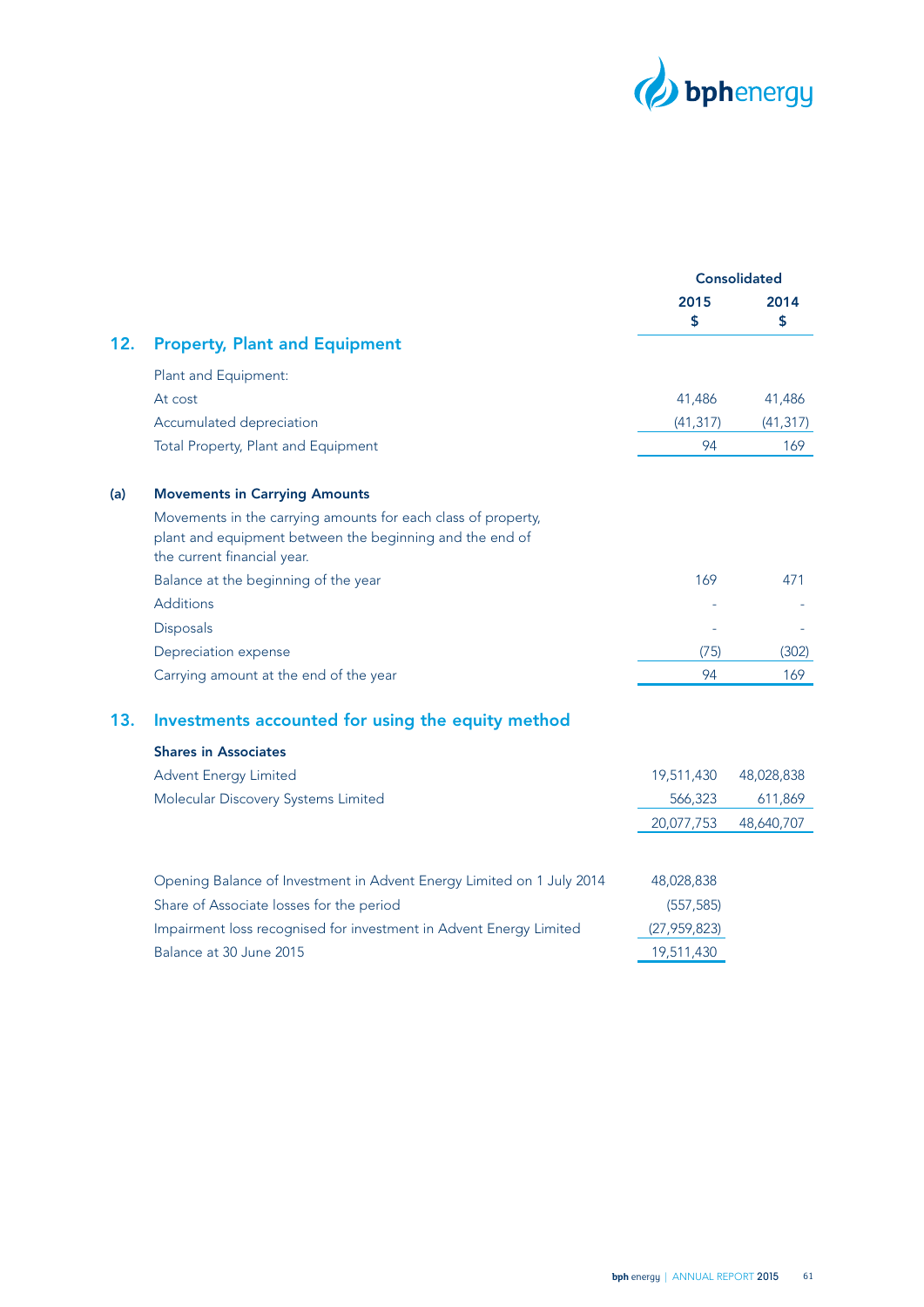

|     |                                                                                                                                                          | <b>Consolidated</b> |            |  |
|-----|----------------------------------------------------------------------------------------------------------------------------------------------------------|---------------------|------------|--|
|     |                                                                                                                                                          | 2015                | 2014       |  |
|     |                                                                                                                                                          | S                   | \$         |  |
| 12. | <b>Property, Plant and Equipment</b>                                                                                                                     |                     |            |  |
|     | Plant and Equipment:                                                                                                                                     |                     |            |  |
|     | At cost                                                                                                                                                  | 41,486              | 41,486     |  |
|     | Accumulated depreciation                                                                                                                                 | (41, 317)           | (41, 317)  |  |
|     | Total Property, Plant and Equipment                                                                                                                      | 94                  | 169        |  |
| (a) | <b>Movements in Carrying Amounts</b>                                                                                                                     |                     |            |  |
|     | Movements in the carrying amounts for each class of property,<br>plant and equipment between the beginning and the end of<br>the current financial year. |                     |            |  |
|     | Balance at the beginning of the year                                                                                                                     | 169                 | 471        |  |
|     | <b>Additions</b>                                                                                                                                         |                     |            |  |
|     | Disposals                                                                                                                                                |                     |            |  |
|     | Depreciation expense                                                                                                                                     | (75)                | (302)      |  |
|     | Carrying amount at the end of the year                                                                                                                   | 94                  | 169        |  |
| 13. | Investments accounted for using the equity method                                                                                                        |                     |            |  |
|     | <b>Shares in Associates</b>                                                                                                                              |                     |            |  |
|     | Advent Energy Limited                                                                                                                                    | 19,511,430          | 48,028,838 |  |
|     | Molecular Discovery Systems Limited                                                                                                                      | 566,323             | 611,869    |  |
|     |                                                                                                                                                          | 20,077,753          | 48,640,707 |  |
|     | Opening Balance of Investment in Advent Energy Limited on 1 July 2014                                                                                    | 48,028,838          |            |  |
|     | Share of Associate losses for the period                                                                                                                 | (557, 585)          |            |  |
|     | Impairment loss recognised for investment in Advent Energy Limited                                                                                       | (27, 959, 823)      |            |  |
|     | Balance at 30 June 2015                                                                                                                                  | 19,511,430          |            |  |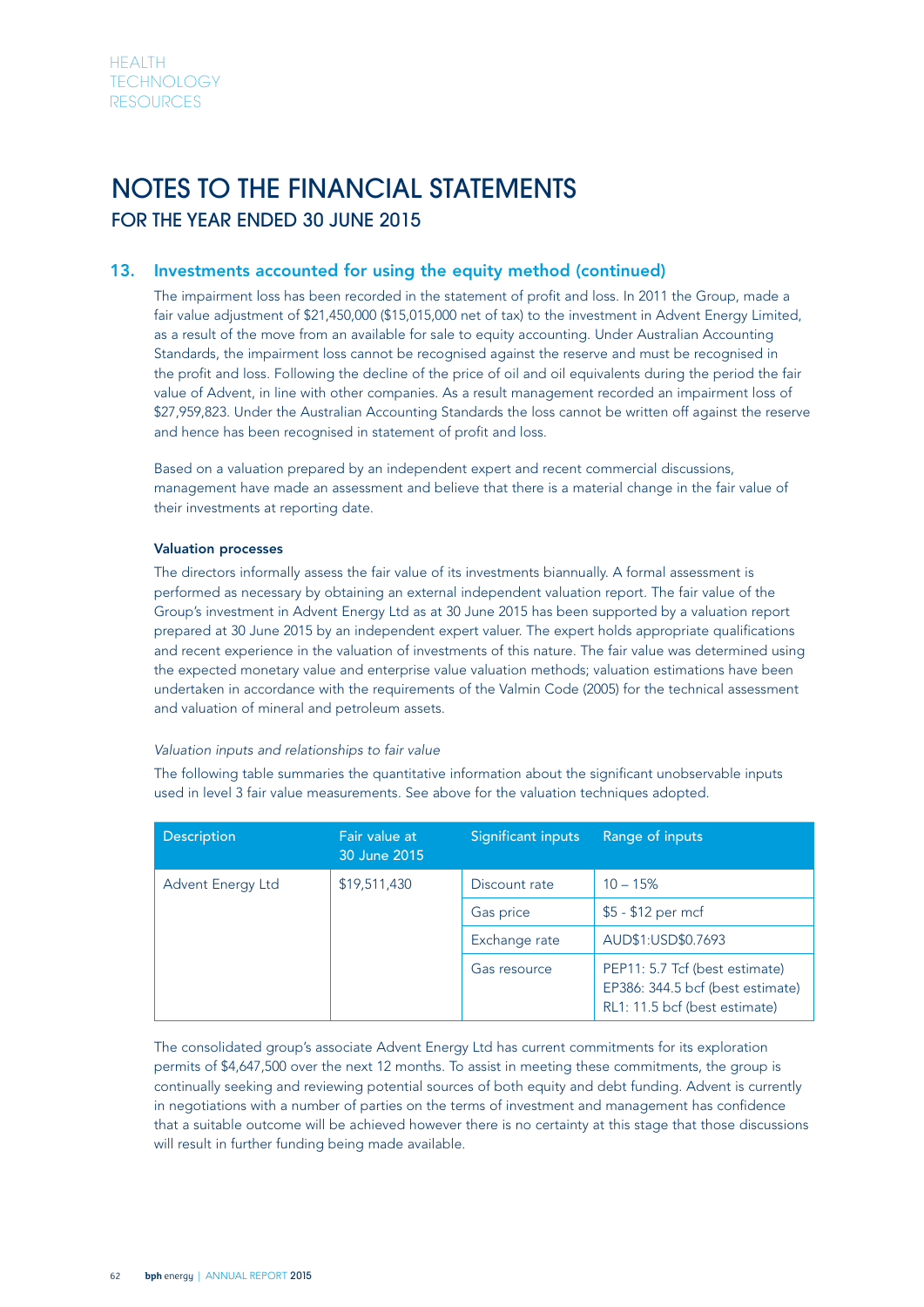# 13. Investments accounted for using the equity method (continued)

The impairment loss has been recorded in the statement of profit and loss. In 2011 the Group, made a fair value adjustment of \$21,450,000 (\$15,015,000 net of tax) to the investment in Advent Energy Limited, as a result of the move from an available for sale to equity accounting. Under Australian Accounting Standards, the impairment loss cannot be recognised against the reserve and must be recognised in the profit and loss. Following the decline of the price of oil and oil equivalents during the period the fair value of Advent, in line with other companies. As a result management recorded an impairment loss of \$27,959,823. Under the Australian Accounting Standards the loss cannot be written off against the reserve and hence has been recognised in statement of profit and loss.

Based on a valuation prepared by an independent expert and recent commercial discussions, management have made an assessment and believe that there is a material change in the fair value of their investments at reporting date.

#### Valuation processes

The directors informally assess the fair value of its investments biannually. A formal assessment is performed as necessary by obtaining an external independent valuation report. The fair value of the Group's investment in Advent Energy Ltd as at 30 June 2015 has been supported by a valuation report prepared at 30 June 2015 by an independent expert valuer. The expert holds appropriate qualifications and recent experience in the valuation of investments of this nature. The fair value was determined using the expected monetary value and enterprise value valuation methods; valuation estimations have been undertaken in accordance with the requirements of the Valmin Code (2005) for the technical assessment and valuation of mineral and petroleum assets.

#### *Valuation inputs and relationships to fair value*

The following table summaries the quantitative information about the significant unobservable inputs used in level 3 fair value measurements. See above for the valuation techniques adopted.

| Description       | Fair value at<br>30 June 2015 | Significant inputs | Range of inputs                                                                                     |
|-------------------|-------------------------------|--------------------|-----------------------------------------------------------------------------------------------------|
| Advent Energy Ltd | \$19,511,430                  | Discount rate      | $10 - 15%$                                                                                          |
|                   |                               | Gas price          | \$5 - \$12 per mcf                                                                                  |
|                   |                               | Exchange rate      | AUD\$1:USD\$0.7693                                                                                  |
|                   |                               | Gas resource       | PEP11: 5.7 Tcf (best estimate)<br>EP386: 344.5 bcf (best estimate)<br>RL1: 11.5 bcf (best estimate) |

The consolidated group's associate Advent Energy Ltd has current commitments for its exploration permits of \$4,647,500 over the next 12 months. To assist in meeting these commitments, the group is continually seeking and reviewing potential sources of both equity and debt funding. Advent is currently in negotiations with a number of parties on the terms of investment and management has confidence that a suitable outcome will be achieved however there is no certainty at this stage that those discussions will result in further funding being made available.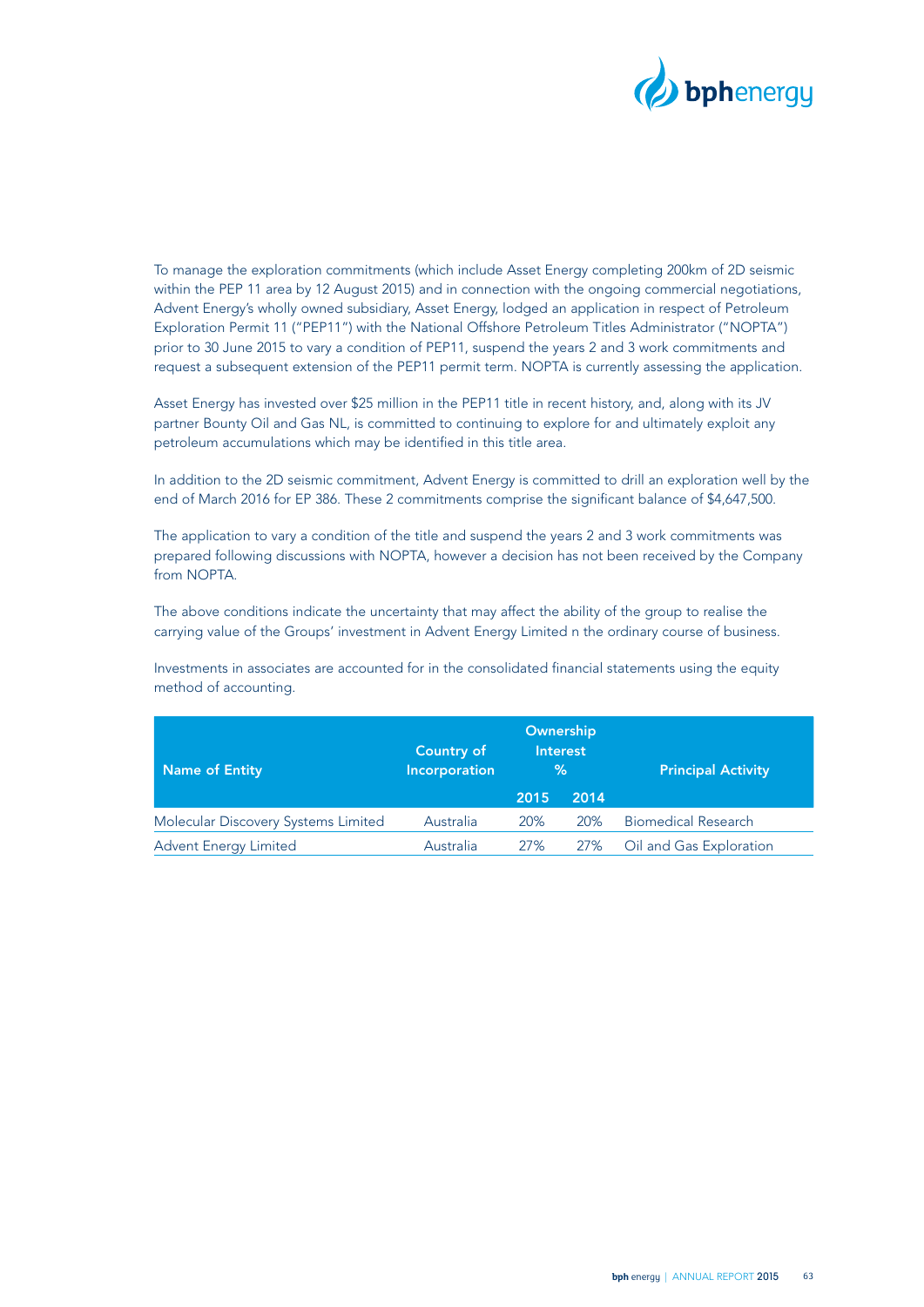

To manage the exploration commitments (which include Asset Energy completing 200km of 2D seismic within the PEP 11 area by 12 August 2015) and in connection with the ongoing commercial negotiations, Advent Energy's wholly owned subsidiary, Asset Energy, lodged an application in respect of Petroleum Exploration Permit 11 ("PEP11") with the National Offshore Petroleum Titles Administrator ("NOPTA") prior to 30 June 2015 to vary a condition of PEP11, suspend the years 2 and 3 work commitments and request a subsequent extension of the PEP11 permit term. NOPTA is currently assessing the application.

Asset Energy has invested over \$25 million in the PEP11 title in recent history, and, along with its JV partner Bounty Oil and Gas NL, is committed to continuing to explore for and ultimately exploit any petroleum accumulations which may be identified in this title area.

In addition to the 2D seismic commitment, Advent Energy is committed to drill an exploration well by the end of March 2016 for EP 386. These 2 commitments comprise the significant balance of \$4,647,500.

The application to vary a condition of the title and suspend the years 2 and 3 work commitments was prepared following discussions with NOPTA, however a decision has not been received by the Company from NOPTA.

The above conditions indicate the uncertainty that may affect the ability of the group to realise the carrying value of the Groups' investment in Advent Energy Limited n the ordinary course of business.

Investments in associates are accounted for in the consolidated financial statements using the equity method of accounting.

| <b>Name of Entity</b>               | Country of<br><b>Incorporation</b> | Ownership<br><b>Interest</b><br>℅ |            | <b>Principal Activity</b>  |  |
|-------------------------------------|------------------------------------|-----------------------------------|------------|----------------------------|--|
|                                     |                                    | 2015                              | 2014       |                            |  |
| Molecular Discovery Systems Limited | Australia                          | 20%                               | <b>20%</b> | <b>Biomedical Research</b> |  |
| <b>Advent Energy Limited</b>        | Australia                          | 27%                               | 27%        | Oil and Gas Exploration    |  |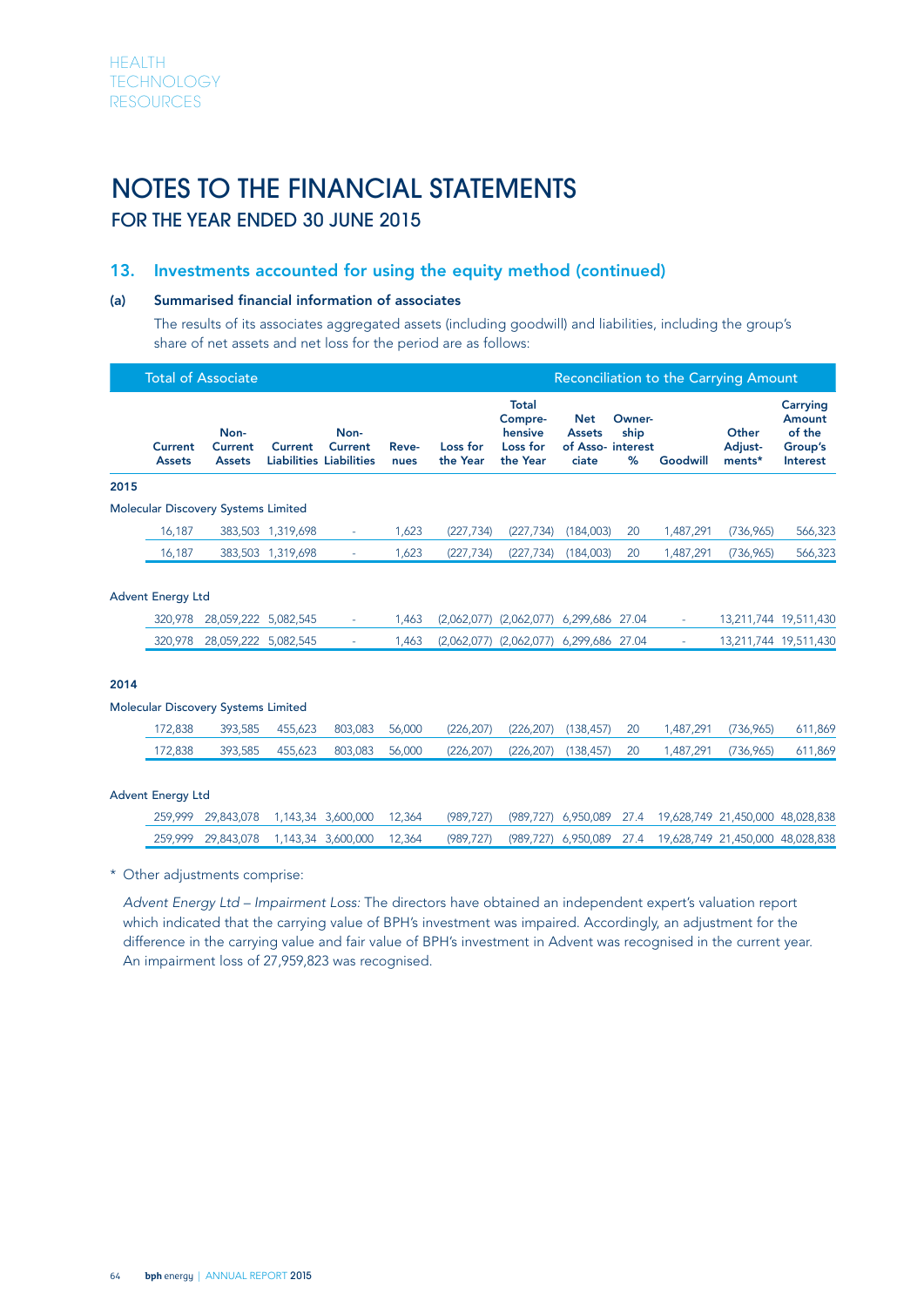## 13. Investments accounted for using the equity method (continued)

#### (a) Summarised financial information of associates

The results of its associates aggregated assets (including goodwill) and liabilities, including the group's share of net assets and net loss for the period are as follows:

|                      |                                 | <b>Total of Associate</b>                  |                   |                                                   |               |                      |                                                            |                                                           |                     |           | Reconciliation to the Carrying Amount |                                                     |
|----------------------|---------------------------------|--------------------------------------------|-------------------|---------------------------------------------------|---------------|----------------------|------------------------------------------------------------|-----------------------------------------------------------|---------------------|-----------|---------------------------------------|-----------------------------------------------------|
|                      | <b>Current</b><br><b>Assets</b> | Non-<br><b>Current</b><br><b>Assets</b>    | Current           | Non-<br>Current<br><b>Liabilities Liabilities</b> | Reve-<br>nues | Loss for<br>the Year | <b>Total</b><br>Compre-<br>hensive<br>Loss for<br>the Year | <b>Net</b><br><b>Assets</b><br>of Asso- interest<br>ciate | Owner-<br>ship<br>% | Goodwill  | Other<br>Adjust-<br>ments*            | Carrying<br>Amount<br>of the<br>Group's<br>Interest |
| 2015                 |                                 |                                            |                   |                                                   |               |                      |                                                            |                                                           |                     |           |                                       |                                                     |
|                      |                                 | <b>Molecular Discovery Systems Limited</b> |                   |                                                   |               |                      |                                                            |                                                           |                     |           |                                       |                                                     |
|                      | 16,187                          |                                            | 383,503 1,319,698 | ٠                                                 | 1,623         | (227, 734)           | (227, 734)                                                 | (184,003)                                                 | 20                  | 1,487,291 | (736, 965)                            | 566,323                                             |
|                      | 16,187                          |                                            | 383,503 1,319,698 |                                                   | 1,623         | (227, 734)           | (227, 734)                                                 | (184,003)                                                 | 20                  | 1,487,291 | (736, 965)                            | 566,323                                             |
|                      | <b>Advent Energy Ltd</b>        |                                            |                   |                                                   |               |                      |                                                            |                                                           |                     |           |                                       |                                                     |
|                      | 320,978                         | 28,059,222 5,082,545                       |                   |                                                   | 1,463         |                      | $(2,062,077)$ $(2,062,077)$                                | 6,299,686 27.04                                           |                     |           |                                       | 13,211,744 19,511,430                               |
|                      | 320.978                         | 28,059,222 5,082,545                       |                   |                                                   | 1,463         | (2,062,077)          | (2,062,077)                                                | 6,299,686 27.04                                           |                     |           |                                       | 13,211,744 19,511,430                               |
| 2014                 |                                 |                                            |                   |                                                   |               |                      |                                                            |                                                           |                     |           |                                       |                                                     |
|                      |                                 | <b>Molecular Discovery Systems Limited</b> |                   |                                                   |               |                      |                                                            |                                                           |                     |           |                                       |                                                     |
|                      | 172,838                         | 393,585                                    | 455,623           | 803,083                                           | 56,000        | (226, 207)           | (226, 207)                                                 | (138, 457)                                                | 20                  | 1,487,291 | (736,965)                             | 611,869                                             |
|                      | 172,838                         | 393,585                                    | 455,623           | 803,083                                           | 56,000        | (226, 207)           | (226, 207)                                                 | (138, 457)                                                | 20                  | 1,487,291 | (736, 965)                            | 611,869                                             |
|                      | <b>Advent Energy Ltd</b>        |                                            |                   |                                                   |               |                      |                                                            |                                                           |                     |           |                                       |                                                     |
|                      | 259.999                         | 29,843,078                                 |                   | 1,143,34 3,600,000                                | 12,364        | (989, 727)           | (989, 727)                                                 | 6,950,089                                                 | 27.4                |           | 19,628,749 21,450,000 48,028,838      |                                                     |
|                      | 259,999                         | 29,843,078                                 |                   | 1,143,34 3,600,000                                | 12,364        | (989, 727)           | (989, 727)                                                 | 6,950,089                                                 | 27.4                |           | 19,628,749 21,450,000 48,028,838      |                                                     |
| $\sim$ $\sim$ $\sim$ | $\mathbf{1}$                    |                                            |                   |                                                   |               |                      |                                                            |                                                           |                     |           |                                       |                                                     |

\* Other adjustments comprise:

*Advent Energy Ltd – Impairment Loss:* The directors have obtained an independent expert's valuation report which indicated that the carrying value of BPH's investment was impaired. Accordingly, an adjustment for the difference in the carrying value and fair value of BPH's investment in Advent was recognised in the current year. An impairment loss of 27,959,823 was recognised.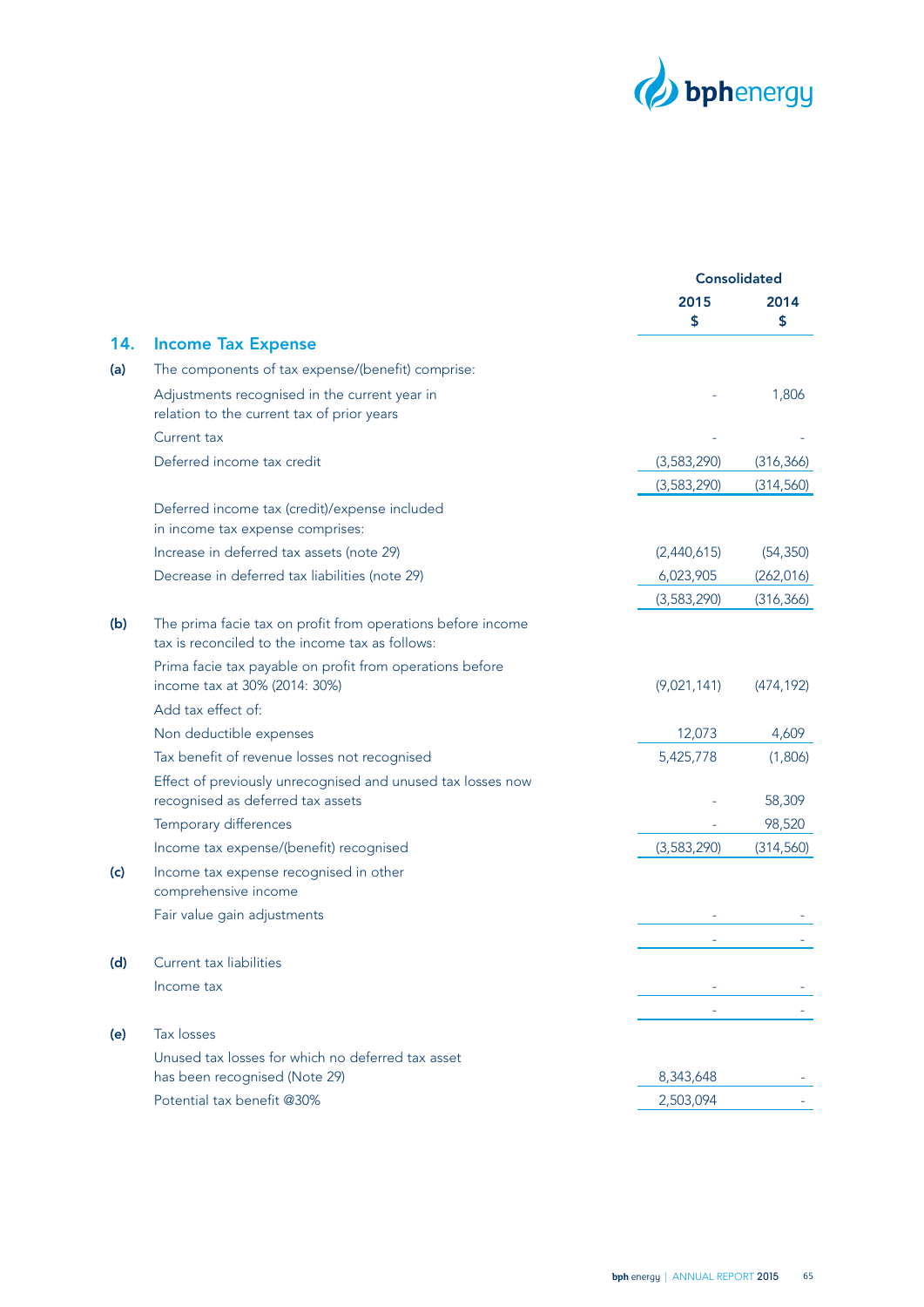

|     |                                                                                                                | <b>Consolidated</b>        |                          |  |
|-----|----------------------------------------------------------------------------------------------------------------|----------------------------|--------------------------|--|
|     |                                                                                                                | 2015<br>\$                 | 2014<br>\$               |  |
| 14. | <b>Income Tax Expense</b>                                                                                      |                            |                          |  |
| (a) | The components of tax expense/(benefit) comprise:                                                              |                            |                          |  |
|     | Adjustments recognised in the current year in<br>relation to the current tax of prior years                    |                            | 1,806                    |  |
|     | Current tax                                                                                                    |                            |                          |  |
|     | Deferred income tax credit                                                                                     | (3,583,290)<br>(3,583,290) | (316, 366)<br>(314, 560) |  |
|     | Deferred income tax (credit)/expense included<br>in income tax expense comprises:                              |                            |                          |  |
|     | Increase in deferred tax assets (note 29)                                                                      | (2,440,615)                | (54, 350)                |  |
|     | Decrease in deferred tax liabilities (note 29)                                                                 | 6,023,905                  | (262, 016)               |  |
|     |                                                                                                                | (3,583,290)                | (316, 366)               |  |
| (b) | The prima facie tax on profit from operations before income<br>tax is reconciled to the income tax as follows: |                            |                          |  |
|     | Prima facie tax payable on profit from operations before<br>income tax at 30% (2014: 30%)                      | (9,021,141)                | (474, 192)               |  |
|     | Add tax effect of:                                                                                             |                            |                          |  |
|     | Non deductible expenses                                                                                        | 12,073                     | 4,609                    |  |
|     | Tax benefit of revenue losses not recognised                                                                   | 5,425,778                  | (1,806)                  |  |
|     | Effect of previously unrecognised and unused tax losses now<br>recognised as deferred tax assets               |                            | 58,309                   |  |
|     | Temporary differences                                                                                          |                            | 98,520                   |  |
|     | Income tax expense/(benefit) recognised                                                                        | (3,583,290)                | (314, 560)               |  |
| (c) | Income tax expense recognised in other<br>comprehensive income                                                 |                            |                          |  |
|     | Fair value gain adjustments                                                                                    |                            |                          |  |
|     |                                                                                                                |                            |                          |  |
| (d) | Current tax liabilities                                                                                        |                            |                          |  |
|     | Income tax                                                                                                     |                            |                          |  |
| (e) | <b>Tax losses</b>                                                                                              |                            |                          |  |
|     | Unused tax losses for which no deferred tax asset                                                              |                            |                          |  |
|     | has been recognised (Note 29)                                                                                  | 8,343,648                  |                          |  |
|     | Potential tax benefit @30%                                                                                     | 2,503,094                  |                          |  |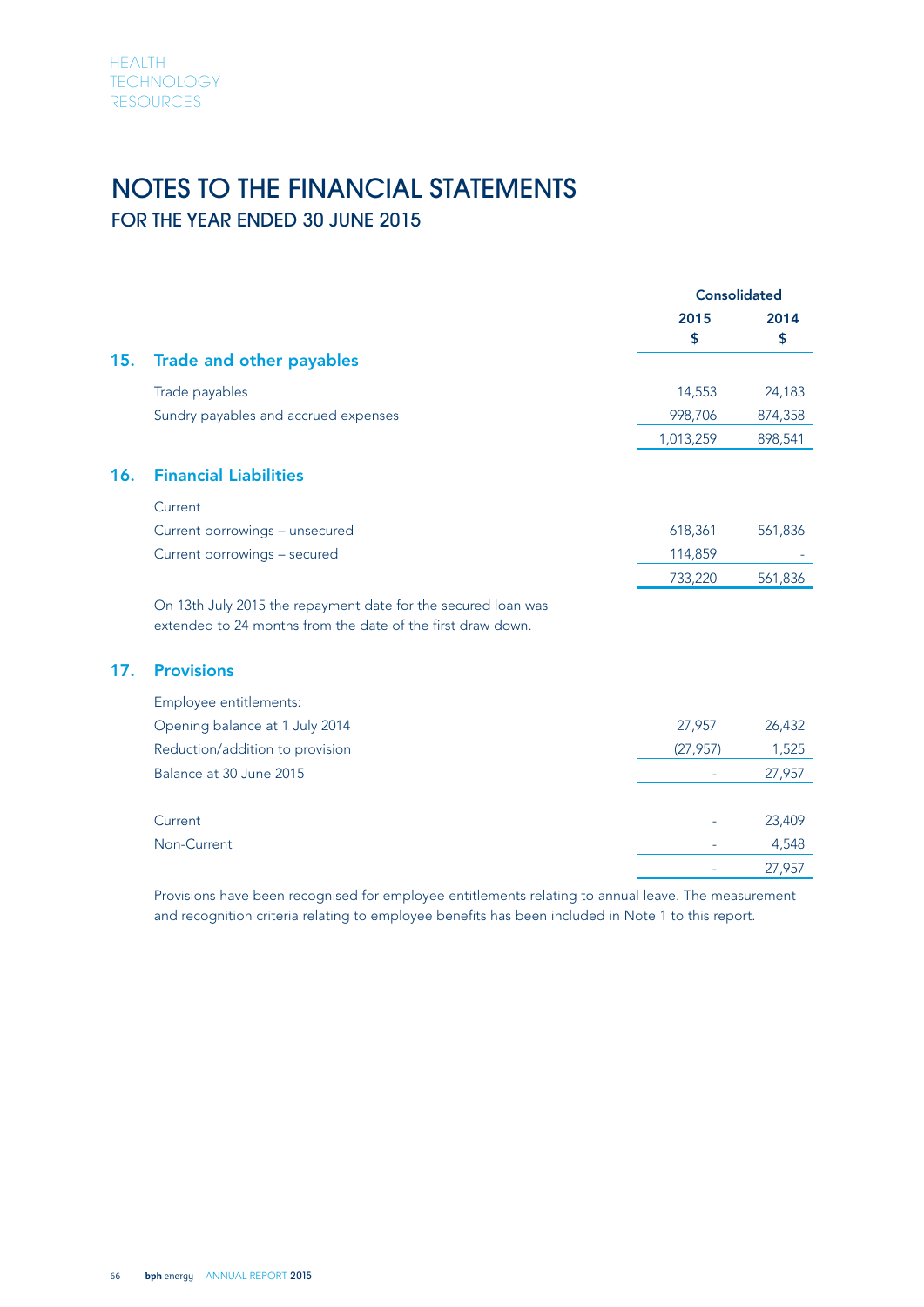# NOTES TO THE FINANCIAL STATEMENTS

FOR THE YEAR ENDED 30 JUNE 2015

|     |                                                                                                                              | <b>Consolidated</b> |            |
|-----|------------------------------------------------------------------------------------------------------------------------------|---------------------|------------|
|     |                                                                                                                              | 2015<br>\$          | 2014<br>\$ |
| 15. | <b>Trade and other payables</b>                                                                                              |                     |            |
|     | Trade payables                                                                                                               | 14,553              | 24,183     |
|     | Sundry payables and accrued expenses                                                                                         | 998,706             | 874,358    |
|     |                                                                                                                              | 1,013,259           | 898,541    |
| 16. | <b>Financial Liabilities</b>                                                                                                 |                     |            |
|     | Current                                                                                                                      |                     |            |
|     | Current borrowings - unsecured                                                                                               | 618,361             | 561,836    |
|     | Current borrowings - secured                                                                                                 | 114,859             |            |
|     |                                                                                                                              | 733,220             | 561,836    |
|     | On 13th July 2015 the repayment date for the secured loan was<br>extended to 24 months from the date of the first draw down. |                     |            |
| 17. | <b>Provisions</b>                                                                                                            |                     |            |
|     | Employee entitlements:                                                                                                       |                     |            |
|     | Opening balance at 1 July 2014                                                                                               | 27,957              | 26,432     |
|     | Reduction/addition to provision                                                                                              | (27, 957)           | 1,525      |
|     | Balance at 30 June 2015                                                                                                      |                     | 27,957     |
|     | Current                                                                                                                      |                     | 23,409     |
|     | Non-Current                                                                                                                  |                     | 4,548      |
|     |                                                                                                                              |                     | 27,957     |

Provisions have been recognised for employee entitlements relating to annual leave. The measurement and recognition criteria relating to employee benefits has been included in Note 1 to this report.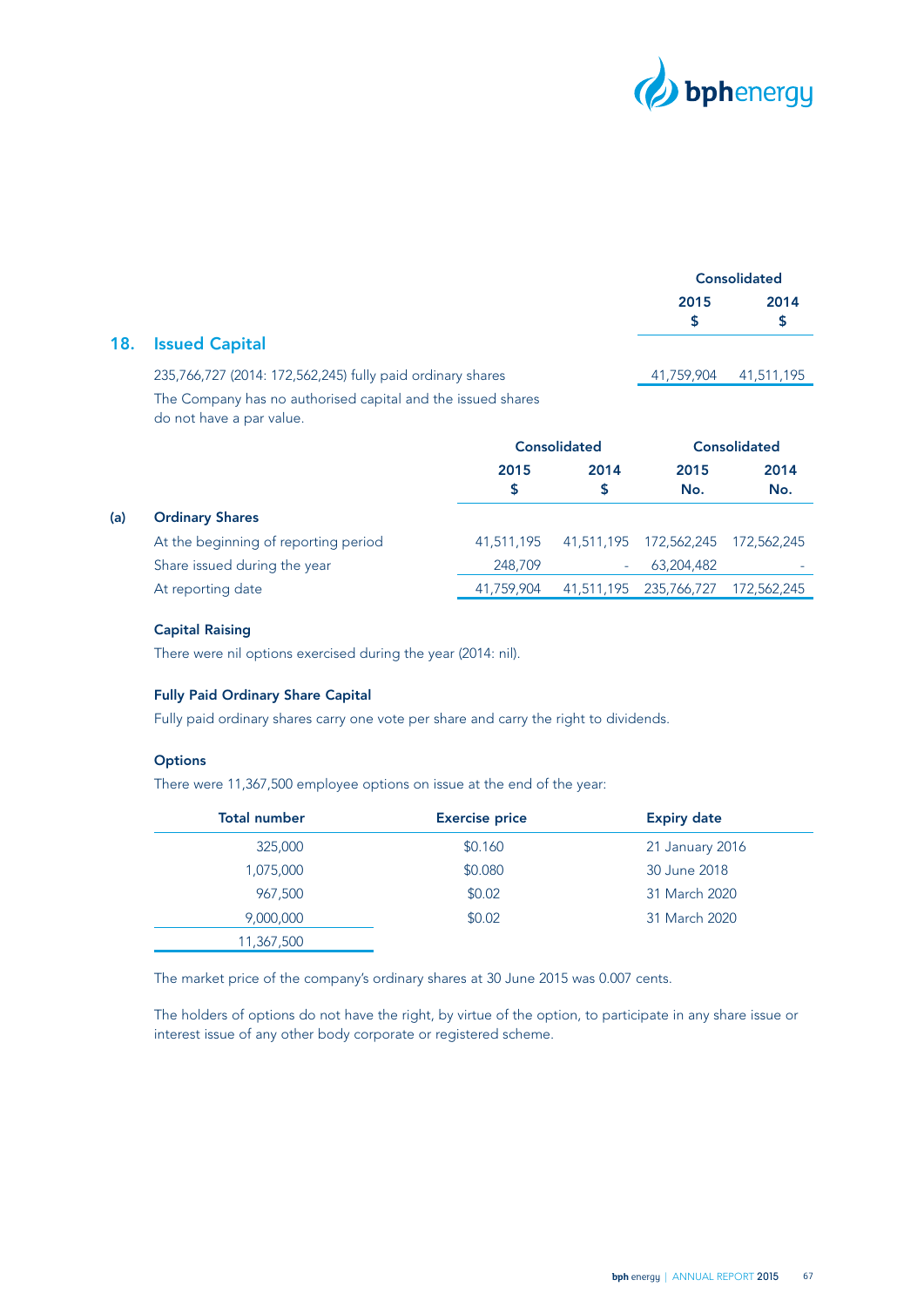

|     |                                                                                         |            |                          | Consolidated           |             |
|-----|-----------------------------------------------------------------------------------------|------------|--------------------------|------------------------|-------------|
|     |                                                                                         |            |                          | 2015<br>\$             | 2014<br>S   |
| 18. | <b>Issued Capital</b>                                                                   |            |                          |                        |             |
|     | 235,766,727 (2014: 172,562,245) fully paid ordinary shares                              |            |                          | 41,759,904             | 41,511,195  |
|     | The Company has no authorised capital and the issued shares<br>do not have a par value. |            |                          |                        |             |
|     |                                                                                         |            | <b>Consolidated</b>      | <b>Consolidated</b>    |             |
|     |                                                                                         | 2015       | 2014                     | 2015                   | 2014        |
|     |                                                                                         | \$         | \$                       | No.                    | No.         |
| (a) | <b>Ordinary Shares</b>                                                                  |            |                          |                        |             |
|     | At the beginning of reporting period                                                    | 41,511,195 |                          | 41,511,195 172,562,245 | 172,562,245 |
|     | Share issued during the year                                                            | 248,709    | $\overline{\phantom{a}}$ | 63,204,482             |             |

At reporting date 41,759,904 41,511,195 235,766,727 172,562,245

# Capital Raising

There were nil options exercised during the year (2014: nil).

### Fully Paid Ordinary Share Capital

Fully paid ordinary shares carry one vote per share and carry the right to dividends.

#### **Options**

There were 11,367,500 employee options on issue at the end of the year:

| <b>Total number</b> | <b>Exercise price</b> | <b>Expiry date</b> |
|---------------------|-----------------------|--------------------|
| 325,000             | \$0.160               | 21 January 2016    |
| 1,075,000           | \$0.080               | 30 June 2018       |
| 967,500             | \$0.02                | 31 March 2020      |
| 9,000,000           | \$0.02                | 31 March 2020      |
| 11,367,500          |                       |                    |

The market price of the company's ordinary shares at 30 June 2015 was 0.007 cents.

The holders of options do not have the right, by virtue of the option, to participate in any share issue or interest issue of any other body corporate or registered scheme.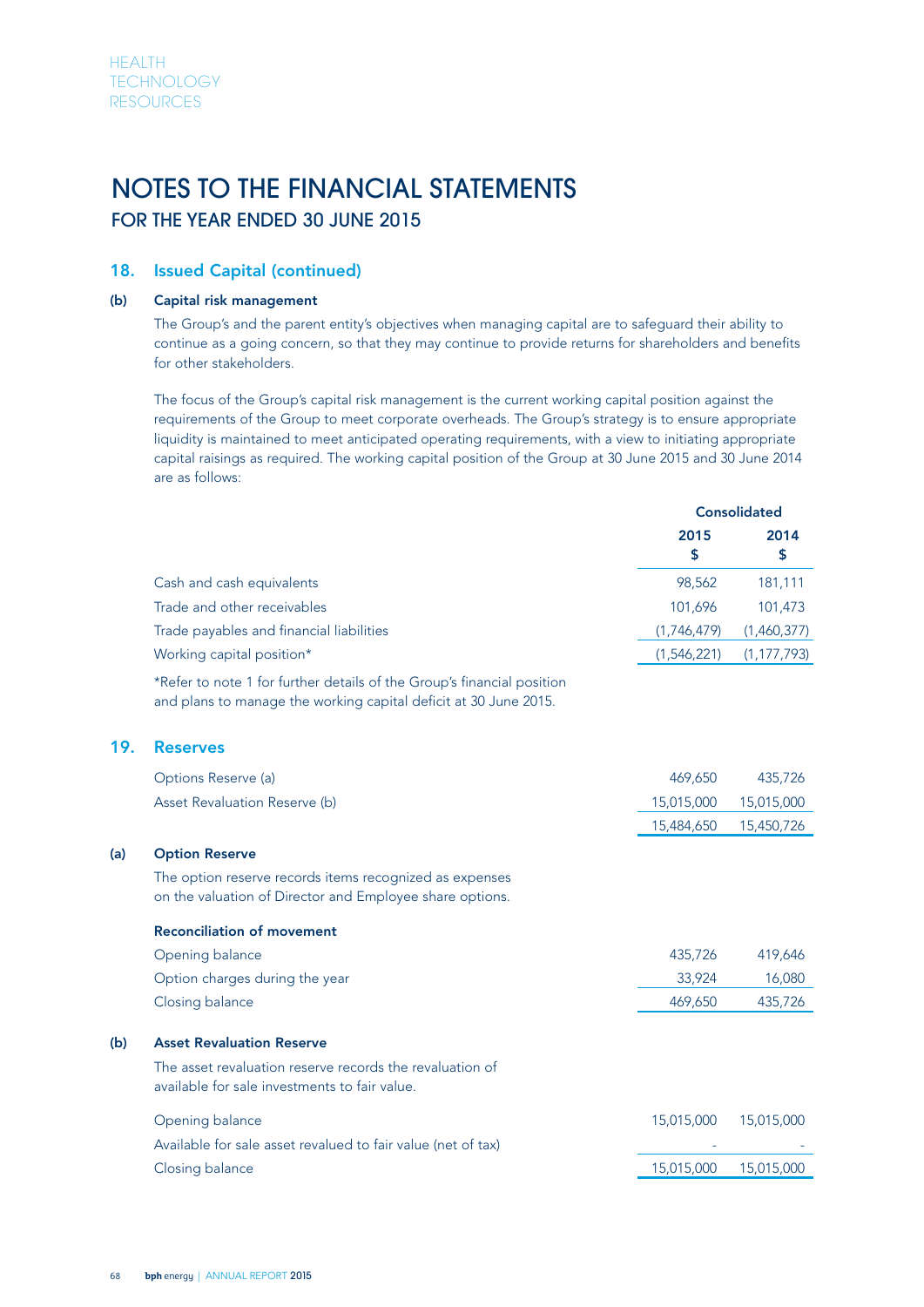# 18. Issued Capital (continued)

#### (b) Capital risk management

The Group's and the parent entity's objectives when managing capital are to safeguard their ability to continue as a going concern, so that they may continue to provide returns for shareholders and benefits for other stakeholders.

The focus of the Group's capital risk management is the current working capital position against the requirements of the Group to meet corporate overheads. The Group's strategy is to ensure appropriate liquidity is maintained to meet anticipated operating requirements, with a view to initiating appropriate capital raisings as required. The working capital position of the Group at 30 June 2015 and 30 June 2014 are as follows:

|     |                                                                                                                                            |             | <b>Consolidated</b> |  |
|-----|--------------------------------------------------------------------------------------------------------------------------------------------|-------------|---------------------|--|
|     |                                                                                                                                            | 2015<br>\$  | 2014<br>\$          |  |
|     | Cash and cash equivalents                                                                                                                  | 98,562      | 181,111             |  |
|     | Trade and other receivables                                                                                                                | 101,696     | 101,473             |  |
|     | Trade payables and financial liabilities                                                                                                   | (1,746,479) | (1,460,377)         |  |
|     | Working capital position*                                                                                                                  | (1,546,221) | (1, 177, 793)       |  |
|     | *Refer to note 1 for further details of the Group's financial position<br>and plans to manage the working capital deficit at 30 June 2015. |             |                     |  |
| 19. | <b>Reserves</b>                                                                                                                            |             |                     |  |
|     | Options Reserve (a)                                                                                                                        | 469,650     | 435,726             |  |
|     | Asset Revaluation Reserve (b)                                                                                                              | 15,015,000  | 15,015,000          |  |
|     |                                                                                                                                            | 15,484,650  | 15,450,726          |  |
| (a) | <b>Option Reserve</b>                                                                                                                      |             |                     |  |
|     | The option reserve records items recognized as expenses<br>on the valuation of Director and Employee share options.                        |             |                     |  |
|     | <b>Reconciliation of movement</b>                                                                                                          |             |                     |  |
|     | Opening balance                                                                                                                            | 435,726     | 419,646             |  |
|     | Option charges during the year                                                                                                             | 33,924      | 16,080              |  |
|     | Closing balance                                                                                                                            | 469,650     | 435,726             |  |
| (b) | <b>Asset Revaluation Reserve</b>                                                                                                           |             |                     |  |
|     | The asset revaluation reserve records the revaluation of<br>available for sale investments to fair value.                                  |             |                     |  |
|     | Opening balance                                                                                                                            | 15,015,000  | 15,015,000          |  |
|     | Available for sale asset revalued to fair value (net of tax)                                                                               |             |                     |  |
|     | Closing balance                                                                                                                            | 15,015,000  | 15,015,000          |  |

 $(a)$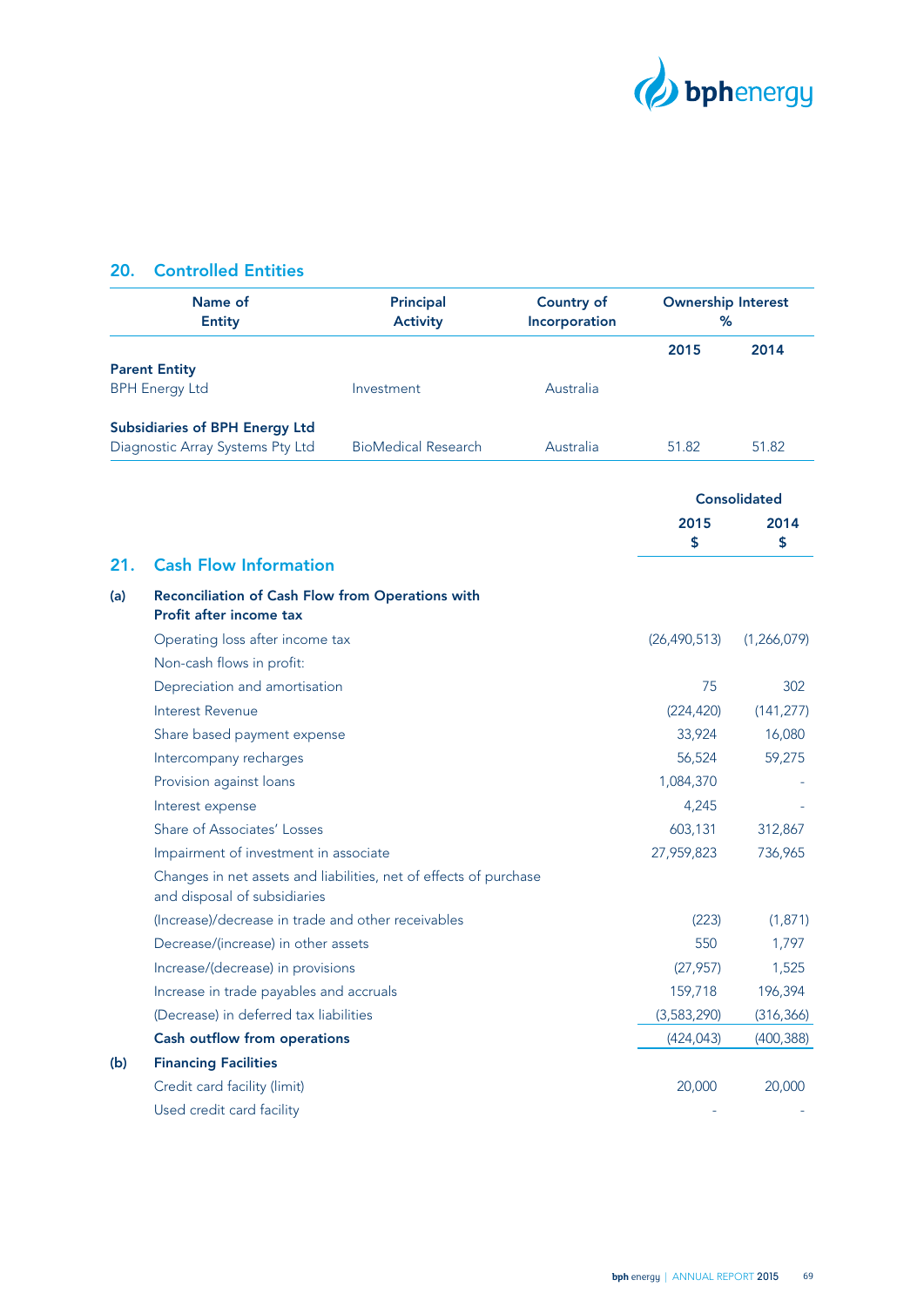

# 20. Controlled Entities

|     | Name of<br><b>Entity</b>                                                    | Principal<br><b>Activity</b>                                      | <b>Country of</b><br>Incorporation | <b>Ownership Interest</b><br>℅ |                     |
|-----|-----------------------------------------------------------------------------|-------------------------------------------------------------------|------------------------------------|--------------------------------|---------------------|
|     |                                                                             |                                                                   |                                    | 2015                           | 2014                |
|     | <b>Parent Entity</b>                                                        |                                                                   |                                    |                                |                     |
|     | <b>BPH Energy Ltd</b>                                                       | Investment                                                        | Australia                          |                                |                     |
|     | <b>Subsidiaries of BPH Energy Ltd</b>                                       |                                                                   |                                    |                                |                     |
|     | Diagnostic Array Systems Pty Ltd                                            | <b>BioMedical Research</b>                                        | Australia                          | 51.82                          | 51.82               |
|     |                                                                             |                                                                   |                                    |                                |                     |
|     |                                                                             |                                                                   |                                    |                                | <b>Consolidated</b> |
|     |                                                                             |                                                                   |                                    | 2015                           | 2014                |
|     |                                                                             |                                                                   |                                    | \$                             | \$                  |
| 21. | <b>Cash Flow Information</b>                                                |                                                                   |                                    |                                |                     |
| (a) | Reconciliation of Cash Flow from Operations with<br>Profit after income tax |                                                                   |                                    |                                |                     |
|     | Operating loss after income tax                                             |                                                                   |                                    | (26, 490, 513)                 | (1,266,079)         |
|     | Non-cash flows in profit:                                                   |                                                                   |                                    |                                |                     |
|     | Depreciation and amortisation                                               |                                                                   |                                    | 75                             | 302                 |
|     | <b>Interest Revenue</b>                                                     |                                                                   |                                    | (224, 420)                     | (141, 277)          |
|     | Share based payment expense                                                 |                                                                   |                                    | 33,924                         | 16,080              |
|     | Intercompany recharges                                                      |                                                                   |                                    | 56,524                         | 59,275              |
|     | Provision against loans                                                     |                                                                   |                                    | 1,084,370                      |                     |
|     | Interest expense                                                            |                                                                   |                                    | 4,245                          |                     |
|     | Share of Associates' Losses                                                 |                                                                   |                                    | 603,131                        | 312,867             |
|     | Impairment of investment in associate                                       |                                                                   |                                    | 27,959,823                     | 736,965             |
|     | and disposal of subsidiaries                                                | Changes in net assets and liabilities, net of effects of purchase |                                    |                                |                     |
|     | (Increase)/decrease in trade and other receivables                          |                                                                   |                                    | (223)                          | (1, 871)            |
|     | Decrease/(increase) in other assets                                         |                                                                   |                                    | 550                            | 1,797               |
|     | Increase/(decrease) in provisions                                           |                                                                   |                                    | (27, 957)                      | 1,525               |
|     | Increase in trade payables and accruals                                     |                                                                   |                                    | 159,718                        | 196,394             |
|     | (Decrease) in deferred tax liabilities                                      |                                                                   |                                    | (3,583,290)                    | (316, 366)          |
|     | <b>Cash outflow from operations</b>                                         |                                                                   |                                    | (424, 043)                     | (400, 388)          |
| (b) | <b>Financing Facilities</b>                                                 |                                                                   |                                    |                                |                     |
|     | Credit card facility (limit)                                                |                                                                   |                                    | 20,000                         | 20,000              |
|     | Used credit card facility                                                   |                                                                   |                                    |                                |                     |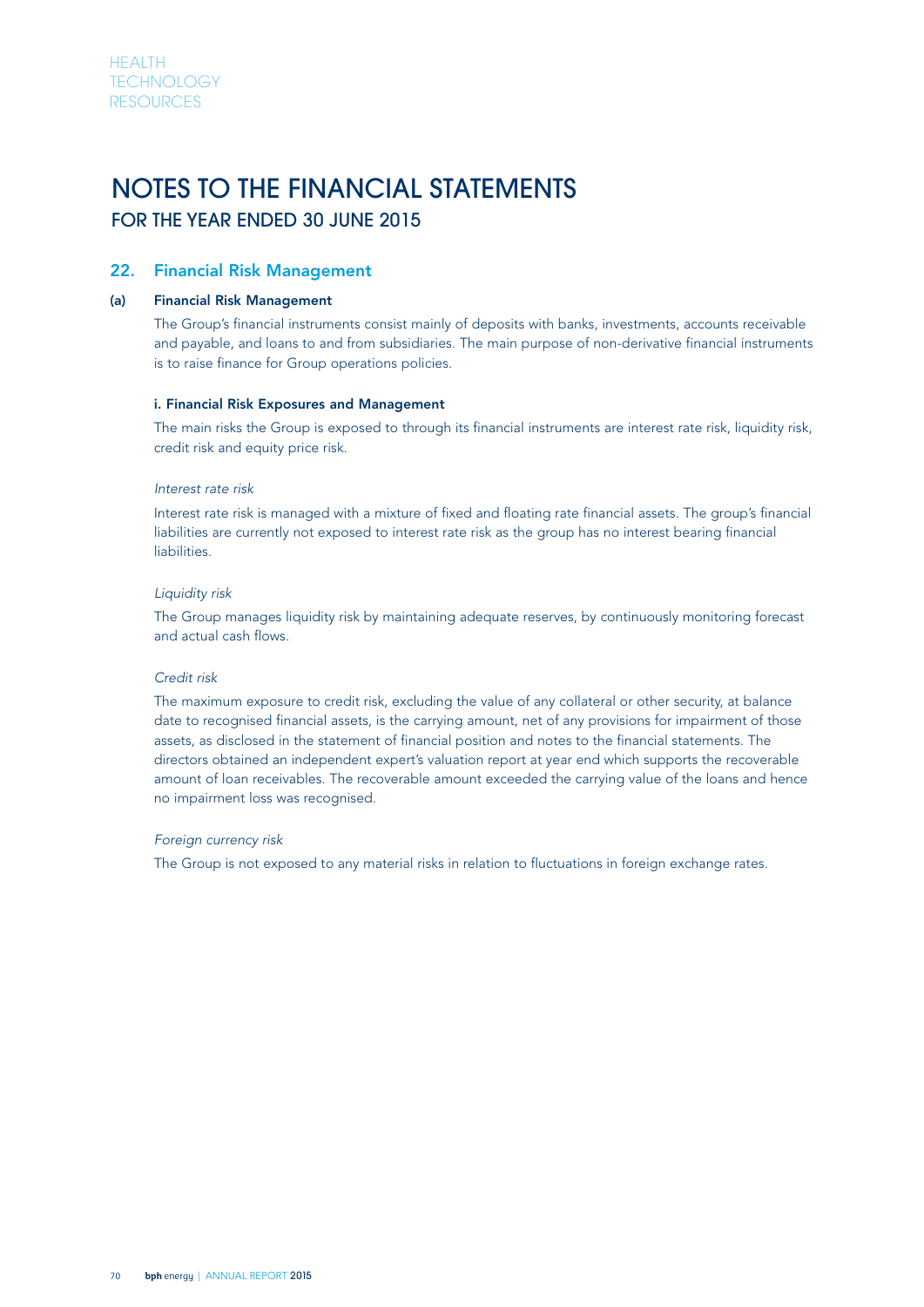### 22. Financial Risk Management

#### (a) Financial Risk Management

The Group's financial instruments consist mainly of deposits with banks, investments, accounts receivable and payable, and loans to and from subsidiaries. The main purpose of non-derivative financial instruments is to raise finance for Group operations policies.

#### i. Financial Risk Exposures and Management

The main risks the Group is exposed to through its financial instruments are interest rate risk, liquidity risk, credit risk and equity price risk.

#### *Interest rate risk*

Interest rate risk is managed with a mixture of fixed and floating rate financial assets. The group's financial liabilities are currently not exposed to interest rate risk as the group has no interest bearing financial liabilities.

#### *Liquidity risk*

The Group manages liquidity risk by maintaining adequate reserves, by continuously monitoring forecast and actual cash flows.

#### *Credit risk*

The maximum exposure to credit risk, excluding the value of any collateral or other security, at balance date to recognised financial assets, is the carrying amount, net of any provisions for impairment of those assets, as disclosed in the statement of financial position and notes to the financial statements. The directors obtained an independent expert's valuation report at year end which supports the recoverable amount of loan receivables. The recoverable amount exceeded the carrying value of the loans and hence no impairment loss was recognised.

#### *Foreign currency risk*

The Group is not exposed to any material risks in relation to fluctuations in foreign exchange rates.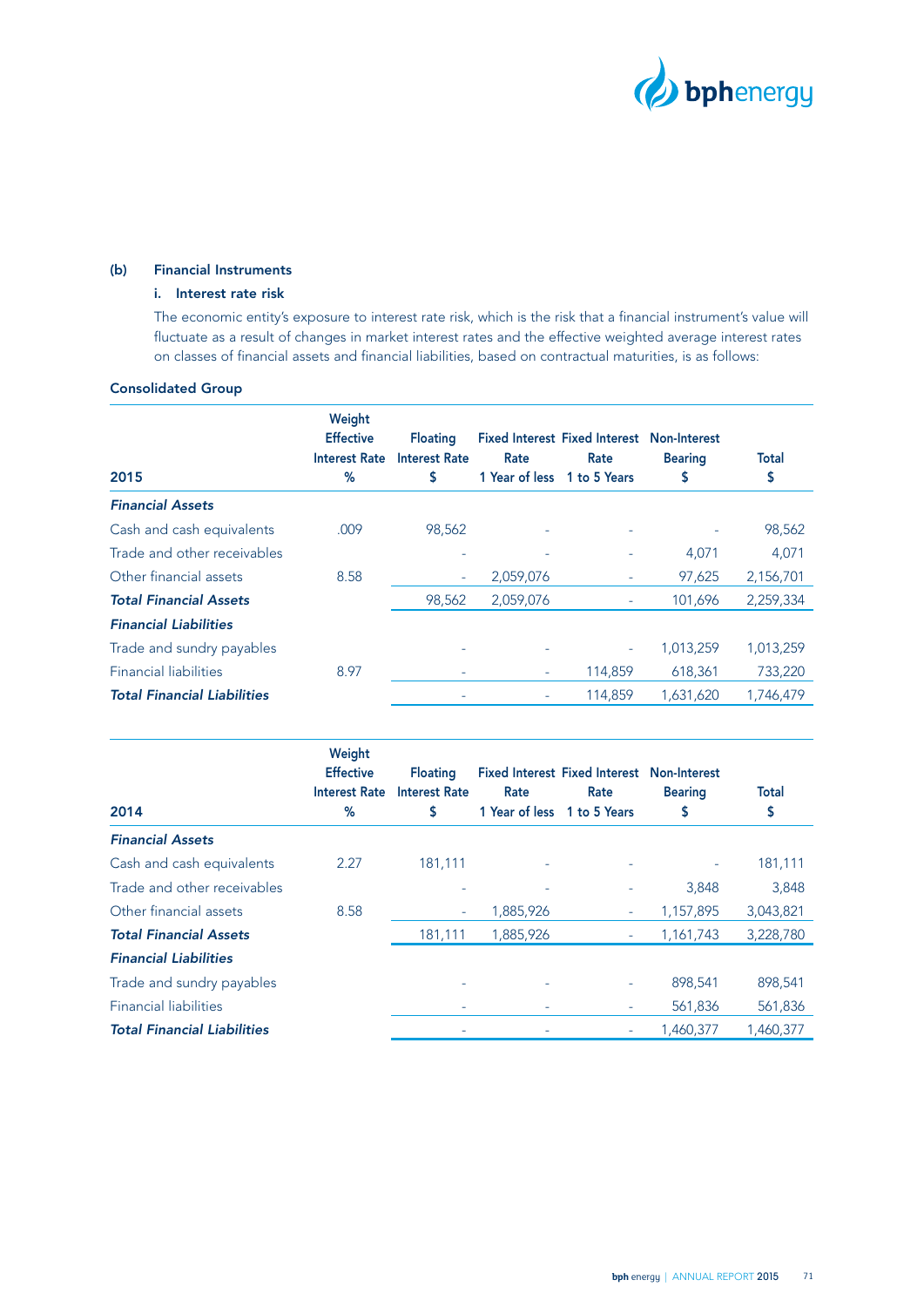

### (b) Financial Instruments

## i. Interest rate risk

The economic entity's exposure to interest rate risk, which is the risk that a financial instrument's value will fluctuate as a result of changes in market interest rates and the effective weighted average interest rates on classes of financial assets and financial liabilities, based on contractual maturities, is as follows:

### Consolidated Group

| 2015                               | Weight<br><b>Effective</b><br><b>Interest Rate</b><br>% | <b>Floating</b><br><b>Interest Rate</b><br>\$ | Rate<br>1 Year of less 1 to 5 Years | <b>Fixed Interest Fixed Interest Non-Interest</b><br>Rate | <b>Bearing</b><br>S | Total<br>\$ |
|------------------------------------|---------------------------------------------------------|-----------------------------------------------|-------------------------------------|-----------------------------------------------------------|---------------------|-------------|
| <b>Financial Assets</b>            |                                                         |                                               |                                     |                                                           |                     |             |
| Cash and cash equivalents          | .009                                                    | 98,562                                        |                                     |                                                           |                     | 98,562      |
| Trade and other receivables        |                                                         |                                               |                                     | $\overline{\phantom{a}}$                                  | 4,071               | 4,071       |
| Other financial assets             | 8.58                                                    | $\overline{\phantom{a}}$                      | 2,059,076                           | $\overline{\phantom{a}}$                                  | 97,625              | 2,156,701   |
| <b>Total Financial Assets</b>      |                                                         | 98,562                                        | 2,059,076                           | ۰                                                         | 101,696             | 2,259,334   |
| <b>Financial Liabilities</b>       |                                                         |                                               |                                     |                                                           |                     |             |
| Trade and sundry payables          |                                                         |                                               |                                     | $\overline{\phantom{a}}$                                  | 1,013,259           | 1,013,259   |
| <b>Financial liabilities</b>       | 8.97                                                    |                                               | $\sim$                              | 114,859                                                   | 618,361             | 733,220     |
| <b>Total Financial Liabilities</b> |                                                         |                                               | ۰                                   | 114,859                                                   | 1,631,620           | 1,746,479   |

| 2014                               | Weight<br><b>Effective</b><br><b>Interest Rate</b><br>% | <b>Floating</b><br><b>Interest Rate</b><br>\$ | Rate<br>1 Year of less 1 to 5 Years | <b>Fixed Interest Fixed Interest Non-Interest</b><br>Rate | <b>Bearing</b><br>S | Total<br>\$ |
|------------------------------------|---------------------------------------------------------|-----------------------------------------------|-------------------------------------|-----------------------------------------------------------|---------------------|-------------|
| <b>Financial Assets</b>            |                                                         |                                               |                                     |                                                           |                     |             |
| Cash and cash equivalents          | 2.27                                                    | 181,111                                       |                                     |                                                           |                     | 181,111     |
| Trade and other receivables        |                                                         |                                               |                                     |                                                           | 3,848               | 3,848       |
| Other financial assets             | 8.58                                                    | $\qquad \qquad$                               | 1,885,926                           | ÷                                                         | 1,157,895           | 3,043,821   |
| <b>Total Financial Assets</b>      |                                                         | 181,111                                       | 1,885,926                           |                                                           | 1,161,743           | 3,228,780   |
| <b>Financial Liabilities</b>       |                                                         |                                               |                                     |                                                           |                     |             |
| Trade and sundry payables          |                                                         |                                               | ۰                                   | $\overline{\phantom{a}}$                                  | 898,541             | 898,541     |
| <b>Financial liabilities</b>       |                                                         |                                               |                                     | $\sim$                                                    | 561,836             | 561,836     |
| <b>Total Financial Liabilities</b> |                                                         |                                               |                                     | ٠                                                         | 1,460,377           | 1,460,377   |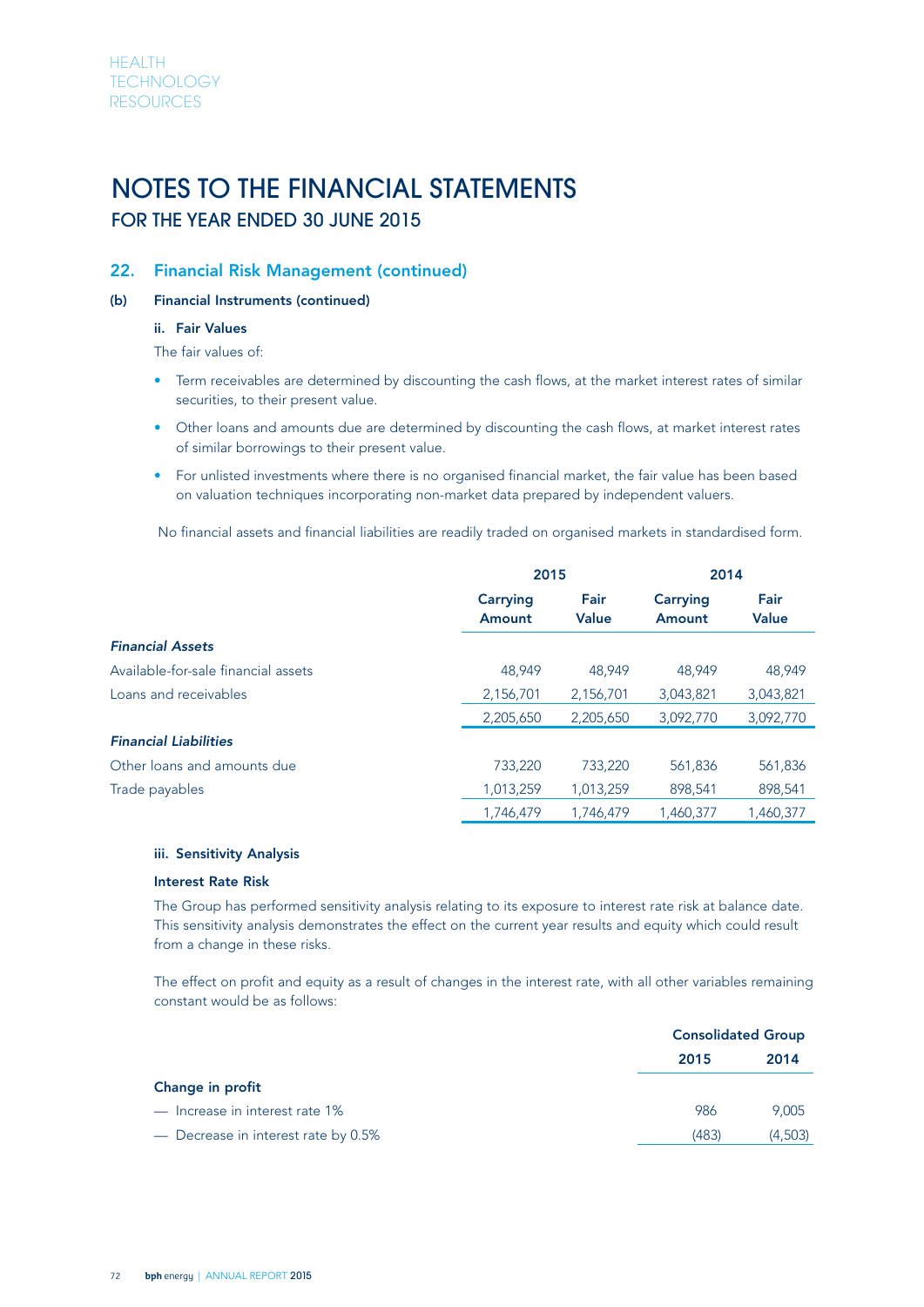# NOTES TO THE FINANCIAL STATEMENTS FOR THE YEAR ENDED 30 JUNE 2015

## 22. Financial Risk Management (continued)

## (b) Financial Instruments (continued)

## ii. Fair Values

The fair values of:

- Term receivables are determined by discounting the cash flows, at the market interest rates of similar securities, to their present value.
- Other loans and amounts due are determined by discounting the cash flows, at market interest rates of similar borrowings to their present value.
- For unlisted investments where there is no organised financial market, the fair value has been based on valuation techniques incorporating non-market data prepared by independent valuers.

No financial assets and financial liabilities are readily traded on organised markets in standardised form.

|                                     |                    | 2015          |                    | 2014                 |
|-------------------------------------|--------------------|---------------|--------------------|----------------------|
|                                     | Carrying<br>Amount | Fair<br>Value | Carrying<br>Amount | Fair<br><b>Value</b> |
| <b>Financial Assets</b>             |                    |               |                    |                      |
| Available-for-sale financial assets | 48,949             | 48.949        | 48.949             | 48,949               |
| Loans and receivables               | 2,156,701          | 2,156,701     | 3,043,821          | 3,043,821            |
|                                     | 2,205,650          | 2,205,650     | 3,092,770          | 3,092,770            |
| <b>Financial Liabilities</b>        |                    |               |                    |                      |
| Other loans and amounts due         | 733,220            | 733,220       | 561,836            | 561,836              |
| Trade payables                      | 1,013,259          | 1,013,259     | 898.541            | 898,541              |
|                                     | 1.746.479          | 1.746.479     | 1,460,377          | 1.460.377            |

## iii. Sensitivity Analysis

### Interest Rate Risk

The Group has performed sensitivity analysis relating to its exposure to interest rate risk at balance date. This sensitivity analysis demonstrates the effect on the current year results and equity which could result from a change in these risks.

The effect on profit and equity as a result of changes in the interest rate, with all other variables remaining constant would be as follows:

|                                     |       | <b>Consolidated Group</b> |
|-------------------------------------|-------|---------------------------|
|                                     | 2015  | 2014                      |
| Change in profit                    |       |                           |
| - Increase in interest rate 1%      | 986   | 9.005                     |
| - Decrease in interest rate by 0.5% | (483) | (4,503)                   |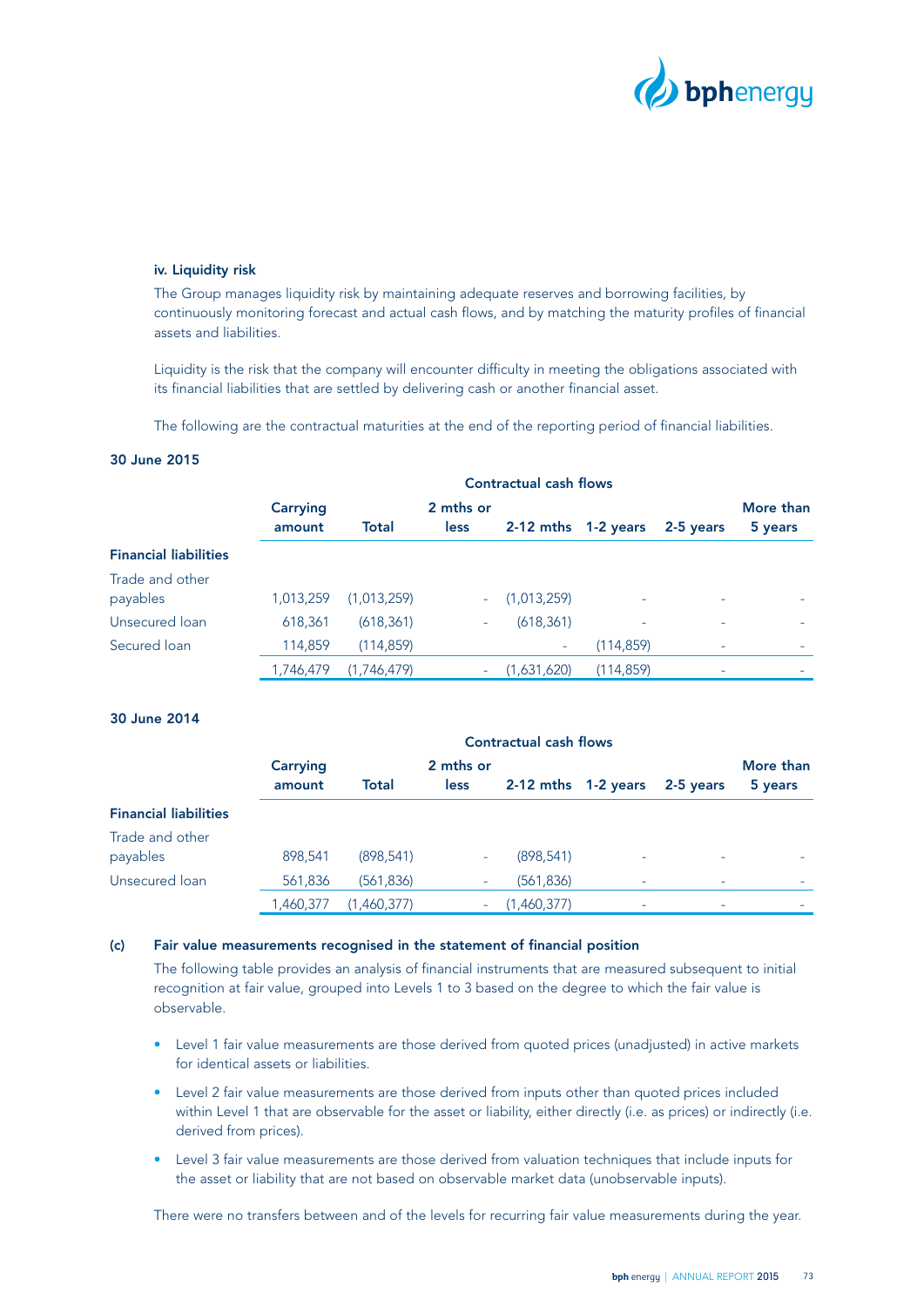

### iv. Liquidity risk

The Group manages liquidity risk by maintaining adequate reserves and borrowing facilities, by continuously monitoring forecast and actual cash flows, and by matching the maturity profiles of financial assets and liabilities.

Liquidity is the risk that the company will encounter difficulty in meeting the obligations associated with its financial liabilities that are settled by delivering cash or another financial asset.

The following are the contractual maturities at the end of the reporting period of financial liabilities.

### 30 June 2015

|                              | <b>Contractual cash flows</b> |             |                   |                     |                          |                          |                      |
|------------------------------|-------------------------------|-------------|-------------------|---------------------|--------------------------|--------------------------|----------------------|
|                              | <b>Carrying</b><br>amount     | Total       | 2 mths or<br>less | 2-12 mths 1-2 years |                          | 2-5 years                | More than<br>5 years |
| <b>Financial liabilities</b> |                               |             |                   |                     |                          |                          |                      |
| Trade and other              |                               |             |                   |                     |                          |                          |                      |
| payables                     | 1,013,259                     | (1,013,259) | $\sim$ .          | (1,013,259)         |                          |                          |                      |
| Unsecured loan               | 618,361                       | (618, 361)  | $\sim$            | (618, 361)          | $\overline{\phantom{0}}$ | $\overline{\phantom{0}}$ | $\sim$               |
| Secured Ioan                 | 114,859                       | (114,859)   |                   | ۰.                  | (114,859)                | ۰                        |                      |
|                              | 1,746,479                     | (1,746,479) |                   | (1,631,620)         | (114,859)                |                          |                      |

## 30 June 2014

|                              | <b>Contractual cash flows</b> |             |                   |                     |                          |           |                      |
|------------------------------|-------------------------------|-------------|-------------------|---------------------|--------------------------|-----------|----------------------|
|                              | <b>Carrying</b><br>amount     | Total       | 2 mths or<br>less | 2-12 mths 1-2 years |                          | 2-5 years | More than<br>5 years |
| <b>Financial liabilities</b> |                               |             |                   |                     |                          |           |                      |
| Trade and other              |                               |             |                   |                     |                          |           |                      |
| payables                     | 898,541                       | (898, 541)  | $\sim$            | (898, 541)          | $\overline{\phantom{0}}$ |           | ۰                    |
| Unsecured loan               | 561,836                       | (561, 836)  | ۰.                | (561, 836)          | ۰                        |           |                      |
|                              | 1,460,377                     | (1,460,377) |                   | (1,460,377)         | -                        |           |                      |

#### (c) Fair value measurements recognised in the statement of financial position

The following table provides an analysis of financial instruments that are measured subsequent to initial recognition at fair value, grouped into Levels 1 to 3 based on the degree to which the fair value is observable.

- Level 1 fair value measurements are those derived from quoted prices (unadjusted) in active markets for identical assets or liabilities.
- Level 2 fair value measurements are those derived from inputs other than quoted prices included within Level 1 that are observable for the asset or liability, either directly (i.e. as prices) or indirectly (i.e. derived from prices).
- Level 3 fair value measurements are those derived from valuation techniques that include inputs for the asset or liability that are not based on observable market data (unobservable inputs).

There were no transfers between and of the levels for recurring fair value measurements during the year.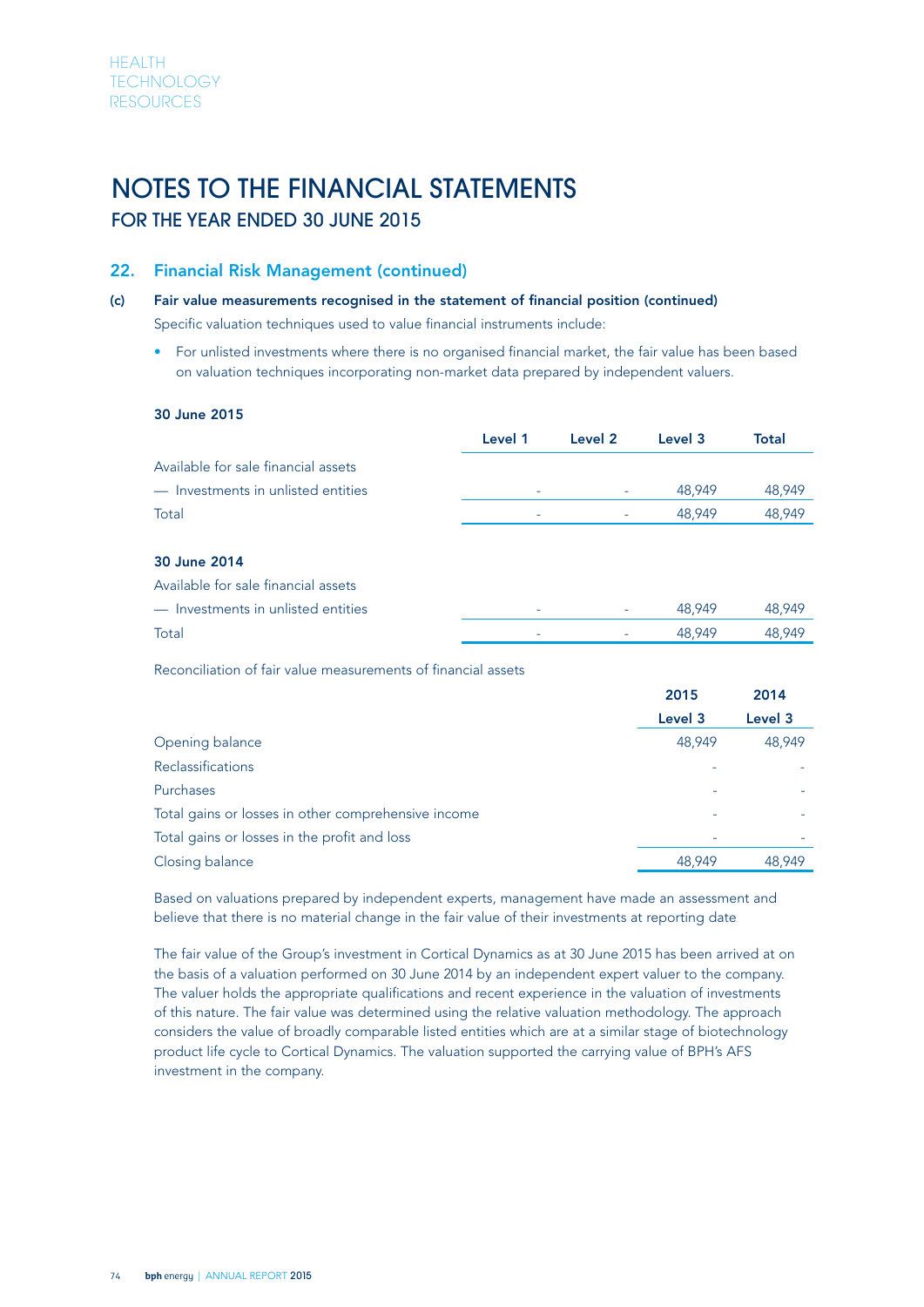# NOTES TO THE FINANCIAL STATEMENTS FOR THE YEAR ENDED 30 JUNE 2015

## 22. Financial Risk Management (continued)

### (c) Fair value measurements recognised in the statement of financial position (continued)

Specific valuation techniques used to value financial instruments include:

• For unlisted investments where there is no organised financial market, the fair value has been based on valuation techniques incorporating non-market data prepared by independent valuers.

### 30 June 2015

|                                     | Level 1 | Level 2 | Level 3 | Total  |
|-------------------------------------|---------|---------|---------|--------|
| Available for sale financial assets |         |         |         |        |
| — Investments in unlisted entities  |         |         | 48,949  | 48,949 |
| Total                               |         |         | 48,949  | 48,949 |
|                                     |         |         |         |        |
| 30 June 2014                        |         |         |         |        |
| Available for sale financial assets |         |         |         |        |
| — Investments in unlisted entities  |         |         | 48,949  | 48,949 |
| Total                               |         |         | 48,949  | 48,949 |

Reconciliation of fair value measurements of financial assets

|                                                     | 2015               | 2014    |
|-----------------------------------------------------|--------------------|---------|
|                                                     | Level <sub>3</sub> | Level 3 |
| Opening balance                                     | 48,949             | 48.949  |
| Reclassifications                                   |                    |         |
| Purchases                                           |                    |         |
| Total gains or losses in other comprehensive income |                    |         |
| Total gains or losses in the profit and loss        |                    |         |
| Closing balance                                     | 48,949             | 48,949  |

Based on valuations prepared by independent experts, management have made an assessment and believe that there is no material change in the fair value of their investments at reporting date

The fair value of the Group's investment in Cortical Dynamics as at 30 June 2015 has been arrived at on the basis of a valuation performed on 30 June 2014 by an independent expert valuer to the company. The valuer holds the appropriate qualifications and recent experience in the valuation of investments of this nature. The fair value was determined using the relative valuation methodology. The approach considers the value of broadly comparable listed entities which are at a similar stage of biotechnology product life cycle to Cortical Dynamics. The valuation supported the carrying value of BPH's AFS investment in the company.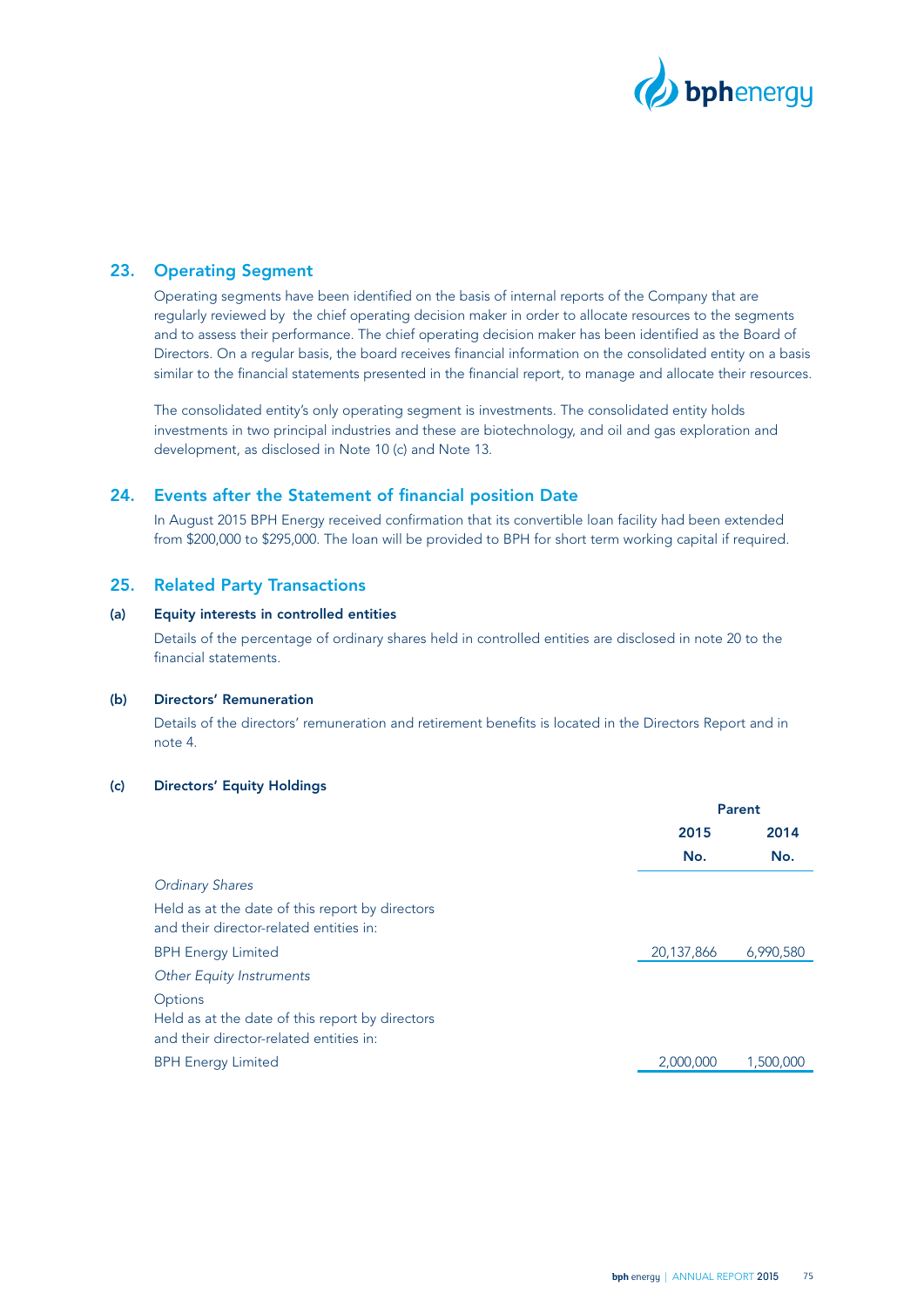

# 23. Operating Segment

Operating segments have been identified on the basis of internal reports of the Company that are regularly reviewed by the chief operating decision maker in order to allocate resources to the segments and to assess their performance. The chief operating decision maker has been identified as the Board of Directors. On a regular basis, the board receives financial information on the consolidated entity on a basis similar to the financial statements presented in the financial report, to manage and allocate their resources.

The consolidated entity's only operating segment is investments. The consolidated entity holds investments in two principal industries and these are biotechnology, and oil and gas exploration and development, as disclosed in Note 10 (c) and Note 13.

## 24. Events after the Statement of financial position Date

In August 2015 BPH Energy received confirmation that its convertible loan facility had been extended from \$200,000 to \$295,000. The loan will be provided to BPH for short term working capital if required.

## 25. Related Party Transactions

#### (a) Equity interests in controlled entities

Details of the percentage of ordinary shares held in controlled entities are disclosed in note 20 to the financial statements.

### (b) Directors' Remuneration

Details of the directors' remuneration and retirement benefits is located in the Directors Report and in note 4.

#### (c) Directors' Equity Holdings

|                                                                                                       |            | Parent    |
|-------------------------------------------------------------------------------------------------------|------------|-----------|
|                                                                                                       | 2015       | 2014      |
|                                                                                                       | No.        | No.       |
| <b>Ordinary Shares</b>                                                                                |            |           |
| Held as at the date of this report by directors<br>and their director-related entities in:            |            |           |
| <b>BPH Energy Limited</b>                                                                             | 20,137,866 | 6,990,580 |
| <b>Other Equity Instruments</b>                                                                       |            |           |
| Options<br>Held as at the date of this report by directors<br>and their director-related entities in: |            |           |
| <b>BPH Energy Limited</b>                                                                             | 2,000,000  | 1,500,000 |
|                                                                                                       |            |           |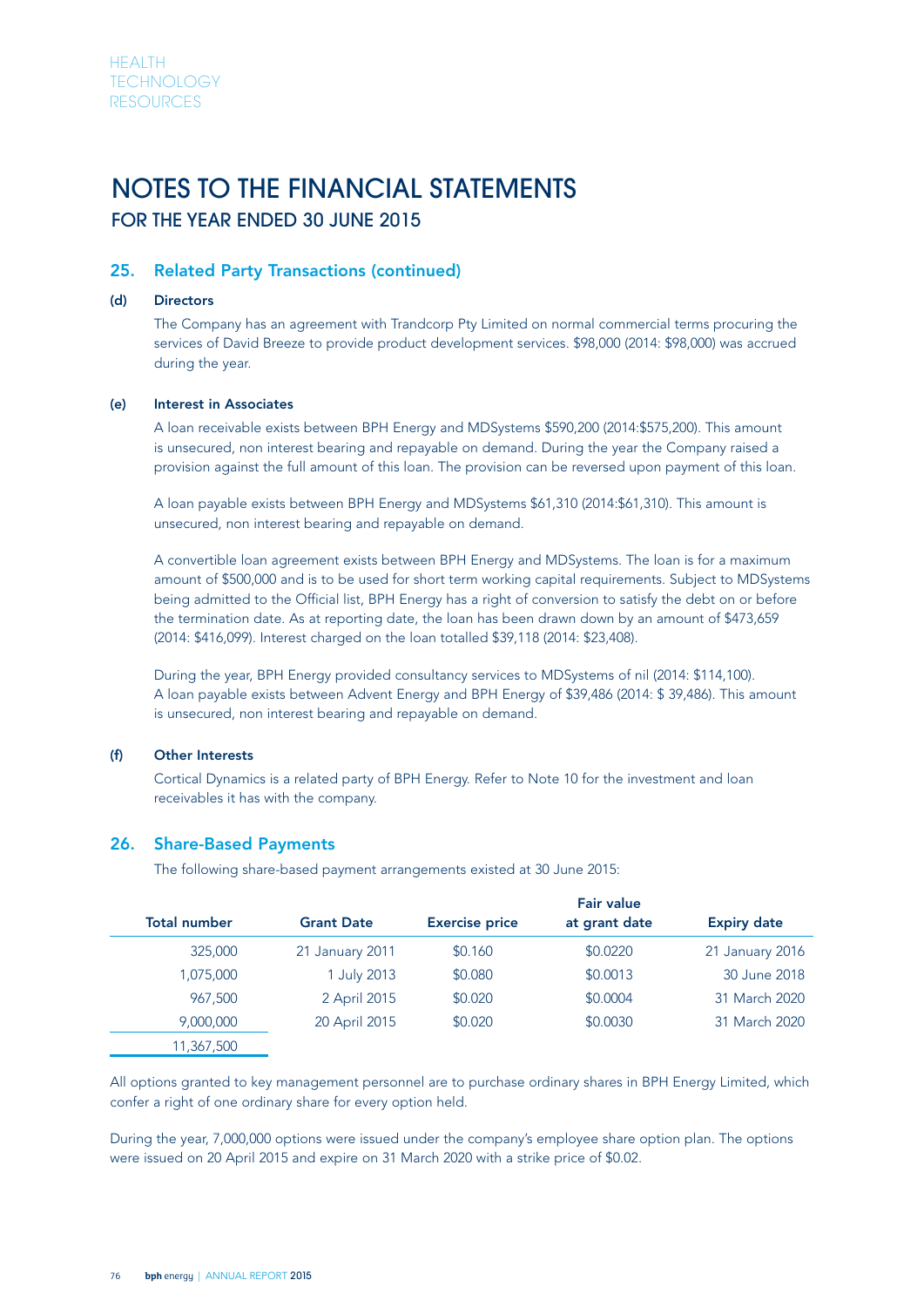# NOTES TO THE FINANCIAL STATEMENTS FOR THE YEAR ENDED 30 JUNE 2015

## 25. Related Party Transactions (continued)

## (d) Directors

The Company has an agreement with Trandcorp Pty Limited on normal commercial terms procuring the services of David Breeze to provide product development services. \$98,000 (2014: \$98,000) was accrued during the year.

## (e) Interest in Associates

A loan receivable exists between BPH Energy and MDSystems \$590,200 (2014:\$575,200). This amount is unsecured, non interest bearing and repayable on demand. During the year the Company raised a provision against the full amount of this loan. The provision can be reversed upon payment of this loan.

A loan payable exists between BPH Energy and MDSystems \$61,310 (2014:\$61,310). This amount is unsecured, non interest bearing and repayable on demand.

A convertible loan agreement exists between BPH Energy and MDSystems. The loan is for a maximum amount of \$500,000 and is to be used for short term working capital requirements. Subject to MDSystems being admitted to the Official list, BPH Energy has a right of conversion to satisfy the debt on or before the termination date. As at reporting date, the loan has been drawn down by an amount of \$473,659 (2014: \$416,099). Interest charged on the loan totalled \$39,118 (2014: \$23,408).

During the year, BPH Energy provided consultancy services to MDSystems of nil (2014: \$114,100). A loan payable exists between Advent Energy and BPH Energy of \$39,486 (2014: \$ 39,486). This amount is unsecured, non interest bearing and repayable on demand.

## (f) Other Interests

Cortical Dynamics is a related party of BPH Energy. Refer to Note 10 for the investment and loan receivables it has with the company.

## 26. Share-Based Payments

The following share-based payment arrangements existed at 30 June 2015:

|                     |                   |                       | <b>Fair value</b> |                    |
|---------------------|-------------------|-----------------------|-------------------|--------------------|
| <b>Total number</b> | <b>Grant Date</b> | <b>Exercise price</b> | at grant date     | <b>Expiry date</b> |
| 325,000             | 21 January 2011   | \$0.160               | \$0.0220          | 21 January 2016    |
| 1,075,000           | 1 July 2013       | \$0.080               | \$0,0013          | 30 June 2018       |
| 967.500             | 2 April 2015      | \$0.020               | \$0,0004          | 31 March 2020      |
| 9,000,000           | 20 April 2015     | \$0.020               | \$0,0030          | 31 March 2020      |
| 11,367,500          |                   |                       |                   |                    |

All options granted to key management personnel are to purchase ordinary shares in BPH Energy Limited, which confer a right of one ordinary share for every option held.

During the year, 7,000,000 options were issued under the company's employee share option plan. The options were issued on 20 April 2015 and expire on 31 March 2020 with a strike price of \$0.02.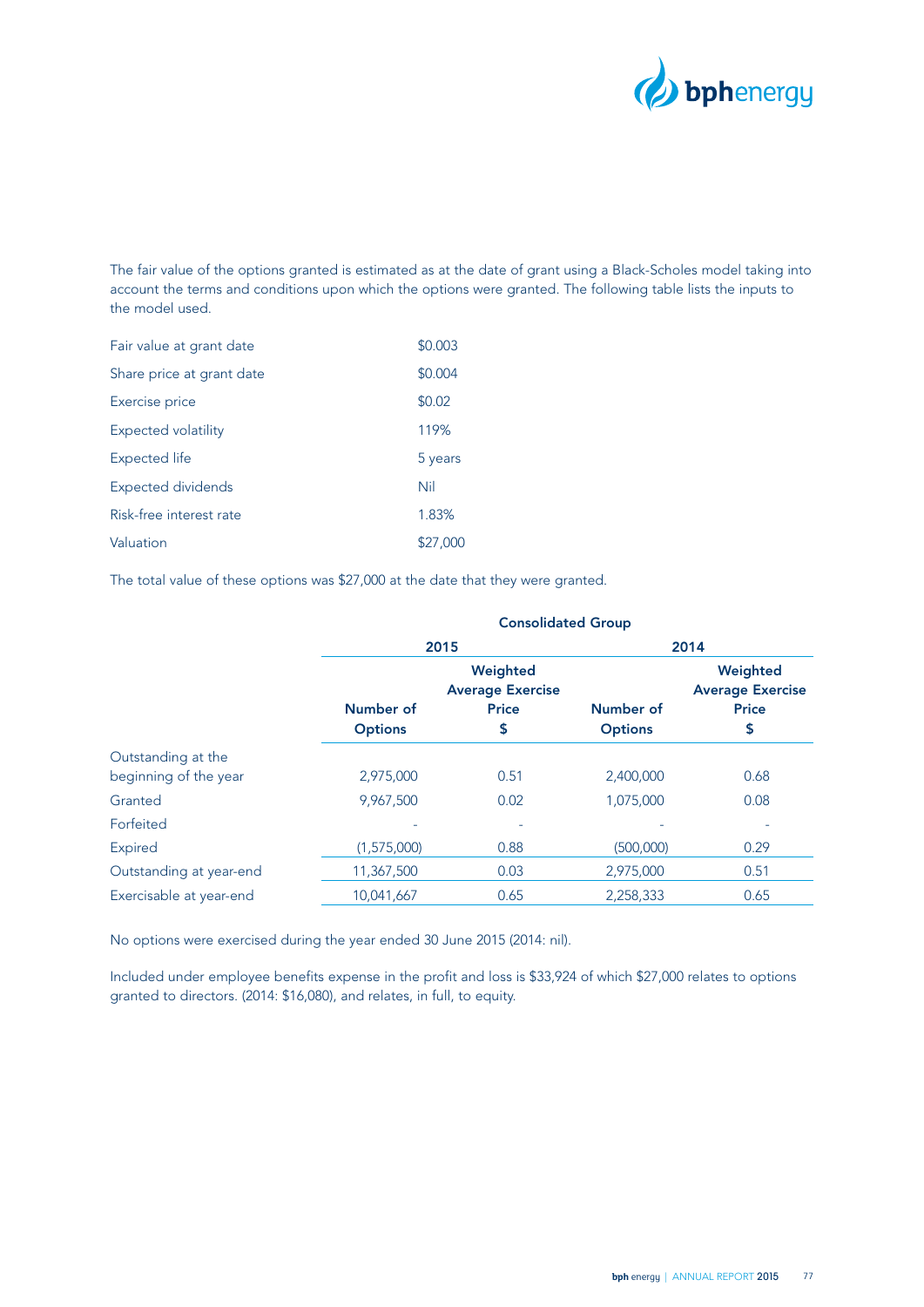

# The fair value of the options granted is estimated as at the date of grant using a Black-Scholes model taking into account the terms and conditions upon which the options were granted. The following table lists the inputs to the model used.

| Fair value at grant date  | \$0.003  |
|---------------------------|----------|
| Share price at grant date | \$0.004  |
| Exercise price            | \$0.02   |
| Expected volatility       | 119%     |
| <b>Expected life</b>      | 5 years  |
| <b>Expected dividends</b> | Nil      |
| Risk-free interest rate   | 1.83%    |
| Valuation                 | \$27,000 |

The total value of these options was \$27,000 at the date that they were granted.

| <b>Consolidated Group</b> |                                     |                |                                     |  |  |
|---------------------------|-------------------------------------|----------------|-------------------------------------|--|--|
|                           |                                     |                | 2014                                |  |  |
|                           | Weighted<br><b>Average Exercise</b> |                | Weighted<br><b>Average Exercise</b> |  |  |
| Number of                 | <b>Price</b>                        | Number of      | <b>Price</b>                        |  |  |
| <b>Options</b>            | \$                                  | <b>Options</b> | \$                                  |  |  |
|                           |                                     |                |                                     |  |  |
| 2,975,000                 | 0.51                                | 2,400,000      | 0.68                                |  |  |
| 9,967,500                 | 0.02                                | 1,075,000      | 0.08                                |  |  |
|                           |                                     |                |                                     |  |  |
| (1,575,000)               | 0.88                                | (500,000)      | 0.29                                |  |  |
| 11,367,500                | 0.03                                | 2,975,000      | 0.51                                |  |  |
| 10,041,667                | 0.65                                | 2,258,333      | 0.65                                |  |  |
|                           |                                     | 2015           |                                     |  |  |

No options were exercised during the year ended 30 June 2015 (2014: nil).

Included under employee benefits expense in the profit and loss is \$33,924 of which \$27,000 relates to options granted to directors. (2014: \$16,080), and relates, in full, to equity.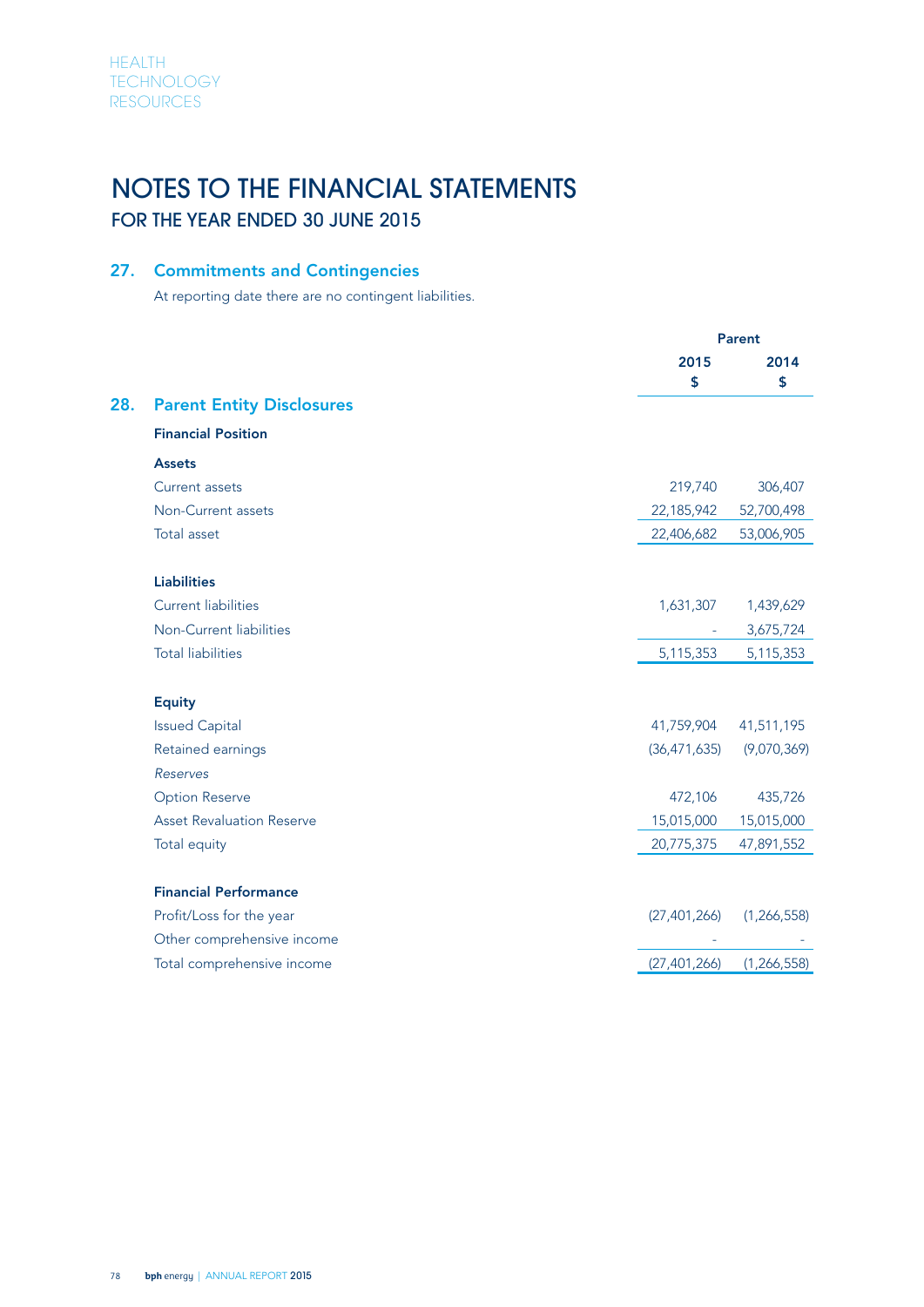# NOTES TO THE FINANCIAL STATEMENTS

FOR THE YEAR ENDED 30 JUNE 2015

# 27. Commitments and Contingencies

At reporting date there are no contingent liabilities.

|                                  |                | <b>Parent</b> |  |
|----------------------------------|----------------|---------------|--|
|                                  | 2015<br>\$     | 2014<br>\$    |  |
| <b>Parent Entity Disclosures</b> |                |               |  |
| <b>Financial Position</b>        |                |               |  |
| <b>Assets</b>                    |                |               |  |
| Current assets                   | 219,740        | 306,407       |  |
| Non-Current assets               | 22,185,942     | 52,700,498    |  |
| Total asset                      | 22,406,682     | 53,006,905    |  |
| <b>Liabilities</b>               |                |               |  |
| <b>Current liabilities</b>       | 1,631,307      | 1,439,629     |  |
| Non-Current liabilities          |                | 3,675,724     |  |
| <b>Total liabilities</b>         | 5, 115, 353    | 5,115,353     |  |
| <b>Equity</b>                    |                |               |  |
| <b>Issued Capital</b>            | 41,759,904     | 41,511,195    |  |
| Retained earnings                | (36, 471, 635) | (9,070,369)   |  |
| Reserves                         |                |               |  |
| <b>Option Reserve</b>            | 472,106        | 435,726       |  |
| <b>Asset Revaluation Reserve</b> | 15,015,000     | 15,015,000    |  |
| Total equity                     | 20,775,375     | 47,891,552    |  |
| <b>Financial Performance</b>     |                |               |  |
| Profit/Loss for the year         | (27, 401, 266) | (1,266,558)   |  |
| Other comprehensive income       |                |               |  |
| Total comprehensive income       | (27, 401, 266) | (1,266,558)   |  |
|                                  |                |               |  |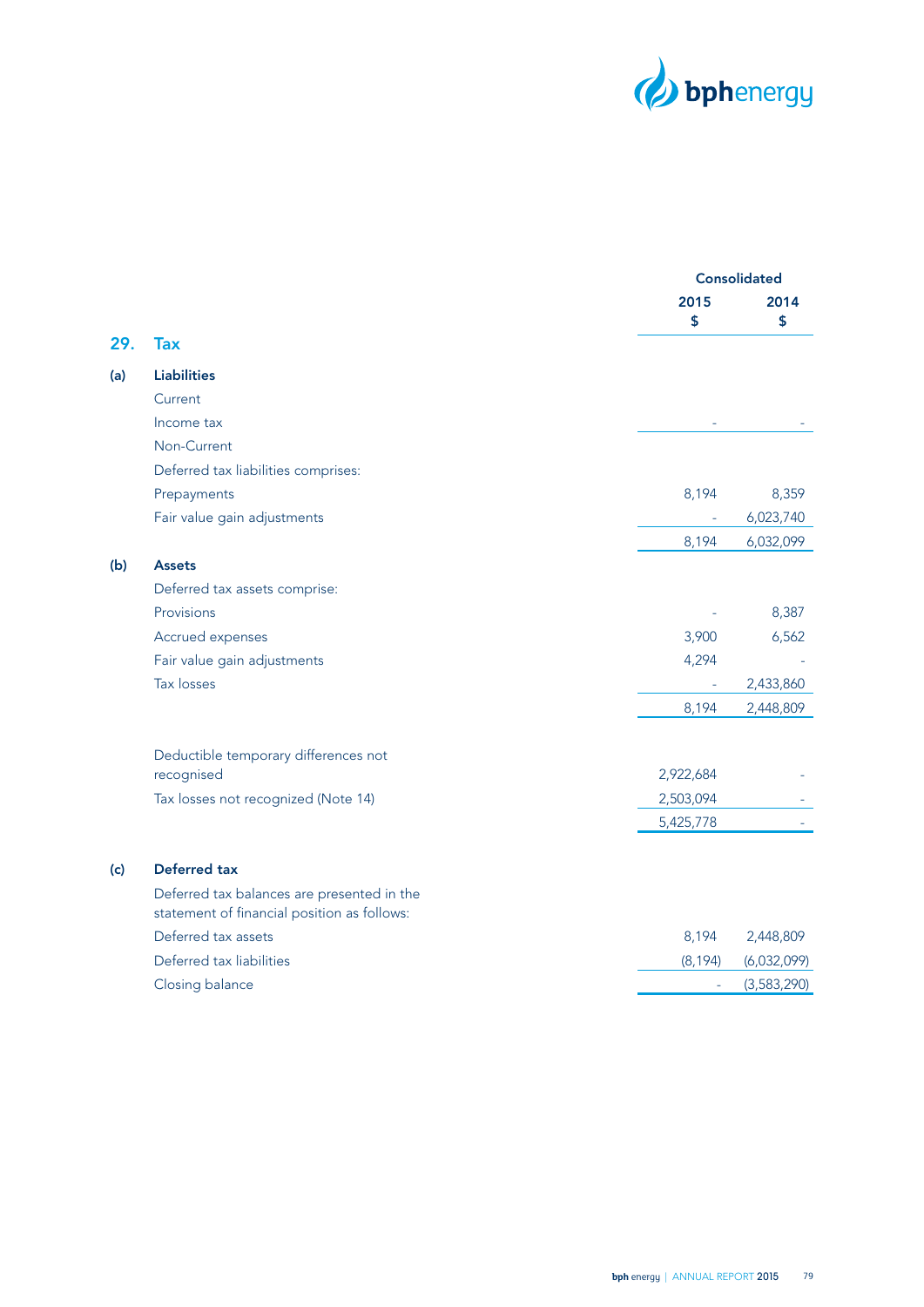

|     |                                                                                           |                          | <b>Consolidated</b> |  |
|-----|-------------------------------------------------------------------------------------------|--------------------------|---------------------|--|
|     |                                                                                           | 2015<br>\$               | 2014<br>\$          |  |
| 29. | <b>Tax</b>                                                                                |                          |                     |  |
| (a) | <b>Liabilities</b>                                                                        |                          |                     |  |
|     | Current                                                                                   |                          |                     |  |
|     | Income tax                                                                                |                          |                     |  |
|     | Non-Current                                                                               |                          |                     |  |
|     | Deferred tax liabilities comprises:                                                       |                          |                     |  |
|     | Prepayments                                                                               | 8,194                    | 8,359               |  |
|     | Fair value gain adjustments                                                               |                          | 6,023,740           |  |
|     |                                                                                           | 8,194                    | 6,032,099           |  |
| (b) | <b>Assets</b>                                                                             |                          |                     |  |
|     | Deferred tax assets comprise:                                                             |                          |                     |  |
|     | Provisions                                                                                |                          | 8,387               |  |
|     | Accrued expenses                                                                          | 3,900                    | 6,562               |  |
|     | Fair value gain adjustments                                                               | 4,294                    |                     |  |
|     | Tax losses                                                                                | $\overline{\phantom{a}}$ | 2,433,860           |  |
|     |                                                                                           | 8,194                    | 2,448,809           |  |
|     | Deductible temporary differences not                                                      |                          |                     |  |
|     | recognised                                                                                | 2,922,684                |                     |  |
|     | Tax losses not recognized (Note 14)                                                       | 2,503,094                |                     |  |
|     |                                                                                           | 5,425,778                |                     |  |
| (c) | <b>Deferred tax</b>                                                                       |                          |                     |  |
|     | Deferred tax balances are presented in the<br>statement of financial position as follows: |                          |                     |  |
|     | Deferred tax assets                                                                       | 8,194                    | 2,448,809           |  |
|     | Deferred tax liabilities                                                                  | (8, 194)                 | (6,032,099)         |  |
|     | Closing balance                                                                           | ÷                        | (3,583,290)         |  |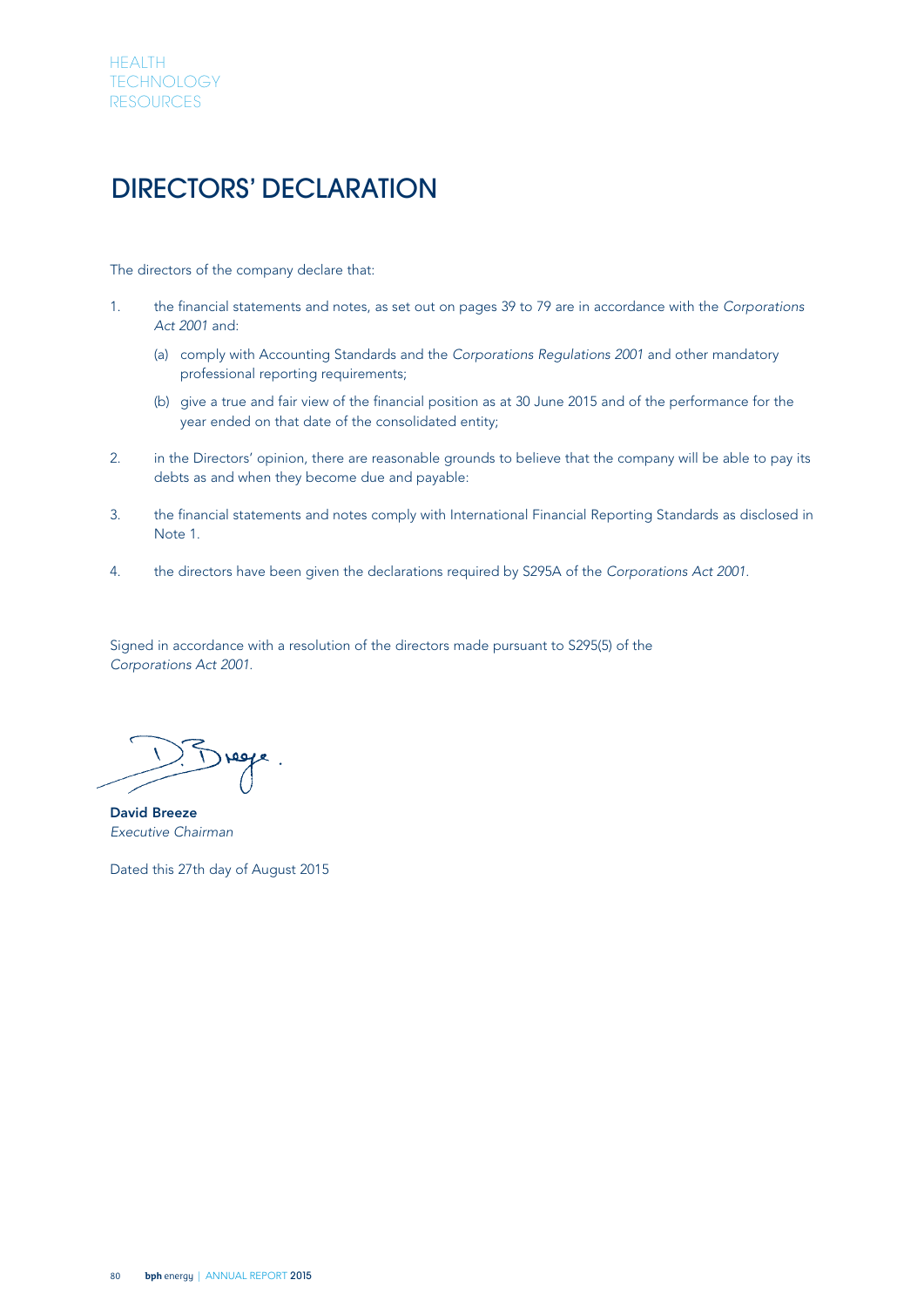# DIRECTORS' DECLARATION

The directors of the company declare that:

- 1. the financial statements and notes, as set out on pages 39 to 79 are in accordance with the *Corporations Act 2001* and:
	- (a) comply with Accounting Standards and the *Corporations Regulations 2001* and other mandatory professional reporting requirements;
	- (b) give a true and fair view of the financial position as at 30 June 2015 and of the performance for the year ended on that date of the consolidated entity;
- 2. in the Directors' opinion, there are reasonable grounds to believe that the company will be able to pay its debts as and when they become due and payable:
- 3. the financial statements and notes comply with International Financial Reporting Standards as disclosed in Note 1.
- 4. the directors have been given the declarations required by S295A of the *Corporations Act 2001*.

Signed in accordance with a resolution of the directors made pursuant to S295(5) of the *Corporations Act 2001*.

rege

David Breeze *Executive Chairman*

Dated this 27th day of August 2015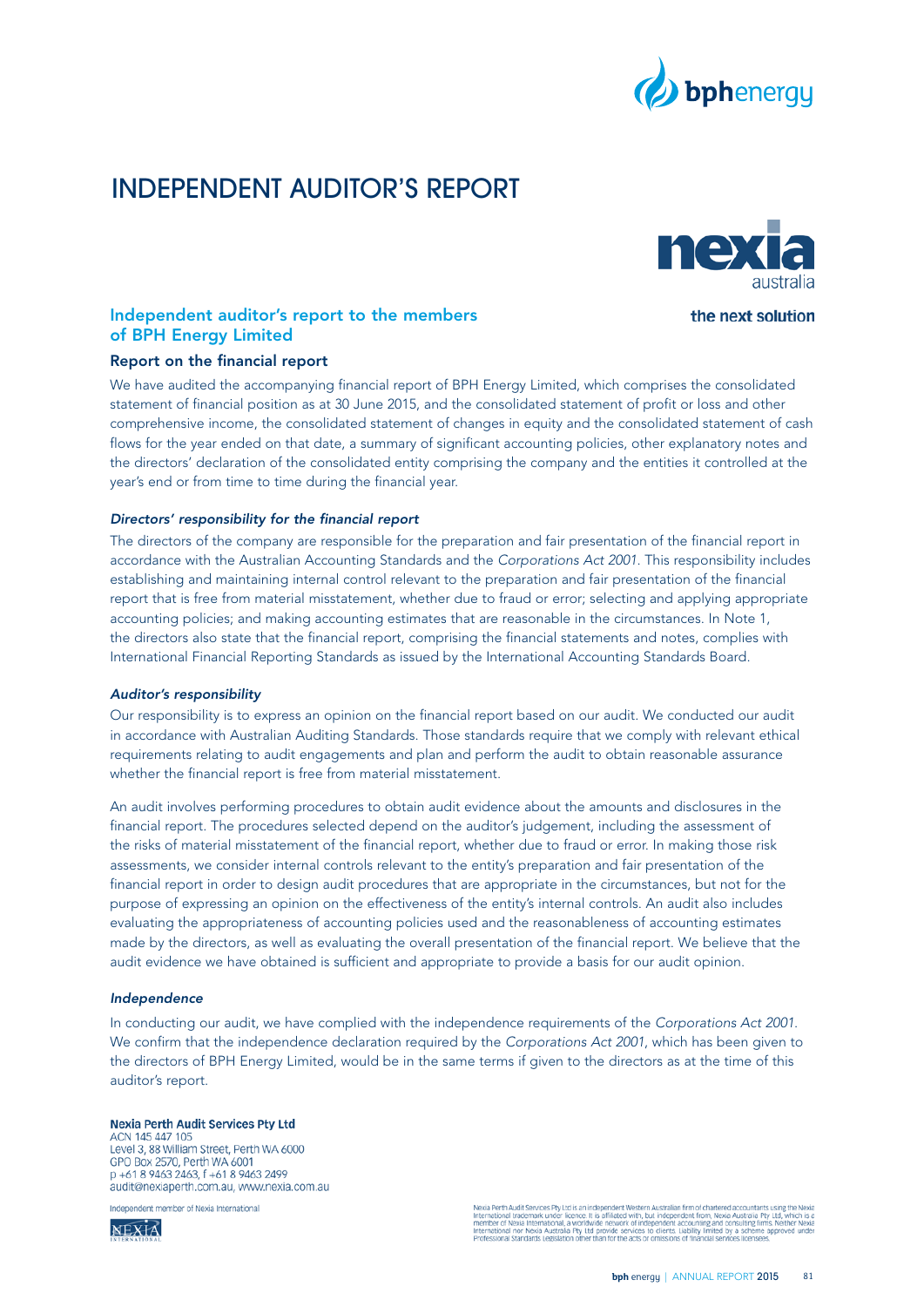

# INDEPENDENT AUDITOR'S REPORT



the next solution

# Independent auditor's report to the members of BPH Energy Limited

## Report on the financial report

We have audited the accompanying financial report of BPH Energy Limited, which comprises the consolidated statement of financial position as at 30 June 2015, and the consolidated statement of profit or loss and other comprehensive income, the consolidated statement of changes in equity and the consolidated statement of cash flows for the year ended on that date, a summary of significant accounting policies, other explanatory notes and the directors' declaration of the consolidated entity comprising the company and the entities it controlled at the year's end or from time to time during the financial year.

## *Directors' responsibility for the financial report*

The directors of the company are responsible for the preparation and fair presentation of the financial report in accordance with the Australian Accounting Standards and the *Corporations Act 2001*. This responsibility includes establishing and maintaining internal control relevant to the preparation and fair presentation of the financial report that is free from material misstatement, whether due to fraud or error; selecting and applying appropriate accounting policies; and making accounting estimates that are reasonable in the circumstances. In Note 1, the directors also state that the financial report, comprising the financial statements and notes, complies with International Financial Reporting Standards as issued by the International Accounting Standards Board.

## *Auditor's responsibility*

Our responsibility is to express an opinion on the financial report based on our audit. We conducted our audit in accordance with Australian Auditing Standards. Those standards require that we comply with relevant ethical requirements relating to audit engagements and plan and perform the audit to obtain reasonable assurance whether the financial report is free from material misstatement.

An audit involves performing procedures to obtain audit evidence about the amounts and disclosures in the financial report. The procedures selected depend on the auditor's judgement, including the assessment of the risks of material misstatement of the financial report, whether due to fraud or error. In making those risk assessments, we consider internal controls relevant to the entity's preparation and fair presentation of the financial report in order to design audit procedures that are appropriate in the circumstances, but not for the purpose of expressing an opinion on the effectiveness of the entity's internal controls. An audit also includes evaluating the appropriateness of accounting policies used and the reasonableness of accounting estimates made by the directors, as well as evaluating the overall presentation of the financial report. We believe that the audit evidence we have obtained is sufficient and appropriate to provide a basis for our audit opinion.

## *Independence*

In conducting our audit, we have complied with the independence requirements of the *Corporations Act 2001*. We confirm that the independence declaration required by the *Corporations Act 2001*, which has been given to the directors of BPH Energy Limited, would be in the same terms if given to the directors as at the time of this auditor's report.

#### **Nexia Perth Audit Services Pty Ltd**

ACN 145 447 105 Level 3, 88 William Street, Perth WA 6000 GPO Box 2570, Perth WA 6001<br>D +61 8 9463 2463, f +61 8 9463 2499 audit@nexiaperth.com.au. www.nexia.com.au

Independent member of Nexia International

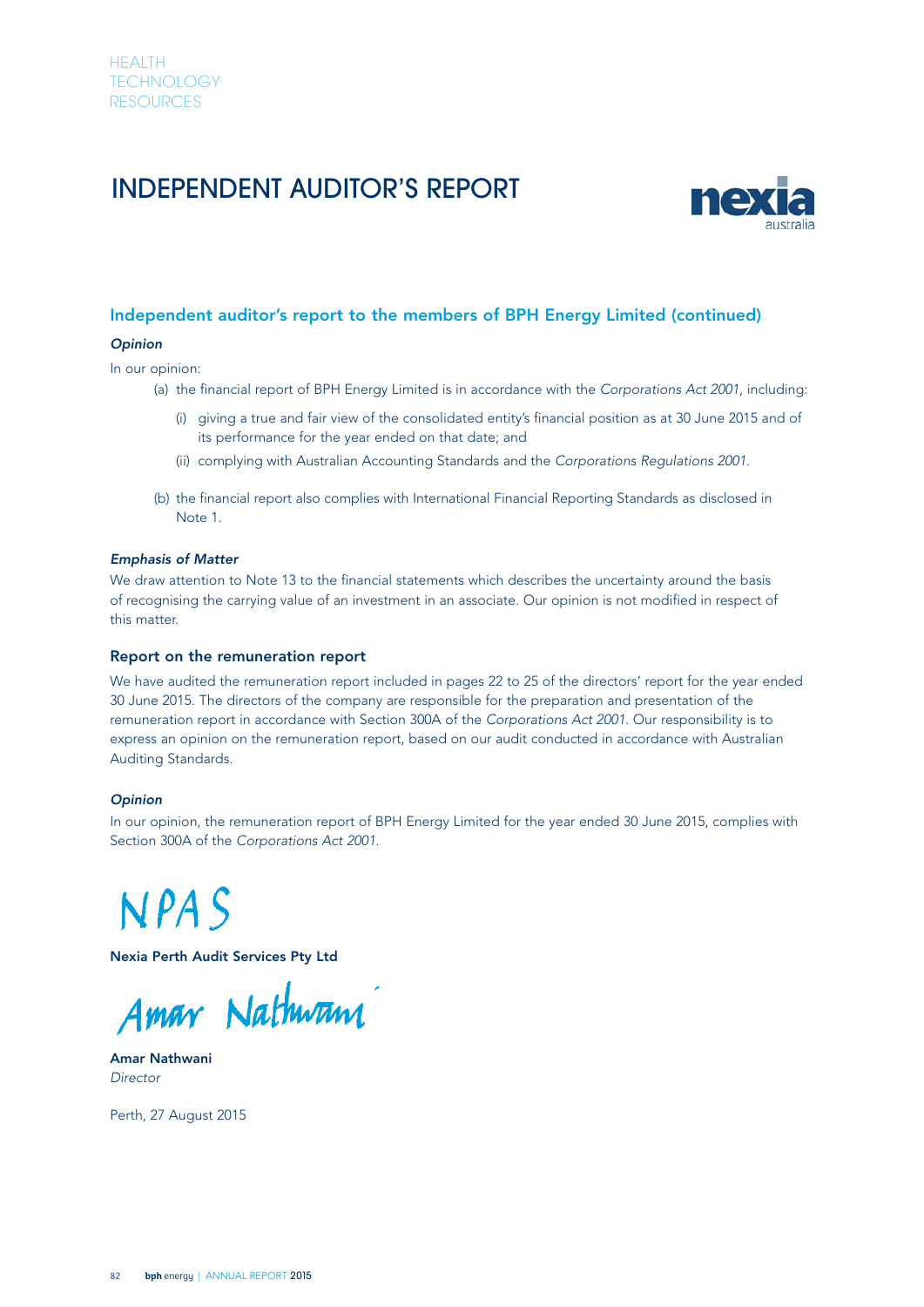# INDEPENDENT AUDITOR'S REPORT



# Independent auditor's report to the members of BPH Energy Limited (continued)

## *Opinion*

In our opinion:

- (a) the financial report of BPH Energy Limited is in accordance with the *Corporations Act 2001*, including:
	- (i) giving a true and fair view of the consolidated entity's financial position as at 30 June 2015 and of its performance for the year ended on that date; and
	- (ii) complying with Australian Accounting Standards and the *Corporations Regulations 2001*.
- (b) the financial report also complies with International Financial Reporting Standards as disclosed in Note 1.

## *Emphasis of Matter*

We draw attention to Note 13 to the financial statements which describes the uncertainty around the basis of recognising the carrying value of an investment in an associate. Our opinion is not modified in respect of this matter.

### Report on the remuneration report

We have audited the remuneration report included in pages 22 to 25 of the directors' report for the year ended 30 June 2015. The directors of the company are responsible for the preparation and presentation of the remuneration report in accordance with Section 300A of the *Corporations Act 2001*. Our responsibility is to express an opinion on the remuneration report, based on our audit conducted in accordance with Australian Auditing Standards.

## *Opinion*

In our opinion, the remuneration report of BPH Energy Limited for the year ended 30 June 2015, complies with Section 300A of the *Corporations Act 2001*.

NPA S

Nexia Perth Audit Services Pty Ltd

Amar Nathwann

Amar Nathwani *Director*

Perth, 27 August 2015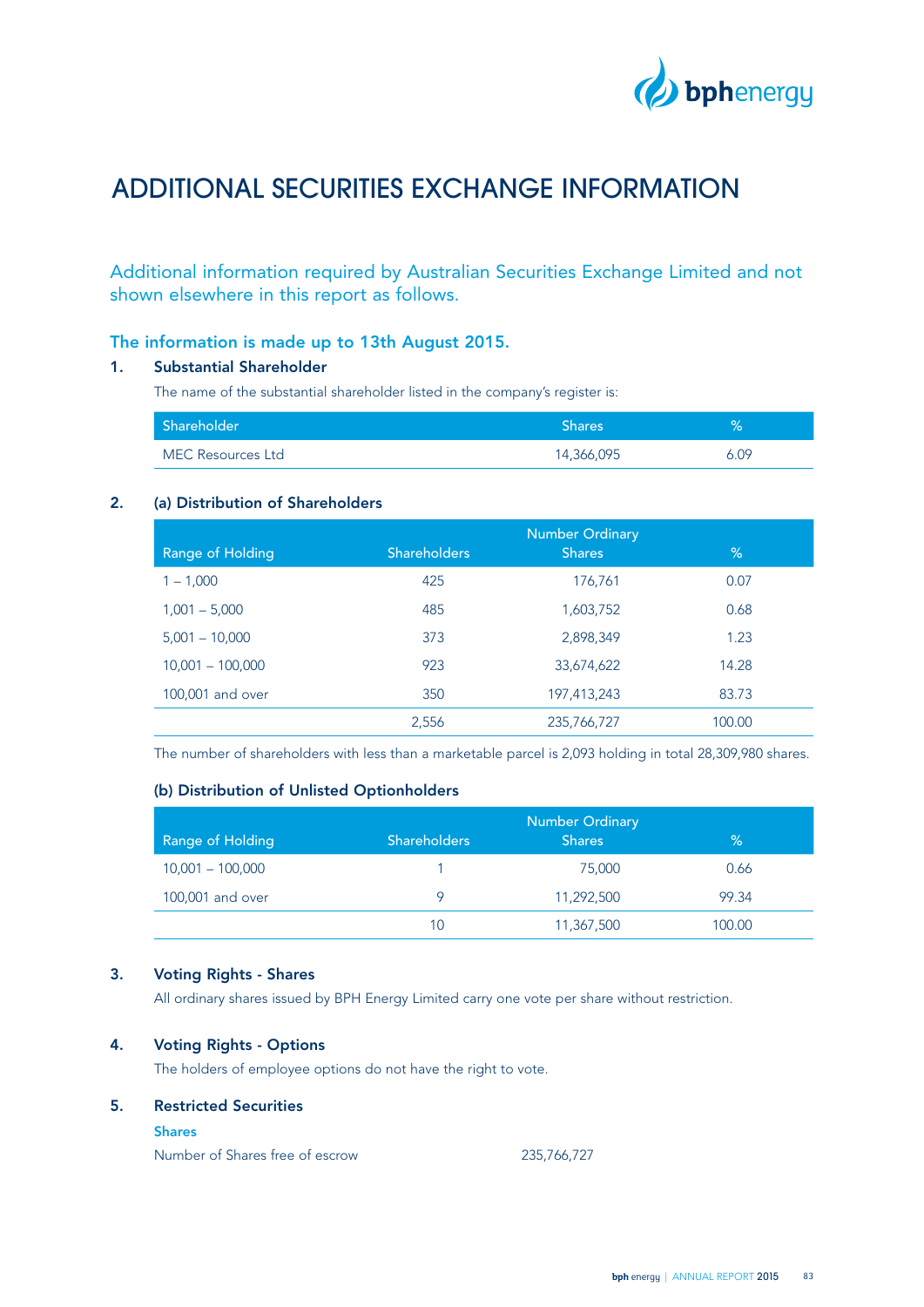

# ADDITIONAL SECURITIES EXCHANGE INFORMATION

Additional information required by Australian Securities Exchange Limited and not shown elsewhere in this report as follows.

## The information is made up to 13th August 2015.

## 1. Substantial Shareholder

The name of the substantial shareholder listed in the company's register is:

| Shareholder       | <b>Shares</b> |      |
|-------------------|---------------|------|
| MEC Resources Ltd | 14,366,095    | 6.09 |

# 2. (a) Distribution of Shareholders

|                    | <b>Number Ordinary</b> |               |        |
|--------------------|------------------------|---------------|--------|
| Range of Holding   | <b>Shareholders</b>    | <b>Shares</b> | $\%$   |
| $1 - 1,000$        | 425                    | 176,761       | 0.07   |
| $1,001 - 5,000$    | 485                    | 1,603,752     | 0.68   |
| $5,001 - 10,000$   | 373                    | 2,898,349     | 1.23   |
| $10,001 - 100,000$ | 923                    | 33,674,622    | 14.28  |
| 100,001 and over   | 350                    | 197,413,243   | 83.73  |
|                    | 2,556                  | 235,766,727   | 100.00 |

The number of shareholders with less than a marketable parcel is 2,093 holding in total 28,309,980 shares.

## (b) Distribution of Unlisted Optionholders

|                    | <b>Number Ordinary</b> |               |        |
|--------------------|------------------------|---------------|--------|
| Range of Holding   | <b>Shareholders</b>    | <b>Shares</b> | %      |
| $10,001 - 100,000$ |                        | 75,000        | 0.66   |
| 100,001 and over   | 9                      | 11,292,500    | 99.34  |
|                    | 10                     | 11,367,500    | 100.00 |

## 3. Voting Rights - Shares

All ordinary shares issued by BPH Energy Limited carry one vote per share without restriction.

## 4. Voting Rights - Options

The holders of employee options do not have the right to vote.

## 5. Restricted Securities

## Shares

Number of Shares free of escrow 235,766,727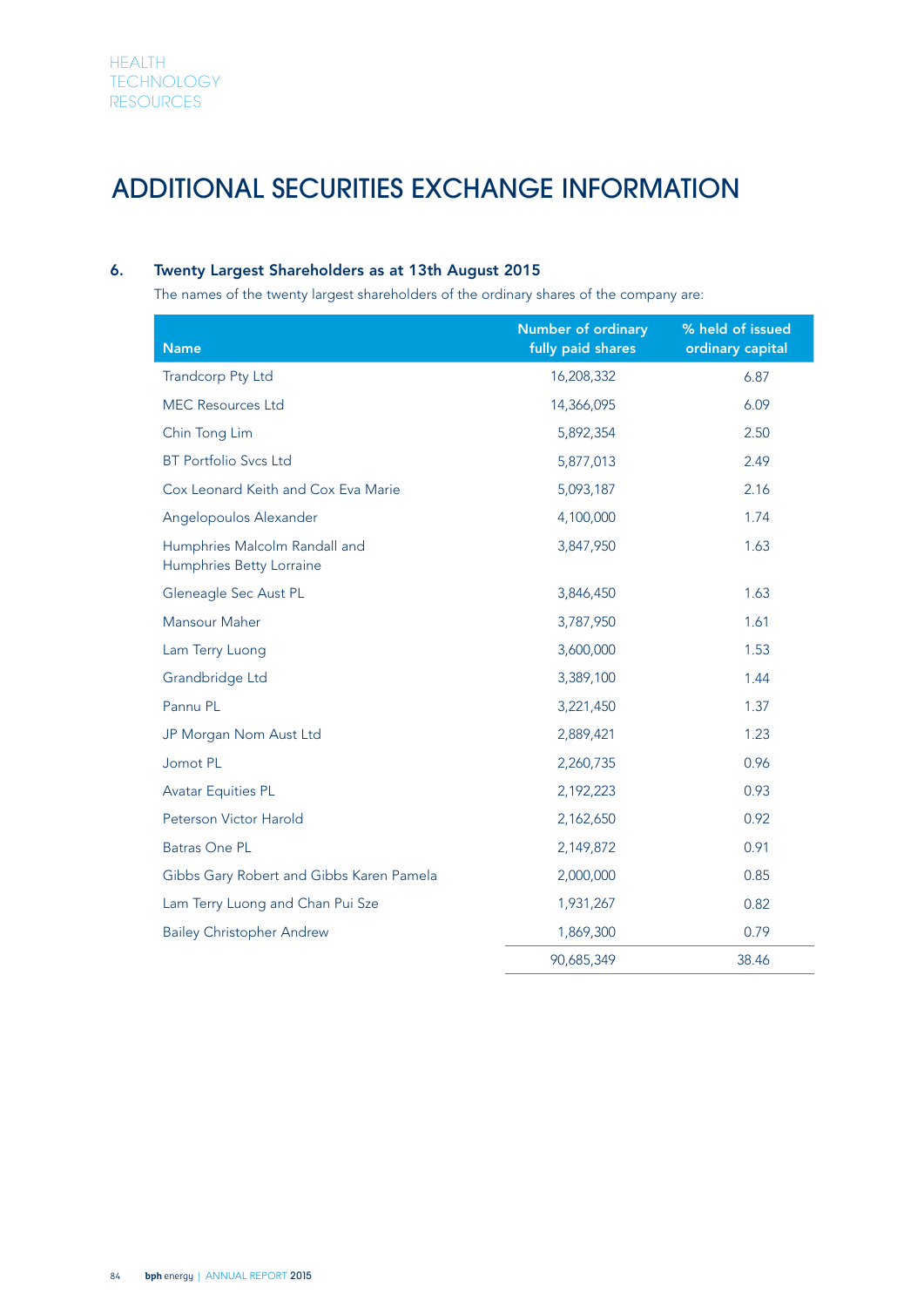# ADDITIONAL SECURITIES EXCHANGE INFORMATION

## 6. Twenty Largest Shareholders as at 13th August 2015

The names of the twenty largest shareholders of the ordinary shares of the company are:

| <b>Name</b>                                               | <b>Number of ordinary</b><br>fully paid shares | % held of issued<br>ordinary capital |
|-----------------------------------------------------------|------------------------------------------------|--------------------------------------|
| Trandcorp Pty Ltd                                         | 16,208,332                                     | 6.87                                 |
| <b>MEC Resources Ltd</b>                                  | 14,366,095                                     | 6.09                                 |
| Chin Tong Lim                                             | 5,892,354                                      | 2.50                                 |
| <b>BT Portfolio Svcs Ltd</b>                              | 5,877,013                                      | 2.49                                 |
| Cox Leonard Keith and Cox Eva Marie                       | 5,093,187                                      | 2.16                                 |
| Angelopoulos Alexander                                    | 4,100,000                                      | 1.74                                 |
| Humphries Malcolm Randall and<br>Humphries Betty Lorraine | 3,847,950                                      | 1.63                                 |
| Gleneagle Sec Aust PL                                     | 3,846,450                                      | 1.63                                 |
| Mansour Maher                                             | 3,787,950                                      | 1.61                                 |
| Lam Terry Luong                                           | 3,600,000                                      | 1.53                                 |
| Grandbridge Ltd                                           | 3,389,100                                      | 1.44                                 |
| Pannu PL                                                  | 3,221,450                                      | 1.37                                 |
| JP Morgan Nom Aust Ltd                                    | 2,889,421                                      | 1.23                                 |
| Jomot PL                                                  | 2,260,735                                      | 0.96                                 |
| <b>Avatar Equities PL</b>                                 | 2,192,223                                      | 0.93                                 |
| Peterson Victor Harold                                    | 2,162,650                                      | 0.92                                 |
| <b>Batras One PL</b>                                      | 2,149,872                                      | 0.91                                 |
| Gibbs Gary Robert and Gibbs Karen Pamela                  | 2,000,000                                      | 0.85                                 |
| Lam Terry Luong and Chan Pui Sze                          | 1,931,267                                      | 0.82                                 |
| <b>Bailey Christopher Andrew</b>                          | 1,869,300                                      | 0.79                                 |
|                                                           | 90,685,349                                     | 38.46                                |